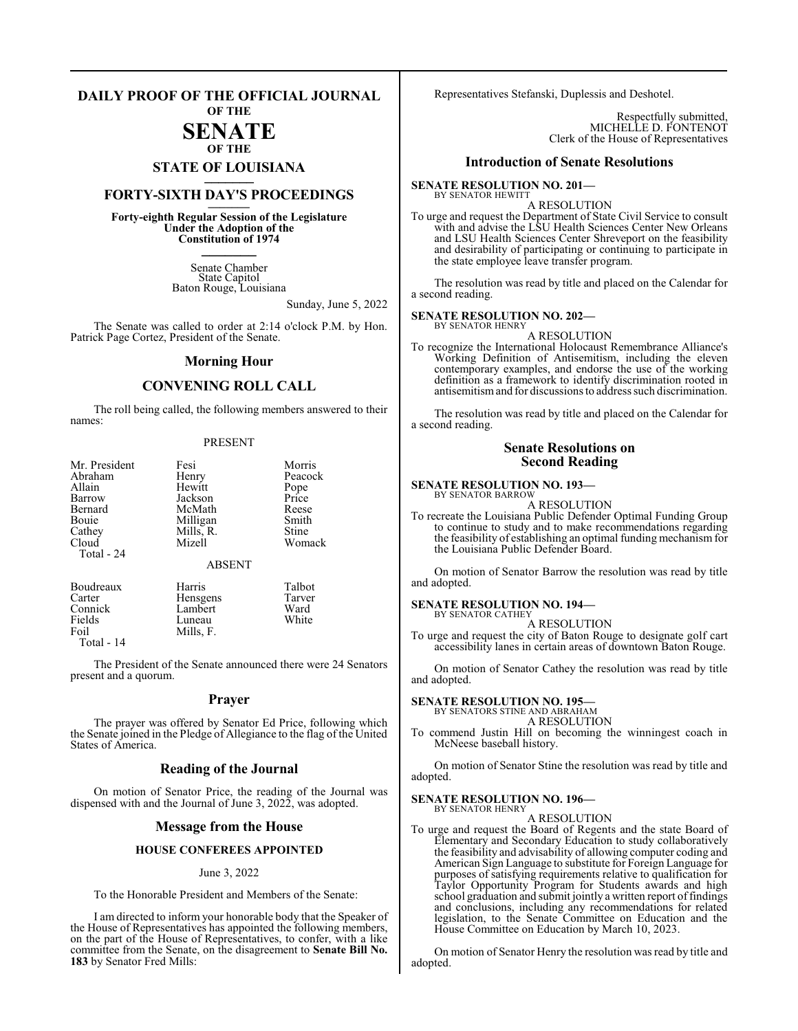### **DAILY PROOF OF THE OFFICIAL JOURNAL**

**OF THE**

### **SENATE**

### **OF THE STATE OF LOUISIANA \_\_\_\_\_\_\_**

## **FORTY-SIXTH DAY'S PROCEEDINGS \_\_\_\_\_\_\_**

**Forty-eighth Regular Session of the Legislature Under the Adoption of the Constitution of 1974 \_\_\_\_\_\_\_**

> Senate Chamber State Capitol Baton Rouge, Louisiana

> > Sunday, June 5, 2022

The Senate was called to order at 2:14 o'clock P.M. by Hon. Patrick Page Cortez, President of the Senate.

### **Morning Hour**

### **CONVENING ROLL CALL**

The roll being called, the following members answered to their names:

### PRESENT

| Mr. President | Fesi          | Morris  |
|---------------|---------------|---------|
| Abraham       | Henry         | Peacock |
| Allain        | Hewitt        | Pope    |
| Barrow        | Jackson       | Price   |
| Bernard       | McMath        | Reese   |
| Bouie         | Milligan      | Smith   |
| Cathey        | Mills, R.     | Stine   |
| Cloud         | Mizell        | Womack  |
| Total - 24    |               |         |
|               | <b>ABSENT</b> |         |
| Boudreaux     | Harris        | Talbot  |
| Carter        | Hensgens      | Tarver  |
| Connick       | Lambert       | Ward    |
| Fields        | Luneau        | White   |
| Foil          | Mills, F.     |         |

Total - 14

The President of the Senate announced there were 24 Senators present and a quorum.

### **Prayer**

The prayer was offered by Senator Ed Price, following which the Senate joined in the Pledge of Allegiance to the flag of the United States of America.

### **Reading of the Journal**

On motion of Senator Price, the reading of the Journal was dispensed with and the Journal of June 3, 2022, was adopted.

### **Message from the House**

### **HOUSE CONFEREES APPOINTED**

### June 3, 2022

To the Honorable President and Members of the Senate:

I am directed to inform your honorable body that the Speaker of the House of Representatives has appointed the following members, on the part of the House of Representatives, to confer, with a like committee from the Senate, on the disagreement to **Senate Bill No. 183** by Senator Fred Mills:

Representatives Stefanski, Duplessis and Deshotel.

Respectfully submitted, MICHELLE D. FONTENOT Clerk of the House of Representatives

### **Introduction of Senate Resolutions**

### **SENATE RESOLUTION NO. 201—** BY SENATOR HEWITT

A RESOLUTION

To urge and request the Department of State Civil Service to consult with and advise the LSU Health Sciences Center New Orleans and LSU Health Sciences Center Shreveport on the feasibility and desirability of participating or continuing to participate in the state employee leave transfer program.

The resolution was read by title and placed on the Calendar for a second reading.

#### **SENATE RESOLUTION NO. 202—** BY SENATOR HENRY

A RESOLUTION

To recognize the International Holocaust Remembrance Alliance's Working Definition of Antisemitism, including the eleven contemporary examples, and endorse the use of the working definition as a framework to identify discrimination rooted in antisemitismand for discussionsto address such discrimination.

The resolution was read by title and placed on the Calendar for a second reading.

### **Senate Resolutions on Second Reading**

### **SENATE RESOLUTION NO. 193—** BY SENATOR BARROW

A RESOLUTION

To recreate the Louisiana Public Defender Optimal Funding Group to continue to study and to make recommendations regarding the feasibility of establishing an optimal funding mechanism for the Louisiana Public Defender Board.

On motion of Senator Barrow the resolution was read by title and adopted.

### **SENATE RESOLUTION NO. 194—**

BY SENATOR CATHEY

A RESOLUTION To urge and request the city of Baton Rouge to designate golf cart accessibility lanes in certain areas of downtown Baton Rouge.

On motion of Senator Cathey the resolution was read by title and adopted.

### **SENATE RESOLUTION NO. 195—**

BY SENATORS STINE AND ABRAHAM A RESOLUTION

To commend Justin Hill on becoming the winningest coach in McNeese baseball history.

On motion of Senator Stine the resolution was read by title and adopted.

### **SENATE RESOLUTION NO. 196—** BY SENATOR HENRY

A RESOLUTION

To urge and request the Board of Regents and the state Board of Elementary and Secondary Education to study collaboratively the feasibility and advisability of allowing computer coding and American Sign Language to substitute for Foreign Language for purposes of satisfying requirements relative to qualification for Taylor Opportunity Program for Students awards and high school graduation and submit jointly a written report of findings and conclusions, including any recommendations for related legislation, to the Senate Committee on Education and the House Committee on Education by March 10, 2023.

On motion of Senator Henry the resolution was read by title and adopted.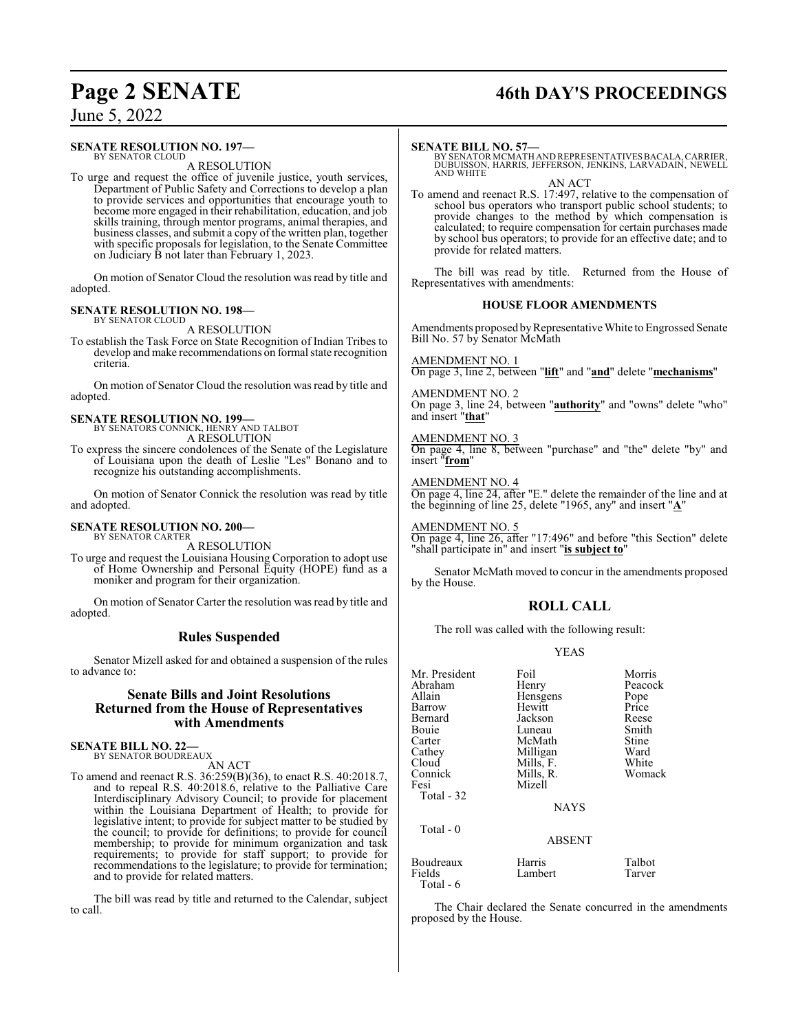## **Page 2 SENATE 46th DAY'S PROCEEDINGS**

### June 5, 2022

### **SENATE RESOLUTION NO. 197—** BY SENATOR CLOUD

A RESOLUTION

To urge and request the office of juvenile justice, youth services, Department of Public Safety and Corrections to develop a plan to provide services and opportunities that encourage youth to become more engaged in their rehabilitation, education, and job skills training, through mentor programs, animal therapies, and business classes, and submit a copy of the written plan, together with specific proposals for legislation, to the Senate Committee on Judiciary B not later than February 1, 2023.

On motion of Senator Cloud the resolution was read by title and adopted.

### **SENATE RESOLUTION NO. 198—** BY SENATOR CLOUD

A RESOLUTION

To establish the Task Force on State Recognition of Indian Tribes to develop and make recommendations on formal state recognition criteria.

On motion of Senator Cloud the resolution was read by title and adopted.

### **SENATE RESOLUTION NO. 199—** BY SENATORS CONNICK, HENRY AND TALBOT

A RESOLUTION

To express the sincere condolences of the Senate of the Legislature of Louisiana upon the death of Leslie "Les" Bonano and to recognize his outstanding accomplishments.

On motion of Senator Connick the resolution was read by title and adopted.

## **SENATE RESOLUTION NO. 200—** BY SENATOR CARTER

A RESOLUTION

To urge and request the Louisiana Housing Corporation to adopt use of Home Ownership and Personal Equity (HOPE) fund as a moniker and program for their organization.

On motion of Senator Carter the resolution was read by title and adopted.

### **Rules Suspended**

Senator Mizell asked for and obtained a suspension of the rules to advance to:

### **Senate Bills and Joint Resolutions Returned from the House of Representatives with Amendments**

**SENATE BILL NO. 22—** BY SENATOR BOUDREAUX

AN ACT

To amend and reenact R.S. 36:259(B)(36), to enact R.S. 40:2018.7, and to repeal R.S. 40:2018.6, relative to the Palliative Care Interdisciplinary Advisory Council; to provide for placement within the Louisiana Department of Health; to provide for legislative intent; to provide for subject matter to be studied by the council; to provide for definitions; to provide for council membership; to provide for minimum organization and task requirements; to provide for staff support; to provide for recommendations to the legislature; to provide for termination; and to provide for related matters.

The bill was read by title and returned to the Calendar, subject to call.

### **SENATE BILL NO. 57—**

BY SENATOR MCMATH AND REPRESENTATIVESBACALA,CARRIER, DUBUISSON, HARRIS, JEFFERSON, JENKINS, LARVADAIN, NEWELL AND WHITE

AN ACT To amend and reenact R.S. 17:497, relative to the compensation of school bus operators who transport public school students; to provide changes to the method by which compensation is calculated; to require compensation for certain purchases made by school bus operators; to provide for an effective date; and to provide for related matters.

The bill was read by title. Returned from the House of Representatives with amendments:

### **HOUSE FLOOR AMENDMENTS**

Amendments proposed by Representative White to Engrossed Senate Bill No. 57 by Senator McMath

AMENDMENT NO. 1 On page 3, line 2, between "**lift**" and "**and**" delete "**mechanisms**"

AMENDMENT NO. 2 On page 3, line 24, between "**authority**" and "owns" delete "who" and insert "**that**"

### AMENDMENT NO. 3

On page 4, line 8, between "purchase" and "the" delete "by" and insert "**from**"

### AMENDMENT NO. 4

Total - 6

On page 4, line 24, after "E." delete the remainder of the line and at the beginning of line 25, delete "1965, any" and insert "**A**"

AMENDMENT NO. 5 On page 4, line 26, after "17:496" and before "this Section" delete "shall participate in" and insert "**is subject to**"

Senator McMath moved to concur in the amendments proposed by the House.

### **ROLL CALL**

The roll was called with the following result:

### YEAS

| Mr. President<br>Abraham | Foil<br>Henry | Morris<br>Peacock |
|--------------------------|---------------|-------------------|
| Allain                   | Hensgens      | Pope              |
| Barrow                   | Hewitt        | Price             |
| Bernard                  | Jackson       | Reese             |
| Bouie                    | Luneau        | Smith             |
| Carter                   | McMath        | Stine             |
| Cathey                   | Milligan      | Ward              |
| Cloud                    | Mills, F.     | White             |
| Connick                  | Mills, R.     | Womack            |
| Fesi                     | Mizell        |                   |
| Total - 32               |               |                   |
|                          | <b>NAYS</b>   |                   |
| Total - 0                |               |                   |
|                          | <b>ABSENT</b> |                   |
| Boudreaux                | Harris        | Talbot            |
| Fields                   | Lambert       | Tarver            |
|                          |               |                   |

The Chair declared the Senate concurred in the amendments proposed by the House.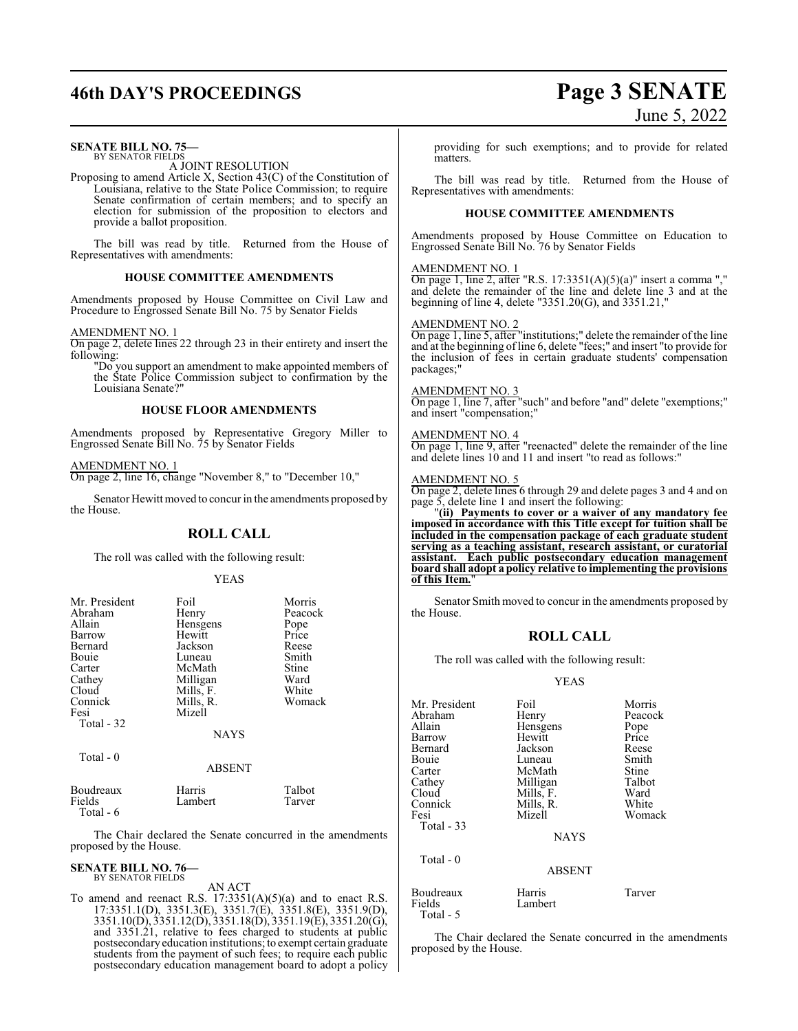## **46th DAY'S PROCEEDINGS Page 3 SENATE**

### **SENATE BILL NO. 75—**

BY SENATOR FIELDS A JOINT RESOLUTION

Proposing to amend Article X, Section 43(C) of the Constitution of Louisiana, relative to the State Police Commission; to require Senate confirmation of certain members; and to specify an election for submission of the proposition to electors and provide a ballot proposition.

The bill was read by title. Returned from the House of Representatives with amendments:

### **HOUSE COMMITTEE AMENDMENTS**

Amendments proposed by House Committee on Civil Law and Procedure to Engrossed Senate Bill No. 75 by Senator Fields

### AMENDMENT NO. 1

On page 2, delete lines 22 through 23 in their entirety and insert the following:

"Do you support an amendment to make appointed members of the State Police Commission subject to confirmation by the Louisiana Senate?"

### **HOUSE FLOOR AMENDMENTS**

Amendments proposed by Representative Gregory Miller to Engrossed Senate Bill No. 75 by Senator Fields

### AMENDMENT NO. 1

On page 2, line 16, change "November 8," to "December 10,"

Senator Hewitt moved to concur in the amendments proposed by the House.

### **ROLL CALL**

The roll was called with the following result:

### YEAS

| Mr. President | Foil          | Morris  |
|---------------|---------------|---------|
| Abraham       | Henry         | Peacock |
| Allain        | Hensgens      | Pope    |
| Barrow        | Hewitt        | Price   |
| Bernard       | Jackson       | Reese   |
| Bouie         | Luneau        | Smith   |
| Carter        | McMath        | Stine   |
| Cathey        | Milligan      | Ward    |
| Cloud         | Mills, F.     | White   |
| Connick       | Mills, R.     | Womack  |
| Fesi          | Mizell        |         |
| Total - 32    |               |         |
|               | <b>NAYS</b>   |         |
| Total - 0     |               |         |
|               | <b>ABSENT</b> |         |
| Boudreaux     | Harris        | Talbot  |
| Fields        | Lambert       | Tarver  |

The Chair declared the Senate concurred in the amendments proposed by the House.

### **SENATE BILL NO. 76—**<br>BY SENATOR FIELDS

Total - 6

BY SENATOR FIELDS AN ACT

# June 5, 2022

providing for such exemptions; and to provide for related matters.

The bill was read by title. Returned from the House of Representatives with amendments:

### **HOUSE COMMITTEE AMENDMENTS**

Amendments proposed by House Committee on Education to Engrossed Senate Bill No. 76 by Senator Fields

### AMENDMENT NO. 1

On page 1, line 2, after "R.S.  $17:3351(A)(5)(a)$ " insert a comma "," and delete the remainder of the line and delete line 3 and at the beginning of line 4, delete "3351.20(G), and 3351.21,"

### AMENDMENT NO. 2

On page 1, line 5, after "institutions;" delete the remainder of the line and at the beginning of line 6, delete "fees;" and insert "to provide for the inclusion of fees in certain graduate students' compensation packages;"

### AMENDMENT NO. 3

On page 1, line 7, after "such" and before "and" delete "exemptions;" and insert "compensation;"

### AMENDMENT NO. 4

On page 1, line 9, after "reenacted" delete the remainder of the line and delete lines 10 and 11 and insert "to read as follows:"

### AMENDMENT NO. 5

On page 2, delete lines 6 through 29 and delete pages 3 and 4 and on page 5, delete line 1 and insert the following:

"**(ii) Payments to cover or a waiver of any mandatory fee imposed in accordance with this Title except for tuition shall be included in the compensation package of each graduate student serving as a teaching assistant, research assistant, or curatorial assistant. Each public postsecondary education management board shall adopt a policy relative to implementing the provisions of this Item.**"

Senator Smith moved to concur in the amendments proposed by the House.

### **ROLL CALL**

The roll was called with the following result:

### YEAS

| Mr. President<br>Abraham<br>Allain<br>Barrow<br>Bernard<br>Bouie<br>Carter<br>Cathey<br>Cloud<br>Connick<br>Fesi<br>Total - 33 | Foil<br>Henry<br>Hensgens<br>Hewitt<br>Jackson<br>Luneau<br>McMath<br>Milligan<br>Mills, F.<br>Mills, R.<br>Mizell<br><b>NAYS</b> | Morris<br>Peacock<br>Pope<br>Price<br>Reese<br>Smith<br>Stine<br>Talbot<br>Ward<br>White<br>Womack |
|--------------------------------------------------------------------------------------------------------------------------------|-----------------------------------------------------------------------------------------------------------------------------------|----------------------------------------------------------------------------------------------------|
| Total - 0                                                                                                                      | <b>ABSENT</b>                                                                                                                     |                                                                                                    |
| Boudreaux<br>Fields<br>Total - $5$                                                                                             | Harris<br>Lambert                                                                                                                 | Tarver                                                                                             |

The Chair declared the Senate concurred in the amendments proposed by the House.

To amend and reenact R.S.  $17:3351(A)(5)(a)$  and to enact R.S. 17:3351.1(D), 3351.3(E), 3351.7(E), 3351.8(E), 3351.9(D), 3351.10(D), 3351.12(D), 3351.18(D), 3351.19(E), 3351.20(G), and 3351.21, relative to fees charged to students at public postsecondaryeducation institutions; to exempt certain graduate students from the payment of such fees; to require each public postsecondary education management board to adopt a policy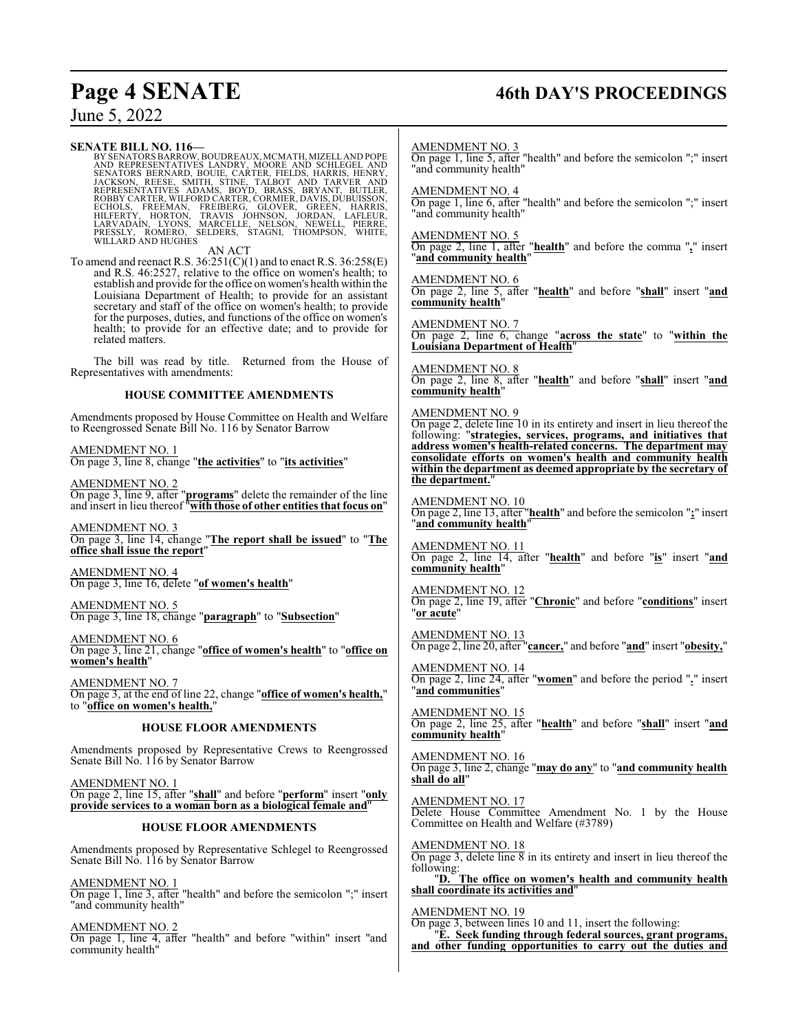## **Page 4 SENATE 46th DAY'S PROCEEDINGS**

June 5, 2022

**SENATE BILL NO. 116—**<br>BY SENATORS BARROW, BOUDREAUX, MCMATH, MIZELL AND POPE<br>AND REPRESENTATIVES LANDRY, MOORE AND SCHLEGEL AND<br>SENATORS BERNARD, BOUIE, CARTER, FIELDS, HARRIS, HENRY,<br>JACKSON, REESE, SMITH, STINE, TALBOT

AN ACT

To amend and reenact R.S. 36:251(C)(1) and to enact R.S. 36:258(E) and R.S. 46:2527, relative to the office on women's health; to establish and provide for the office on women's health within the Louisiana Department of Health; to provide for an assistant secretary and staff of the office on women's health; to provide for the purposes, duties, and functions of the office on women's health; to provide for an effective date; and to provide for related matters.

The bill was read by title. Returned from the House of Representatives with amendments:

### **HOUSE COMMITTEE AMENDMENTS**

Amendments proposed by House Committee on Health and Welfare to Reengrossed Senate Bill No. 116 by Senator Barrow

AMENDMENT NO. 1

On page 3, line 8, change "**the activities**" to "**its activities**"

AMENDMENT NO. 2 On page 3, line 9, after "**programs**" delete the remainder of the line and insert in lieu thereof "**with those of other entities that focus on**"

AMENDMENT NO. 3 On page 3, line 14, change "**The report shall be issued**" to "**The office shall issue the report**"

AMENDMENT NO. 4 On page 3, line 16, delete "**of women's health**"

AMENDMENT NO. 5 On page 3, line 18, change "**paragraph**" to "**Subsection**"

AMENDMENT NO. 6 On page 3, line 21, change "**office of women's health**" to "**office on women's health**"

AMENDMENT NO. 7 On page 3, at the end of line 22, change "**office of women's health,**" to "**office on women's health,**"

### **HOUSE FLOOR AMENDMENTS**

Amendments proposed by Representative Crews to Reengrossed Senate Bill No. 116 by Senator Barrow

AMENDMENT NO. 1 On page 2, line 15, after "**shall**" and before "**perform**" insert "**only provide services to a woman born as a biological female and**"

### **HOUSE FLOOR AMENDMENTS**

Amendments proposed by Representative Schlegel to Reengrossed Senate Bill No. 116 by Senator Barrow

AMENDMENT NO. 1 On page 1, line 3, after "health" and before the semicolon ";" insert "and community health"

AMENDMENT NO. 2 On page 1, line 4, after "health" and before "within" insert "and community health"

AMENDMENT NO. 3

On page 1, line 5, after "health" and before the semicolon ";" insert "and community health"

AMENDMENT NO. 4

On page 1, line 6, after "health" and before the semicolon ";" insert "and community health"

AMENDMENT NO. 5

On page 2, line 1, after "**health**" and before the comma "**,**" insert "**and community health**"

AMENDMENT NO. 6

On page 2, line 5, after "**health**" and before "**shall**" insert "**and community health**"

AMENDMENT NO. 7

On page 2, line 6, change "**across the state**" to "**within the Louisiana Department of Health**"

AMENDMENT NO. 8 On page 2, line 8, after "**health**" and before "**shall**" insert "**and community health**"

### AMENDMENT NO. 9

On page 2, delete line 10 in its entirety and insert in lieu thereof the following: "**strategies, services, programs, and initiatives that address women's health-related concerns. The department may consolidate efforts on women's health and community health within the department as deemed appropriate by the secretary of the department.**"

AMENDMENT NO. 10 On page 2, line 13, after "**health**" and before the semicolon "**;**" insert "**and community health**"

AMENDMENT NO. 11 On page 2, line 14, after "**health**" and before "**is**" insert "**and community health**"

AMENDMENT NO. 12 On page 2, line 19, after "**Chronic**" and before "**conditions**" insert "**or acute**"

AMENDMENT NO. 13 On page 2, line 20, after "**cancer,**" and before "**and**" insert "**obesity,**"

AMENDMENT NO. 14 On page 2, line 24, after "**women**" and before the period "**.**" insert "**and communities**"

AMENDMENT NO. 15 On page 2, line 25, after "**health**" and before "**shall**" insert "**and community health**"

AMENDMENT NO. 16 On page 3, line 2, change "**may do any**" to "**and community health shall do all**"

AMENDMENT NO. 17 Delete House Committee Amendment No. 1 by the House Committee on Health and Welfare (#3789)

AMENDMENT NO. 18 On page 3, delete line  $\overline{8}$  in its entirety and insert in lieu thereof the following:

"**D. The office on women's health and community health shall coordinate its activities and**"

AMENDMENT NO. 19

On page 3, between lines 10 and 11, insert the following: "**E. Seek funding through federal sources, grant programs, and other funding opportunities to carry out the duties and**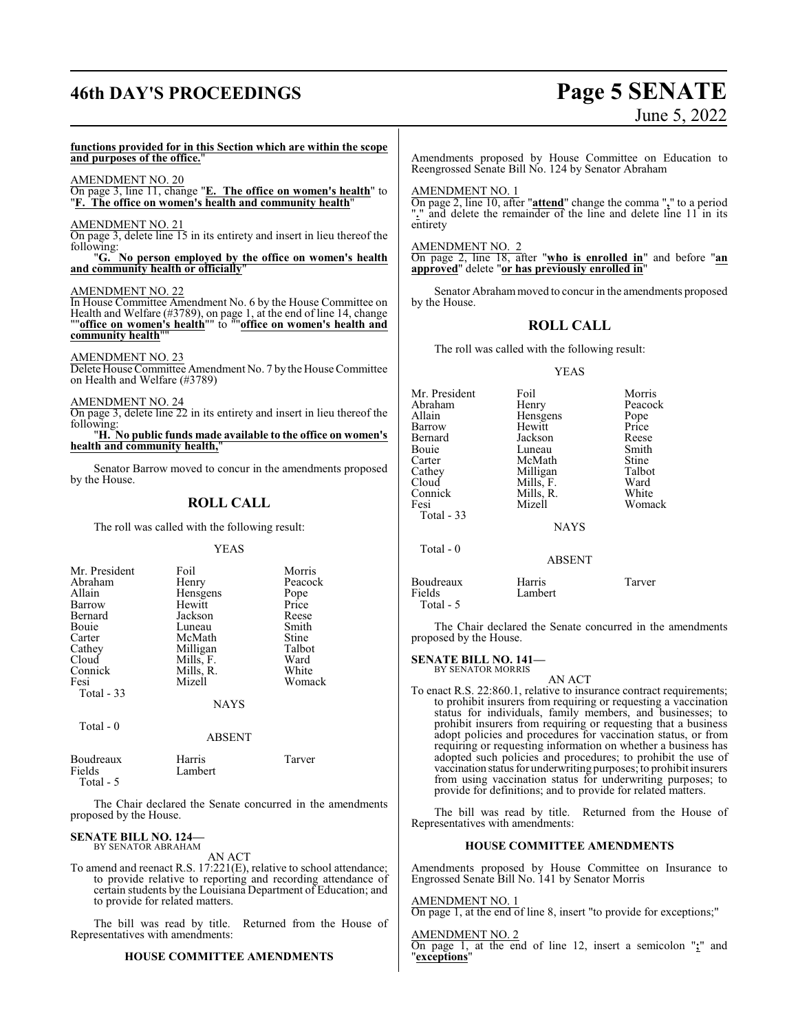## **46th DAY'S PROCEEDINGS Page 5 SENATE**

# June 5, 2022

### **functions provided for in this Section which are within the scope and purposes of the office.**"

### AMENDMENT NO. 20

On page 3, line 11, change "**E. The office on women's health**" to "**F. The office on women's health and community health**"

### AMENDMENT NO. 21

On page 3, delete line 15 in its entirety and insert in lieu thereof the following:

"**G. No person employed by the office on women's health and community health or officially**"

### AMENDMENT NO. 22

In House Committee Amendment No. 6 by the House Committee on Health and Welfare (#3789), on page 1, at the end of line 14, change ""**office on women's health**"" to ""**office on women's health and community health** 

### AMENDMENT NO. 23

Delete House Committee Amendment No. 7 by the House Committee on Health and Welfare (#3789)

AMENDMENT NO. 24

On page 3, delete line 22 in its entirety and insert in lieu thereof the following:

"**H. No public funds made available to the office on women's health and community health,**"

Senator Barrow moved to concur in the amendments proposed by the House.

### **ROLL CALL**

The roll was called with the following result:

### YEAS

| Mr. President    | Foil        | Morris  |
|------------------|-------------|---------|
| Abraham          | Henry       | Peacock |
| Allain           | Hensgens    | Pope    |
| Barrow           | Hewitt      | Price   |
| Bernard          | Jackson     | Reese   |
| Bouie            | Luneau      | Smith   |
| Carter           | McMath      | Stine   |
| Cathey           | Milligan    | Talbot  |
| Cloud            | Mills, F.   | Ward    |
| Connick          | Mills, R.   | White   |
| Fesi             | Mizell      | Womack  |
| Total $-33$      |             |         |
|                  | <b>NAYS</b> |         |
| $T_{\alpha+1}$ 0 |             |         |

| otal<br>ш |  |  |
|-----------|--|--|
|           |  |  |

| Boudreaux  | Harris  | Tarver |
|------------|---------|--------|
| Fields     | Lambert |        |
| Total $-5$ |         |        |

The Chair declared the Senate concurred in the amendments proposed by the House.

ABSENT

#### **SENATE BILL NO. 124—** BY SENATOR ABRAHAM

AN ACT

To amend and reenact R.S. 17:221(E), relative to school attendance; to provide relative to reporting and recording attendance of certain students by the Louisiana Department of Education; and to provide for related matters.

The bill was read by title. Returned from the House of Representatives with amendments:

### **HOUSE COMMITTEE AMENDMENTS**

Amendments proposed by House Committee on Education to Reengrossed Senate Bill No. 124 by Senator Abraham

### AMENDMENT NO. 1

On page 2, line 10, after "**attend**" change the comma "**,**" to a period "." and delete the remainder of the line and delete line 11<sup>t</sup> in its entirety

### AMENDMENT NO. 2

On page 2, line 18, after "**who is enrolled in**" and before "**an approved**" delete "**or has previously enrolled in**"

Senator Abraham moved to concur in the amendments proposed by the House.

### **ROLL CALL**

The roll was called with the following result:

### YEAS

| Mr. President | Foil          | Morris  |
|---------------|---------------|---------|
| Abraham       | Henry         | Peacock |
| Allain        | Hensgens      | Pope    |
| Barrow        | Hewitt        | Price   |
| Bernard       | Jackson       | Reese   |
| Bouie         | Luneau        | Smith   |
| Carter        | McMath        | Stine   |
| Cathey        | Milligan      | Talbot  |
| Cloud         | Mills, F.     | Ward    |
| Connick       | Mills, R.     | White   |
| Fesi          | Mizell        | Womack  |
| Total - 33    |               |         |
|               | <b>NAYS</b>   |         |
| Total - 0     |               |         |
|               | <b>ABSENT</b> |         |
|               |               |         |

| Boudreaux  | Harris  | Tarver |
|------------|---------|--------|
| Fields     | Lambert |        |
| Total $-5$ |         |        |

The Chair declared the Senate concurred in the amendments proposed by the House.

#### **SENATE BILL NO. 141—** BY SENATOR MORRIS

AN ACT To enact R.S. 22:860.1, relative to insurance contract requirements; to prohibit insurers from requiring or requesting a vaccination status for individuals, family members, and businesses; to prohibit insurers from requiring or requesting that a business adopt policies and procedures for vaccination status, or from requiring or requesting information on whether a business has adopted such policies and procedures; to prohibit the use of vaccination status for underwriting purposes; to prohibit insurers from using vaccination status for underwriting purposes; to provide for definitions; and to provide for related matters.

The bill was read by title. Returned from the House of Representatives with amendments:

### **HOUSE COMMITTEE AMENDMENTS**

Amendments proposed by House Committee on Insurance to Engrossed Senate Bill No. 141 by Senator Morris

### AMENDMENT NO. 1

On page 1, at the end of line 8, insert "to provide for exceptions;"

### AMENDMENT NO. 2

On page 1, at the end of line 12, insert a semicolon "**;**" and "**exceptions**"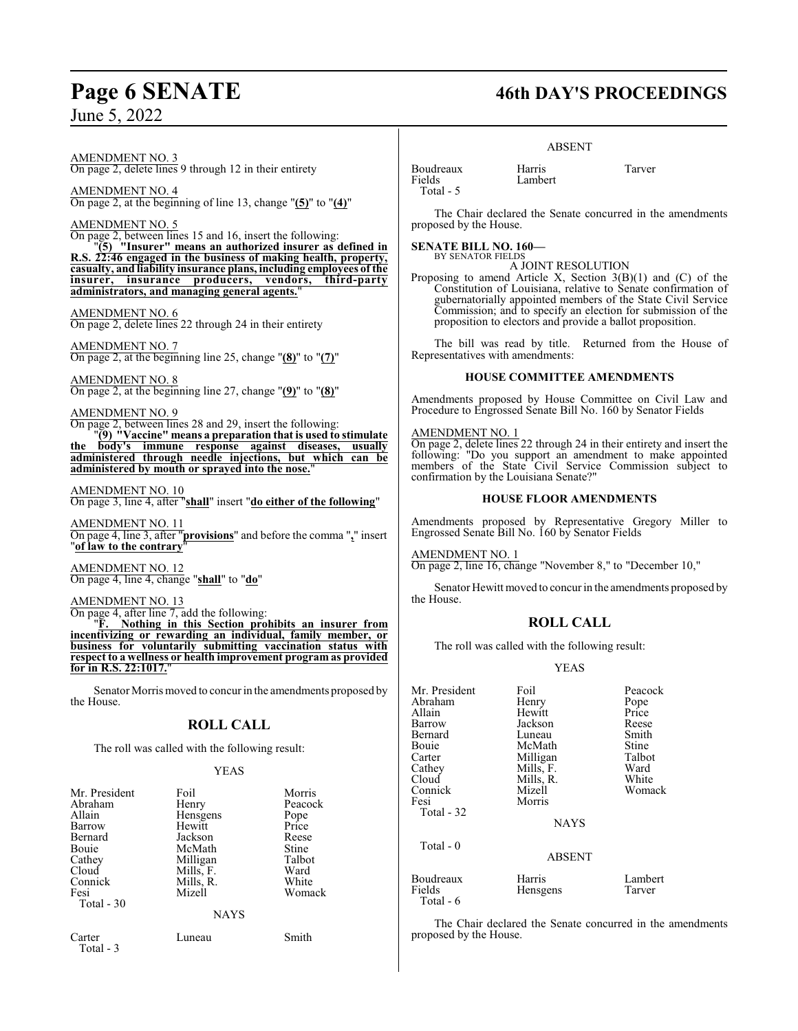### AMENDMENT NO. 3 On page 2, delete lines 9 through 12 in their entirety

AMENDMENT NO. 4 On page 2, at the beginning of line 13, change "**(5)**" to "**(4)**"

AMENDMENT NO. 5

On page 2, between lines 15 and 16, insert the following: "**(5) "Insurer" means an authorized insurer as defined in R.S. 22:46 engaged in the business of making health, property, casualty, and liability insurance plans, including employees of the insurer, insurance producers, vendors, third-party administrators, and managing general agents.**"

AMENDMENT NO. 6 On page 2, delete lines 22 through 24 in their entirety

AMENDMENT NO. 7 On page 2, at the beginning line 25, change "**(8)**" to "**(7)**"

AMENDMENT NO. 8 On page 2, at the beginning line 27, change "**(9)**" to "**(8)**"

### AMENDMENT NO. 9

On page 2, between lines 28 and 29, insert the following: "**(9) "Vaccine" means a preparation that is used to stimulate the body's immune response against diseases, usually**

**administered through needle injections, but which can be administered by mouth or sprayed into the nose.**"

AMENDMENT NO. 10 On page 3, line 4, after "**shall**" insert "**do either of the following**"

AMENDMENT NO. 11 On page 4, line 3, after "**provisions**" and before the comma "**,**" insert "**of law to the contrary**"

AMENDMENT NO. 12 On page 4, line 4, change "**shall**" to "**do**"

AMENDMENT NO. 13

 $\overline{\text{On page 4, after line 7, add the following:}}$ <br>"F. Nothing in this Section nearly

"**F. Nothing in this Section prohibits an insurer from incentivizing or rewarding an individual, family member, or business for voluntarily submitting vaccination status with respect to a wellness or health improvement program as provided for in R.S. 22:1017.**"

Senator Morris moved to concur in the amendments proposed by the House.

### **ROLL CALL**

The roll was called with the following result:

### YEAS

| Mr. President       | Foil        | Morris  |
|---------------------|-------------|---------|
| Abraham             | Henry       | Peacock |
| Allain              | Hensgens    | Pope    |
| Barrow              | Hewitt      | Price   |
| Bernard             | Jackson     | Reese   |
| Bouie               | McMath      | Stine   |
| Cathey              | Milligan    | Talbot  |
| Cloud               | Mills, F.   | Ward    |
| Connick             | Mills, R.   | White   |
| Fesi                | Mizell      | Womack  |
| Total - 30          |             |         |
|                     | <b>NAYS</b> |         |
| Carter<br>Total - 3 | Luneau      | Smith   |

## **Page 6 SENATE 46th DAY'S PROCEEDINGS**

### ABSENT

Boudreaux Harris Tarver Total - 5

The Chair declared the Senate concurred in the amendments proposed by the House.

### **SENATE BILL NO. 160—**

BY SENATOR FIELDS A JOINT RESOLUTION

Lambert

Proposing to amend Article X, Section  $3(B)(1)$  and  $(C)$  of the Constitution of Louisiana, relative to Senate confirmation of gubernatorially appointed members of the State Civil Service Commission; and to specify an election for submission of the proposition to electors and provide a ballot proposition.

The bill was read by title. Returned from the House of Representatives with amendments:

### **HOUSE COMMITTEE AMENDMENTS**

Amendments proposed by House Committee on Civil Law and Procedure to Engrossed Senate Bill No. 160 by Senator Fields

### AMENDMENT NO. 1

On page 2, delete lines 22 through 24 in their entirety and insert the following: "Do you support an amendment to make appointed members of the State Civil Service Commission subject to confirmation by the Louisiana Senate?"

### **HOUSE FLOOR AMENDMENTS**

Amendments proposed by Representative Gregory Miller to Engrossed Senate Bill No. 160 by Senator Fields

AMENDMENT NO. 1 On page 2, line 16, change "November 8," to "December 10,"

Senator Hewitt moved to concur in the amendments proposed by the House.

### **ROLL CALL**

The roll was called with the following result:

YEAS

| Mr. President<br>Abraham         | Foil<br>Henry      | Peacock<br>Pope   |
|----------------------------------|--------------------|-------------------|
| Allain                           | Hewitt             | Price             |
| Barrow                           | Jackson            | Reese             |
| Bernard                          | Luneau             | Smith             |
| Bouie                            | McMath             | Stine             |
| Carter                           | Milligan           | Talbot            |
| Cathey                           | Mills, F.          | Ward              |
| Cloud                            | Mills, R.          | White             |
| Connick                          | Mizell             | Womack            |
| Fesi<br>Total - 32               | Morris             |                   |
|                                  | <b>NAYS</b>        |                   |
| Total - 0                        | <b>ABSENT</b>      |                   |
| Boudreaux<br>Fields<br>Total - 6 | Harris<br>Hensgens | Lambert<br>Tarver |

The Chair declared the Senate concurred in the amendments proposed by the House.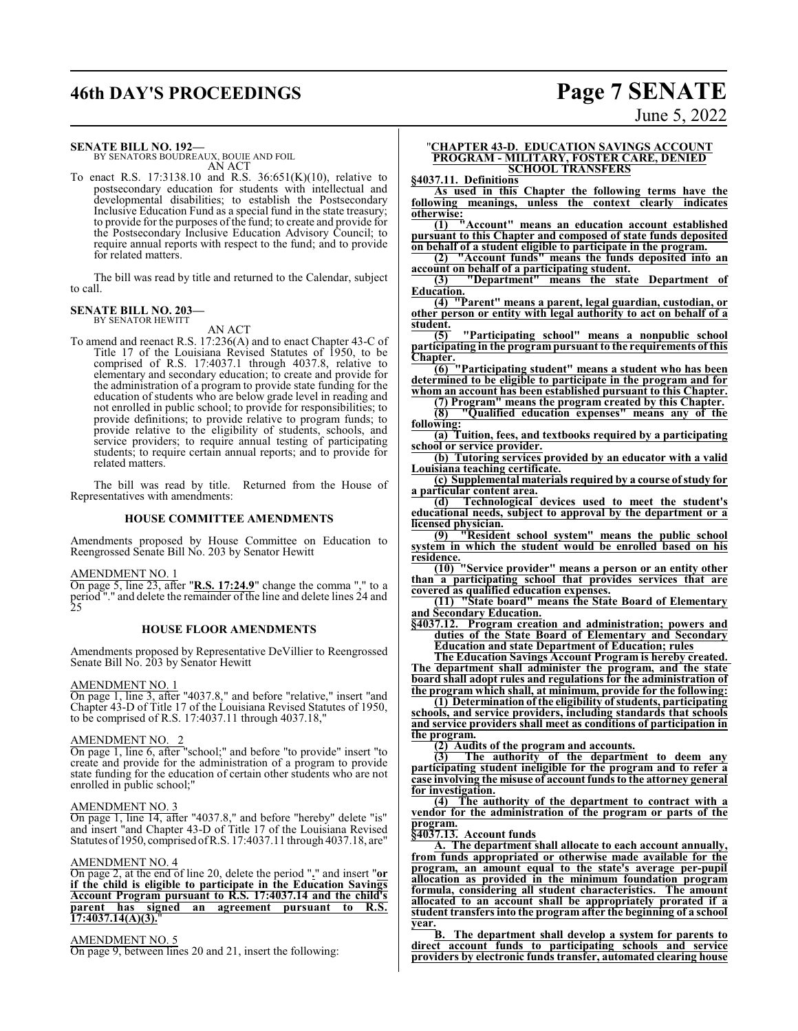## **46th DAY'S PROCEEDINGS Page 7 SENATE**

### **SENATE BILL NO. 192—**

BY SENATORS BOUDREAUX, BOUIE AND FOIL AN ACT

To enact R.S. 17:3138.10 and R.S. 36:651(K)(10), relative to postsecondary education for students with intellectual and developmental disabilities; to establish the Postsecondary Inclusive Education Fund as a special fund in the state treasury; to provide for the purposes of the fund; to create and provide for the Postsecondary Inclusive Education Advisory Council; to require annual reports with respect to the fund; and to provide for related matters.

The bill was read by title and returned to the Calendar, subject to call.

### **SENATE BILL NO. 203—** BY SENATOR HEWITT

AN ACT

To amend and reenact R.S. 17:236(A) and to enact Chapter 43-C of Title 17 of the Louisiana Revised Statutes of 1950, to be comprised of R.S. 17:4037.1 through 4037.8, relative to elementary and secondary education; to create and provide for the administration of a program to provide state funding for the education of students who are below grade level in reading and not enrolled in public school; to provide for responsibilities; to provide definitions; to provide relative to program funds; to provide relative to the eligibility of students, schools, and service providers; to require annual testing of participating students; to require certain annual reports; and to provide for related matters.

The bill was read by title. Returned from the House of Representatives with amendments:

### **HOUSE COMMITTEE AMENDMENTS**

Amendments proposed by House Committee on Education to Reengrossed Senate Bill No. 203 by Senator Hewitt

### AMENDMENT NO. 1

On page 5, line 23, after "**R.S. 17:24.9**" change the comma "," to a period "." and delete the remainder of the line and delete lines 24 and 25

### **HOUSE FLOOR AMENDMENTS**

Amendments proposed by Representative DeVillier to Reengrossed Senate Bill No. 203 by Senator Hewitt

### AMENDMENT NO. 1

On page 1, line 3, after "4037.8," and before "relative," insert "and Chapter 43-D of Title 17 of the Louisiana Revised Statutes of 1950, to be comprised of R.S. 17:4037.11 through 4037.18,"

### AMENDMENT NO. 2

On page 1, line 6, after "school;" and before "to provide" insert "to create and provide for the administration of a program to provide state funding for the education of certain other students who are not enrolled in public school;"

### AMENDMENT NO. 3

On page 1, line 14, after "4037.8," and before "hereby" delete "is" and insert "and Chapter 43-D of Title 17 of the Louisiana Revised Statutes of1950, comprised ofR.S. 17:4037.11 through 4037.18, are"

### AMENDMENT NO. 4

On page 2, at the end of line 20, delete the period "**.**" and insert "**or if the child is eligible to participate in the Education Savings Account Program pursuant to R.S. 17:4037.14 and the child's parent has signed an agreement pursuant to R.S. 17:4037.14(A)(3).**"

AMENDMENT NO. 5 On page 9, between lines 20 and 21, insert the following:

### "**CHAPTER 43-D. EDUCATION SAVINGS ACCOUNT PROGRAM - MILITARY, FOSTER CARE, DENIED SCHOOL TRANSFERS**

**§4037.11. Definitions**

**As used in this Chapter the following terms have the following meanings, unless the context clearly indicates otherwise:**

**(1) "Account" means an education account established pursuant to this Chapter and composed of state funds deposited on behalf of a student eligible to participate in the program.**

**(2) "Account funds" means the funds deposited into an account on behalf of a participating student.**

**(3) "Department" means the state Department of Education.**

**(4) "Parent" means a parent, legal guardian, custodian, or other person or entity with legal authority to act on behalf of a student.**<br>(5)

**(5) "Participating school" means a nonpublic school participating in the program pursuant to the requirements of this Chapter.**

**(6) "Participating student" means a student who has been determined to be eligible to participate in the program and for whom an account has been established pursuant to this Chapter.**

**(7) Program" means the program created by this Chapter. (8) "Qualified education expenses" means any of the following:**

**(a) Tuition, fees, and textbooks required by a participating school or service provider.**

**(b) Tutoring services provided by an educator with a valid Louisiana teaching certificate.**

**(c) Supplemental materials required by a course ofstudy for a particular content area.**

**(d) Technological devices used to meet the student's educational needs, subject to approval by the department or a licensed physician.**

**(9) "Resident school system" means the public school system in which the student would be enrolled based on his residence.**

**(10) "Service provider" means a person or an entity other than a participating school that provides services that are covered as qualified education expenses.**

**(11) "State board" means the State Board of Elementary and Secondary Education.**

**§4037.12. Program creation and administration; powers and duties of the State Board of Elementary and Secondary Education and state Department of Education; rules**

**The Education Savings Account Program is hereby created. The department shall administer the program, and the state board shall adopt rules and regulations for the administration of the program which shall, at minimum, provide for the following:**

**(1) Determination of the eligibility ofstudents, participating schools, and service providers, including standards that schools and service providers shall meet as conditions of participation in the program.**

**(2) Audits of the program and accounts.**

**(3) The authority of the department to deem any participating student ineligible for the program and to refer a case involving the misuse of account funds to the attorney general for investigation.**

**(4) The authority of the department to contract with a vendor for the administration of the program or parts of the program.**

**§4037.13. Account funds**

**A. The department shall allocate to each account annually, from funds appropriated or otherwise made available for the program, an amount equal to the state's average per-pupil allocation as provided in the minimum foundation program formula, considering all student characteristics. The amount allocated to an account shall be appropriately prorated if a student transfers into the program after the beginning of a school**

**year. B. The department shall develop a system for parents to direct account funds to participating schools and service providers by electronic funds transfer, automated clearing house**

June 5, 2022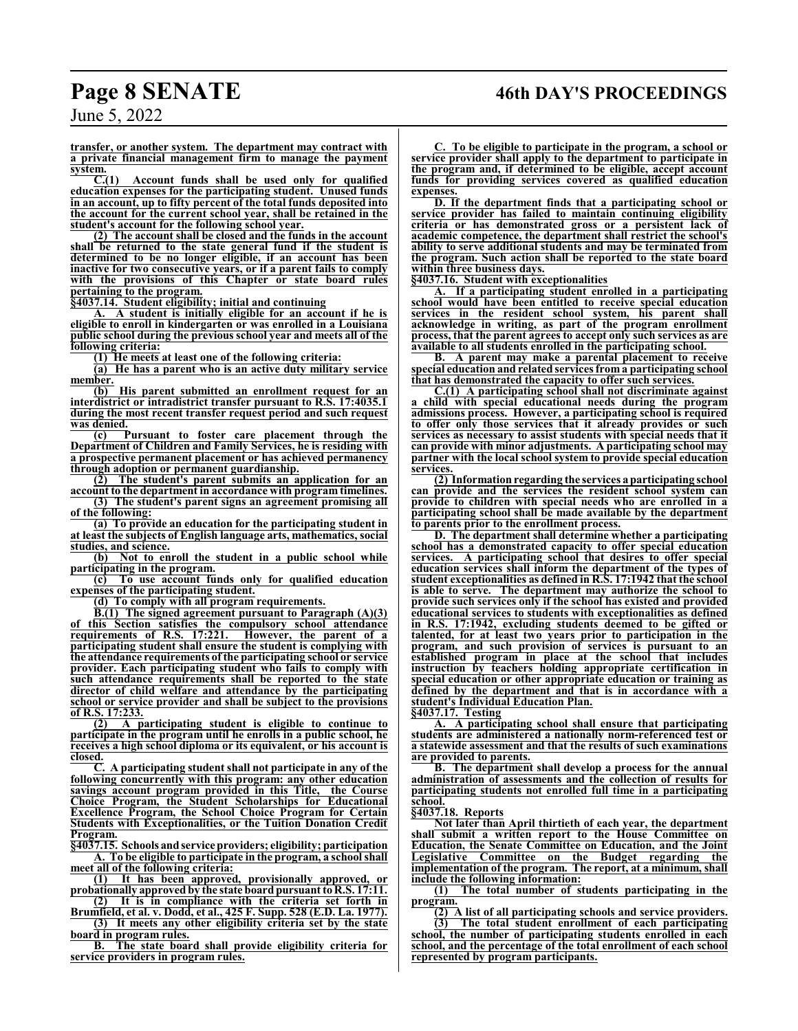**transfer, or another system. The department may contract with a private financial management firm to manage the payment**

**system.**<br>**C.**(1) **C.(1) Account funds shall be used only for qualified education expenses for the participating student. Unused funds in an account, up to fifty percent of the total funds deposited into the account for the current school year, shall be retained in the student's account for the following school year.**

**(2) The account shall be closed and the funds in the account shall be returned to the state general fund if the student is determined to be no longer eligible, if an account has been inactive for two consecutive years, or if a parent fails to comply with the provisions of this Chapter or state board rules pertaining to the program.**

**§4037.14. Student eligibility; initial and continuing**

**A. A student is initially eligible for an account if he is eligible to enroll in kindergarten or was enrolled in a Louisiana public school during the previous school year and meets all of the following criteria:**

**(1) He meets at least one of the following criteria:**

**(a) He has a parent who is an active duty military service** member.<br>(b)

**(b) His parent submitted an enrollment request for an interdistrict or intradistrict transfer pursuant to R.S. 17:4035.1 during the most recent transfer request period and such request was denied.**

**(c) Pursuant to foster care placement through the Department of Children and Family Services, he is residing with a prospective permanent placement or has achieved permanency through adoption or permanent guardianship.**

**(2) The student's parent submits an application for an account to the department in accordance with program timelines.**

**(3) The student's parent signs an agreement promising all of the following:**

**(a) To provide an education for the participating student in at least the subjects of English language arts, mathematics, social studies, and science.**

**(b) Not to enroll the student in a public school while participating in the program.**

**(c) To use account funds only for qualified education expenses of the participating student.**

**(d) To comply with all program requirements.**

**B.(1) The signed agreement pursuant to Paragraph (A)(3) of this Section satisfies the compulsory school attendance requirements of R.S. 17:221. However, the parent of a participating student shall ensure the student is complying with the attendance requirements of the participating school or service provider. Each participating student who fails to comply with such attendance requirements shall be reported to the state director of child welfare and attendance by the participating school or service provider and shall be subject to the provisions**

**of R.S. 17:233.**<br>(2) A p **(2) A participating student is eligible to continue to participate in the program until he enrolls in a public school, he receives a high school diploma or its equivalent, or his account is closed.**

**C. A participating student shall not participate in any of the following concurrently with this program: any other education savings account program provided in this Title, Choice Program, the Student Scholarships for Educational Excellence Program, the School Choice Program for Certain Students with Exceptionalities, or the Tuition Donation Credit Program.**

**§4037.15. Schools andservice providers; eligibility; participation A. To be eligible to participate in the program, a school shall**

**meet all of the following criteria:**<br>(1) It has been approved **(1) It has been approved, provisionally approved, or probationally approved by the state board pursuant toR.S. 17:11.**

**(2) It is in compliance with the criteria set forth in Brumfield, et al. v. Dodd, et al., 425 F. Supp. 528 (E.D. La. 1977).**

**(3) It meets any other eligibility criteria set by the state board in program rules.**

**B. The state board shall provide eligibility criteria for service providers in program rules.**

**C. To be eligible to participate in the program, a school or service provider shall apply to the department to participate in the program and, if determined to be eligible, accept account funds for providing services covered as qualified education expenses.**

**D. If the department finds that a participating school or service provider has failed to maintain continuing eligibility criteria or has demonstrated gross or a persistent lack of academic competence, the department shall restrict the school's ability to serve additional students and may be terminated from the program. Such action shall be reported to the state board within three business days.**

**§4037.16. Student with exceptionalities**

**A. If a participating student enrolled in a participating school would have been entitled to receive special education services in the resident school system, his parent shall acknowledge in writing, as part of the program enrollment process, that the parent agrees to accept only such services as are available to all students enrolled in the participating school.**

**B. A parent may make a parental placement to receive special education and related services from a participating school that has demonstrated the capacity to offer such services.**

**C.(1) A participating school shall not discriminate against a child with special educational needs during the program admissions process. However, a participating school is required to offer only those services that it already provides or such services as necessary to assist students with special needs that it can provide with minor adjustments. A participating school may partner with the local school system to provide special education services.**

**(2) Information regarding the services a participating school can provide and the services the resident school system can provide to children with special needs who are enrolled in a participating school shall be made available by the department to parents prior to the enrollment process.**

**D. The department shall determine whether a participating school has a demonstrated capacity to offer special education services. A participating school that desires to offer special education services shall inform the department of the types of student exceptionalities as defined in R.S. 17:1942 that the school is able to serve. The department may authorize the school to provide such services only if the school has existed and provided educational services to students with exceptionalities as defined in R.S. 17:1942, excluding students deemed to be gifted or talented, for at least two years prior to participation in the program, and such provision of services is pursuant to an established program in place at the school that includes instruction by teachers holding appropriate certification in special education or other appropriate education or training as defined by the department and that is in accordance with a student's Individual Education Plan.**

**§4037.17. Testing**

**A. A participating school shall ensure that participating students are administered a nationally norm-referenced test or a statewide assessment and that the results of such examinations are provided to parents.**

**B. The department shall develop a process for the annual administration of assessments and the collection of results for participating students not enrolled full time in a participating school.**

**§4037.18. Reports**

**represented by program participants.**

**Not later than April thirtieth of each year, the department shall submit a written report to the House Committee on Education, the Senate Committee on Education, and the Joint Legislative Committee on the Budget regarding the implementation of the program. The report, at a minimum, shall include the following information:**

**(1) The total number of students participating in the program.**

**(2) A list of all participating schools and service providers. (3) The total student enrollment of each participating school, the number of participating students enrolled in each school, and the percentage of the total enrollment of each school**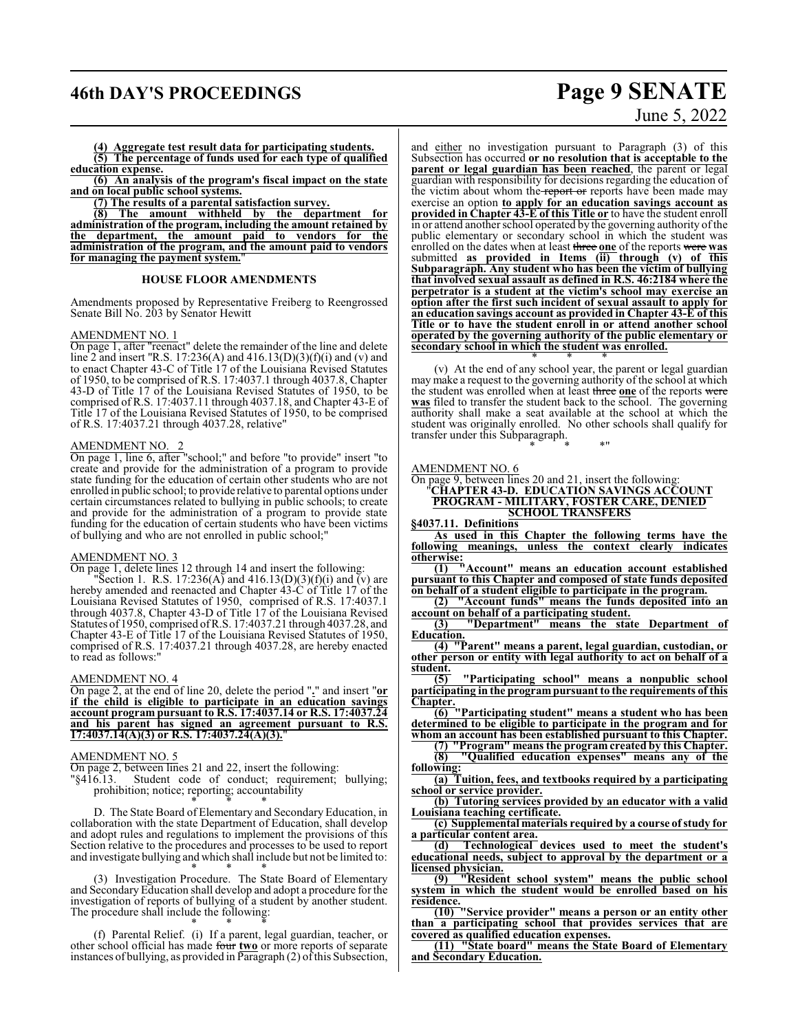## **46th DAY'S PROCEEDINGS Page 9 SENATE**

**(4) Aggregate test result data for participating students. (5) The percentage of funds used for each type of qualified education expense.**

**(6) An analysis of the program's fiscal impact on the state and on local public school systems.**

**(7) The results of a parental satisfaction survey.**

**(8) The amount withheld by the department for administration of the program, including the amount retained by the department, the amount paid to vendors for the administration of the program, and the amount paid to vendors for managing the payment system.**"

### **HOUSE FLOOR AMENDMENTS**

Amendments proposed by Representative Freiberg to Reengrossed Senate Bill No. 203 by Senator Hewitt

### AMENDMENT NO. 1

On page 1, after "reenact" delete the remainder of the line and delete line 2 and insert "R.S. 17:236(A) and 416.13(D)(3)(f)(i) and (v) and to enact Chapter 43-C of Title 17 of the Louisiana Revised Statutes of 1950, to be comprised of R.S. 17:4037.1 through 4037.8, Chapter 43-D of Title 17 of the Louisiana Revised Statutes of 1950, to be comprised of R.S. 17:4037.11 through 4037.18, and Chapter 43-E of Title 17 of the Louisiana Revised Statutes of 1950, to be comprised of R.S. 17:4037.21 through 4037.28, relative"

### AMENDMENT NO. 2

On page 1, line 6, after "school;" and before "to provide" insert "to create and provide for the administration of a program to provide state funding for the education of certain other students who are not enrolled in public school; to provide relative to parental options under certain circumstances related to bullying in public schools; to create and provide for the administration of a program to provide state funding for the education of certain students who have been victims of bullying and who are not enrolled in public school;"

### AMENDMENT NO. 3

On page 1, delete lines 12 through 14 and insert the following:

Section 1. R.S. 17:236(A) and 416.13(D)(3)(f)(i) and (v) are hereby amended and reenacted and Chapter 43-C of Title 17 of the Louisiana Revised Statutes of 1950, comprised of R.S. 17:4037.1 through 4037.8, Chapter 43-D of Title 17 of the Louisiana Revised Statutes of 1950, comprised ofR.S. 17:4037.21 through 4037.28, and Chapter 43-E of Title 17 of the Louisiana Revised Statutes of 1950, comprised of R.S. 17:4037.21 through 4037.28, are hereby enacted to read as follows:"

### AMENDMENT NO. 4

On page 2, at the end of line 20, delete the period "**.**" and insert "**or if the child is eligible to participate in an education savings account program pursuant to R.S. 17:4037.14 or R.S. 17:4037.24 and his parent has signed an agreement pursuant to R.S. 17:4037.14(A)(3) or R.S. 17:4037.24(A)(3).**"

### AMENDMENT NO. 5

On page 2, between lines 21 and 22, insert the following:<br>"§416.13. Student code of conduct; requirement; Student code of conduct; requirement; bullying; prohibition; notice; reporting; accountability

\* \* \* D. The State Board of Elementary and Secondary Education, in collaboration with the state Department of Education, shall develop and adopt rules and regulations to implement the provisions of this Section relative to the procedures and processes to be used to report and investigate bullying and which shall include but not be limited to: \* \* \*

(3) Investigation Procedure. The State Board of Elementary and SecondaryEducation shall develop and adopt a procedure for the investigation of reports of bullying of a student by another student. The procedure shall include the following: \* \* \*

(f) Parental Relief. (i) If a parent, legal guardian, teacher, or other school official has made four **two** or more reports of separate instances of bullying, as provided in  $\overline{\text{Par}}$  agraph (2) of this Subsection,

# June 5, 2022

and either no investigation pursuant to Paragraph (3) of this Subsection has occurred **or no resolution that is acceptable to the parent or legal guardian has been reached**, the parent or legal guardian with responsibility for decisions regarding the education of the victim about whom the report or reports have been made may exercise an option **to apply for an education savings account as provided in Chapter 43-E of this Title or** to have the student enroll in or attend another school operated by the governing authority ofthe public elementary or secondary school in which the student was enrolled on the dates when at least three **one** of the reports were **was** submitted **as provided in Items (ii) through (v) of this Subparagraph. Any student who has been the victim of bullying that involved sexual assault as defined in R.S. 46:2184 where the perpetrator is a student at the victim's school may exercise an option after the first such incident of sexual assault to apply for an education savings account as provided in Chapter 43-E of this Title or to have the student enroll in or attend another school operated by the governing authority of the public elementary or secondary school in which the student was enrolled.** \* \* \*

(v) At the end of any school year, the parent or legal guardian may make a request to the governing authority of the school at which the student was enrolled when at least three **one** of the reports were was filed to transfer the student back to the school. The governing authority shall make a seat available at the school at which the student was originally enrolled. No other schools shall qualify for transfer under this Subparagraph.

\* \* \*"

### AMENDMENT NO. 6

On page 9, between lines 20 and 21, insert the following: "**CHAPTER 43-D. EDUCATION SAVINGS ACCOUNT PROGRAM - MILITARY, FOSTER CARE, DENIED SCHOOL TRANSFERS**

**§4037.11. Definitions**

**As used in this Chapter the following terms have the following meanings, unless the context clearly indicates otherwise:**

**(1) "Account" means an education account established pursuant to this Chapter and composed of state funds deposited on behalf of a student eligible to participate in the program.**

**(2) "Account funds" means the funds deposited into an account on behalf of a participating student.**

**(3) "Department" means the state Department of Education.**

**(4) "Parent" means a parent, legal guardian, custodian, or other person or entity with legal authority to act on behalf of a student.**<br>(5)

**(5) "Participating school" means a nonpublic school participating in the program pursuant to the requirements of this Chapter.**

**(6) "Participating student" means a student who has been determined to be eligible to participate in the program and for whom an account has been established pursuant to this Chapter.**

**(7) "Program" means the program created by this Chapter. (8) "Qualified education expenses" means any of the**

**following: (a) Tuition, fees, and textbooks required by a participating school or service provider.**

**(b) Tutoring services provided by an educator with a valid Louisiana teaching certificate.**

**(c) Supplemental materials required by a course ofstudy for a particular content area.**

**(d) Technological devices used to meet the student's educational needs, subject to approval by the department or a licensed physician.**

**(9) "Resident school system" means the public school system in which the student would be enrolled based on his residence.**

**(10) "Service provider" means a person or an entity other than a participating school that provides services that are covered as qualified education expenses.**

**(11) "State board" means the State Board of Elementary and Secondary Education.**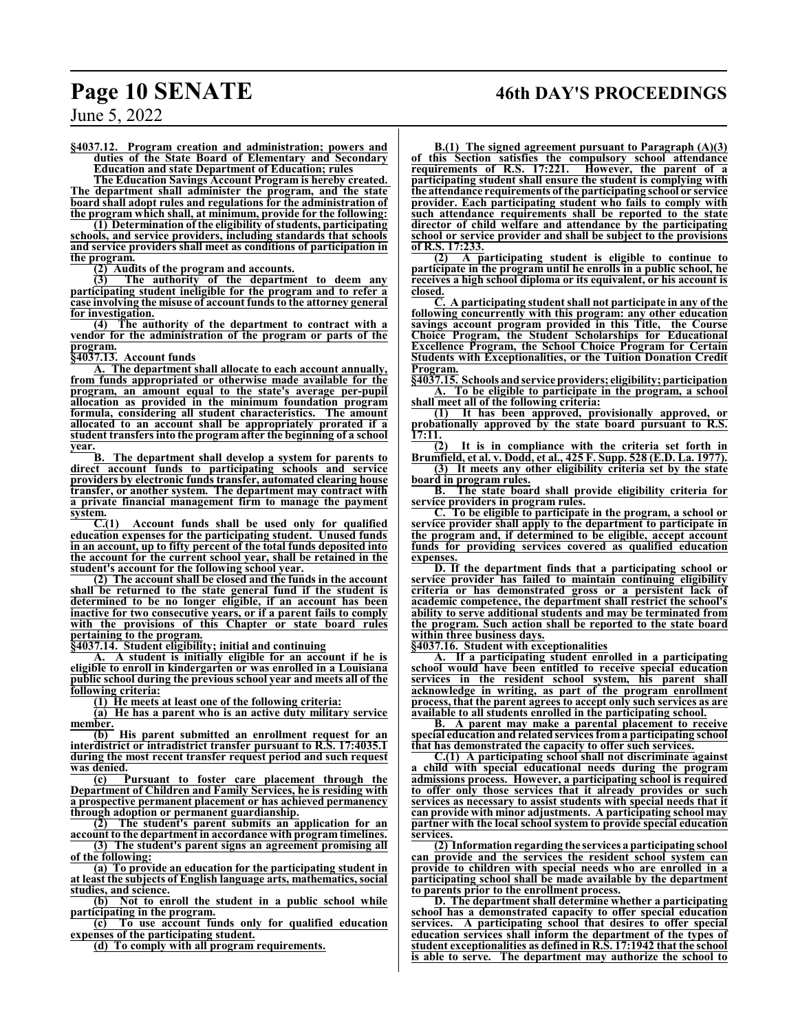## **Page 10 SENATE 46th DAY'S PROCEEDINGS**

June 5, 2022

**§4037.12. Program creation and administration; powers and duties of the State Board of Elementary and Secondary Education and state Department of Education; rules**

**The Education Savings Account Program is hereby created. The department shall administer the program, and the state board shall adopt rules and regulations for the administration of the program which shall, at minimum, provide for the following:**

**(1) Determination of the eligibility of students, participating schools, and service providers, including standards that schools and service providers shall meet as conditions of participation in the program.**

**(2) Audits of the program and accounts.**

**(3) The authority of the department to deem any participating student ineligible for the program and to refer a case involving the misuse of account funds to the attorney general for investigation.**

**(4) The authority of the department to contract with a vendor for the administration of the program or parts of the program.**

**§4037.13. Account funds**

**A. The department shall allocate to each account annually, from funds appropriated or otherwise made available for the program, an amount equal to the state's average per-pupil allocation as provided in the minimum foundation program formula, considering all student characteristics. The amount allocated to an account shall be appropriately prorated if a student transfers into the program after the beginning of a school year.**

**B. The department shall develop a system for parents to direct account funds to participating schools and service providers by electronic funds transfer, automated clearing house transfer, or another system. The department may contract with a private financial management firm to manage the payment system.**

**C.(1) Account funds shall be used only for qualified education expenses for the participating student. Unused funds in an account, up to fifty percent of the total funds deposited into the account for the current school year, shall be retained in the student's account for the following school year.**

**(2) The account shall be closed and the funds in the account shall be returned to the state general fund if the student is determined to be no longer eligible, if an account has been inactive for two consecutive years, or if a parent fails to comply with the provisions of this Chapter or state board rules pertaining to the program.**

**§4037.14. Student eligibility; initial and continuing**

**A. A student is initially eligible for an account if he is eligible to enroll in kindergarten or was enrolled in a Louisiana public school during the previous school year and meets all of the following criteria:**

**(1) He meets at least one of the following criteria:**

**(a) He has a parent who is an active duty military service** member.<br>(b)

**(b) His parent submitted an enrollment request for an interdistrict or intradistrict transfer pursuant to R.S. 17:4035.1 during the most recent transfer request period and such request**

**was denied.**<br>(c) **H (c) Pursuant to foster care placement through the Department of Children and Family Services, he is residing with a prospective permanent placement or has achieved permanency through adoption or permanent guardianship.**

**(2) The student's parent submits an application for an account to the department in accordance with program timelines.**

**(3) The student's parent signs an agreement promising all of the following:**

**(a) To provide an education for the participating student in at least the subjects of English language arts, mathematics, social studies, and science.**

**(b) Not to enroll the student in a public school while participating in the program.**

**(c) To use account funds only for qualified education expenses of the participating student.**

**(d) To comply with all program requirements.**

**B.(1) The signed agreement pursuant to Paragraph (A)(3) of this Section satisfies the compulsory school attendance requirements of R.S. 17:221. However, the parent of a participating student shall ensure the student is complying with the attendance requirements of the participating school or service provider. Each participating student who fails to comply with such attendance requirements shall be reported to the state director of child welfare and attendance by the participating school or service provider and shall be subject to the provisions of R.S. 17:233.**

**(2) A participating student is eligible to continue to participate in the program until he enrolls in a public school, he receives a high school diploma or its equivalent, or his account is closed.**

**C. A participating studentshall not participate in any of the following concurrently with this program: any other education savings account program provided in this Title, the Course Choice Program, the Student Scholarships for Educational Excellence Program, the School Choice Program for Certain Students with Exceptionalities, or the Tuition Donation Credit Program.**

**§4037.15. Schools andservice providers; eligibility; participation A. To be eligible to participate in the program, a school shall meet all of the following criteria:**

**(1) It has been approved, provisionally approved, or probationally approved by the state board pursuant to R.S. 17:11.**

**(2) It is in compliance with the criteria set forth in Brumfield, et al. v. Dodd, et al., 425 F. Supp. 528 (E.D. La. 1977).**

**(3) It meets any other eligibility criteria set by the state board in program rules.**<br>**B.** The state boar

**B. The state board shall provide eligibility criteria for service providers in program rules.**

**C. To be eligible to participate in the program, a school or service provider shall apply to the department to participate in the program and, if determined to be eligible, accept account funds for providing services covered as qualified education expenses.**

**D. If the department finds that a participating school or service provider has failed to maintain continuing eligibility criteria or has demonstrated gross or a persistent lack of academic competence, the department shall restrict the school's ability to serve additional students and may be terminated from the program. Such action shall be reported to the state board within three business days.**

**§4037.16. Student with exceptionalities**

**A. If a participating student enrolled in a participating school would have been entitled to receive special education services** in the resident school system, his parent **acknowledge in writing, as part of the program enrollment process, that the parent agrees to accept only such services as are available to all students enrolled in the participating school.**

**B. A parent may make a parental placement to receive special education and related services from a participating school that has demonstrated the capacity to offer such services.**

**C.(1) A participating school shall not discriminate against a child with special educational needs during the program admissions process. However, a participating school is required to offer only those services that it already provides or such services as necessary to assist students with special needs that it can provide with minor adjustments. A participating school may partner with the local school system to provide special education services.**

**(2) Information regarding the services a participating school can provide and the services the resident school system can provide to children with special needs who are enrolled in a participating school shall be made available by the department to parents prior to the enrollment process.**

**D. The department shall determine whether a participating school has a demonstrated capacity to offer special education services. A participating school that desires to offer special education services shall inform the department of the types of student exceptionalities as defined in R.S. 17:1942 that the school is able to serve. The department may authorize the school to**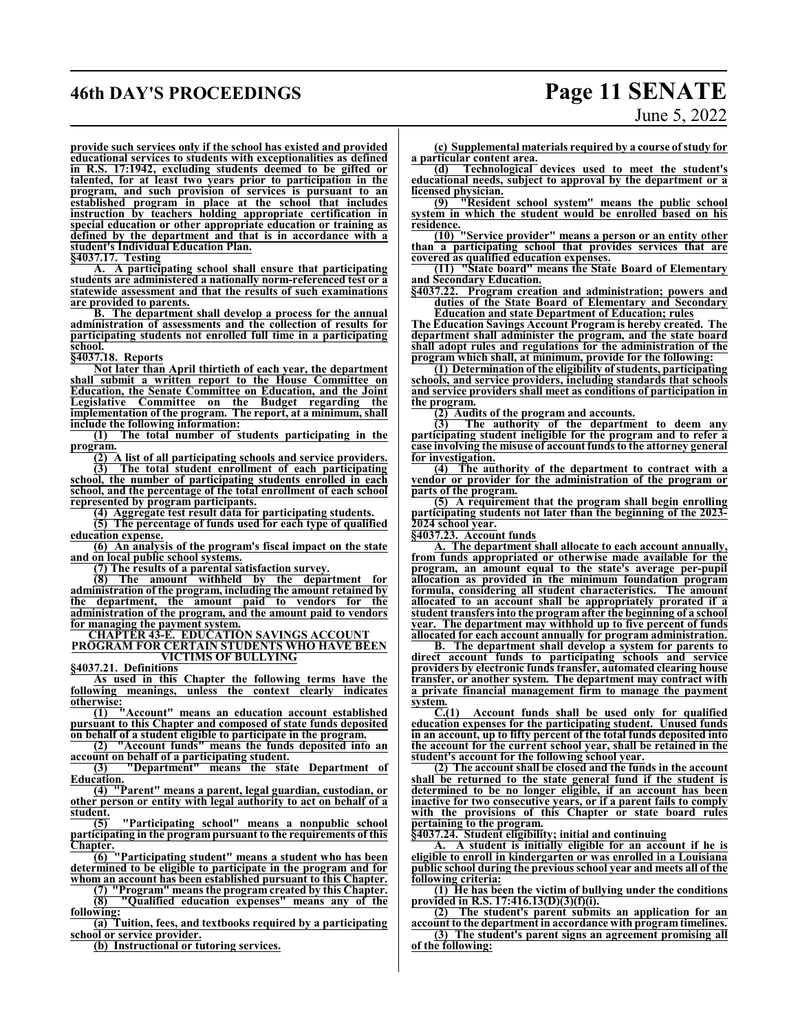## **46th DAY'S PROCEEDINGS Page 11 SENATE** June 5, 2022

**provide such services only if the school has existed and provided educational services to students with exceptionalities as defined in R.S. 17:1942, excluding students deemed to be gifted or talented, for at least two years prior to participation in the program, and such provision of services is pursuant to an established program in place at the school that includes instruction by teachers holding appropriate certification in special education or other appropriate education or training as defined by the department and that is in accordance with a student's Individual Education Plan.**

**§4037.17. Testing**

**A. A participating school shall ensure that participating students are administered a nationally norm-referenced test or a statewide assessment and that the results of such examinations are provided to parents.**

**B. The department shall develop a process for the annual administration of assessments and the collection of results for participating students not enrolled full time in a participating school.**

**§4037.18. Reports**

**Not later than April thirtieth of each year, the department shall submit a written report to the House Committee on Education, the Senate Committee on Education, and the Joint Legislative Committee on the Budget regarding the implementation of the program. The report, at a minimum, shall include the following information:**<br>(1) The total number of s

**(1) The total number of students participating in the program.**

**(2) A list of all participating schools and service providers. (3) The total student enrollment of each participating school, the number of participating students enrolled in each school, and the percentage of the total enrollment of each school represented by program participants.**

**(4) Aggregate test result data for participating students.**

**(5) The percentage of funds used for each type of qualified education expense.**

**(6) An analysis of the program's fiscal impact on the state and on local public school systems.**

**(7) The results of a parental satisfaction survey.**

**(8) The amount withheld by the department for administration of the program, including the amount retained by the department, the amount paid to vendors for the administration of the program, and the amount paid to vendors for managing the payment system.**

**CHAPTER 43-E. EDUCATION SAVINGS ACCOUNT PROGRAM FOR CERTAIN STUDENTS WHO HAVE BEEN**

**VICTIMS OF BULLYING**

**§4037.21. Definitions**

**As used in this Chapter the following terms have the following meanings, unless the context clearly indicates otherwise:**<br>(1)

**(1) "Account" means an education account established pursuant to this Chapter and composed of state funds deposited on behalf of a student eligible to participate in the program.**

**(2) "Account funds" means the funds deposited into an account on behalf of a participating student.**

**(3) "Department" means the state Department of Education.**

**(4) "Parent" means a parent, legal guardian, custodian, or other person or entity with legal authority to act on behalf of a student.**

**(5) "Participating school" means a nonpublic school participating in the program pursuant to the requirements of this Chapter.**

**(6) "Participating student" means a student who has been determined to be eligible to participate in the program and for whom an account has been established pursuant to this Chapter.**

**(7) "Program" means the program created by this Chapter. (8) "Qualified education expenses" means any of the following:**

**(a) Tuition, fees, and textbooks required by a participating school or service provider.**

**(b) Instructional or tutoring services.**

**(c) Supplemental materials required by a course ofstudy for a particular content area.**

**(d) Technological devices used to meet the student's educational needs, subject to approval by the department or a licensed physician.**<br>(9) **PResiden** 

**(9) "Resident school system" means the public school system in which the student would be enrolled based on his residence.**

**(10) "Service provider" means a person or an entity other than a participating school that provides services that are covered as qualified education expenses.**

**(11) "State board" means the State Board of Elementary and Secondary Education.**

**§4037.22. Program creation and administration; powers and duties of the State Board of Elementary and Secondary Education and state Department of Education; rules**

**The Education Savings Account Program is hereby created. The department shall administer the program, and the state board shall adopt rules and regulations for the administration of the program which shall, at minimum, provide for the following:**

**(1) Determination of the eligibility ofstudents, participating schools, and service providers, including standards that schools and service providers shall meet as conditions of participation in the program.**

**(2) Audits of the program and accounts.**

**(3) The authority of the department to deem any participating student ineligible for the program and to refer a case involving the misuse of account funds to the attorney general for investigation.**

**(4) The authority of the department to contract with a vendor or provider for the administration of the program or parts of the program.**

**(5) A requirement that the program shall begin enrolling participating students not later than the beginning of the 2023- 2024 school year.**

**§4037.23. Account funds**

**A. The department shall allocate to each account annually, from funds appropriated or otherwise made available for the program, an amount equal to the state's average per-pupil allocation as provided in the minimum foundation program formula, considering all student characteristics. allocated to an account shall be appropriately prorated if a student transfers into the program after the beginning of a school year. The department may withhold up to five percent of funds allocated for each account annually for program administration.**

**B. The department shall develop a system for parents to direct account funds to participating schools and service providers by electronic funds transfer, automated clearing house transfer, or another system. The department may contract with a private financial management firm to manage the payment system.** C.(1)

**C.(1) Account funds shall be used only for qualified education expenses for the participating student. Unused funds in an account, up to fifty percent of the total funds deposited into the account for the current school year, shall be retained in the student's account for the following school year.**

**(2) The account shall be closed and the funds in the account shall be returned to the state general fund if the student is determined to be no longer eligible, if an account has been inactive for two consecutive years, or if a parent fails to comply with the provisions of this Chapter or state board rules pertaining to the program.**

**§4037.24. Student eligibility; initial and continuing**

**A. A student is initially eligible for an account if he is eligible to enroll in kindergarten or was enrolled in a Louisiana public school during the previous school year and meets all of the following criteria:**

**(1) He has been the victim of bullying under the conditions provided in R.S. 17:416.13(D)(3)(f)(i).**

**(2) The student's parent submits an application for an account to the department in accordance with program timelines.**

**(3) The student's parent signs an agreement promising all of the following:**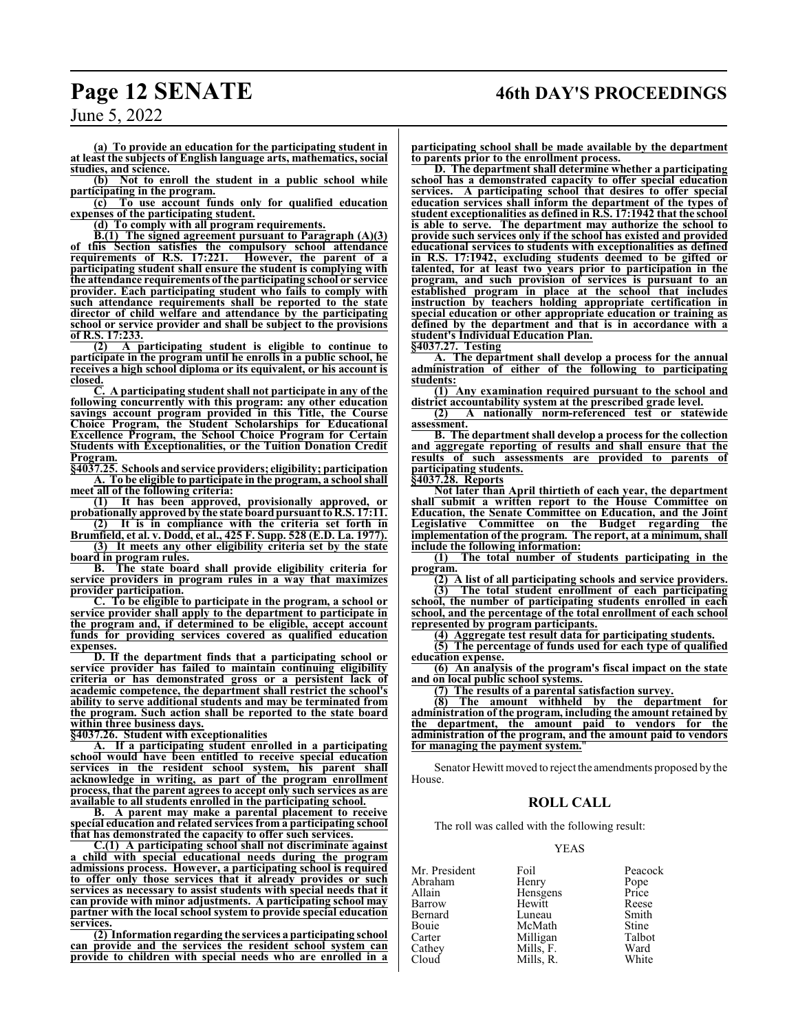## **Page 12 SENATE 46th DAY'S PROCEEDINGS**

June 5, 2022

**(a) To provide an education for the participating student in at least the subjects of English language arts, mathematics, social studies, and science.**

**(b) Not to enroll the student in a public school while participating in the program.**

**(c) To use account funds only for qualified education expenses of the participating student.**

**(d) To comply with all program requirements.**

**B.(1) The signed agreement pursuant to Paragraph (A)(3) of this Section satisfies the compulsory school attendance requirements of R.S. 17:221. However, the parent of a participating student shall ensure the student is complying with the attendance requirements of the participating school or service provider. Each participating student who fails to comply with such attendance requirements shall be reported to the state director of child welfare and attendance by the participating school or service provider and shall be subject to the provisions of R.S. 17:233.**

**(2) A participating student is eligible to continue to participate in the program until he enrolls in a public school, he receives a high school diploma or its equivalent, or his account is closed.**

**C. A participating student shall not participate in any of the following concurrently with this program: any other education savings account program provided in this Title, the Course Choice Program, the Student Scholarships for Educational Excellence Program, the School Choice Program for Certain Students with Exceptionalities, or the Tuition Donation Credit Program.**

**§4037.25. Schools andservice providers; eligibility; participation A. To be eligible to participate in the program, a school shall meet all of the following criteria:**

**(1) It has been approved, provisionally approved, or probationally approved by the state boardpursuant toR.S. 17:11.**

**(2) It is in compliance with the criteria set forth in Brumfield, et al. v. Dodd, et al., 425 F. Supp. 528 (E.D. La. 1977). (3) It meets any other eligibility criteria set by the state**

**board in program rules. B. The state board shall provide eligibility criteria for service providers in program rules in a way that maximizes provider participation.**

**C. To be eligible to participate in the program, a school or service provider shall apply to the department to participate in the program and, if determined to be eligible, accept account funds for providing services covered as qualified education expenses.**

**D. If the department finds that a participating school or service provider has failed to maintain continuing eligibility criteria or has demonstrated gross or a persistent lack of academic competence, the department shall restrict the school's ability to serve additional students and may be terminated from the program. Such action shall be reported to the state board within three business days.**

**§4037.26. Student with exceptionalities**

**A. If a participating student enrolled in a participating school would have been entitled to receive special education services in the resident school system, his parent shall acknowledge in writing, as part of the program enrollment process, that the parent agrees to accept only such services as are available to all students enrolled in the participating school.**

**B. A parent may make a parental placement to receive special education and related services from a participating school that has demonstrated the capacity to offer such services.**

**C.(1) A participating school shall not discriminate against a child with special educational needs during the program admissions process. However, a participating school is required to offer only those services that it already provides or such services as necessary to assist students with special needs that it can provide with minor adjustments. A participating school may partner with the local school system to provide special education services.**

**(2) Information regarding the services a participating school can provide and the services the resident school system can provide to children with special needs who are enrolled in a**

**participating school shall be made available by the department to parents prior to the enrollment process.**

**D. The department shall determine whether a participating school has a demonstrated capacity to offer special education services. A participating school that desires to offer special education services shall inform the department of the types of student exceptionalities as defined in R.S. 17:1942 that the school is able to serve. The department may authorize the school to provide such services only if the school has existed and provided educational services to students with exceptionalities as defined in R.S. 17:1942, excluding students deemed to be gifted or talented, for at least two years prior to participation in the program, and such provision of services is pursuant to an established program in place at the school that includes instruction by teachers holding appropriate certification in special education or other appropriate education or training as defined by the department and that is in accordance with a student's Individual Education Plan.**

**§4037.27. Testing**

**A. The department shall develop a process for the annual administration of either of the following to participating students:**

**(1) Any examination required pursuant to the school and district accountability system at the prescribed grade level.**

**(2) A nationally norm-referenced test or statewide assessment.**

**B. The departmentshall develop a process for the collection and aggregate reporting of results and shall ensure that the results of such assessments are provided to parents of participating students.**

**§4037.28. Reports**

**Not later than April thirtieth of each year, the department shall submit a written report to the House Committee on Education, the Senate Committee on Education, and the Joint Legislative Committee on the Budget regarding the implementation of the program. The report, at a minimum, shall include the following information:**<br>(1) The total number of st

**(1) The total number of students participating in the program.**

**(2) A list of all participating schools and service providers.**

**(3) The total student enrollment of each participating school, the number of participating students enrolled in each school, and the percentage of the total enrollment of each school represented by program participants.**

**(4) Aggregate test result data for participating students.**

**(5) The percentage of funds used for each type of qualified education expense.**

**(6) An analysis of the program's fiscal impact on the state and on local public school systems.**

**(7) The results of a parental satisfaction survey.**

**(8) The amount withheld by the department for administration of the program, including the amount retained by the department, the amount paid to vendors for the administration of the program, and the amount paid to vendors for managing the payment system.**"

Senator Hewitt moved to reject the amendments proposed by the House.

### **ROLL CALL**

The roll was called with the following result:

### YEAS

| Mr. President | Foil      | Peacock      |
|---------------|-----------|--------------|
| Abraham       | Henry     | Pope         |
| Allain        | Hensgens  | Price        |
| Barrow        | Hewitt    | Reese        |
| Bernard       | Luneau    | Smith        |
| Bouie         | McMath    | <b>Stine</b> |
| Carter        | Milligan  | Talbot       |
| Cathey        | Mills, F. | Ward         |
| Cloud         | Mills. R. | White        |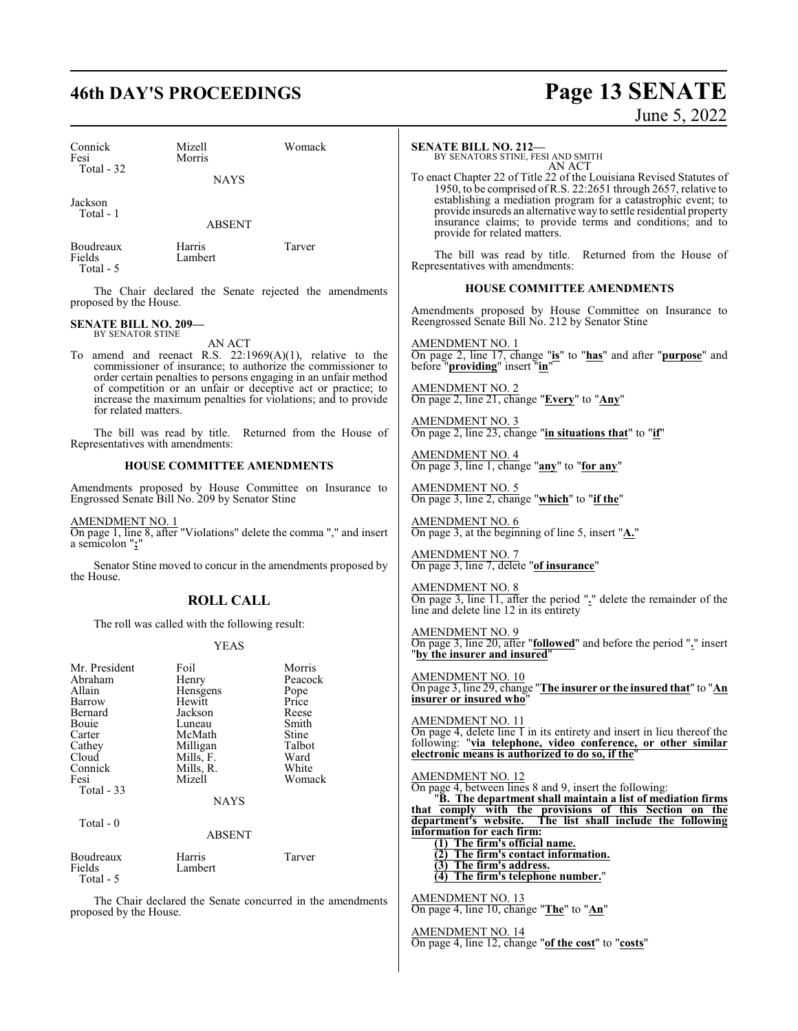## **46th DAY'S PROCEEDINGS Page 13 SENATE** June 5, 2022

| Connick<br>Fesi                                          | Mizell<br>Morris                                                  | Womack                                                                                                                                                                                           | <b>SENATE BILL NO. 212-</b><br>BY SENATORS STINE, FESI AND SMITH<br>AN ACT                                                                                                                                                                                                                                                                                                  |
|----------------------------------------------------------|-------------------------------------------------------------------|--------------------------------------------------------------------------------------------------------------------------------------------------------------------------------------------------|-----------------------------------------------------------------------------------------------------------------------------------------------------------------------------------------------------------------------------------------------------------------------------------------------------------------------------------------------------------------------------|
| Total - 32<br>Jackson<br>Total - 1                       | <b>NAYS</b><br><b>ABSENT</b>                                      |                                                                                                                                                                                                  | To enact Chapter 22 of Title 22 of the Louisiana Revised Statutes of<br>1950, to be comprised of R.S. 22:2651 through 2657, relative to<br>establishing a mediation program for a catastrophic event; to<br>provide insureds an alternative way to settle residential property<br>insurance claims; to provide terms and conditions; and to<br>provide for related matters. |
| Boudreaux<br>Fields<br>Total - 5                         | Harris<br>Lambert                                                 | Tarver                                                                                                                                                                                           | The bill was read by title. Returned from the House of<br>Representatives with amendments:                                                                                                                                                                                                                                                                                  |
| proposed by the House.                                   |                                                                   | The Chair declared the Senate rejected the amendments                                                                                                                                            | <b>HOUSE COMMITTEE AMENDMENTS</b>                                                                                                                                                                                                                                                                                                                                           |
| <b>SENATE BILL NO. 209-</b><br>BY SENATOR STINE          |                                                                   |                                                                                                                                                                                                  | Amendments proposed by House Committee on Insurance to<br>Reengrossed Senate Bill No. 212 by Senator Stine                                                                                                                                                                                                                                                                  |
|                                                          | AN ACT                                                            | To amend and reenact R.S. $22:1969(A)(1)$ , relative to the<br>commissioner of insurance; to authorize the commissioner to                                                                       | <u>AMENDMENT NO. 1</u><br>On page 2, line 17, change "is" to "has" and after "purpose" and<br>before "providing" insert "in"                                                                                                                                                                                                                                                |
| for related matters.                                     |                                                                   | order certain penalties to persons engaging in an unfair method<br>of competition or an unfair or deceptive act or practice; to<br>increase the maximum penalties for violations; and to provide | <b>AMENDMENT NO. 2</b><br>On page 2, line 21, change "Every" to "Any"                                                                                                                                                                                                                                                                                                       |
| Representatives with amendments:                         |                                                                   | The bill was read by title. Returned from the House of                                                                                                                                           | <b>AMENDMENT NO. 3</b><br>On page 2, line 23, change "in situations that" to "if"                                                                                                                                                                                                                                                                                           |
|                                                          | <b>HOUSE COMMITTEE AMENDMENTS</b>                                 |                                                                                                                                                                                                  | AMENDMENT NO. 4<br>On page 3, line 1, change " $\frac{any}{any}$ " to "for any"                                                                                                                                                                                                                                                                                             |
|                                                          | Engrossed Senate Bill No. 209 by Senator Stine                    | Amendments proposed by House Committee on Insurance to                                                                                                                                           | $\frac{\text{AMENDMENT NO. 5}}{\text{On page 3, line 2, change}}$ "which" to "if the"                                                                                                                                                                                                                                                                                       |
| AMENDMENT NO. 1                                          |                                                                   | On page 1, line 8, after "Violations" delete the comma "," and insert                                                                                                                            | <u>AMENDMENT NO. 6</u><br>On page 3, at the beginning of line 5, insert " $\underline{A}$ ."                                                                                                                                                                                                                                                                                |
| a semicolon ";"                                          |                                                                   | Senator Stine moved to concur in the amendments proposed by                                                                                                                                      | <b>AMENDMENT NO. 7</b><br>On page 3, line 7, delete "of insurance"                                                                                                                                                                                                                                                                                                          |
| the House.                                               | <b>ROLL CALL</b>                                                  |                                                                                                                                                                                                  | <b>AMENDMENT NO. 8</b><br>On page 3, line 11, after the period "." delete the remainder of the<br>line and delete line 12 in its entirety                                                                                                                                                                                                                                   |
|                                                          | The roll was called with the following result:                    |                                                                                                                                                                                                  | <b>AMENDMENT NO. 9</b>                                                                                                                                                                                                                                                                                                                                                      |
|                                                          | <b>YEAS</b>                                                       |                                                                                                                                                                                                  | On page 3, line 20, after " <b>followed</b> " and before the period "." insert<br>"by the insurer and insured"                                                                                                                                                                                                                                                              |
| Mr. President<br>Abraham<br>Allain<br>Barrow             | Foil<br>Henry<br>Hensgens<br>Hewitt                               | Morris<br>Peacock<br>Pope<br>Price                                                                                                                                                               | <b>AMENDMENT NO. 10</b><br>On page 3, line 29, change "The insurer or the insured that" to "An<br>insurer or insured who"                                                                                                                                                                                                                                                   |
| Bernard<br>Bouie<br>Carter<br>Cathey<br>Cloud<br>Connick | Jackson<br>Luneau<br>McMath<br>Milligan<br>Mills, F.<br>Mills, R. | Reese<br>Smith<br>Stine<br>Talbot<br>Ward<br>White                                                                                                                                               | AMENDMENT NO. 11<br>On page 4, delete line $1$ in its entirety and insert in lieu thereof the<br>following: "via telephone, video conference, or other similar<br>electronic means is authorized to do so, if the"                                                                                                                                                          |
| Fesi<br>Total - 33                                       | Mizell<br><b>NAYS</b>                                             | Womack                                                                                                                                                                                           | <b>AMENDMENT NO. 12</b><br>On page 4, between lines 8 and 9, insert the following:<br>"B. The department shall maintain a list of mediation firms                                                                                                                                                                                                                           |
| Total - 0                                                | ABSENT                                                            |                                                                                                                                                                                                  | that comply with the provisions of this Section on the<br>department's website.<br>The list shall include the following<br>information for each firm:<br>(1) The firm's official name.                                                                                                                                                                                      |
| Boudreaux<br>Fields<br>Total - 5                         | Harris<br>Lambert                                                 | Tarver                                                                                                                                                                                           | (2) The firm's contact information.<br>(3) The firm's address.<br>$(4)$ The firm's telephone number."                                                                                                                                                                                                                                                                       |
| proposed by the House.                                   |                                                                   | The Chair declared the Senate concurred in the amendments                                                                                                                                        | <b>AMENDMENT NO. 13</b><br>On page 4, line 10, change "The" to "An"                                                                                                                                                                                                                                                                                                         |
|                                                          |                                                                   |                                                                                                                                                                                                  | AMENDMENT NO. 14<br>On page 4, line 12, change "of the cost" to "costs"                                                                                                                                                                                                                                                                                                     |
|                                                          |                                                                   |                                                                                                                                                                                                  |                                                                                                                                                                                                                                                                                                                                                                             |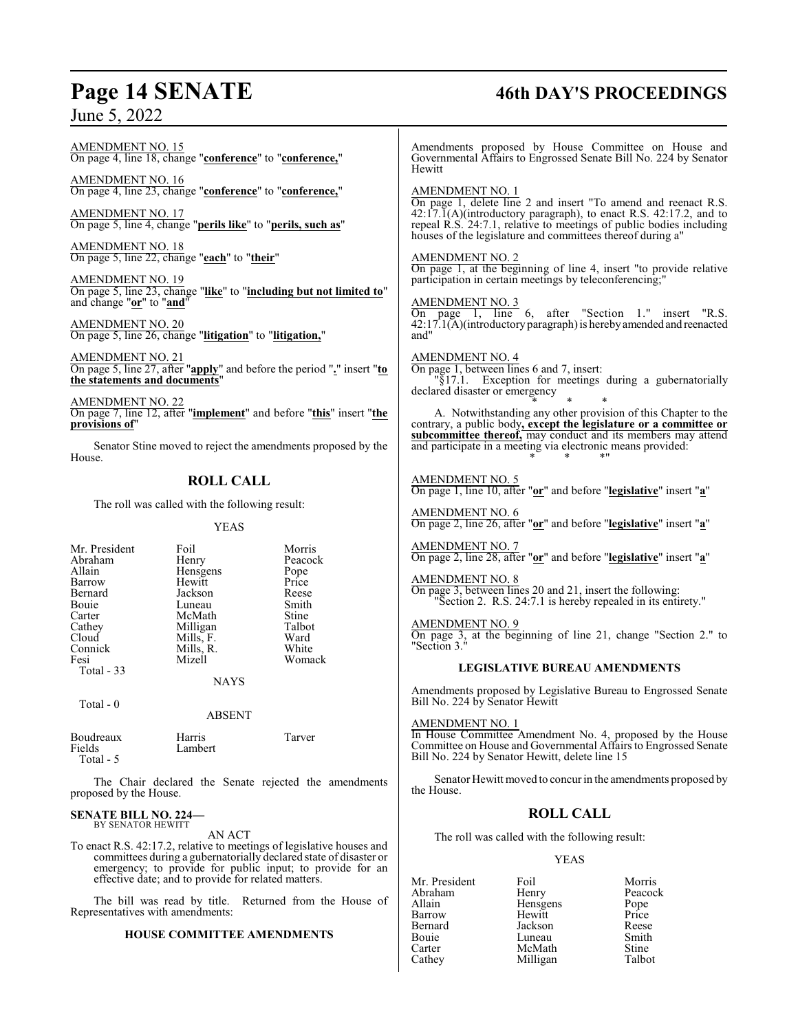## **Page 14 SENATE 46th DAY'S PROCEEDINGS**

AMENDMENT NO. 15 On page 4, line 18, change "**conference**" to "**conference,**"

AMENDMENT NO. 16 On page 4, line 23, change "**conference**" to "**conference,**"

AMENDMENT NO. 17 On page 5, line 4, change "**perils like**" to "**perils, such as**"

AMENDMENT NO. 18 On page 5, line 22, change "**each**" to "**their**"

AMENDMENT NO. 19 On page 5, line 23, change "**like**" to "**including but not limited to**" and change "**or**" to "**and**"

AMENDMENT NO. 20 On page 5, line 26, change "**litigation**" to "**litigation,**"

AMENDMENT NO. 21 On page 5, line 27, after "**apply**" and before the period "**.**" insert "**to the statements and documents**"

AMENDMENT NO. 22 On page 7, line 12, after "**implement**" and before "**this**" insert "**the provisions of**"

Senator Stine moved to reject the amendments proposed by the House.

### **ROLL CALL**

The roll was called with the following result:

### YEAS

| Mr. President | Foil      | Morris  |
|---------------|-----------|---------|
| Abraham       | Henry     | Peacock |
| Allain        | Hensgens  | Pope    |
| Barrow        | Hewitt    | Price   |
| Bernard       | Jackson   | Reese   |
| Bouie         | Luneau    | Smith   |
| Carter        | McMath    | Stine   |
| Cathey        | Milligan  | Talbot  |
| Cloud         | Mills, F. | Ward    |
| Connick       | Mills, R. | White   |
| Fesi          | Mizell    | Womack  |
| Total - 33    |           |         |
|               | NAYS      |         |

Total - 0

ABSENT

| Boudreaux<br>Fields | Harris<br>Lambert | Tarver |
|---------------------|-------------------|--------|
| Total - 5           |                   |        |

The Chair declared the Senate rejected the amendments proposed by the House.

### **SENATE BILL NO. 224—** BY SENATOR HEWITT

AN ACT

To enact R.S. 42:17.2, relative to meetings of legislative houses and committees during a gubernatorially declared state of disaster or emergency; to provide for public input; to provide for an effective date; and to provide for related matters.

The bill was read by title. Returned from the House of Representatives with amendments:

### **HOUSE COMMITTEE AMENDMENTS**

Amendments proposed by House Committee on House and Governmental Affairs to Engrossed Senate Bill No. 224 by Senator **Hewitt** 

### AMENDMENT NO. 1

On page 1, delete line 2 and insert "To amend and reenact R.S.  $42:17.\overline{1}(A)$ (introductory paragraph), to enact R.S.  $42:17.2$ , and to repeal R.S. 24:7.1, relative to meetings of public bodies including houses of the legislature and committees thereof during a"

### AMENDMENT NO. 2

On page 1, at the beginning of line 4, insert "to provide relative participation in certain meetings by teleconferencing;"

### AMENDMENT NO. 3

On page 1, line 6, after "Section 1." insert "R.S. 42:17.1(A)(introductory paragraph) is hereby amended and reenacted and"

AMENDMENT NO. 4 On page 1, between lines 6 and 7, insert: "§17.1. Exception for meetings during a gubernatorially declared disaster or emergency

\* \* \* A. Notwithstanding any other provision of this Chapter to the contrary, a public body**, except the legislature or a committee or subcommittee thereof,** may conduct and its members may attend and participate in a meeting via electronic means provided: \* \* \*"

### AMENDMENT NO. 5

On page 1, line 10, after "**or**" and before "**legislative**" insert "**a**"

AMENDMENT NO. 6 On page 2, line 26, after "**or**" and before "**legislative**" insert "**a**"

AMENDMENT NO. 7 On page 2, line 28, after "**or**" and before "**legislative**" insert "**a**"

AMENDMENT NO. 8 On page 3, between lines 20 and 21, insert the following:

"Section 2. R.S. 24:7.1 is hereby repealed in its entirety."

AMENDMENT NO. 9 On page 3, at the beginning of line 21, change "Section 2." to "Section 3."

### **LEGISLATIVE BUREAU AMENDMENTS**

Amendments proposed by Legislative Bureau to Engrossed Senate Bill No. 224 by Senator Hewitt

AMENDMENT NO. 1 In House Committee Amendment No. 4, proposed by the House Committee on House and Governmental Affairs to Engrossed Senate Bill No. 224 by Senator Hewitt, delete line 15

Senator Hewitt moved to concur in the amendments proposed by the House.

### **ROLL CALL**

The roll was called with the following result:

### YEAS

Mr. President Foil Foil Morris<br>Abraham Henry Peacock Abraham Henry Peacc<br>
Allain Hensgens Pope Allain **Hensigens** Pope<br>
Barrow Hewitt Price Barrow Hewitt<br>Bernard Iackson Bernard Jackson Reese Bouie Luneau Smith<br>Carter McMath Stine Carter McMath Stine<br>Cathey Milligan Talbot Milligan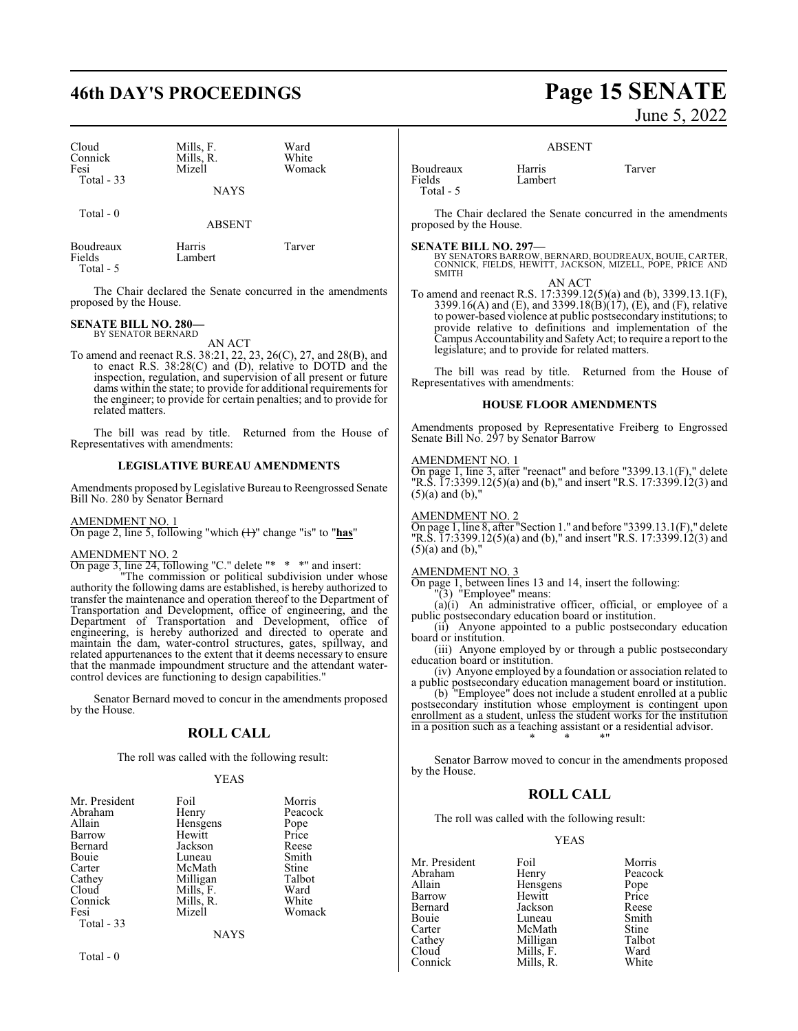## **46th DAY'S PROCEEDINGS Page 15 SENATE**

| Cloud<br>Connick<br>Fesi<br>Total - 33 | Mills, F.<br>Mills, R.<br>Mizell<br><b>NAYS</b> | Ward<br>White<br>Womack |  |
|----------------------------------------|-------------------------------------------------|-------------------------|--|
| Total $-0$                             | <b>ABSENT</b>                                   |                         |  |
| Boudreaux                              | Harris                                          | Tarver                  |  |

The Chair declared the Senate concurred in the amendments proposed by the House.

### **SENATE BILL NO. 280—** BY SENATOR BERNARD

Fields Lambert

Total - 5

AN ACT

To amend and reenact R.S. 38:21, 22, 23, 26(C), 27, and 28(B), and to enact R.S. 38:28(C) and (D), relative to DOTD and the inspection, regulation, and supervision of all present or future dams within the state; to provide for additional requirements for the engineer; to provide for certain penalties; and to provide for related matters.

The bill was read by title. Returned from the House of Representatives with amendments:

### **LEGISLATIVE BUREAU AMENDMENTS**

Amendments proposed by Legislative Bureau to Reengrossed Senate Bill No. 280 by Senator Bernard

AMENDMENT NO. 1

On page 2, line 5, following "which (1)" change "is" to "**has**"

### AMENDMENT NO. 2

On page 3, line 24, following "C." delete "\* \* \*" and insert:

"The commission or political subdivision under whose authority the following dams are established, is hereby authorized to transfer the maintenance and operation thereof to the Department of Transportation and Development, office of engineering, and the Department of Transportation and Development, office of engineering, is hereby authorized and directed to operate and maintain the dam, water-control structures, gates, spillway, and related appurtenances to the extent that it deems necessary to ensure that the manmade impoundment structure and the attendant watercontrol devices are functioning to design capabilities."

Senator Bernard moved to concur in the amendments proposed by the House.

### **ROLL CALL**

The roll was called with the following result:

### YEAS

| Mr. President | Foil        | Morris  |
|---------------|-------------|---------|
| Abraham       | Henry       | Peacock |
| Allain        | Hensgens    | Pope    |
| Barrow        | Hewitt      | Price   |
| Bernard       | Jackson     | Reese   |
| Bouie         | Luneau      | Smith   |
| Carter        | McMath      | Stine   |
| Cathey        | Milligan    | Talbot  |
| Cloud         | Mills, F.   | Ward    |
| Connick       | Mills, R.   | White   |
| Fesi          | Mizell      | Womack  |
| Total - 33    |             |         |
|               | <b>NAYS</b> |         |
|               |             |         |

 $Total - 0$ 

June 5, 2022

### ABSENT

| Boudreaux | Harris  | Tarver |
|-----------|---------|--------|
| Fields    | Lambert |        |
| Total - 5 |         |        |

The Chair declared the Senate concurred in the amendments proposed by the House.

**SENATE BILL NO. 297—** BY SENATORS BARROW, BERNARD, BOUDREAUX, BOUIE, CARTER, CONNICK, FIELDS, HEWITT, JACKSON, MIZELL, POPE, PRICE AND SMITH

AN ACT

To amend and reenact R.S. 17:3399.12(5)(a) and (b), 3399.13.1(F), 3399.16(A) and (E), and 3399.18( $\dot{B}$ )( $\dot{1}$ 7), (E), and (F), relative to power-based violence at public postsecondary institutions; to provide relative to definitions and implementation of the Campus Accountability and SafetyAct; to require a report to the legislature; and to provide for related matters.

The bill was read by title. Returned from the House of Representatives with amendments:

### **HOUSE FLOOR AMENDMENTS**

Amendments proposed by Representative Freiberg to Engrossed Senate Bill No. 297 by Senator Barrow

### AMENDMENT NO. 1

On page 1, line 3, after "reenact" and before "3399.13.1(F)," delete "R.S. 17:3399.12(5)(a) and (b)," and insert "R.S. 17:3399.12(3) and  $(5)(a)$  and  $(b)$ ,"

### AMENDMENT NO. 2

 $\overline{\text{On page 1, line 8, after}}$ "Section 1." and before "3399.13.1(F)," delete "R.S. 17:3399.12(5)(a) and (b)," and insert "R.S. 17:3399.12(3) and  $(5)(a)$  and  $(b)$ ,"

### AMENDMENT NO. 3

On page 1, between lines 13 and 14, insert the following: "(3) "Employee" means:

(a)(i) An administrative officer, official, or employee of a public postsecondary education board or institution.

(ii) Anyone appointed to a public postsecondary education board or institution.

(iii) Anyone employed by or through a public postsecondary education board or institution.

(iv) Anyone employed by a foundation or association related to a public postsecondary education management board or institution.

(b) "Employee" does not include a student enrolled at a public postsecondary institution whose employment is contingent upon enrollment as a student, unless the student works for the institution in a position such as a teaching assistant or a residential advisor. \* \* \*"

Senator Barrow moved to concur in the amendments proposed by the House.

### **ROLL CALL**

The roll was called with the following result:

### YEAS

| Mr. President | Foil      | Morris  |
|---------------|-----------|---------|
| Abraham       | Henry     | Peacock |
| Allain        | Hensgens  | Pope    |
| Barrow        | Hewitt    | Price   |
| Bernard       | Jackson   | Reese   |
| Bouie         | Luneau    | Smith   |
| Carter        | McMath    | Stine   |
| Cathey        | Milligan  | Talbot  |
| Cloud         | Mills, F. | Ward    |
| Connick       | Mills. R. | White   |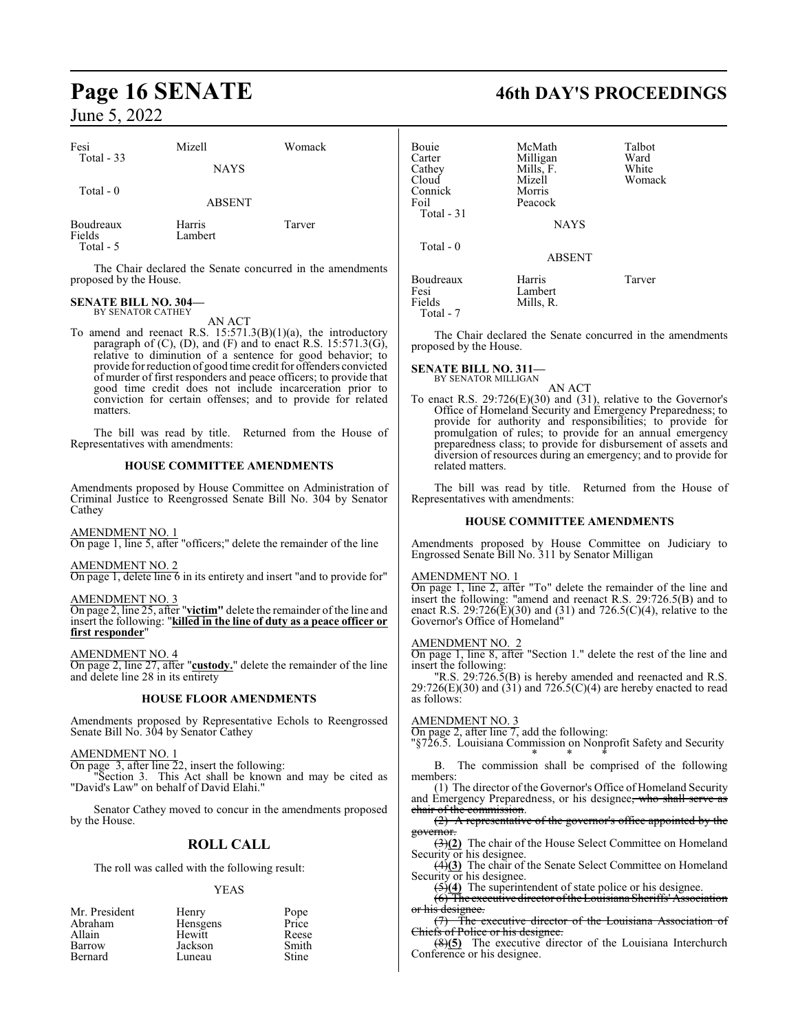| Fesi<br>Total $-33$               | Mizell            | Womack |
|-----------------------------------|-------------------|--------|
|                                   | <b>NAYS</b>       |        |
| Total - 0                         | <b>ABSENT</b>     |        |
| Boudreaux<br>Fields<br>Total $-5$ | Harris<br>Lambert | Tarver |

The Chair declared the Senate concurred in the amendments proposed by the House.

### **SENATE BILL NO. 304—** BY SENATOR CATHEY

AN ACT

To amend and reenact R.S. 15:571.3(B)(1)(a), the introductory paragraph of (C), (D), and (F) and to enact R.S. 15:571.3(G), relative to diminution of a sentence for good behavior; to provide for reduction of good time credit for offenders convicted of murder of first responders and peace officers; to provide that good time credit does not include incarceration prior to conviction for certain offenses; and to provide for related matters.

The bill was read by title. Returned from the House of Representatives with amendments:

### **HOUSE COMMITTEE AMENDMENTS**

Amendments proposed by House Committee on Administration of Criminal Justice to Reengrossed Senate Bill No. 304 by Senator Cathey

### AMENDMENT NO. 1

On page 1, line 5, after "officers;" delete the remainder of the line

### AMENDMENT NO. 2

On page 1, delete line 6 in its entirety and insert "and to provide for"

### AMENDMENT NO. 3

On page 2, line 25, after "**victim"** delete the remainder of the line and insert the following: "**killed in the line of duty as a peace officer or first responder**"

### AMENDMENT NO. 4

On page 2, line 27, after "**custody.**" delete the remainder of the line and delete line 28 in its entirety

### **HOUSE FLOOR AMENDMENTS**

Amendments proposed by Representative Echols to Reengrossed Senate Bill No. 304 by Senator Cathey

### AMENDMENT NO. 1

On page 3, after line 22, insert the following:

"Section 3. This Act shall be known and may be cited as "David's Law" on behalf of David Elahi."

Senator Cathey moved to concur in the amendments proposed by the House.

### **ROLL CALL**

The roll was called with the following result:

### YEAS

| Mr. President | Henry    | Pope<br>Price |
|---------------|----------|---------------|
| Abraham       | Hensgens |               |
| Allain        | Hewitt   | Reese         |
| Barrow        | Jackson  | Smith         |
| Bernard       | Luneau   | Stine         |

## **Page 16 SENATE 46th DAY'S PROCEEDINGS**

| Bouie<br>Carter<br>Cathey<br>Cloud<br>Connick<br>Foil<br>Total $-31$ | McMath<br>Milligan<br>Mills, F.<br>Mizell<br>Morris<br>Peacock<br><b>NAYS</b> | Talbot<br>Ward<br>White<br>Womack |
|----------------------------------------------------------------------|-------------------------------------------------------------------------------|-----------------------------------|
| Total - 0                                                            | <b>ABSENT</b>                                                                 |                                   |
| Boudreaux<br>Fesi<br>Fields<br>Total - 7                             | Harris<br>Lambert<br>Mills, R.                                                | Tarver                            |

The Chair declared the Senate concurred in the amendments proposed by the House.

### **SENATE BILL NO. 311—** BY SENATOR MILLIGAN

AN ACT

To enact R.S. 29:726(E)(30) and (31), relative to the Governor's Office of Homeland Security and Emergency Preparedness; to provide for authority and responsibilities; to provide for promulgation of rules; to provide for an annual emergency preparedness class; to provide for disbursement of assets and diversion of resources during an emergency; and to provide for related matters.

The bill was read by title. Returned from the House of Representatives with amendments:

### **HOUSE COMMITTEE AMENDMENTS**

Amendments proposed by House Committee on Judiciary to Engrossed Senate Bill No. 311 by Senator Milligan

### AMENDMENT NO. 1

On page 1, line 2, after "To" delete the remainder of the line and insert the following: "amend and reenact R.S. 29:726.5(B) and to enact R.S. 29:726( $\bar{E}$ )(30) and (31) and 726.5( $C$ )(4), relative to the Governor's Office of Homeland"

### AMENDMENT NO. 2

On page 1, line 8, after "Section 1." delete the rest of the line and insert the following:

"R.S. 29:726.5(B) is hereby amended and reenacted and R.S.  $29:726(E)(30)$  and  $(31)$  and  $726.5(C)(4)$  are hereby enacted to read as follows:

### AMENDMENT NO. 3

On page 2, after line 7, add the following:

"§726.5. Louisiana Commission on Nonprofit Safety and Security \* \* \*

B. The commission shall be comprised of the following members:

(1) The director of the Governor's Office of Homeland Security and Emergency Preparedness, or his designee, who shall serve as chair of the commission.

(2) A representative of the governor's office appointed by the governor.

(3)**(2)** The chair of the House Select Committee on Homeland Security or his designee.

(4)**(3)** The chair of the Senate Select Committee on Homeland Security or his designee.

(5)**(4)** The superintendent of state police or his designee.

(6) The executive director ofthe Louisiana Sheriffs' Association or his designee.

(7) The executive director of the Louisiana Association of Chiefs of Police or his designee.

(8)**(5)** The executive director of the Louisiana Interchurch Conference or his designee.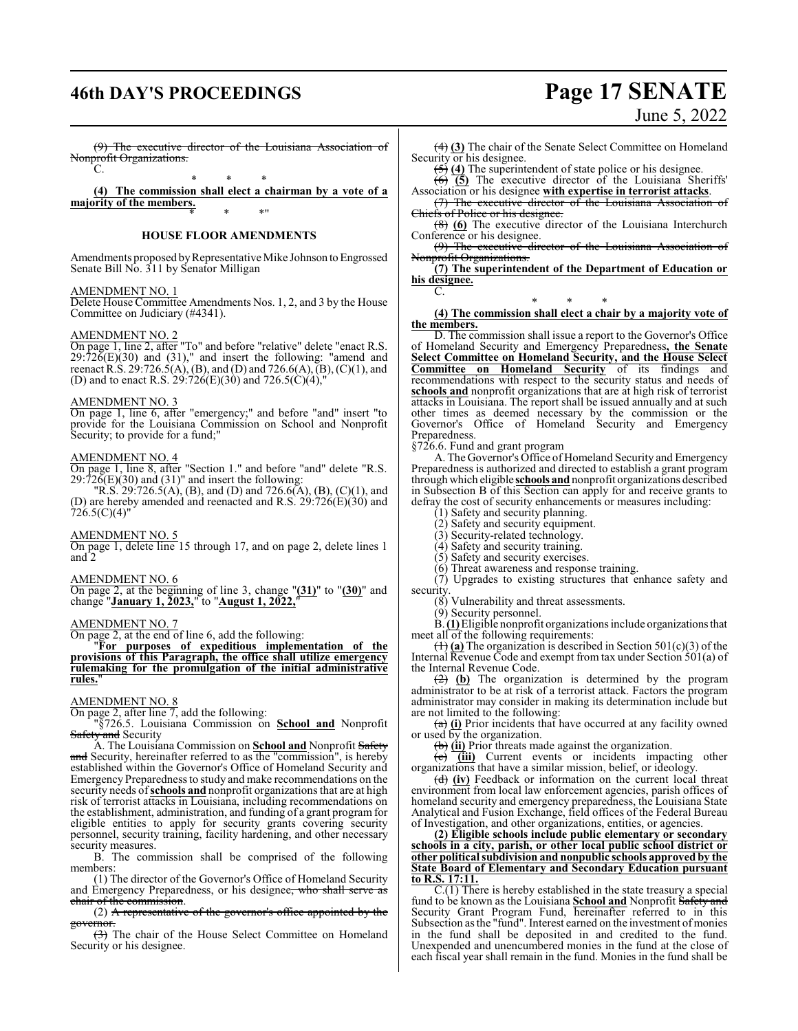## **46th DAY'S PROCEEDINGS Page 17 SENATE**

June 5, 2022

(9) The executive director of the Louisiana Association of Nonprofit Organizations.

 $\overline{C}$ \* \* \*

**(4) The commission shall elect a chairman by a vote of a majority of the members.** \* \* \*"

### **HOUSE FLOOR AMENDMENTS**

Amendments proposed by Representative Mike Johnson to Engrossed Senate Bill No. 311 by Senator Milligan

### AMENDMENT NO. 1

Delete House Committee Amendments Nos. 1, 2, and 3 by the House Committee on Judiciary (#4341).

### AMENDMENT NO. 2

On page 1, line 2, after "To" and before "relative" delete "enact R.S.  $29:72\bar{6}(E)(30)$  and  $(31)$ ," and insert the following: "amend and reenact R.S. 29:726.5(A), (B), and (D) and 726.6(A),  $(B)$ , (C)(1), and (D) and to enact R.S.  $29:726(E)(30)$  and  $726.5(C)(4)$ ,"

### AMENDMENT NO. 3

On page 1, line 6, after "emergency;" and before "and" insert "to provide for the Louisiana Commission on School and Nonprofit Security; to provide for a fund;"

### AMENDMENT NO. 4

On page 1, line 8, after "Section 1." and before "and" delete "R.S.  $29:726(E)(30)$  and  $(31)$ " and insert the following:

"R.S. 29:726.5(A), (B), and (D) and 726.6(A), (B), (C)(1), and (D) are hereby amended and reenacted and R.S. 29:726(E)(30) and  $726.5(C)(4)$ "

### AMENDMENT NO. 5

On page 1, delete line 15 through 17, and on page 2, delete lines 1 and 2

### AMENDMENT NO. 6

On page 2, at the beginning of line 3, change "**(31)**" to "**(30)**" and change "**January 1, 2023,**" to "**August 1, 2022,**"

### AMENDMENT NO. 7

On page 2, at the end of line 6, add the following:

"**For purposes of expeditious implementation of the provisions of this Paragraph, the office shall utilize emergency rulemaking for the promulgation of the initial administrative** rules.

### AMENDMENT NO. 8

On page 2, after line 7, add the following:

"§726.5. Louisiana Commission on **School and** Nonprofit Safety and Security

A. The Louisiana Commission on **School and** Nonprofit Safety and Security, hereinafter referred to as the "commission", is hereby established within the Governor's Office of Homeland Security and Emergency Preparedness to study and make recommendations on the security needs of**schools and** nonprofit organizations that are at high risk of terrorist attacks in Louisiana, including recommendations on the establishment, administration, and funding of a grant program for eligible entities to apply for security grants covering security personnel, security training, facility hardening, and other necessary security measures.

B. The commission shall be comprised of the following members:

(1) The director of the Governor's Office of Homeland Security and Emergency Preparedness, or his designee, who shall serve as chair of the commission.

(2) A representative of the governor's office appointed by the ernor

(3) The chair of the House Select Committee on Homeland Security or his designee.

(4) **(3)** The chair of the Senate Select Committee on Homeland Security or his designee.

(5) **(4)** The superintendent of state police or his designee.

(6) **(5)** The executive director of the Louisiana Sheriffs' Association or his designee **with expertise in terrorist attacks**. (7) The executive director of the Louisiana Association

Chiefs of Police or his designee (8) **(6)** The executive director of the Louisiana Interchurch

Conference or his designee.

(9) The executive director of the Louisiana Association of Nonprofit Organizations.

**(7) The superintendent of the Department of Education or his designee.** C.

\* \* \* **(4) The commission shall elect a chair by a majority vote of the members.**

D. The commission shall issue a report to the Governor's Office of Homeland Security and Emergency Preparedness**, the Senate Select Committee on Homeland Security, and the House Select Committee on Homeland Security** of its findings and recommendations with respect to the security status and needs of **schools and** nonprofit organizations that are at high risk of terrorist attacks in Louisiana. The report shall be issued annually and at such other times as deemed necessary by the commission or the Governor's Office of Homeland Security and Emergency Preparedness.

§726.6. Fund and grant program

A. The Governor's Office of Homeland Security and Emergency Preparedness is authorized and directed to establish a grant program through which eligible **schools and**nonprofit organizations described in Subsection B of this Section can apply for and receive grants to defray the cost of security enhancements or measures including:

(1) Safety and security planning.

(2) Safety and security equipment.

(3) Security-related technology.

(4) Safety and security training.

(5) Safety and security exercises.

(6) Threat awareness and response training.

 $(7)$  Upgrades to existing structures that enhance safety and security.

(8) Vulnerability and threat assessments.

(9) Security personnel.

B.**(1)**Eligible nonprofit organizations include organizationsthat meet all of the following requirements:

(1) **(a)** The organization is described in Section 501(c)(3) of the Internal Revenue Code and exempt from tax under Section 501(a) of the Internal Revenue Code.

(2) **(b)** The organization is determined by the program administrator to be at risk of a terrorist attack. Factors the program administrator may consider in making its determination include but are not limited to the following:

(a) **(i)** Prior incidents that have occurred at any facility owned or used by the organization.

(b) **(ii)** Prior threats made against the organization.

(c) **(iii)** Current events or incidents impacting other organizations that have a similar mission, belief, or ideology.

(d) **(iv)** Feedback or information on the current local threat environment from local law enforcement agencies, parish offices of homeland security and emergency preparedness, the Louisiana State Analytical and Fusion Exchange, field offices of the Federal Bureau of Investigation, and other organizations, entities, or agencies.

**(2) Eligible schools include public elementary or secondary schools in a city, parish, or other local public school district or other political subdivision and nonpublic schools approved by the State Board of Elementary and Secondary Education pursuant to R.S. 17:11.**

C.(1) There is hereby established in the state treasury a special fund to be known as the Louisiana **School and** Nonprofit Safety and Security Grant Program Fund, hereinafter referred to in this Subsection as the "fund". Interest earned on the investment of monies in the fund shall be deposited in and credited to the fund. Unexpended and unencumbered monies in the fund at the close of each fiscal year shall remain in the fund. Monies in the fund shall be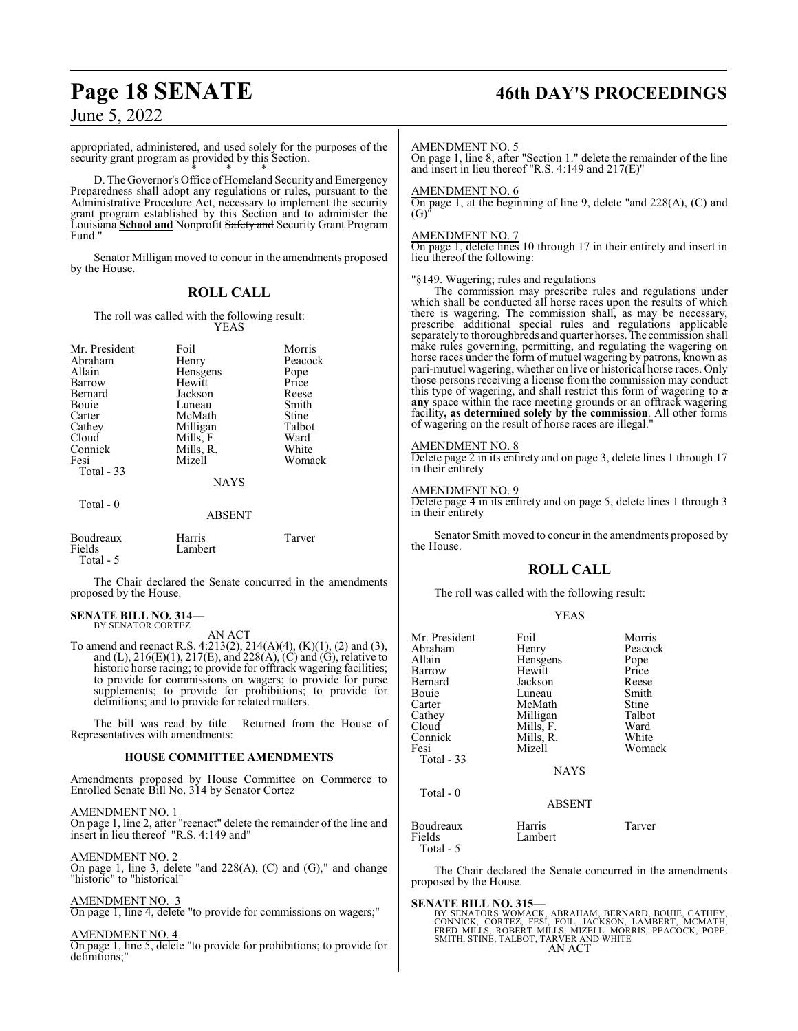## **Page 18 SENATE 46th DAY'S PROCEEDINGS**

### June 5, 2022

appropriated, administered, and used solely for the purposes of the security grant program as provided by this Section. \* \* \*

D. The Governor's Office of Homeland Security and Emergency Preparedness shall adopt any regulations or rules, pursuant to the Administrative Procedure Act, necessary to implement the security grant program established by this Section and to administer the Louisiana **School and** Nonprofit Safety and Security Grant Program Fund."

Senator Milligan moved to concur in the amendments proposed by the House.

### **ROLL CALL**

The roll was called with the following result: YEAS

| Mr. President | Foil          | Morris  |
|---------------|---------------|---------|
| Abraham       | Henry         | Peacock |
| Allain        | Hensgens      | Pope    |
| Barrow        | Hewitt        | Price   |
| Bernard       | Jackson       | Reese   |
| Bouie         | Luneau        | Smith   |
| Carter        | McMath        | Stine   |
| Cathey        | Milligan      | Talbot  |
| Cloud         | Mills, F.     | Ward    |
| Connick       | Mills, R.     | White   |
| Fesi          | Mizell        | Womack  |
| Total - 33    |               |         |
|               | <b>NAYS</b>   |         |
| Total $-0$    |               |         |
|               | <b>ABSENT</b> |         |
| Boudreaux     | Harris        | Tarver  |
| Fields        | Lambert       |         |
| Total - 5     |               |         |

The Chair declared the Senate concurred in the amendments proposed by the House.

### **SENATE BILL NO. 314—** BY SENATOR CORTEZ

AN ACT

To amend and reenact R.S. 4:213(2), 214(A)(4), (K)(1), (2) and (3), and (L),  $216(E)(1)$ ,  $217(E)$ , and  $228(A)$ , (C) and (G), relative to historic horse racing; to provide for offtrack wagering facilities; to provide for commissions on wagers; to provide for purse supplements; to provide for prohibitions; to provide for definitions; and to provide for related matters.

The bill was read by title. Returned from the House of Representatives with amendments:

### **HOUSE COMMITTEE AMENDMENTS**

Amendments proposed by House Committee on Commerce to Enrolled Senate Bill No. 314 by Senator Cortez

### AMENDMENT NO. 1

On page 1, line 2, after "reenact" delete the remainder of the line and insert in lieu thereof "R.S. 4:149 and"

### AMENDMENT NO. 2

On page 1, line 3, delete "and 228(A), (C) and (G)," and change "historic" to "historical"

### AMENDMENT NO. 3

On page 1, line 4, delete "to provide for commissions on wagers;"

### AMENDMENT NO. 4

On page 1, line 5, delete "to provide for prohibitions; to provide for definitions;"

### AMENDMENT NO. 5

On page 1, line 8, after "Section 1." delete the remainder of the line and insert in lieu thereof "R.S. 4:149 and 217(E)"

### AMENDMENT NO. 6

On page 1, at the beginning of line 9, delete "and 228(A), (C) and  $(G)$ 

### AMENDMENT NO. 7

On page 1, delete lines 10 through 17 in their entirety and insert in lieu thereof the following:

### "§149. Wagering; rules and regulations

The commission may prescribe rules and regulations under which shall be conducted all horse races upon the results of which there is wagering. The commission shall, as may be necessary, prescribe additional special rules and regulations applicable separately to thoroughbreds and quarter horses. The commission shall make rules governing, permitting, and regulating the wagering on horse races under the form of mutuel wagering by patrons, known as pari-mutuel wagering, whether on live or historical horse races. Only those persons receiving a license from the commission may conduct this type of wagering, and shall restrict this form of wagering to a **any** space within the race meeting grounds or an offtrack wagering facility**, as determined solely by the commission**. All other forms of wagering on the result of horse races are illegal."

### AMENDMENT NO. 8

Delete page 2 in its entirety and on page 3, delete lines 1 through 17 in their entirety

### AMENDMENT NO. 9

Delete page 4 in its entirety and on page 5, delete lines 1 through 3 in their entirety

Senator Smith moved to concur in the amendments proposed by the House.

### **ROLL CALL**

The roll was called with the following result:

### YEAS

| Mr. President<br>Abraham<br>Allain<br>Barrow<br>Bernard<br>Bouie<br>Carter<br>Cathey<br>Cloud<br>Connick<br>Fesi<br>Total - 33 | Foil<br>Henry<br>Hensgens<br>Hewitt<br>Jackson<br>Luneau<br>McMath<br>Milligan<br>Mills, F.<br>Mills, R.<br>Mizell<br><b>NAYS</b> | Morris<br>Peacock<br>Pope<br>Price<br>Reese<br>Smith<br>Stine<br>Talbot<br>Ward<br>White<br>Womack |
|--------------------------------------------------------------------------------------------------------------------------------|-----------------------------------------------------------------------------------------------------------------------------------|----------------------------------------------------------------------------------------------------|
| $Total - 0$                                                                                                                    | <b>ABSENT</b>                                                                                                                     |                                                                                                    |
| Boudreaux<br>Fields<br>Total - 5                                                                                               | Harris<br>Lambert                                                                                                                 | Tarver                                                                                             |

The Chair declared the Senate concurred in the amendments proposed by the House.

### **SENATE BILL NO. 315—**

BY SENATORS WOMACK, ABRAHAM, BERNARD, BOUIE, CATHEY,<br>CONNICK, CORTEZ, FESI, FOIL, JACKSON, LAMBERT, MCMATH,<br>FRED MILLS, ROBERT MILLS, MIZELL, MORRIS, PEACOCK, POPE,<br>SMITH, STINE, TALBOT, TARVER AND WHITE AN ACT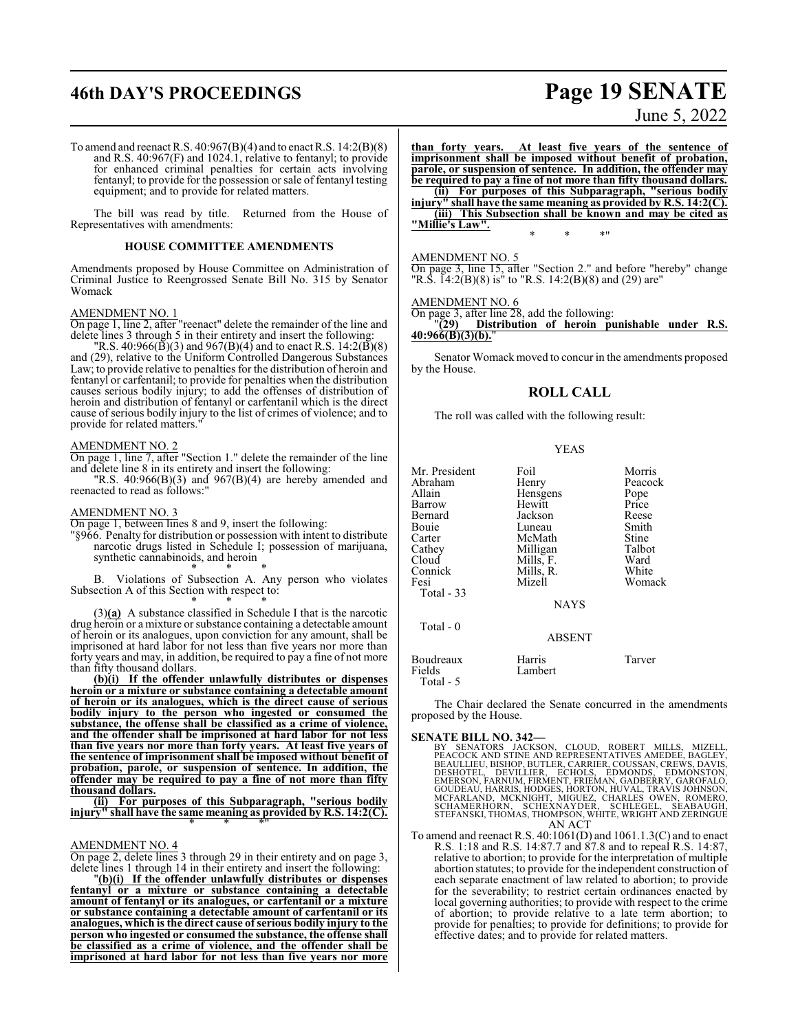## **46th DAY'S PROCEEDINGS Page 19 SENATE**

# June 5, 2022

To amend and reenact R.S. 40:967(B)(4) and to enact R.S. 14:2(B)(8) and R.S. 40:967(F) and 1024.1, relative to fentanyl; to provide for enhanced criminal penalties for certain acts involving fentanyl; to provide for the possession or sale of fentanyl testing equipment; and to provide for related matters.

The bill was read by title. Returned from the House of Representatives with amendments:

### **HOUSE COMMITTEE AMENDMENTS**

Amendments proposed by House Committee on Administration of Criminal Justice to Reengrossed Senate Bill No. 315 by Senator Womack

### AMENDMENT NO. 1

On page 1, line 2, after "reenact" delete the remainder of the line and delete lines 3 through 5 in their entirety and insert the following:

"R.S. 40:966( $\bar{B}$ )(3) and 967( $B$ )(4) and to enact R.S. 14:2( $\bar{B}$ )(8) and (29), relative to the Uniform Controlled Dangerous Substances Law; to provide relative to penalties for the distribution of heroin and fentanyl or carfentanil; to provide for penalties when the distribution causes serious bodily injury; to add the offenses of distribution of heroin and distribution of fentanyl or carfentanil which is the direct cause of serious bodily injury to the list of crimes of violence; and to provide for related matters."

### AMENDMENT NO. 2

On page 1, line 7, after "Section 1." delete the remainder of the line and delete line 8 in its entirety and insert the following:

"R.S. 40:966(B)(3) and 967(B)(4) are hereby amended and reenacted to read as follows:"

### AMENDMENT NO. 3

On page 1, between lines 8 and 9, insert the following:

"§966. Penalty for distribution or possession with intent to distribute narcotic drugs listed in Schedule I; possession of marijuana, synthetic cannabinoids, and heroin \* \* \*

B. Violations of Subsection A. Any person who violates Subsection A of this Section with respect to: \* \* \*

(3)**(a)** A substance classified in Schedule I that is the narcotic drug heroin or a mixture or substance containing a detectable amount of heroin or its analogues, upon conviction for any amount, shall be imprisoned at hard labor for not less than five years nor more than forty years and may, in addition, be required to pay a fine of not more than fifty thousand dollars.

**(b)(i) If the offender unlawfully distributes or dispenses heroin or a mixture or substance containing a detectable amount of heroin or its analogues, which is the direct cause of serious bodily injury to the person who ingested or consumed the substance, the offense shall be classified as a crime of violence, and the offender shall be imprisoned at hard labor for not less than five years nor more than forty years. At least five years of the sentence of imprisonment shall be imposed without benefit of probation, parole, or suspension of sentence. In addition, the offender may be required to pay a fine of not more than fifty thousand dollars.**

**(ii) For purposes of this Subparagraph, "serious bodily injury" shall have the same meaning as provided by R.S. 14:2(C).** \* \* \*"

### AMENDMENT NO. 4

On page 2, delete lines 3 through 29 in their entirety and on page 3, delete lines 1 through 14 in their entirety and insert the following:

"**(b)(i) If the offender unlawfully distributes or dispenses fentanyl or a mixture or substance containing a detectable amount of fentanyl or its analogues, or carfentanil or a mixture or substance containing a detectable amount of carfentanil or its analogues, which is the direct cause of serious bodily injury to the person who ingested or consumed the substance, the offense shall be classified as a crime of violence, and the offender shall be imprisoned at hard labor for not less than five years nor more**

**than forty years. At least five years of the sentence of imprisonment shall be imposed without benefit of probation, parole, or suspension of sentence. In addition, the offender may be required to pay a fine of not more than fifty thousand dollars. (ii) For purposes of this Subparagraph, "serious bodily injury" shall have the same meaning as provided by R.S. 14:2(C). (iii) This Subsection shall be known and may be cited as "Millie's Law".** \* \* \*"

### AMENDMENT NO. 5

On page 3, line 15, after "Section 2." and before "hereby" change "R.S. 14:2(B)(8) is" to "R.S. 14:2(B)(8) and (29) are"

### AMENDMENT NO. 6

On page 3, after line 28, add the following:

"**(29) Distribution of heroin punishable under R.S. 40:966(B)(3)(b).**"

Senator Womack moved to concur in the amendments proposed by the House.

### **ROLL CALL**

The roll was called with the following result:

### YEAS

| Mr. President       | Foil              | Morris  |
|---------------------|-------------------|---------|
| Abraham             | Henry             | Peacock |
| Allain              | Hensgens          | Pope    |
| Barrow              | Hewitt            | Price   |
| Bernard             | Jackson           | Reese   |
| Bouie               | Luneau            | Smith   |
| Carter              | McMath            | Stine   |
| Cathey              | Milligan          | Talbot  |
| Cloud               | Mills, F.         | Ward    |
| Connick             | Mills, R.         | White   |
| Fesi                | Mizell            | Womack  |
| <b>Total - 33</b>   |                   |         |
|                     | <b>NAYS</b>       |         |
| Total - 0           |                   |         |
|                     | <b>ABSENT</b>     |         |
| Boudreaux<br>Fields | Harris<br>Lambert | Tarver  |

Total - 5

The Chair declared the Senate concurred in the amendments proposed by the House.

### **SENATE BILL NO. 342—**

BY SENATORS JACKSON, CLOUD, ROBERT MILLS, MIZELL, PEACOCK AND STINE AND REPRESENTATIVES AMEDEE, BAGLEY, BEAULLIEU, BEAULLIEU, BUTLER, CHORRESENTATIVES AMEDEE, BAGLEY, DESHOTEL, DEVILLIER, ECHOLS, EDMONDS, EDMONSTON, GOUDEA

To amend and reenact R.S. 40:1061(D) and 1061.1.3(C) and to enact R.S. 1:18 and R.S. 14:87.7 and 87.8 and to repeal R.S. 14:87, relative to abortion; to provide for the interpretation of multiple abortion statutes; to provide for the independent construction of each separate enactment of law related to abortion; to provide for the severability; to restrict certain ordinances enacted by local governing authorities; to provide with respect to the crime of abortion; to provide relative to a late term abortion; to provide for penalties; to provide for definitions; to provide for effective dates; and to provide for related matters.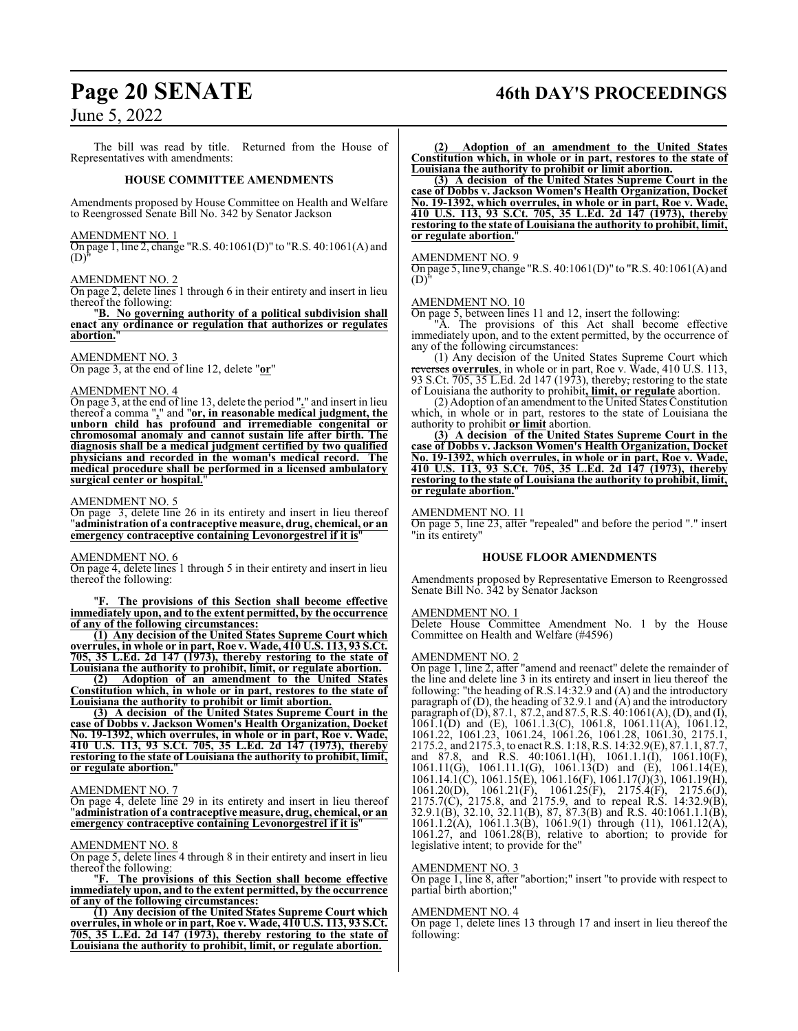## **Page 20 SENATE 46th DAY'S PROCEEDINGS**

### June 5, 2022

The bill was read by title. Returned from the House of Representatives with amendments:

### **HOUSE COMMITTEE AMENDMENTS**

Amendments proposed by House Committee on Health and Welfare to Reengrossed Senate Bill No. 342 by Senator Jackson

### AMENDMENT NO. 1

On page 1, line 2, change "R.S. 40:1061(D)" to "R.S. 40:1061(A) and  $(D)$ 

### AMENDMENT NO. 2

On page 2, delete lines 1 through 6 in their entirety and insert in lieu thereof the following:

"**B. No governing authority of a political subdivision shall enact any ordinance or regulation that authorizes or regulates abortion.**"

### AMENDMENT NO. 3

On page 3, at the end of line 12, delete "**or**"

### AMENDMENT NO. 4

On page 3, at the end of line 13, delete the period "**.**" and insert in lieu thereof a comma "**,**" and "**or, in reasonable medical judgment, the unborn child has profound and irremediable congenital or chromosomal anomaly and cannot sustain life after birth. The diagnosis shall be a medical judgment certified by two qualified physicians and recorded in the woman's medical record. The medical procedure shall be performed in a licensed ambulatory surgical center or hospital.**"

### AMENDMENT NO. 5

On page 3, delete line 26 in its entirety and insert in lieu thereof "**administration of a contraceptive measure, drug, chemical, or an emergency contraceptive containing Levonorgestrel if it is** 

### AMENDMENT NO. 6

On page 4, delete lines 1 through 5 in their entirety and insert in lieu thereof the following:

The provisions of this Section shall become effective **immediately upon, and to the extent permitted, by the occurrence of any of the following circumstances:**

**(1) Any decision of the United States Supreme Court which overrules, in whole or in part, Roe v. Wade, 410 U.S. 113, 93 S.Ct. 705, 35 L.Ed. 2d 147 (1973), thereby restoring to the state of Louisiana the authority to prohibit, limit, or regulate abortion.**

**(2) Adoption of an amendment to the United States Constitution which, in whole or in part, restores to the state of Louisiana the authority to prohibit or limit abortion.**

**(3) A decision of the United States Supreme Court in the case of Dobbs v. Jackson Women's Health Organization, Docket No. 19-1392, which overrules, in whole or in part, Roe v. Wade, 410 U.S. 113, 93 S.Ct. 705, 35 L.Ed. 2d 147 (1973), thereby restoring to the state of Louisiana the authority to prohibit, limit, or regulate abortion.**"

### AMENDMENT NO. 7

On page 4, delete line 29 in its entirety and insert in lieu thereof "**administration of a contraceptive measure, drug, chemical, or an emergency contraceptive containing Levonorgestrel if it is** 

### AMENDMENT NO. 8

On page 5, delete lines 4 through 8 in their entirety and insert in lieu thereof the following:

"**F. The provisions of this Section shall become effective immediately upon, and to the extent permitted, by the occurrence of any of the following circumstances:**

**(1) Any decision of the United States Supreme Court which overrules, in whole or in part, Roe v. Wade, 410 U.S. 113, 93 S.Ct. 705, 35 L.Ed. 2d 147 (1973), thereby restoring to the state of Louisiana the authority to prohibit, limit, or regulate abortion.**

**(2) Adoption of an amendment to the United States Constitution which, in whole or in part, restores to the state of Louisiana the authority to prohibit or limit abortion.**

**(3) A decision of the United States Supreme Court in the case of Dobbs v. Jackson Women's Health Organization, Docket No. 19-1392, which overrules, in whole or in part, Roe v. Wade, 410 U.S. 113, 93 S.Ct. 705, 35 L.Ed. 2d 147 (1973), thereby restoring to the state of Louisiana the authority to prohibit, limit, or regulate abortion.**"

### AMENDMENT NO. 9

On page 5, line 9, change "R.S. 40:1061(D)" to "R.S. 40:1061(A) and (D)"

### AMENDMENT NO. 10

On page 5, between lines 11 and 12, insert the following:

"A. The provisions of this Act shall become effective immediately upon, and to the extent permitted, by the occurrence of any of the following circumstances:

(1) Any decision of the United States Supreme Court which reverses **overrules**, in whole or in part, Roe v. Wade, 410 U.S. 113, 93 S.Ct.  $\overline{705}$ ,  $\overline{35}$  L.Ed. 2d 147 (1973), thereby, restoring to the state of Louisiana the authority to prohibit**, limit, or regulate** abortion.

(2) Adoption of an amendment to the United States Constitution which, in whole or in part, restores to the state of Louisiana the authority to prohibit **or limit** abortion.

**(3) A decision of the United States Supreme Court in the case of Dobbs v. Jackson Women's Health Organization, Docket No. 19-1392, which overrules, in whole or in part, Roe v. Wade, 410 U.S. 113, 93 S.Ct. 705, 35 L.Ed. 2d 147 (1973), thereby restoring to the state of Louisiana the authority to prohibit, limit, or regulate abortion.**"

### AMENDMENT NO. 11

On page 5, line 23, after "repealed" and before the period "." insert "in its entirety"

### **HOUSE FLOOR AMENDMENTS**

Amendments proposed by Representative Emerson to Reengrossed Senate Bill No. 342 by Senator Jackson

### AMENDMENT NO. 1

AMENDINIENT INC. I<br>Delete House Committee Amendment No. 1 by the House Committee on Health and Welfare (#4596)

### AMENDMENT NO. 2

On page 1, line 2, after "amend and reenact" delete the remainder of the line and delete line 3 in its entirety and insert in lieu thereof the following: "the heading of R.S.14:32.9 and (A) and the introductory paragraph of (D), the heading of 32.9.1 and (A) and the introductory paragraph of(D), 87.1, 87.2, and 87.5, R.S. 40:1061(A), (D), and (I), 1061.1(D) and (E), 1061.1.3(C), 1061.8, 1061.11(A), 1061.12, 1061.22, 1061.23, 1061.24, 1061.26, 1061.28, 1061.30, 2175.1, 2175.2, and 2175.3, to enact R.S. 1:18, R.S. 14:32.9(E), 87.1.1, 87.7, and 87.8, and R.S. 40:1061.1(H), 1061.1.1(I), 1061.10(F), 1061.11(G), 1061.11.1(G), 1061.13(D) and (E), 1061.14(E), 1061.14.1(C), 1061.15(E), 1061.16(F), 1061.17(J)(3), 1061.19(H), 1061.20(D), 1061.21(F), 1061.25(F), 2175.4(F), 2175.6(J),  $2175.7(\hat{C})$ ,  $2175.8$ , and  $2175.9$ , and to repeal R.S. 14:32.9(B), 32.9.1(B), 32.10, 32.11(B), 87, 87.3(B) and R.S. 40:1061.1.1(B), 1061.1.2(A), 1061.1.3(B), 1061.9(1) through (11), 1061.12(A), 1061.27, and 1061.28(B), relative to abortion; to provide for legislative intent; to provide for the"

### AMENDMENT NO. 3

On page 1, line 8, after "abortion;" insert "to provide with respect to partial birth abortion;"

### AMENDMENT NO. 4

On page 1, delete lines 13 through 17 and insert in lieu thereof the following: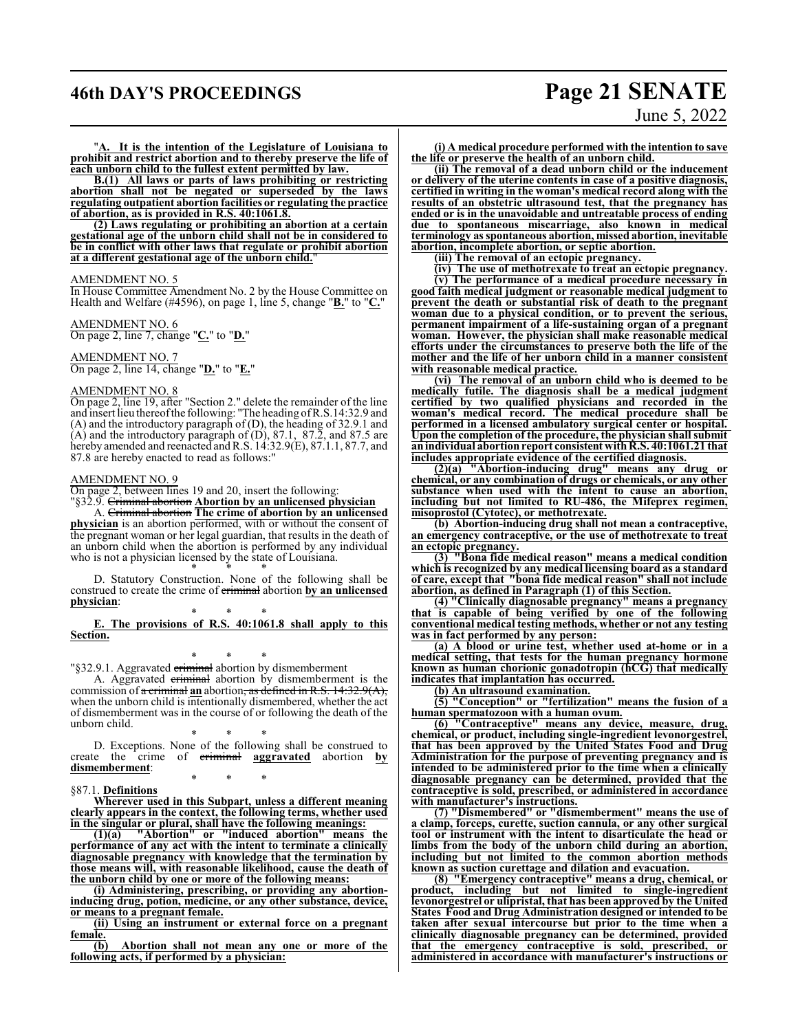## **46th DAY'S PROCEEDINGS Page 21 SENATE**

### "**A. It is the intention of the Legislature of Louisiana to prohibit and restrict abortion and to thereby preserve the life of each unborn child to the fullest extent permitted by law.**

**B.(1) All laws or parts of laws prohibiting or restricting abortion shall not be negated or superseded by the laws regulating outpatient abortion facilities or regulating the practice of abortion, as is provided in R.S. 40:1061.8.**

**(2) Laws regulating or prohibiting an abortion at a certain gestational age of the unborn child shall not be in considered to be in conflict with other laws that regulate or prohibit abortion at a different gestational age of the unborn child.**"

### AMENDMENT NO. 5

In House Committee Amendment No. 2 by the House Committee on Health and Welfare (#4596), on page 1, line 5, change "**B.**" to "**C.**"

AMENDMENT NO. 6 On page 2, line 7, change "**C.**" to "**D.**"

AMENDMENT NO. 7 On page 2, line 14, change "**D.**" to "**E.**"

### AMENDMENT NO. 8

On page 2, line 19, after "Section 2." delete the remainder of the line and insert lieu thereofthe following: "The heading ofR.S.14:32.9 and (A) and the introductory paragraph of (D), the heading of 32.9.1 and  $(A)$  and the introductory paragraph of  $(D)$ , 87.1, 87.2, and 87.5 are hereby amended and reenacted and R.S. 14:32.9(E), 87.1.1, 87.7, and 87.8 are hereby enacted to read as follows:"

### AMENDMENT NO. 9

On page 2, between lines 19 and 20, insert the following: "§32.9. Criminal abortion **Abortion by an unlicensed physician**

A. Criminal abortion **The crime of abortion by an unlicensed physician** is an abortion performed, with or without the consent of the pregnant woman or her legal guardian, that results in the death of an unborn child when the abortion is performed by any individual who is not a physician licensed by the state of Louisiana.

\* \* \* D. Statutory Construction. None of the following shall be construed to create the crime of criminal abortion **by an unlicensed physician**:

\* \* \* **E. The provisions of R.S. 40:1061.8 shall apply to this Section.**

\* \* \* "§32.9.1. Aggravated criminal abortion by dismemberment

A. Aggravated criminal abortion by dismemberment is the commission of a criminal **an** abortion, as defined in R.S. 14:32.9(A), when the unborn child is intentionally dismembered, whether the act of dismemberment was in the course of or following the death of the unborn child.

\* \* \* D. Exceptions. None of the following shall be construed to create the crime of criminal **aggravated** abortion **by dismemberment**: \* \* \*

#### §87.1. **Definitions**

**Wherever used in this Subpart, unless a different meaning clearly appears in the context, the following terms, whether used in the singular or plural, shall have the following meanings:**

**(1)(a) "Abortion" or "induced abortion" means the performance of any act with the intent to terminate a clinically diagnosable pregnancy with knowledge that the termination by those means will, with reasonable likelihood, cause the death of the unborn child by one or more of the following means:**

**(i) Administering, prescribing, or providing any abortioninducing drug, potion, medicine, or any other substance, device, or means to a pregnant female.**

**(ii) Using an instrument or external force on a pregnant**  $\frac{\text{female.}}{(\text{b})}$ 

**(b) Abortion shall not mean any one or more of the following acts, if performed by a physician:**

# June 5, 2022

**(i) A medical procedure performed with the intention to save the life or preserve the health of an unborn child.**

**(ii) The removal of a dead unborn child or the inducement or delivery of the uterine contents in case of a positive diagnosis, certified in writing in the woman's medical record along with the results of an obstetric ultrasound test, that the pregnancy has ended or is in the unavoidable and untreatable process of ending due to spontaneous miscarriage, also known in medical terminology as spontaneous abortion, missed abortion, inevitable abortion, incomplete abortion, or septic abortion.**

**(iii) The removal of an ectopic pregnancy.**

**(iv) The use of methotrexate to treat an ectopic pregnancy.**

**(v) The performance of a medical procedure necessary in good faith medical judgment or reasonable medical judgment to prevent the death or substantial risk of death to the pregnant woman due to a physical condition, or to prevent the serious, permanent impairment of a life-sustaining organ of a pregnant woman. However, the physician shall make reasonable medical efforts under the circumstances to preserve both the life of the mother and the life of her unborn child in a manner consistent with reasonable medical practice.**

**(vi) The removal of an unborn child who is deemed to be medically futile. The diagnosis shall be a medical judgment certified by two qualified physicians and recorded in the woman's medical record. The medical procedure shall be performed in a licensed ambulatory surgical center or hospital. Upon the completion of the procedure, the physician shall submit anindividual abortionreport consistent withR.S. 40:1061.21 that includes appropriate evidence of the certified diagnosis.**

**(2)(a) "Abortion-inducing drug" means any drug or chemical, or any combination of drugs or chemicals, or any other substance when used with the intent to cause an abortion, including but not limited to RU-486, the Mifeprex regimen, misoprostol (Cytotec), or methotrexate.**

**(b) Abortion-inducing drug shall not mean a contraceptive, an emergency contraceptive, or the use of methotrexate to treat an ectopic pregnancy.**

**(3) "Bona fide medical reason" means a medical condition which is recognized by any medical licensing board as a standard of care, except that "bona fide medical reason" shall not include abortion, as defined in Paragraph (1) of this Section.**

**(4) "Clinically diagnosable pregnancy" means a pregnancy that is capable of being verified by one of the following conventional medical testing methods, whether or not any testing was in fact performed by any person:**

**(a) A blood or urine test, whether used at-home or in a medical setting, that tests for the human pregnancy hormone known as human chorionic gonadotropin (hCG) that medically indicates that implantation has occurred.**

**(b) An ultrasound examination.**

**(5) "Conception" or "fertilization" means the fusion of a human spermatozoon with a human ovum.**

**(6) "Contraceptive" means any device, measure, drug, chemical, or product, including single-ingredient levonorgestrel, that has been approved by the United States Food and Drug Administration for the purpose of preventing pregnancy and is intended to be administered prior to the time when a clinically diagnosable pregnancy can be determined, provided that the contraceptive is sold, prescribed, or administered in accordance with manufacturer's instructions.**

**(7) "Dismembered" or "dismemberment" means the use of a clamp, forceps, curette, suction cannula, or any other surgical tool or instrument with the intent to disarticulate the head or limbs from the body of the unborn child during an abortion, including but not limited to the common abortion methods known as suction curettage and dilation and evacuation.**

**(8) "Emergency contraceptive" means a drug, chemical, or product, including but not limited to single-ingredient levonorgestrel or ulipristal, that has been approved by the United States Food and Drug Administration designed or intended to be taken after sexual intercourse but prior to the time when a clinically diagnosable pregnancy can be determined, provided that the emergency contraceptive is sold, prescribed, or administered in accordance with manufacturer's instructions or**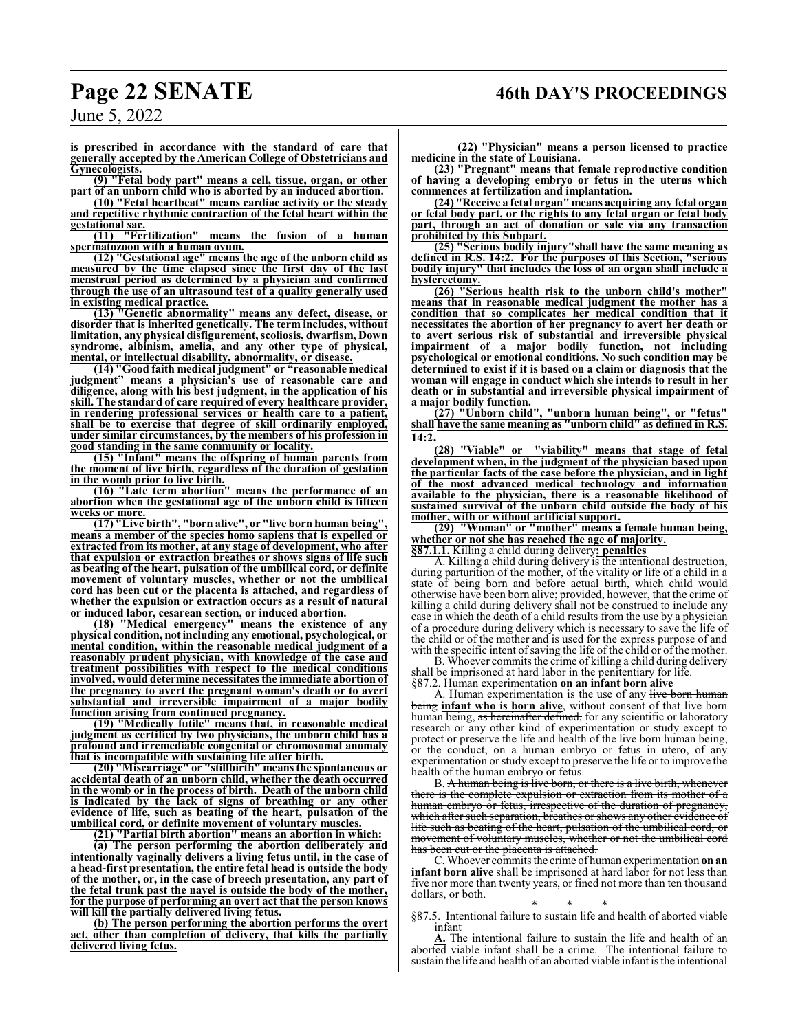## **Page 22 SENATE 46th DAY'S PROCEEDINGS**

**is prescribed in accordance with the standard of care that generally accepted by the American College of Obstetricians and Gynecologists.**

**(9) "Fetal body part" means a cell, tissue, organ, or other part of an unborn child who is aborted by an induced abortion.**

**(10) "Fetal heartbeat" means cardiac activity or the steady and repetitive rhythmic contraction of the fetal heart within the gestational sac.**

**(11) "Fertilization" means the fusion of a human spermatozoon with a human ovum.**

**(12) "Gestational age" means the age of the unborn child as measured by the time elapsed since the first day of the last menstrual period as determined by a physician and confirmed through the use of an ultrasound test of a quality generally used in existing medical practice.**

**(13) "Genetic abnormality" means any defect, disease, or disorder that is inherited genetically. The term includes, without limitation, any physical disfigurement, scoliosis, dwarfism, Down syndrome, albinism, amelia, and any other type of physical, mental, or intellectual disability, abnormality, or disease.**

**(14) "Good faith medical judgment" or "reasonable medical judgment" means a physician's use of reasonable care and diligence, along with his best judgment, in the application of his skill. The standard of care required of every healthcare provider, in rendering professional services or health care to a patient, shall be to exercise that degree of skill ordinarily employed, under similar circumstances, by the members of his profession in good standing in the same community or locality.**

**(15) "Infant" means the offspring of human parents from the moment of live birth, regardless of the duration of gestation in the womb prior to live birth.**

**(16) "Late term abortion" means the performance of an abortion when the gestational age of the unborn child is fifteen weeks or more.**

**(17) "Live birth", "born alive", or "live born human being", means a member of the species homo sapiens that is expelled or extracted from its mother, at any stage of development, who after that expulsion or extraction breathes or shows signs of life such as beating of the heart, pulsation of the umbilical cord, or definite movement of voluntary muscles, whether or not the umbilical cord has been cut or the placenta is attached, and regardless of whether the expulsion or extraction occurs as a result of natural or induced labor, cesarean section, or induced abortion.**

**(18) "Medical emergency" means the existence of any physical condition, not including any emotional, psychological, or mental condition, within the reasonable medical judgment of a reasonably prudent physician, with knowledge of the case and treatment possibilities with respect to the medical conditions involved, would determine necessitates the immediate abortion of the pregnancy to avert the pregnant woman's death or to avert substantial and irreversible impairment of a major bodily function arising from continued pregnancy.**

**(19) "Medically futile" means that, in reasonable medical judgment as certified by two physicians, the unborn child has a profound and irremediable congenital or chromosomal anomaly that is incompatible with sustaining life after birth.**

**(20) "Miscarriage" or "stillbirth" means the spontaneous or accidental death of an unborn child, whether the death occurred in the womb or in the process of birth. Death of the unborn child is indicated by the lack of signs of breathing or any other evidence of life, such as beating of the heart, pulsation of the umbilical cord, or definite movement of voluntary muscles.**

**(21) "Partial birth abortion" means an abortion in which: (a) The person performing the abortion deliberately and intentionally vaginally delivers a living fetus until, in the case of a head-first presentation, the entire fetal head is outside the body of the mother, or, in the case of breech presentation, any part of the fetal trunk past the navel is outside the body of the mother, for the purpose of performing an overt act that the person knows will kill the partially delivered living fetus.**

**(b) The person performing the abortion performs the overt act, other than completion of delivery, that kills the partially delivered living fetus.**

**(22) "Physician" means a person licensed to practice medicine in the state of Louisiana.**

**(23) "Pregnant" means that female reproductive condition of having a developing embryo or fetus in the uterus which commences at fertilization and implantation.**

**(24) "Receive a fetal organ" means acquiring any fetal organ or fetal body part, or the rights to any fetal organ or fetal body part, through an act of donation or sale via any transaction prohibited by this Subpart.**

**(25) "Serious bodily injury"shall have the same meaning as defined in R.S. 14:2. For the purposes of this Section, "serious bodily injury" that includes the loss of an organ shall include a hysterectomy.**

**(26) "Serious health risk to the unborn child's mother" means that in reasonable medical judgment the mother has a condition that so complicates her medical condition that it necessitates the abortion of her pregnancy to avert her death or to avert serious risk of substantial and irreversible physical impairment of a major bodily function, not including psychological or emotional conditions. No such condition may be determined to exist if it is based on a claim or diagnosis that the woman will engage in conduct which she intends to result in her death or in substantial and irreversible physical impairment of a major bodily function.**

**(27) "Unborn child", "unborn human being", or "fetus" shall have the same meaning as "unborn child" as defined in R.S. 14:2.**

**(28) "Viable" or "viability" means that stage of fetal development when, in the judgment of the physician based upon the particular facts of the case before the physician, and in light of the most advanced medical technology and information available to the physician, there is a reasonable likelihood of sustained survival of the unborn child outside the body of his mother, with or without artificial support.**

**(29) "Woman" or "mother" means a female human being, whether or not she has reached the age of majority. §87.1.1.** Killing a child during delivery**; penalties**

A. Killing a child during delivery is the intentional destruction,

during parturition of the mother, of the vitality or life of a child in a state of being born and before actual birth, which child would otherwise have been born alive; provided, however, that the crime of killing a child during delivery shall not be construed to include any case in which the death of a child results from the use by a physician of a procedure during delivery which is necessary to save the life of the child or of the mother and is used for the express purpose of and with the specific intent of saving the life of the child or of the mother.

B. Whoever commits the crime of killing a child during delivery shall be imprisoned at hard labor in the penitentiary for life. §87.2. Human experimentation **on an infant born alive**

A. Human experimentation is the use of any live born human being **infant who is born alive**, without consent of that live born human being, as hereinafter defined, for any scientific or laboratory research or any other kind of experimentation or study except to protect or preserve the life and health of the live born human being, or the conduct, on a human embryo or fetus in utero, of any experimentation or study except to preserve the life or to improve the health of the human embryo or fetus.

B. A human being is live born, or there is a live birth, whenever there is the complete expulsion or extraction from its mother of a human embryo or fetus, irrespective of the duration of pregnancy, which after such separation, breathes or shows any other evidence of life such as beating of the heart, pulsation of the umbilical cord, or movement of voluntary muscles, whether or not the umbilical cord has been cut or the placenta is attached.

C. Whoever commits the crime of human experimentation **on an infant born alive** shall be imprisoned at hard labor for not less than five nor more than twenty years, or fined not more than ten thousand dollars, or both.

\* \* \* §87.5. Intentional failure to sustain life and health of aborted viable infant

**A.** The intentional failure to sustain the life and health of an aborted viable infant shall be a crime. The intentional failure to sustain the life and health of an aborted viable infant is the intentional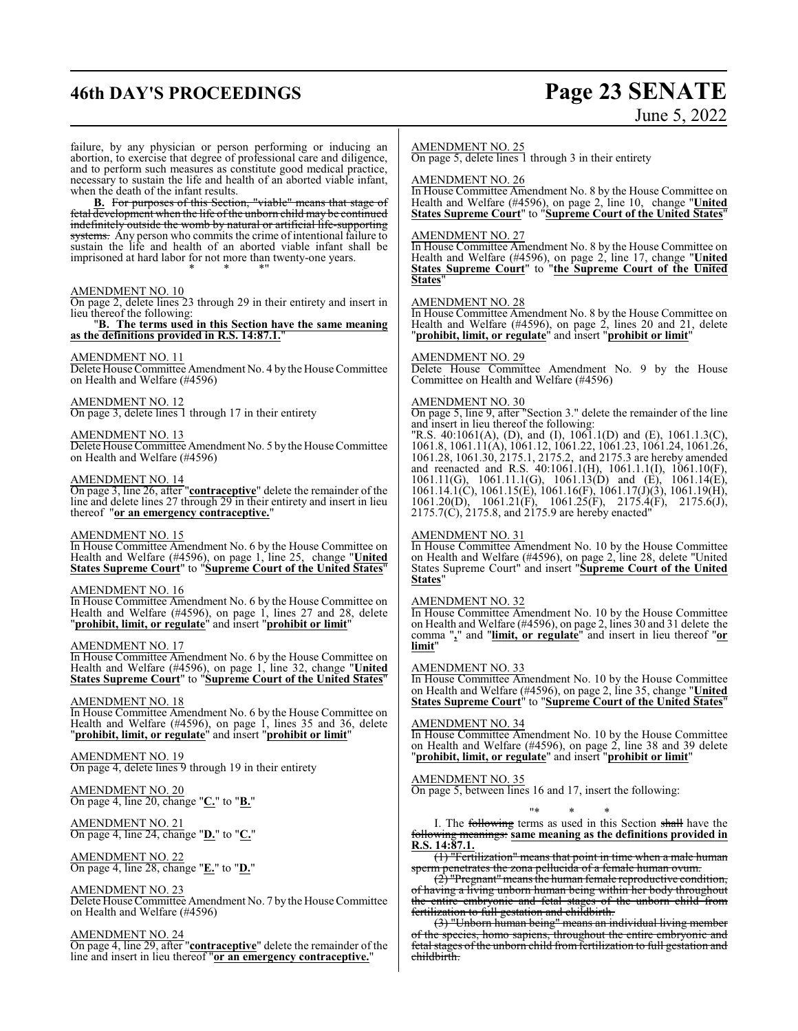## **46th DAY'S PROCEEDINGS Page 23 SENATE**

# June 5, 2022

failure, by any physician or person performing or inducing an abortion, to exercise that degree of professional care and diligence, and to perform such measures as constitute good medical practice, necessary to sustain the life and health of an aborted viable infant, when the death of the infant results.

**B.** For purposes of this Section, "viable" means that stage of fetal development when the life of the unborn child may be continued indefinitely outside the womb by natural or artificial life-supporting systems. Any person who commits the crime of intentional failure to sustain the life and health of an aborted viable infant shall be imprisoned at hard labor for not more than twenty-one years. \* \* \*"

### AMENDMENT NO. 10

On page 2, delete lines 23 through 29 in their entirety and insert in lieu thereof the following:

### "**B. The terms used in this Section have the same meaning as the definitions provided in R.S. 14:87.1.**"

### AMENDMENT NO. 11

Delete House Committee Amendment No. 4 by the House Committee on Health and Welfare (#4596)

AMENDMENT NO. 12 On page 3, delete lines 1 through 17 in their entirety

### AMENDMENT NO. 13

Delete House Committee Amendment No. 5 by the House Committee on Health and Welfare (#4596)

### AMENDMENT NO. 14

On page 3, line 26, after "**contraceptive**" delete the remainder of the line and delete lines 27 through 29 in their entirety and insert in lieu thereof "**or an emergency contraceptive.**"

### AMENDMENT NO. 15

In House Committee Amendment No. 6 by the House Committee on Health and Welfare (#4596), on page 1, line 25, change "**United States Supreme Court**" to "**Supreme Court of the United States**"

### AMENDMENT NO. 16

In House Committee Amendment No. 6 by the House Committee on Health and Welfare (#4596), on page 1, lines 27 and 28, delete "**prohibit, limit, or regulate**" and insert "**prohibit or limit**"

### AMENDMENT NO. 17

In House Committee Amendment No. 6 by the House Committee on Health and Welfare (#4596), on page 1, line 32, change "**United States Supreme Court**" to "**Supreme Court of the United States**"

### AMENDMENT NO. 18

In House Committee Amendment No. 6 by the House Committee on Health and Welfare (#4596), on page 1, lines 35 and 36, delete "**prohibit, limit, or regulate**" and insert "**prohibit or limit**"

### AMENDMENT NO. 19

On page 4, delete lines 9 through 19 in their entirety

### AMENDMENT NO. 20 On page 4, line 20, change "**C.**" to "**B.**"

AMENDMENT NO. 21 On page 4, line 24, change "**D.**" to "**C.**"

AMENDMENT NO. 22 On page 4, line 28, change "**E.**" to "**D.**"

### AMENDMENT NO. 23

Delete House Committee Amendment No. 7 by the House Committee on Health and Welfare (#4596)

### AMENDMENT NO. 24

On page 4, line 29, after "**contraceptive**" delete the remainder of the line and insert in lieu thereof "**or an emergency contraceptive.**"

### AMENDMENT NO. 25

On page 5, delete lines 1 through 3 in their entirety

### AMENDMENT NO. 26

In House Committee Amendment No. 8 by the House Committee on Health and Welfare (#4596), on page 2, line 10, change "**United States Supreme Court**" to "**Supreme Court of the United States**"

### AMENDMENT NO. 27

In House Committee Amendment No. 8 by the House Committee on Health and Welfare (#4596), on page 2, line 17, change "**United States Supreme Court**" to "**the Supreme Court of the United States**"

### AMENDMENT NO. 28

In House Committee Amendment No. 8 by the House Committee on Health and Welfare (#4596), on page 2, lines 20 and 21, delete "**prohibit, limit, or regulate**" and insert "**prohibit or limit**"

### AMENDMENT NO. 29

Delete House Committee Amendment No. 9 by the House Committee on Health and Welfare (#4596)

### AMENDMENT NO. 30

On page 5, line 9, after "Section 3." delete the remainder of the line and insert in lieu thereof the following:

"R.S. 40:1061(A), (D), and (I), 1061.1(D) and (E), 1061.1.3(C), 1061.8, 1061.11(A), 1061.12, 1061.22, 1061.23, 1061.24, 1061.26, 1061.28, 1061.30, 2175.1, 2175.2, and 2175.3 are hereby amended and reenacted and R.S. 40:1061.1(H), 1061.1.1(I), 1061.10(F), 1061.11(G), 1061.11.1(G), 1061.13(D) and (E), 1061.14(E), 1061.14.1(C), 1061.15(E), 1061.16(F), 1061.17(J)(3), 1061.19(H), 1061.20(D), 1061.21(F), 1061.25(F), 2175.4(F), 2175.6(J), 2175.7(C), 2175.8, and 2175.9 are hereby enacted"

### AMENDMENT NO. 31

In House Committee Amendment No. 10 by the House Committee on Health and Welfare (#4596), on page 2, line 28, delete "United States Supreme Court" and insert "**Supreme Court of the United States**"

### AMENDMENT NO. 32

In House Committee Amendment No. 10 by the House Committee on Health and Welfare (#4596), on page 2, lines 30 and 31 delete the comma "**,**" and "**limit, or regulate**" and insert in lieu thereof "**or limit**"

### AMENDMENT NO. 33

In House Committee Amendment No. 10 by the House Committee on Health and Welfare (#4596), on page 2, line 35, change "**United States Supreme Court**" to "**Supreme Court of the United States**"

### AMENDMENT NO. 34

In House Committee Amendment No. 10 by the House Committee on Health and Welfare (#4596), on page 2, line 38 and 39 delete "**prohibit, limit, or regulate**" and insert "**prohibit or limit**"

### AMENDMENT NO. 35

On page 5, between lines 16 and 17, insert the following:

### "\* \* \*

I. The following terms as used in this Section shall have the following meanings: **same meaning as the definitions provided in R.S. 14:87.1.**

(1) "Fertilization" means that point in time when a male human sperm penetrates the zona pellucida of a female human ovum.

(<del>2</del>) "Pregnant" means the human female reproductive condition, of having a living unborn human being within her body throughout the entire embryonic and fetal stages of the unborn child from fertilization to full gestation and childbirth.

(3) "Unborn human being" means an individual living member of the species, homo sapiens, throughout the entire embryonic and fetal stages of the unborn child from fertilization to full gestation and childbirth.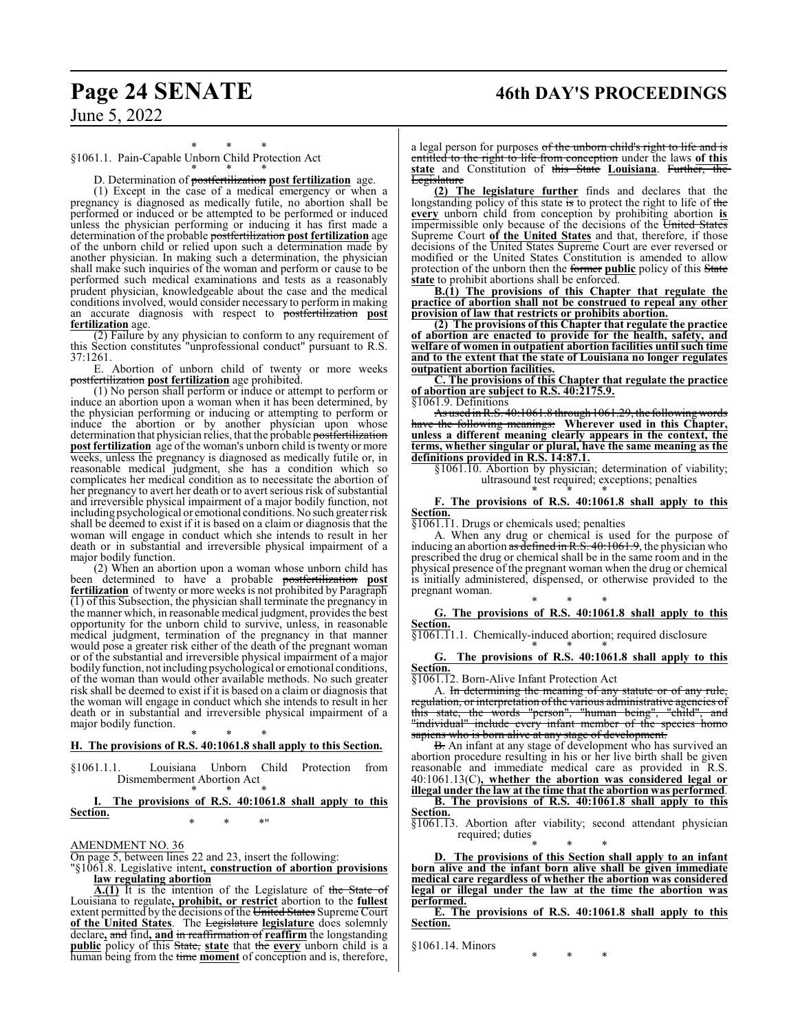## **Page 24 SENATE 46th DAY'S PROCEEDINGS**

### \* \* \* §1061.1. Pain-Capable Unborn Child Protection Act \* \* \*

D. Determination of postfertilization **post fertilization** age.

(1) Except in the case of a medical emergency or when a pregnancy is diagnosed as medically futile, no abortion shall be performed or induced or be attempted to be performed or induced unless the physician performing or inducing it has first made a determination of the probable postfertilization **post fertilization** age of the unborn child or relied upon such a determination made by another physician. In making such a determination, the physician shall make such inquiries of the woman and perform or cause to be performed such medical examinations and tests as a reasonably prudent physician, knowledgeable about the case and the medical conditions involved, would consider necessary to perform in making an accurate diagnosis with respect to postfertilization **post fertilization** age.

 $(2)$  Failure by any physician to conform to any requirement of this Section constitutes "unprofessional conduct" pursuant to R.S. 37:1261.

E. Abortion of unborn child of twenty or more weeks postfertilization **post fertilization** age prohibited.

(1) No person shall perform or induce or attempt to perform or induce an abortion upon a woman when it has been determined, by the physician performing or inducing or attempting to perform or induce the abortion or by another physician upon whose determination that physician relies, that the probable postfertilization **post fertilization** age of the woman's unborn child is twenty or more weeks, unless the pregnancy is diagnosed as medically futile or, in reasonable medical judgment, she has a condition which so complicates her medical condition as to necessitate the abortion of her pregnancy to avert her death or to avert serious risk of substantial and irreversible physical impairment of a major bodily function, not including psychological or emotional conditions. No such greater risk shall be deemed to exist if it is based on a claim or diagnosis that the woman will engage in conduct which she intends to result in her death or in substantial and irreversible physical impairment of a major bodily function.

(2) When an abortion upon a woman whose unborn child has been determined to have a probable postfertilization **post fertilization** of twenty or more weeks is not prohibited by Paragraph (1) of this Subsection, the physician shall terminate the pregnancy in the manner which, in reasonable medical judgment, provides the best opportunity for the unborn child to survive, unless, in reasonable medical judgment, termination of the pregnancy in that manner would pose a greater risk either of the death of the pregnant woman or of the substantial and irreversible physical impairment of a major bodily function, not including psychological or emotional conditions, of the woman than would other available methods. No such greater risk shall be deemed to exist if it is based on a claim or diagnosis that the woman will engage in conduct which she intends to result in her death or in substantial and irreversible physical impairment of a major bodily function.

### \* \* \* **H. The provisions of R.S. 40:1061.8 shall apply to this Section.**

§1061.1.1. Louisiana Unborn Child Protection from Dismemberment Abortion Act \* \* \*

### **I. The provisions of R.S. 40:1061.8 shall apply to this Section.** \* \* \*"

AMENDMENT NO. 36

On page 5, between lines 22 and 23, insert the following:

"§1061.8. Legislative intent**, construction of abortion provisions law regulating abortion**

**A.(1)** It is the intention of the Legislature of the State of Louisiana to regulate**, prohibit, or restrict** abortion to the **fullest** extent permitted by the decisions of the United States Supreme Court **of the United States**. The Legislature **legislature** does solemnly declare**,** and find**, and** in reaffirmation of **reaffirm** the longstanding **public** policy of this State, **state** that the **every** unborn child is a human being from the time **moment** of conception and is, therefore,

a legal person for purposes of the unborn child's right to life and is entitled to the right to life from conception under the laws **of this state** and Constitution of this State **Louisiana**. Further, the **Legislature** 

**(2) The legislature further** finds and declares that the longstanding policy of this state is to protect the right to life of the **every** unborn child from conception by prohibiting abortion **is** impermissible only because of the decisions of the United States Supreme Court **of the United States** and that, therefore, if those decisions of the United States Supreme Court are ever reversed or modified or the United States Constitution is amended to allow protection of the unborn then the former **public** policy of this State **state** to prohibit abortions shall be enforced.

**B.(1) The provisions of this Chapter that regulate the practice of abortion shall not be construed to repeal any other provision of law that restricts or prohibits abortion.**

**(2) The provisions of this Chapter that regulate the practice of abortion are enacted to provide for the health, safety, and welfare of women in outpatient abortion facilities until such time and to the extent that the state of Louisiana no longer regulates outpatient abortion facilities.**

**C. The provisions of this Chapter that regulate the practice of abortion are subject to R.S. 40:2175.9.**

§1061.9. Definitions

As used in R.S.  $40:1061.8$  through  $1061.29$ , the following have the following meanings: **Wherever used in this Chapter, unless a different meaning clearly appears in the context, the terms, whether singular or plural, have the same meaning as the definitions provided in R.S. 14:87.1.**

§1061.10. Abortion by physician; determination of viability; ultrasound test required; exceptions; penalties \* \* \*

### **F. The provisions of R.S. 40:1061.8 shall apply to this Section.**

§1061.11. Drugs or chemicals used; penalties

A. When any drug or chemical is used for the purpose of inducing an abortion as defined in R.S. 40:1061.9, the physician who prescribed the drug or chemical shall be in the same room and in the physical presence of the pregnant woman when the drug or chemical is initially administered, dispensed, or otherwise provided to the pregnant woman.

\* \* \*

**G. The provisions of R.S. 40:1061.8 shall apply to this Section.**

§1061.11.1. Chemically-induced abortion; required disclosure \* \* \*

**G. The provisions of R.S. 40:1061.8 shall apply to this Section.**

§1061.12. Born-Alive Infant Protection Act

A. In determining the meaning of any statute or of any rule, regulation, or interpretation of the various administrative agencies of this state, the words "person", "human being", "child", and "individual" include every infant member of the species homo sapiens who is born alive at any stage of development.

B. An infant at any stage of development who has survived an abortion procedure resulting in his or her live birth shall be given reasonable and immediate medical care as provided in R.S. 40:1061.13(C)**, whether the abortion was considered legal or illegal under the law at the time that the abortion was performed**.

**B. The provisions of R.S. 40:1061.8 shall apply to this Section.**

§1061.13. Abortion after viability; second attendant physician required; duties

\* \* \* **D. The provisions of this Section shall apply to an infant born alive and the infant born alive shall be given immediate medical care regardless of whether the abortion was considered legal or illegal under the law at the time the abortion was performed.**

**E. The provisions of R.S. 40:1061.8 shall apply to this Section.**

§1061.14. Minors

\* \* \*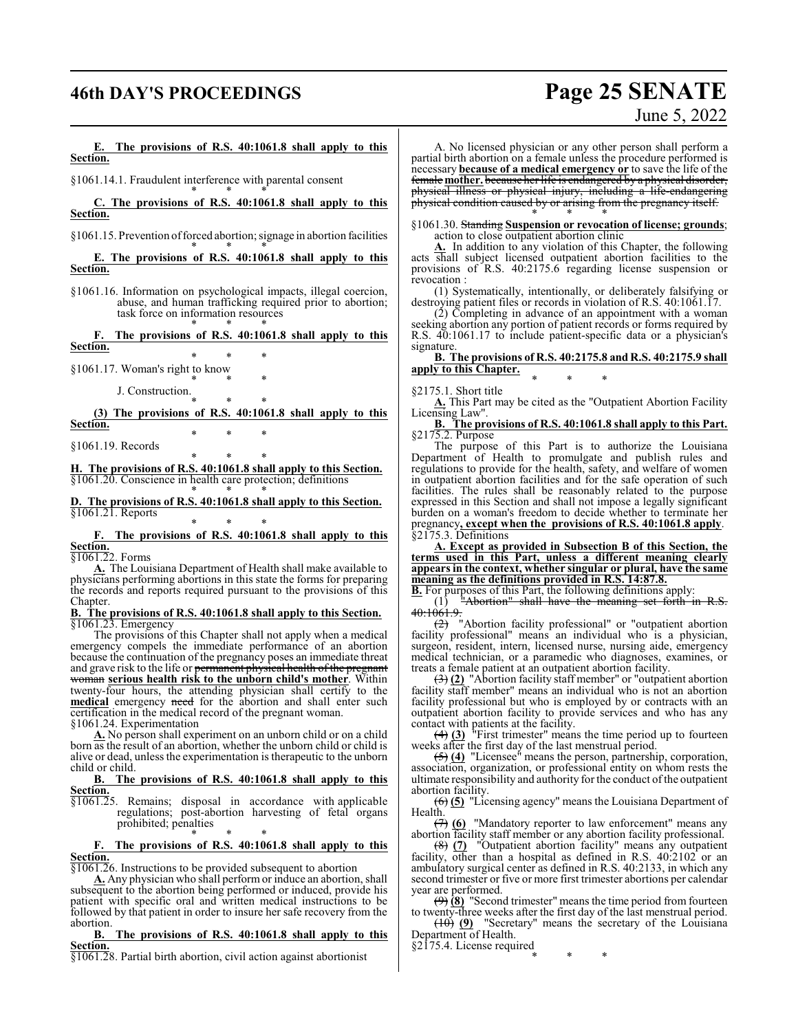## **46th DAY'S PROCEEDINGS Page 25 SENATE**

# June 5, 2022

**E. The provisions of R.S. 40:1061.8 shall apply to this Section.**

§1061.14.1. Fraudulent interference with parental consent

\* \* \* **C. The provisions of R.S. 40:1061.8 shall apply to this Section.**

§1061.15. Prevention of forced abortion; signage in abortion facilities

\* \* \* **E. The provisions of R.S. 40:1061.8 shall apply to this Section.**

§1061.16. Information on psychological impacts, illegal coercion, abuse, and human trafficking required prior to abortion; task force on information resources \* \* \*

**F. The provisions of R.S. 40:1061.8 shall apply to this Section.**

\* \* \* §1061.17. Woman's right to know

\* \* \* J. Construction.

\* \* \* **(3) The provisions of R.S. 40:1061.8 shall apply to this Section.** \* \* \*

§1061.19. Records

\* \* \* **H. The provisions of R.S. 40:1061.8 shall apply to this Section.** §1061.20. Conscience in health care protection; definitions \* \* \*

**D. The provisions of R.S. 40:1061.8 shall apply to this Section.** §1061.21. Reports

\* \* \* **F. The provisions of R.S. 40:1061.8 shall apply to this Section.**

§1061.22. Forms

**A.** The Louisiana Department of Health shall make available to physicians performing abortions in this state the forms for preparing the records and reports required pursuant to the provisions of this Chapter.

**B. The provisions of R.S. 40:1061.8 shall apply to this Section.** §1061.23. Emergency

The provisions of this Chapter shall not apply when a medical emergency compels the immediate performance of an abortion because the continuation of the pregnancy poses an immediate threat and grave risk to the life or permanent physical health of the pregnant woman **serious health risk to the unborn child's mother**. Within twenty-four hours, the attending physician shall certify to the **medical** emergency need for the abortion and shall enter such certification in the medical record of the pregnant woman.

§1061.24. Experimentation

**A.** No person shall experiment on an unborn child or on a child born as the result of an abortion, whether the unborn child or child is alive or dead, unless the experimentation is therapeutic to the unborn child or child.

**B. The provisions of R.S. 40:1061.8 shall apply to this Section.**

§1061.25. Remains; disposal in accordance with applicable regulations; post-abortion harvesting of fetal organs prohibited; penalties

\* \* \* **F. The provisions of R.S. 40:1061.8 shall apply to this Section.**

§1061.26. Instructions to be provided subsequent to abortion

**A.** Any physician who shall perform or induce an abortion, shall subsequent to the abortion being performed or induced, provide his patient with specific oral and written medical instructions to be followed by that patient in order to insure her safe recovery from the

abortion.<br>**B. B. The provisions of R.S. 40:1061.8 shall apply to this Section.**

§1061.28. Partial birth abortion, civil action against abortionist

A. No licensed physician or any other person shall perform a partial birth abortion on a female unless the procedure performed is necessary **because of a medical emergency or** to save the life of the female **mother.** because her life is endangered by a physical disorder, physical illness or physical injury, including a life-endangering physical condition caused by or arising from the pregnancy itself. \* \* \*

§1061.30. Standing **Suspension or revocation of license; grounds**; action to close outpatient abortion clinic

**A.** In addition to any violation of this Chapter, the following acts shall subject licensed outpatient abortion facilities to the provisions of R.S. 40:2175.6 regarding license suspension or revocation :

(1) Systematically, intentionally, or deliberately falsifying or destroying patient files or records in violation of R.S. 40:1061.17.

(2) Completing in advance of an appointment with a woman seeking abortion any portion of patient records or forms required by R.S. 40:1061.17 to include patient-specific data or a physician's signature.

**B. The provisions of R.S. 40:2175.8 and R.S. 40:2175.9 shall apply to this Chapter.** \* \* \*

§2175.1. Short title

**A.** This Part may be cited as the "Outpatient Abortion Facility Licensing Law".

**B. The provisions of R.S. 40:1061.8 shall apply to this Part.** §2175.2. Purpose

The purpose of this Part is to authorize the Louisiana Department of Health to promulgate and publish rules and regulations to provide for the health, safety, and welfare of women in outpatient abortion facilities and for the safe operation of such facilities. The rules shall be reasonably related to the purpose expressed in this Section and shall not impose a legally significant burden on a woman's freedom to decide whether to terminate her pregnancy**, except when the provisions of R.S. 40:1061.8 apply**. §2175.3. Definitions

**A. Except as provided in Subsection B of this Section, the terms used in this Part, unless a different meaning clearly appears in the context, whether singular or plural, have the same meaning as the definitions provided in R.S. 14:87.8.**

**B.** For purposes of this Part, the following definitions apply:

 $(1)$  "Abortion" shall have the meaning set forth in R.S. 40:1061.9.

 $\frac{1}{2}$  "Abortion facility professional" or "outpatient abortion facility professional" means an individual who is a physician, surgeon, resident, intern, licensed nurse, nursing aide, emergency medical technician, or a paramedic who diagnoses, examines, or treats a female patient at an outpatient abortion facility.

(3) **(2)** "Abortion facility staff member" or "outpatient abortion facility staff member" means an individual who is not an abortion facility professional but who is employed by or contracts with an outpatient abortion facility to provide services and who has any contact with patients at the facility.

(4) **(3)** "First trimester" means the time period up to fourteen weeks after the first day of the last menstrual period.

(5) **(4)** "Licensee" means the person, partnership, corporation, association, organization, or professional entity on whom rests the ultimate responsibility and authority for the conduct ofthe outpatient abortion facility.

(6) **(5)** "Licensing agency" means the Louisiana Department of Health.

(7) **(6)** "Mandatory reporter to law enforcement" means any abortion facility staff member or any abortion facility professional.

(8) **(7)** "Outpatient abortion facility" means any outpatient facility, other than a hospital as defined in R.S. 40:2102 or an ambulatory surgical center as defined in R.S. 40:2133, in which any second trimester or five or more first trimester abortions per calendar year are performed.

(9) **(8)** "Second trimester" means the time period from fourteen to twenty-three weeks after the first day of the last menstrual period.

(10) **(9)** "Secretary" means the secretary of the Louisiana Department of Health. §2175.4. License required

\* \* \*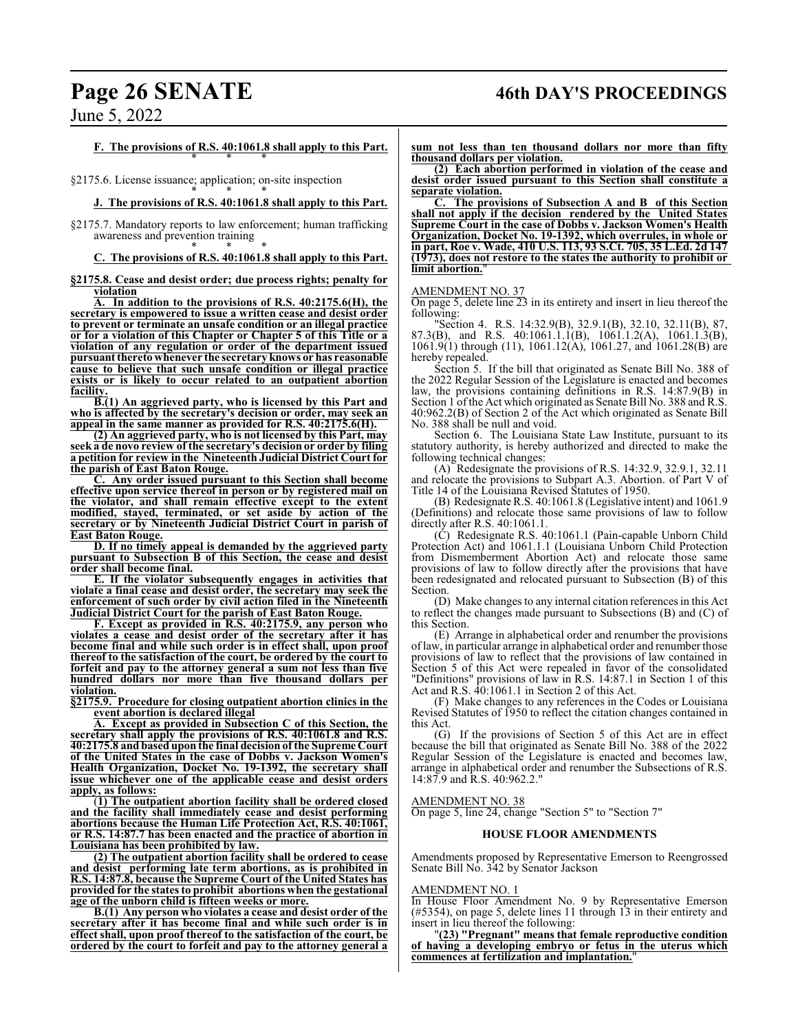## **Page 26 SENATE 46th DAY'S PROCEEDINGS**

June 5, 2022

**F. The provisions of R.S. 40:1061.8 shall apply to this Part.** \* \* \*

§2175.6. License issuance; application; on-site inspection

### \* \* \* **J. The provisions of R.S. 40:1061.8 shall apply to this Part.**

§2175.7. Mandatory reports to law enforcement; human trafficking awareness and prevention training \* \* \*

### **C. The provisions of R.S. 40:1061.8 shall apply to this Part.**

### **§2175.8. Cease and desist order; due process rights; penalty for violation**

**A. In addition to the provisions of R.S. 40:2175.6(H), the secretary is empowered to issue a written cease and desist order to prevent or terminate an unsafe condition or an illegal practice or for a violation of this Chapter or Chapter 5 of this Title or a violation of any regulation or order of the department issued pursuant thereto** whenever the secretary knows or has reasonable **cause to believe that such unsafe condition or illegal practice exists or is likely to occur related to an outpatient abortion facility.**

**B.(1) An aggrieved party, who is licensed by this Part and who is affected by the secretary's decision or order, may seek an appeal in the same manner as provided for R.S. 40:2175.6(H).**

**(2) An aggrieved party, who is not licensed by this Part, may seek a de novo review of the secretary's decision or order by filing a petition for review in the Nineteenth Judicial District Court for the parish of East Baton Rouge.** 

**C. Any order issued pursuant to this Section shall become effective upon service thereof in person or by registered mail on the violator, and shall remain effective except to the extent modified, stayed, terminated, or set aside by action of the secretary or by Nineteenth Judicial District Court in parish of East Baton Rouge.**

**D. If no timely appeal is demanded by the aggrieved party pursuant to Subsection B of this Section, the cease and desist order shall become final.**

**E. If the violator subsequently engages in activities that violate a final cease and desist order, the secretary may seek the enforcement of such order by civil action filed in the Nineteenth Judicial District Court for the parish of East Baton Rouge.**

**F. Except as provided in R.S. 40:2175.9, any person who violates a cease and desist order of the secretary after it has become final and while such order is in effect shall, upon proof thereof to the satisfaction of the court, be ordered by the court to forfeit and pay to the attorney general a sum not less than five hundred dollars** nor more than five thousand **violation.**

**§2175.9. Procedure for closing outpatient abortion clinics in the event abortion is declared illegal**

**A. Except as provided in Subsection C of this Section, the secretary shall apply the provisions of R.S. 40:1061.8 and R.S. 40:2175.8 and based upon the final decision of the Supreme Court of the United States in the case of Dobbs v. Jackson Women's Health Organization, Docket No. 19-1392, the secretary shall issue whichever one of the applicable cease and desist orders apply, as follows:**

(**1) The outpatient abortion facility shall be ordered closed and the facility shall immediately cease and desist performing abortions because the Human Life Protection Act, R.S. 40:1061, or R.S. 14:87.7 has been enacted and the practice of abortion in Louisiana has been prohibited by law.**

**(2) The outpatient abortion facility shall be ordered to cease and desist performing late term abortions, as is prohibited in R.S. 14:87.8, because the Supreme Court of the United States has provided for the states to prohibit abortions when the gestational age of the unborn child is fifteen weeks or more.**

**B.(1) Any person who violates a cease and desist order of the secretary after it has become final and while such order is in effect shall, upon proof thereof to the satisfaction of the court, be ordered by the court to forfeit and pay to the attorney general a**

**sum not less than ten thousand dollars nor more than fifty thousand dollars per violation.**

**(2) Each abortion performed in violation of the cease and desist order issued pursuant to this Section shall constitute a separate violation.**

**C. The provisions of Subsection A and B of this Section shall not apply if the decision rendered by the United States Supreme Court in the case of Dobbs v. Jackson Women's Health Organization, Docket No. 19-1392, which overrules, in whole or in part, Roe v. Wade, 410 U.S. 113, 93 S.Ct. 705, 35 L.Ed. 2d 147 (1973), does not restore to the states the authority to prohibit or limit abortion.** 

### AMENDMENT NO. 37

On page 5, delete line 23 in its entirety and insert in lieu thereof the following:

"Section 4. R.S. 14:32.9(B), 32.9.1(B), 32.10, 32.11(B), 87, 87.3(B), and R.S. 40:1061.1.1(B), 1061.1.2(A), 1061.1.3(B), 1061.9(1) through (11), 1061.12(A), 1061.27, and 1061.28(B) are hereby repealed.

Section 5. If the bill that originated as Senate Bill No. 388 of the 2022 Regular Session of the Legislature is enacted and becomes law, the provisions containing definitions in R.S. 14:87.9(B) in Section 1 of the Act which originated as Senate Bill No. 388 and R.S. 40:962.2(B) of Section 2 of the Act which originated as Senate Bill No. 388 shall be null and void.

Section 6. The Louisiana State Law Institute, pursuant to its statutory authority, is hereby authorized and directed to make the following technical changes:

(A) Redesignate the provisions of R.S. 14:32.9, 32.9.1, 32.11 and relocate the provisions to Subpart A.3. Abortion. of Part V of Title 14 of the Louisiana Revised Statutes of 1950.

(B) Redesignate R.S. 40:1061.8 (Legislative intent) and 1061.9 (Definitions) and relocate those same provisions of law to follow directly after R.S. 40:1061.1.

(C) Redesignate R.S. 40:1061.1 (Pain-capable Unborn Child Protection Act) and 1061.1.1 (Louisiana Unborn Child Protection from Dismemberment Abortion Act) and relocate those same provisions of law to follow directly after the provisions that have been redesignated and relocated pursuant to Subsection (B) of this Section.

(D) Make changes to any internal citation references in this Act to reflect the changes made pursuant to Subsections (B) and (C) of this Section.

(E) Arrange in alphabetical order and renumber the provisions oflaw, in particular arrange in alphabetical order and renumber those provisions of law to reflect that the provisions of law contained in Section 5 of this Act were repealed in favor of the consolidated "Definitions" provisions of law in R.S. 14:87.1 in Section 1 of this Act and R.S. 40:1061.1 in Section 2 of this Act.

(F) Make changes to any references in the Codes or Louisiana Revised Statutes of 1950 to reflect the citation changes contained in this Act.

(G) If the provisions of Section 5 of this Act are in effect because the bill that originated as Senate Bill No. 388 of the 2022 Regular Session of the Legislature is enacted and becomes law, arrange in alphabetical order and renumber the Subsections of R.S. 14:87.9 and R.S. 40:962.2."

### AMENDMENT NO. 38

On page 5, line 24, change "Section 5" to "Section 7"

### **HOUSE FLOOR AMENDMENTS**

Amendments proposed by Representative Emerson to Reengrossed Senate Bill No. 342 by Senator Jackson

### AMENDMENT NO. 1

In House Floor Amendment No. 9 by Representative Emerson (#5354), on page 5, delete lines 11 through 13 in their entirety and insert in lieu thereof the following:

"**(23) "Pregnant" means that female reproductive condition of having a developing embryo or fetus in the uterus which commences at fertilization and implantation.**"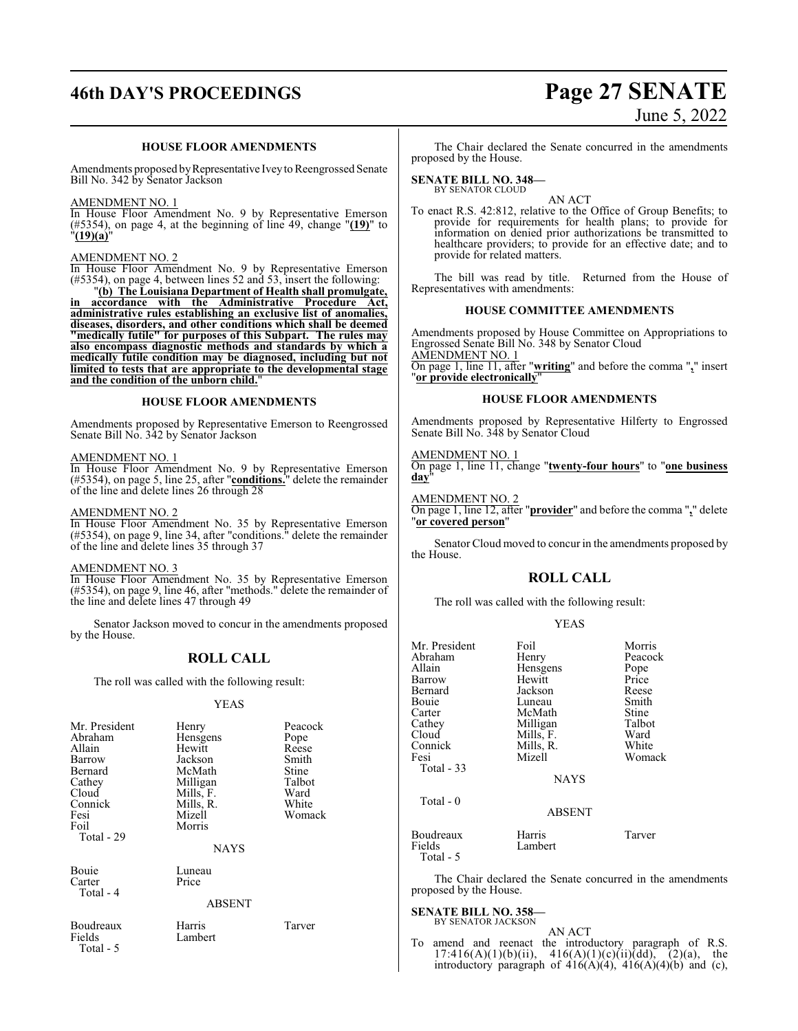## **46th DAY'S PROCEEDINGS Page 27 SENATE**

### **HOUSE FLOOR AMENDMENTS**

Amendments proposed by Representative Ivey to Reengrossed Senate Bill No. 342 by Senator Jackson

### AMENDMENT NO. 1

In House Floor Amendment No. 9 by Representative Emerson (#5354), on page 4, at the beginning of line 49, change "**(19)**" to "**(19)(a)**"

### AMENDMENT NO. 2

In House Floor Amendment No. 9 by Representative Emerson (#5354), on page 4, between lines 52 and 53, insert the following:

"**(b) The Louisiana Department of Health shall promulgate, in accordance with the Administrative Procedure Act, administrative rules establishing an exclusive list of anomalies, diseases, disorders, and other conditions which shall be deemed "medically futile" for purposes of this Subpart. The rules may also encompass diagnostic methods and standards by which a medically futile condition may be diagnosed, including but not limited to tests that are appropriate to the developmental stage and the condition of the unborn child.**"

### **HOUSE FLOOR AMENDMENTS**

Amendments proposed by Representative Emerson to Reengrossed Senate Bill No. 342 by Senator Jackson

### AMENDMENT NO. 1

In House Floor Amendment No. 9 by Representative Emerson (#5354), on page 5, line 25, after "**conditions.**" delete the remainder of the line and delete lines 26 through 28

### AMENDMENT NO. 2

In House Floor Amendment No. 35 by Representative Emerson (#5354), on page 9, line 34, after "conditions." delete the remainder of the line and delete lines 35 through 37

### AMENDMENT NO. 3

In House Floor Amendment No. 35 by Representative Emerson (#5354), on page 9, line 46, after "methods." delete the remainder of the line and delete lines 47 through 49

Senator Jackson moved to concur in the amendments proposed by the House.

### **ROLL CALL**

The roll was called with the following result:

### YEAS

| Mr. President<br>Abraham<br>Allain<br>Barrow<br>Bernard<br>Cathey<br>Cloud<br>Connick<br>Fesi<br>Foil<br>Total - 29 | Henry<br>Hensgens<br>Hewitt<br>Jackson<br>McMath<br>Milligan<br>Mills, F.<br>Mills, R.<br>Mizell<br>Morris<br><b>NAYS</b> | Peacock<br>Pope<br>Reese<br>Smith<br>Stine<br>Talbot<br>Ward<br>White<br>Womack |
|---------------------------------------------------------------------------------------------------------------------|---------------------------------------------------------------------------------------------------------------------------|---------------------------------------------------------------------------------|
| Bouie<br>Carter<br>Total - 4                                                                                        | Luneau<br>Price<br><b>ABSENT</b>                                                                                          |                                                                                 |
| Boudreaux<br>Fields<br>Total - 5                                                                                    | Harris<br>Lambert                                                                                                         | Tarver                                                                          |

### The Chair declared the Senate concurred in the amendments proposed by the House.

**SENATE BILL NO. 348—** BY SENATOR CLOUD

AN ACT

To enact R.S. 42:812, relative to the Office of Group Benefits; to provide for requirements for health plans; to provide for information on denied prior authorizations be transmitted to healthcare providers; to provide for an effective date; and to provide for related matters.

The bill was read by title. Returned from the House of Representatives with amendments:

### **HOUSE COMMITTEE AMENDMENTS**

Amendments proposed by House Committee on Appropriations to Engrossed Senate Bill No. 348 by Senator Cloud AMENDMENT NO. 1 On page 1, line 11, after "**writing**" and before the comma "**,**" insert "**or provide electronically**"

### **HOUSE FLOOR AMENDMENTS**

Amendments proposed by Representative Hilferty to Engrossed Senate Bill No. 348 by Senator Cloud

#### AMENDMENT NO. 1

On page 1, line 11, change "**twenty-four hours**" to "**one business day**"

### AMENDMENT NO. 2

On page 1, line 12, after "**provider**" and before the comma "**,**" delete "**or covered person**"

Senator Cloud moved to concur in the amendments proposed by the House.

### **ROLL CALL**

The roll was called with the following result:

|--|--|

| Mr. President<br>Abraham<br>Allain<br>Barrow<br>Bernard<br>Bouie | Foil<br>Henry<br>Hensgens<br>Hewitt<br>Jackson<br>Luneau | Morris<br>Peacock<br>Pope<br>Price<br>Reese<br>Smith |
|------------------------------------------------------------------|----------------------------------------------------------|------------------------------------------------------|
| Carter<br>Cathey<br>Cloud<br>Connick<br>Fesi<br>Total - 33       | McMath<br>Milligan<br>Mills, F.<br>Mills, R.<br>Mizell   | Stine<br>Talbot<br>Ward<br>White<br>Womack           |
| Total $-0$                                                       | <b>NAYS</b><br><b>ABSENT</b>                             |                                                      |
| Boudreaux<br>Fields<br>Total - 5                                 | Harris<br>Lambert                                        | Tarver                                               |

The Chair declared the Senate concurred in the amendments proposed by the House.

### **SENATE BILL NO. 358—**

BY SENATOR JACKSON

AN ACT To amend and reenact the introductory paragraph of R.S.  $17:416(A)(1)(b)(ii)$ ,  $416(A)(1)(c)(ii)(dd)$ ,  $(2)(a)$ , the introductory paragraph of  $416(A)(4)$ ,  $416(A)(4)(b)$  and (c),

# June 5, 2022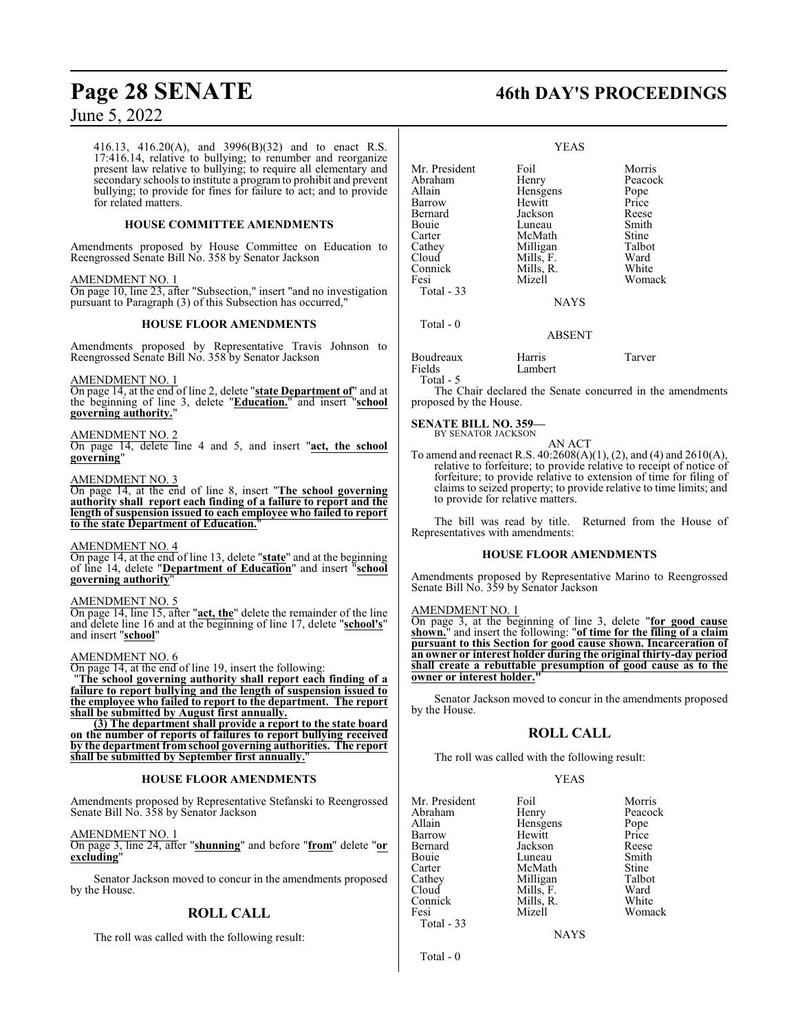416.13, 416.20(A), and 3996(B)(32) and to enact R.S. 17:416.14, relative to bullying; to renumber and reorganize present law relative to bullying; to require all elementary and secondary schools to institute a program to prohibit and prevent bullying; to provide for fines for failure to act; and to provide for related matters.

### **HOUSE COMMITTEE AMENDMENTS**

Amendments proposed by House Committee on Education to Reengrossed Senate Bill No. 358 by Senator Jackson

### AMENDMENT NO. 1

On page 10, line 23, after "Subsection," insert "and no investigation pursuant to Paragraph (3) of this Subsection has occurred,"

### **HOUSE FLOOR AMENDMENTS**

Amendments proposed by Representative Travis Johnson to Reengrossed Senate Bill No. 358 by Senator Jackson

### AMENDMENT NO. 1

On page 14, at the end of line 2, delete "**state Department of**" and at the beginning of line 3, delete "**Education.**" and insert "**school governing authority.**"

### AMENDMENT NO. 2

On page 14, delete line 4 and 5, and insert "**act, the school governing**"

### AMENDMENT NO. 3

On page 14, at the end of line 8, insert "**The school governing authority shall report each finding of a failure to report and the length ofsuspension issued to each employee who failed to report to the state Department of Education.**"

### AMENDMENT NO. 4

On page 14, at the end of line 13, delete "**state**" and at the beginning of line 14, delete "**Department of Education**" and insert "**school governing authority**"

### AMENDMENT NO. 5

On page 14, line 15, after "**act, the**" delete the remainder of the line and delete line 16 and at the beginning of line 17, delete "**school's**" and insert "**school**"

### AMENDMENT NO. 6

On page 14, at the end of line 19, insert the following:

"**The school governing authority shall report each finding of a failure to report bullying and the length of suspension issued to the employee who failed to report to the department. The report shall be submitted by August first annually.**

**(3) The department shall provide a report to the state board on the number of reports of failures to report bullying received by the department from school governing authorities. The report** shall be submitted by September first annually.

### **HOUSE FLOOR AMENDMENTS**

Amendments proposed by Representative Stefanski to Reengrossed Senate Bill No. 358 by Senator Jackson

AMENDMENT NO. 1

On page 3, line 24, after "**shunning**" and before "**from**" delete "**or excluding**"

Senator Jackson moved to concur in the amendments proposed by the House.

### **ROLL CALL**

The roll was called with the following result:

## **Page 28 SENATE 46th DAY'S PROCEEDINGS**

| Foil<br>Henry<br>Hensgens<br>Hewitt<br>Jackson<br>Luneau<br>McMath<br>Milligan<br>Mills, F.<br>Mills, R.<br>Mizell<br><b>NAYS</b> | Morris<br>Peacock<br>Pope<br>Price<br>Reese<br>Smith<br>Stine<br>Talbot<br>Ward<br>White<br>Womack |
|-----------------------------------------------------------------------------------------------------------------------------------|----------------------------------------------------------------------------------------------------|
| ABSENT                                                                                                                            |                                                                                                    |
|                                                                                                                                   | <b>YEAS</b>                                                                                        |

| Boudreaux | Harris  | Tarver |
|-----------|---------|--------|
| Fields    | Lambert |        |
| Total - 5 |         |        |

The Chair declared the Senate concurred in the amendments proposed by the House.

### **SENATE BILL NO. 359—**

BY SENATOR JACKSON AN ACT

To amend and reenact R.S. 40:2608(A)(1), (2), and (4) and 2610(A), relative to forfeiture; to provide relative to receipt of notice of forfeiture; to provide relative to extension of time for filing of claims to seized property; to provide relative to time limits; and to provide for relative matters.

The bill was read by title. Returned from the House of Representatives with amendments:

### **HOUSE FLOOR AMENDMENTS**

Amendments proposed by Representative Marino to Reengrossed Senate Bill No. 359 by Senator Jackson

### AMENDMENT NO. 1

On page 3, at the beginning of line 3, delete "**for good cause shown.**" and insert the following: "**of time for the filing of a claim pursuant to this Section for good cause shown. Incarceration of an owner or interest holder during the original thirty-day period shall create a rebuttable presumption of good cause as to the owner or interest holder."**

Senator Jackson moved to concur in the amendments proposed by the House.

### **ROLL CALL**

The roll was called with the following result:

### YEAS

Peacock Pope<br>Price

Womack

| Foil    | Morris                                                  |
|---------|---------------------------------------------------------|
|         | Peacoc                                                  |
|         | Pope                                                    |
| Hewitt  | Price                                                   |
| Jackson | Reese                                                   |
| Luneau  | Smith                                                   |
| McMath  | Stine                                                   |
|         | Talbot                                                  |
|         | Ward                                                    |
|         | White                                                   |
| Mizell  | Woma                                                    |
|         |                                                         |
|         | Henry<br>Hensgens<br>Milligan<br>Mills, F.<br>Mills, R. |

**NAYS** 

Total - 0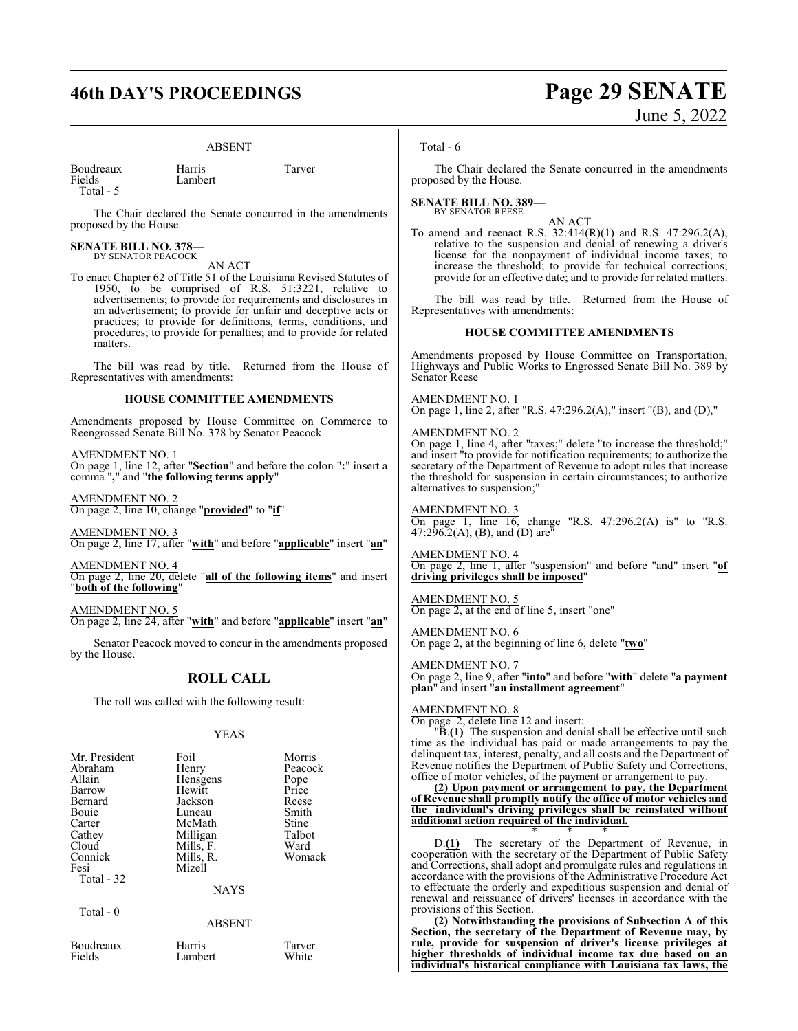## **46th DAY'S PROCEEDINGS Page 29 SENATE**

Lambert

### ABSENT

| Boudreaux | Harris   | Tarver |
|-----------|----------|--------|
| Fields    | I amhert |        |

Total - 5

The Chair declared the Senate concurred in the amendments proposed by the House.

### **SENATE BILL NO. 378—** BY SENATOR PEACOCK

AN ACT

To enact Chapter 62 of Title 51 of the Louisiana Revised Statutes of 1950, to be comprised of R.S. 51:3221, relative to advertisements; to provide for requirements and disclosures in an advertisement; to provide for unfair and deceptive acts or practices; to provide for definitions, terms, conditions, and procedures; to provide for penalties; and to provide for related matters.

The bill was read by title. Returned from the House of Representatives with amendments:

### **HOUSE COMMITTEE AMENDMENTS**

Amendments proposed by House Committee on Commerce to Reengrossed Senate Bill No. 378 by Senator Peacock

AMENDMENT NO. 1 On page 1, line 12, after "**Section**" and before the colon "**:**" insert a comma "**,**" and "**the following terms apply**"

AMENDMENT NO. 2 On page 2, line 10, change "**provided**" to "**if**"

AMENDMENT NO. 3 On page 2, line 17, after "**with**" and before "**applicable**" insert "**an**"

AMENDMENT NO. 4 On page 2, line 20, delete "**all of the following items**" and insert "**both of the following**"

AMENDMENT NO. 5 On page 2, line 24, after "**with**" and before "**applicable**" insert "**an**"

Senator Peacock moved to concur in the amendments proposed by the House.

### **ROLL CALL**

The roll was called with the following result:

### YEAS

| Mr. President<br>Abraham<br>Allain<br>Barrow<br>Bernard<br>Bouie<br>Carter<br>Cathey<br>Cloud<br>Connick<br>Fesi<br>Total - 32 | Foil<br>Henry<br>Hensgens<br>Hewitt<br>Jackson<br>Luneau<br>McMath<br>Milligan<br>Mills, F.<br>Mills, R.<br>Mizell<br><b>NAYS</b> | Morris<br>Peacock<br>Pope<br>Price<br>Reese<br>Smith<br>Stine<br>Talbot<br>Ward<br>Womack |
|--------------------------------------------------------------------------------------------------------------------------------|-----------------------------------------------------------------------------------------------------------------------------------|-------------------------------------------------------------------------------------------|
| Total $-0$                                                                                                                     | <b>ABSENT</b>                                                                                                                     |                                                                                           |
| Boudreaux<br>Fields                                                                                                            | Harris<br>Lambert                                                                                                                 | Tarver<br>White                                                                           |

### Total - 6

The Chair declared the Senate concurred in the amendments proposed by the House.

#### **SENATE BILL NO. 389—** BY SENATOR REESE

AN ACT

To amend and reenact R.S. 32:414(R)(1) and R.S. 47:296.2(A), relative to the suspension and denial of renewing a driver's license for the nonpayment of individual income taxes; to increase the threshold; to provide for technical corrections; provide for an effective date; and to provide for related matters.

The bill was read by title. Returned from the House of Representatives with amendments:

### **HOUSE COMMITTEE AMENDMENTS**

Amendments proposed by House Committee on Transportation, Highways and Public Works to Engrossed Senate Bill No. 389 by Senator Reese

AMENDMENT NO. 1 On page 1, line 2, after "R.S. 47:296.2(A)," insert "(B), and (D),"

### AMENDMENT NO. 2

On page 1, line 4, after "taxes;" delete "to increase the threshold;" and insert "to provide for notification requirements; to authorize the secretary of the Department of Revenue to adopt rules that increase the threshold for suspension in certain circumstances; to authorize alternatives to suspension;"

AMENDMENT NO. 3 On page 1, line 16, change "R.S. 47:296.2(A) is" to "R.S.  $47:296.2(A), (B),$  and  $(D)$  are<sup>"</sup>

AMENDMENT NO. 4 On page 2, line 1, after "suspension" and before "and" insert "**of driving privileges shall be imposed**"

AMENDMENT NO. 5 On page 2, at the end of line 5, insert "one"

AMENDMENT NO. 6 On page 2, at the beginning of line 6, delete "**two**"

AMENDMENT NO. 7 On page 2, line 9, after "**into**" and before "**with**" delete "**a payment plan**" and insert "**an installment agreement**"

### AMENDMENT NO. 8

On page 2, delete line 12 and insert:

"B.**(1)** The suspension and denial shall be effective until such time as the individual has paid or made arrangements to pay the delinquent tax, interest, penalty, and all costs and the Department of Revenue notifies the Department of Public Safety and Corrections, office of motor vehicles, of the payment or arrangement to pay.

**(2) Upon payment or arrangement to pay, the Department of Revenue shall promptly notify the office of motor vehicles and the individual's driving privileges shall be reinstated without additional action required of the individual.**

\* \* \* D.**(1)** The secretary of the Department of Revenue, in cooperation with the secretary of the Department of Public Safety and Corrections, shall adopt and promulgate rules and regulations in accordance with the provisions of the Administrative Procedure Act to effectuate the orderly and expeditious suspension and denial of renewal and reissuance of drivers' licenses in accordance with the provisions of this Section.

**(2) Notwithstanding the provisions of Subsection A of this Section, the secretary of the Department of Revenue may, by rule, provide for suspension of driver's license privileges at higher thresholds of individual income tax due based on an individual's historical compliance with Louisiana tax laws, the**

# June 5, 2022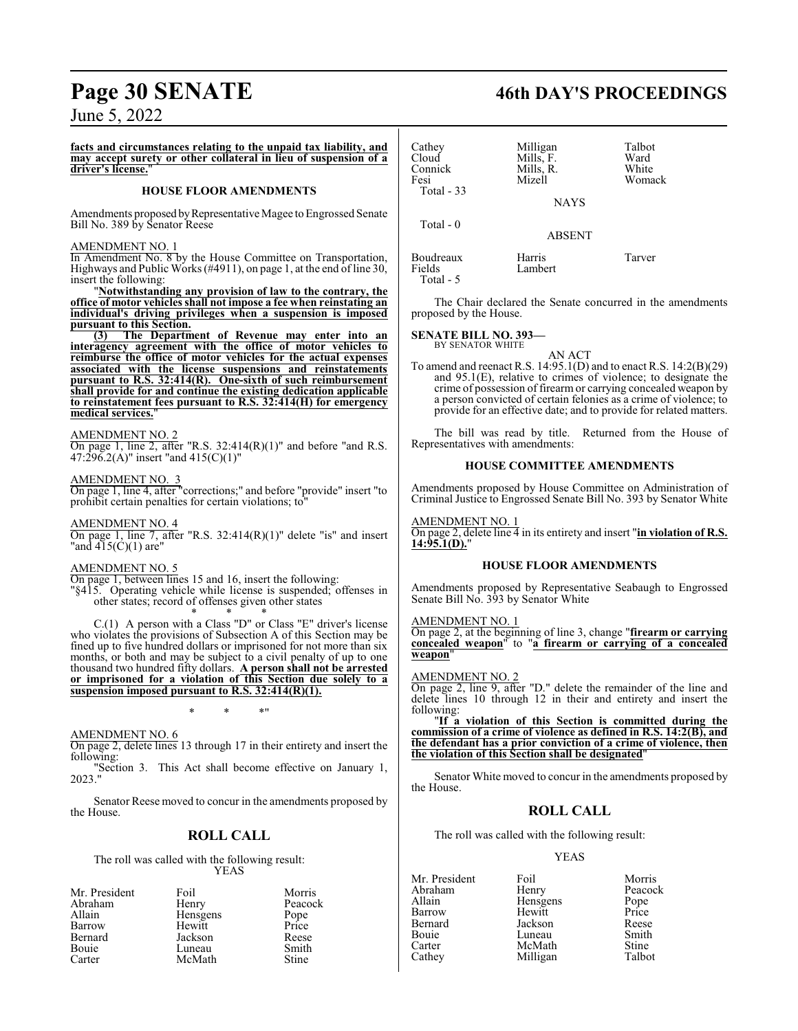### **facts and circumstances relating to the unpaid tax liability, and may accept surety or other collateral in lieu of suspension of a** driver's license.

### **HOUSE FLOOR AMENDMENTS**

Amendments proposed by Representative Magee to Engrossed Senate Bill No. 389 by Senator Reese

### AMENDMENT NO. 1

In Amendment No. 8 by the House Committee on Transportation, Highways and Public Works (#4911), on page 1, at the end of line 30, insert the following:

"**Notwithstanding any provision of law to the contrary, the office of motor vehicles shall not impose a fee when reinstating an individual's driving privileges when a suspension is imposed pursuant to this Section.**<br>(3) The Departm

**(3) The Department of Revenue may enter into an interagency agreement with the office of motor vehicles to reimburse the office of motor vehicles for the actual expenses associated with the license suspensions and reinstatements pursuant to R.S. 32:414(R). One-sixth of such reimbursement shall provide for and continue the existing dedication applicable to reinstatement fees pursuant to R.S. 32:414(H) for emergency** medical services.

### AMENDMENT NO. 2

On page 1, line 2, after "R.S.  $32:414(R)(1)$ " and before "and R.S. 47:296.2(A)" insert "and 415(C)(1)"

### AMENDMENT NO. 3

On page 1, line 4, after "corrections;" and before "provide" insert "to prohibit certain penalties for certain violations; to

### AMENDMENT NO. 4

On page 1, line 7, after "R.S.  $32:414(R)(1)$ " delete "is" and insert "and 415(C)(1) are"

### AMENDMENT NO. 5

On page 1, between lines 15 and 16, insert the following:

"§415. Operating vehicle while license is suspended; offenses in other states; record of offenses given other states \* \* \*

C.(1) A person with a Class "D" or Class "E" driver's license who violates the provisions of Subsection A of this Section may be fined up to five hundred dollars or imprisoned for not more than six months, or both and may be subject to a civil penalty of up to one thousand two hundred fifty dollars. **A person shall not be arrested or imprisoned for a violation of this Section due solely to a suspension imposed pursuant to R.S. 32:414(R)(1).**

\* \* \*"

### AMENDMENT NO. 6

On page 2, delete lines 13 through 17 in their entirety and insert the following:

"Section 3. This Act shall become effective on January 1, 2023."

Senator Reese moved to concur in the amendments proposed by the House.

### **ROLL CALL**

The roll was called with the following result: YEAS

| Mr. President | Foil     | Morris  |
|---------------|----------|---------|
| Abraham       | Henry    | Peacock |
| Allain        | Hensgens | Pope    |
| Barrow        | Hewitt   | Price   |
| Bernard       | Jackson  | Reese   |
| Bouie         | Luneau   | Smith   |
| Carter        | McMath   | Stine   |

## **Page 30 SENATE 46th DAY'S PROCEEDINGS**

| Cathey<br>Cloud<br>Connick<br>Fesi<br>Total $-33$ | Milligan<br>Mills, F.<br>Mills, R.<br>Mizell<br><b>NAYS</b> | Talbot<br>Ward<br>White<br>Womack |
|---------------------------------------------------|-------------------------------------------------------------|-----------------------------------|
| Total - 0                                         | <b>ABSENT</b>                                               |                                   |
| Boudreaux<br>Fields                               | Harris<br>I amhert                                          | Tarver                            |

Lambert

The Chair declared the Senate concurred in the amendments proposed by the House.

### **SENATE BILL NO. 393—**

BY SENATOR WHITE

Total - 5

AN ACT To amend and reenact R.S. 14:95.1(D) and to enact R.S. 14:2(B)(29) and 95.1(E), relative to crimes of violence; to designate the crime of possession of firearm or carrying concealed weapon by a person convicted of certain felonies as a crime of violence; to provide for an effective date; and to provide for related matters.

The bill was read by title. Returned from the House of Representatives with amendments:

### **HOUSE COMMITTEE AMENDMENTS**

Amendments proposed by House Committee on Administration of Criminal Justice to Engrossed Senate Bill No. 393 by Senator White

### AMENDMENT NO. 1

On page 2, delete line 4 in its entirety and insert "**in violation of R.S. 14:95.1(D).**"

### **HOUSE FLOOR AMENDMENTS**

Amendments proposed by Representative Seabaugh to Engrossed Senate Bill No. 393 by Senator White

### AMENDMENT NO. 1

On page 2, at the beginning of line 3, change "**firearm or carrying concealed weapon**" to "**a firearm or carrying of a concealed weapon**"

### AMENDMENT NO. 2

On page 2, line 9, after "D." delete the remainder of the line and delete lines 10 through 12 in their and entirety and insert the following:

"**If a violation of this Section is committed during the commission of a crime of violence as defined in R.S. 14:2(B), and the defendant has a prior conviction of a crime of violence, then the violation of this Section shall be designated**"

Senator White moved to concur in the amendments proposed by the House.

### **ROLL CALL**

The roll was called with the following result:

Hensgens

Milligan

YEAS

Abraham Henry Peacock<br>
Allain Hensgens Pope Barrow Hewitt Price Bernard Jackson Reese Bouie Luneau Smith<br>Carter McMath Stine Carter McMath Stine<br>Cathey Milligan Talbot

Mr. President Foil Foil Morris<br>Abraham Henry Peacock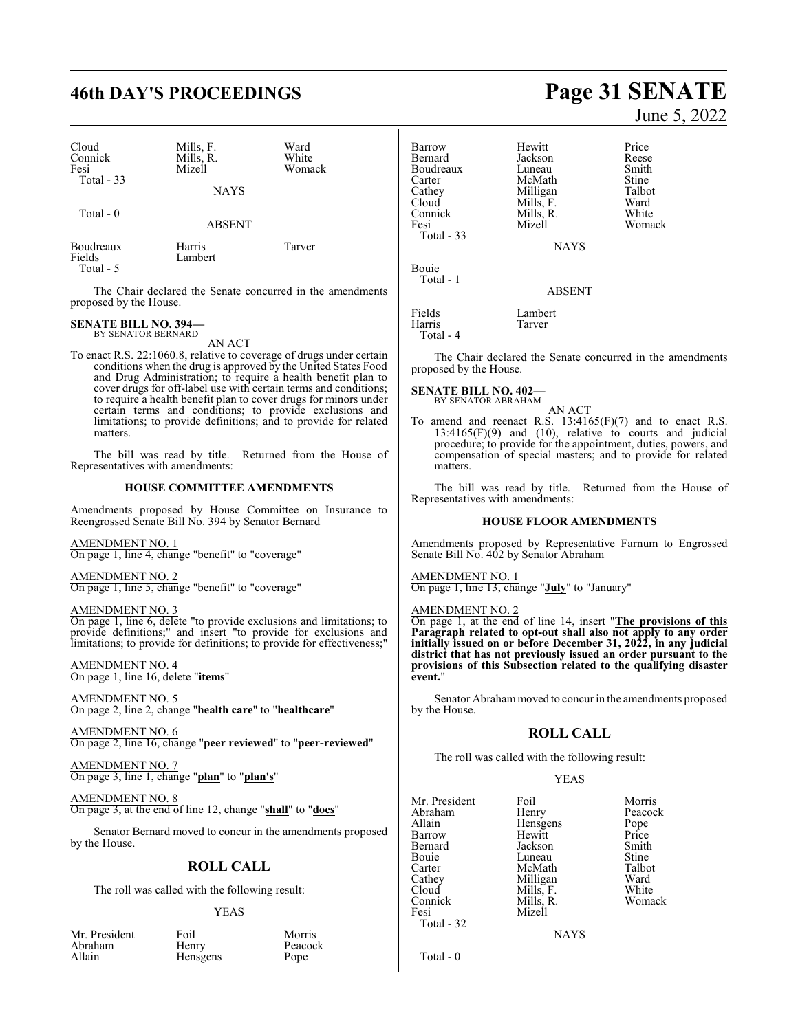## **46th DAY'S PROCEEDINGS Page 31 SENATE**

| Cloud<br>Connick<br>Fesi<br>Total $-33$ | Mills, F.<br>Mills, R.<br>Mizell | Ward<br>White<br>Womack |
|-----------------------------------------|----------------------------------|-------------------------|
|                                         | <b>NAYS</b>                      |                         |
| Total $-0$                              | <b>ABSENT</b>                    |                         |
| Boudreaux<br>Fields<br>Total - 5        | Harris<br>Lambert                | Tarver                  |

The Chair declared the Senate concurred in the amendments proposed by the House.

### **SENATE BILL NO. 394—** BY SENATOR BERNARD

AN ACT

To enact R.S. 22:1060.8, relative to coverage of drugs under certain conditions when the drug is approved by the United States Food and Drug Administration; to require a health benefit plan to cover drugs for off-label use with certain terms and conditions; to require a health benefit plan to cover drugs for minors under certain terms and conditions; to provide exclusions and limitations; to provide definitions; and to provide for related matters.

The bill was read by title. Returned from the House of Representatives with amendments:

### **HOUSE COMMITTEE AMENDMENTS**

Amendments proposed by House Committee on Insurance to Reengrossed Senate Bill No. 394 by Senator Bernard

AMENDMENT NO. 1 On page 1, line 4, change "benefit" to "coverage"

AMENDMENT NO. 2 On page 1, line 5, change "benefit" to "coverage"

AMENDMENT NO. 3

On page 1, line 6, delete "to provide exclusions and limitations; to provide definitions;" and insert "to provide for exclusions and limitations; to provide for definitions; to provide for effectiveness;"

AMENDMENT NO. 4 On page 1, line 16, delete "**items**"

AMENDMENT NO. 5 On page 2, line 2, change "**health care**" to "**healthcare**"

AMENDMENT NO. 6 On page 2, line 16, change "**peer reviewed**" to "**peer-reviewed**"

AMENDMENT NO. 7 On page 3, line 1, change "**plan**" to "**plan's**"

AMENDMENT NO. 8 On page 3, at the end of line 12, change "**shall**" to "**does**"

Senator Bernard moved to concur in the amendments proposed by the House.

### **ROLL CALL**

The roll was called with the following result:

### YEAS

| Mr. President | Foil            | Morris  |
|---------------|-----------------|---------|
| Abraham       | Henry           | Peacock |
| Allain        | <b>Hensgens</b> | Pope    |
|               |                 |         |

June 5, 2022

| Barrow<br>Bernard<br>Boudreaux<br>Carter<br>Cathey<br>Cloud<br>Connick<br>Fesi<br>Total $-33$ | Hewitt<br>Jackson<br>Luneau<br>McMath<br>Milligan<br>Mills, F.<br>Mills, R.<br>Mizell<br><b>NAYS</b> | Price<br>Reese<br>Smith<br>Stine<br>Talbot<br>Ward<br>White<br>Womack |
|-----------------------------------------------------------------------------------------------|------------------------------------------------------------------------------------------------------|-----------------------------------------------------------------------|
| <b>Bouje</b><br>Total - 1                                                                     | <b>ABSENT</b>                                                                                        |                                                                       |
| Fields<br>Harris                                                                              | Lambert<br>Tarver                                                                                    |                                                                       |

Total - 4

The Chair declared the Senate concurred in the amendments proposed by the House.

**SENATE BILL NO. 402—** BY SENATOR ABRAHAM

AN ACT

To amend and reenact R.S. 13:4165(F)(7) and to enact R.S.  $13:4165(F)(9)$  and  $(10)$ , relative to courts and judicial procedure; to provide for the appointment, duties, powers, and compensation of special masters; and to provide for related matters.

The bill was read by title. Returned from the House of Representatives with amendments:

### **HOUSE FLOOR AMENDMENTS**

Amendments proposed by Representative Farnum to Engrossed Senate Bill No. 402 by Senator Abraham

AMENDMENT NO. 1 On page 1, line 13, change "**July**" to "January"

AMENDMENT NO. 2

On page 1, at the end of line 14, insert "**The provisions of this Paragraph related to opt-out shall also not apply to any order initially issued on or before December 31, 2022, in any judicial district that has not previously issued an order pursuant to the provisions of this Subsection related to the qualifying disaster event.**"

Senator Abraham moved to concur in the amendments proposed by the House.

### **ROLL CALL**

The roll was called with the following result:

Mills, R.

### YEAS

Mr. President Foil Morris<br>Abraham Henry Peacoc Abraham Henry Peacock<br>Allain Hensgens Pope Allain **Hensgens** Pope<br>
Hewitt Price Barrow Hewitt Price<br>Bernard Jackson Smith Bernard Jackson Smith Bouie Luneau Stine<br>
Carter McMath Talbot Carter McMath Talbot<br>Cathey Milligan Ward Cathey Milligan Ward<br>Cloud Mills, F. White Cloud Mills, F. White<br>Connick Mills, R. Womack Fesi Mizell Total - 32

**NAYS** 

Total - 0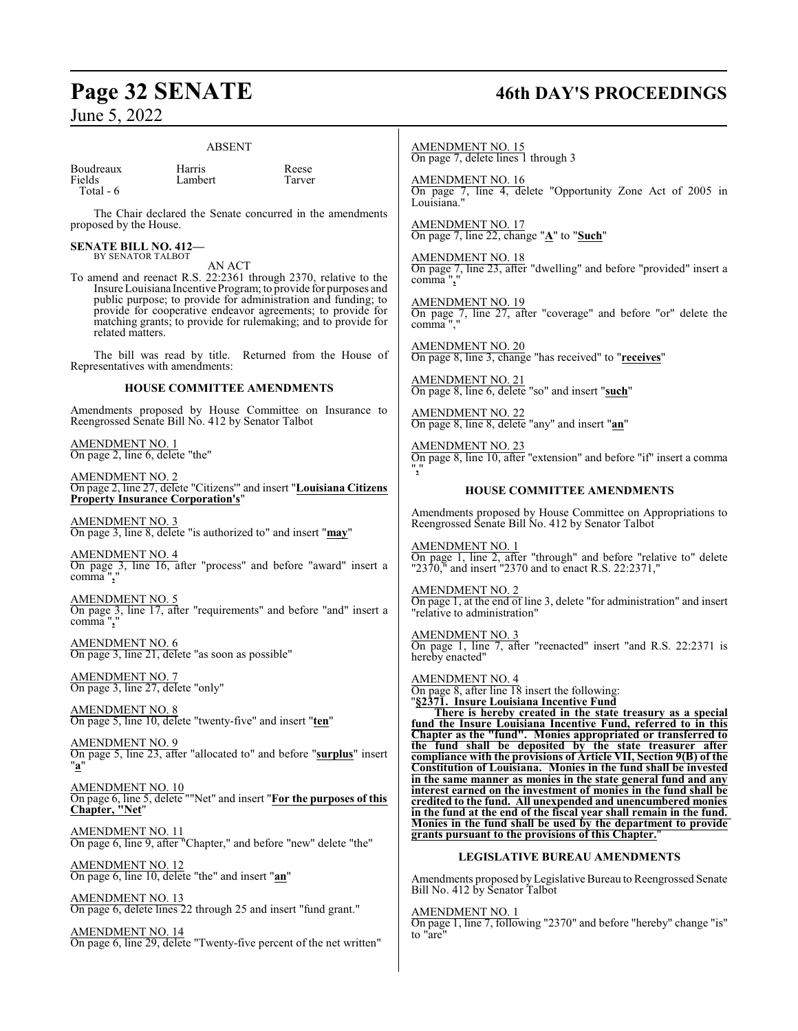### ABSENT

| Boudreaux |  |
|-----------|--|
| Fields    |  |

Total - 6

Harris Reese<br>Lambert Tarver Lambert

The Chair declared the Senate concurred in the amendments proposed by the House.

### **SENATE BILL NO. 412—** BY SENATOR TALBOT

AN ACT

To amend and reenact R.S. 22:2361 through 2370, relative to the Insure Louisiana Incentive Program; to provide for purposes and public purpose; to provide for administration and funding; to provide for cooperative endeavor agreements; to provide for matching grants; to provide for rulemaking; and to provide for related matters.

The bill was read by title. Returned from the House of Representatives with amendments:

### **HOUSE COMMITTEE AMENDMENTS**

Amendments proposed by House Committee on Insurance to Reengrossed Senate Bill No. 412 by Senator Talbot

AMENDMENT NO. 1 On page 2, line 6, delete "the"

AMENDMENT NO. 2 On page 2, line 27, delete "Citizens'" and insert "**Louisiana Citizens Property Insurance Corporation's** 

AMENDMENT NO. 3 On page 3, line 8, delete "is authorized to" and insert "**may**"

AMENDMENT NO. 4 On page 3, line 16, after "process" and before "award" insert a comma",

AMENDMENT NO. 5 On page 3, line 17, after "requirements" and before "and" insert a comma "**,**"

AMENDMENT NO. 6 On page 3, line 21, delete "as soon as possible"

AMENDMENT NO. 7 On page 3, line 27, delete "only"

AMENDMENT NO. 8 On page 5, line 10, delete "twenty-five" and insert "**ten**"

AMENDMENT NO. 9 On page 5, line 23, after "allocated to" and before "**surplus**" insert "**a**"

AMENDMENT NO.<sub>10</sub> On page 6, line 5, delete ""Net" and insert "**For the purposes of this Chapter, "Net**"

AMENDMENT NO. 11 On page 6, line 9, after "Chapter," and before "new" delete "the"

AMENDMENT NO. 12 On page 6, line 10, delete "the" and insert "**an**"

AMENDMENT NO. 13 On page 6, delete lines 22 through 25 and insert "fund grant."

AMENDMENT NO. 14 On page 6, line 29, delete "Twenty-five percent of the net written"

## **Page 32 SENATE 46th DAY'S PROCEEDINGS**

AMENDMENT NO. 15 On page 7, delete lines 1 through 3

AMENDMENT NO. 16 On page 7, line 4, delete "Opportunity Zone Act of 2005 in Louisiana.

AMENDMENT NO. 17 On page 7, line 22, change "**A**" to "**Such**"

AMENDMENT NO. 18 On page 7, line 23, after "dwelling" and before "provided" insert a comma "**,**"

AMENDMENT NO. 19 On page  $\frac{7}{1}$ , line 27, after "coverage" and before "or" delete the comma

AMENDMENT NO. 20 On page 8, line 3, change "has received" to "**receives**"

AMENDMENT NO. 21 On page 8, line 6, delete "so" and insert "**such**"

AMENDMENT NO. 22 On page 8, line 8, delete "any" and insert "**an**"

AMENDMENT NO. 23 On page 8, line 10, after "extension" and before "if" insert a comma "**,**"

### **HOUSE COMMITTEE AMENDMENTS**

Amendments proposed by House Committee on Appropriations to Reengrossed Senate Bill No. 412 by Senator Talbot

AMENDMENT NO. 1 On page 1, line 2, after "through" and before "relative to" delete "2370," and insert "2370 and to enact R.S. 22:2371,"

AMENDMENT NO. 2 On page 1, at the end of line 3, delete "for administration" and insert "relative to administration"

AMENDMENT NO. 3 On page 1, line 7, after "reenacted" insert "and R.S. 22:2371 is hereby enacted"

AMENDMENT NO. 4 On page 8, after line 18 insert the following: "**§2371. Insure Louisiana Incentive Fund**

**There is hereby created in the state treasury as a special fund the Insure Louisiana Incentive Fund, referred to in this Chapter as the "fund". Monies appropriated or transferred to the fund shall be deposited by the state treasurer after compliance with the provisions of Article VII, Section 9(B) of the Constitution of Louisiana. Monies in the fund shall be invested in the same manner as monies in the state general fund and any interest earned on the investment of monies in the fund shall be credited to the fund. All unexpended and unencumbered monies in the fund at the end of the fiscal year shall remain in the fund. Monies in the fund shall be used by the department to provide grants pursuant to the provisions of this Chapter.**"

### **LEGISLATIVE BUREAU AMENDMENTS**

Amendments proposed by Legislative Bureau to Reengrossed Senate Bill No. 412 by Senator Talbot

AMENDMENT NO. 1

On page 1, line 7, following "2370" and before "hereby" change "is" to "are"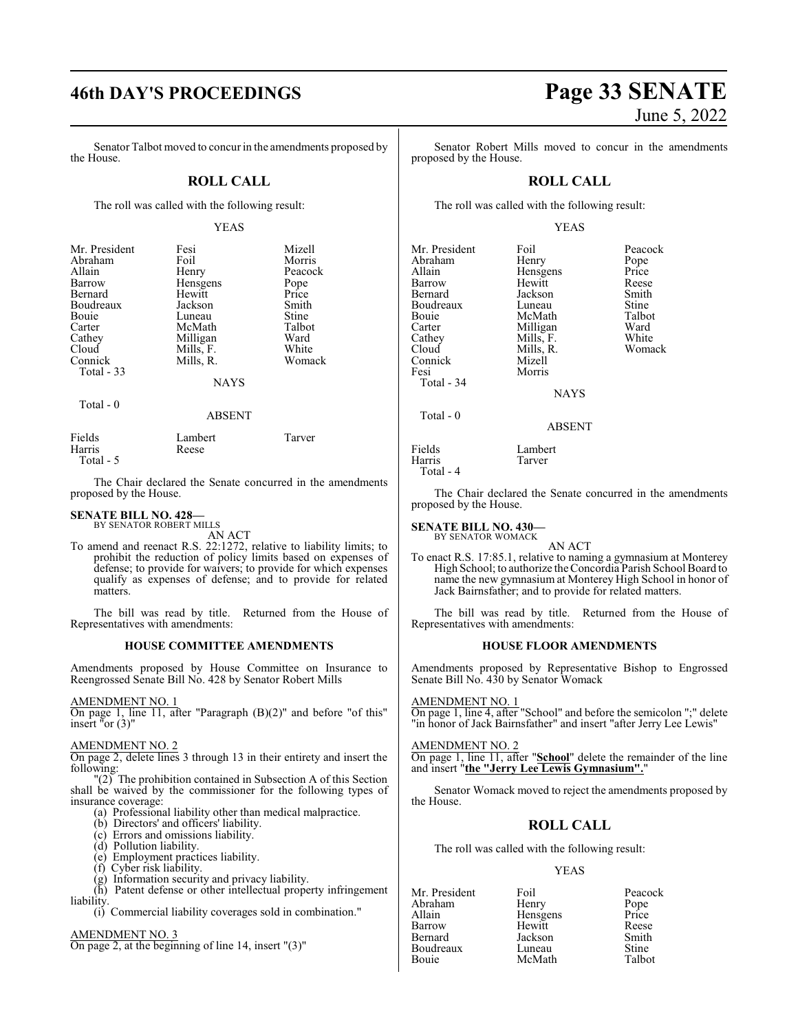Senator Talbot moved to concur in the amendments proposed by the House.

### **ROLL CALL**

The roll was called with the following result:

### YEAS

| Mr. President<br>Abraham<br>Allain<br>Barrow<br>Bernard<br>Boudreaux<br>Bouie<br>Carter<br>Cathey<br>Cloud<br>Connick<br>Total - 33 | Fesi<br>Foil<br>Henry<br>Hensgens<br>Hewitt<br>Jackson<br>Luneau<br>McMath<br>Milligan<br>Mills, F.<br>Mills, R.<br>NAYS | Mizell<br>Morris<br>Peacock<br>Pope<br>Price<br>Smith<br>Stine<br>Talbot<br>Ward<br>White<br>Womack |
|-------------------------------------------------------------------------------------------------------------------------------------|--------------------------------------------------------------------------------------------------------------------------|-----------------------------------------------------------------------------------------------------|
|                                                                                                                                     |                                                                                                                          |                                                                                                     |

Total - 0

### ABSENT

| Fields    | Lambert | Tarver |
|-----------|---------|--------|
| Harris    | Reese   |        |
| Total - 5 |         |        |

The Chair declared the Senate concurred in the amendments proposed by the House.

## **SENATE BILL NO. 428—** BY SENATOR ROBERT MILLS

AN ACT

To amend and reenact R.S. 22:1272, relative to liability limits; to prohibit the reduction of policy limits based on expenses of defense; to provide for waivers; to provide for which expenses qualify as expenses of defense; and to provide for related matters.

The bill was read by title. Returned from the House of Representatives with amendments:

### **HOUSE COMMITTEE AMENDMENTS**

Amendments proposed by House Committee on Insurance to Reengrossed Senate Bill No. 428 by Senator Robert Mills

### AMENDMENT NO. 1

On page 1, line 11, after "Paragraph (B)(2)" and before "of this" insert "or (3)"

### AMENDMENT NO. 2

On page 2, delete lines 3 through 13 in their entirety and insert the following:

"(2) The prohibition contained in Subsection A of this Section shall be waived by the commissioner for the following types of insurance coverage:

- (a) Professional liability other than medical malpractice.
- (b) Directors' and officers' liability.
- (c) Errors and omissions liability.
- (d) Pollution liability.
- (e) Employment practices liability.
- (f) Cyber risk liability.
- $(g)$  Information security and privacy liability.
- (h) Patent defense or other intellectual property infringement liability.

(i) Commercial liability coverages sold in combination."

### AMENDMENT NO. 3

On page 2, at the beginning of line 14, insert "(3)"

Senator Robert Mills moved to concur in the amendments proposed by the House.

### **ROLL CALL**

The roll was called with the following result:

### YEAS

| Mr. President<br>Abraham<br>Allain<br>Barrow<br>Bernard<br>Boudreaux<br>Bouie<br>Carter<br>Cathey<br>Cloud<br>Connick<br>Fesi<br>Total - 34 | Foil<br>Henry<br>Hensgens<br>Hewitt<br>Jackson<br>Luneau<br>McMath<br>Milligan<br>Mills, F.<br>Mills, R.<br>Mizell<br>Morris<br><b>NAYS</b> | Peacock<br>Pope<br>Price<br>Reese<br>Smith<br>Stine<br>Talbot<br>Ward<br>White<br>Womack |
|---------------------------------------------------------------------------------------------------------------------------------------------|---------------------------------------------------------------------------------------------------------------------------------------------|------------------------------------------------------------------------------------------|
| Total - 0                                                                                                                                   | <b>ABSENT</b>                                                                                                                               |                                                                                          |
| Fields<br>Harris                                                                                                                            | Lambert<br>Tarver                                                                                                                           |                                                                                          |

Total - 4

The Chair declared the Senate concurred in the amendments proposed by the House.

### **SENATE BILL NO. 430—** BY SENATOR WOMACK

AN ACT

To enact R.S. 17:85.1, relative to naming a gymnasium at Monterey High School; to authorize theConcordia Parish School Board to name the new gymnasium at Monterey High School in honor of Jack Bairnsfather; and to provide for related matters.

The bill was read by title. Returned from the House of Representatives with amendments:

### **HOUSE FLOOR AMENDMENTS**

Amendments proposed by Representative Bishop to Engrossed Senate Bill No. 430 by Senator Womack

AMENDMENT NO. 1 On page 1, line 4, after "School" and before the semicolon ";" delete "in honor of Jack Bairnsfather" and insert "after Jerry Lee Lewis"

AMENDMENT NO. 2 On page 1, line 11, after "**School**" delete the remainder of the line and insert "**the "Jerry Lee Lewis Gymnasium".**"

Senator Womack moved to reject the amendments proposed by the House.

### **ROLL CALL**

The roll was called with the following result:

Hensgens

McMath

### YEAS

Mr. President Foil Peacock<br>
Abraham Henry Pope Abraham Henry Pope<br>Allain Hensgens Price Barrow Hewitt Reese Bernard Jackson Smith Boudreaux Luneau Stine<br>Bouie McMath Talbot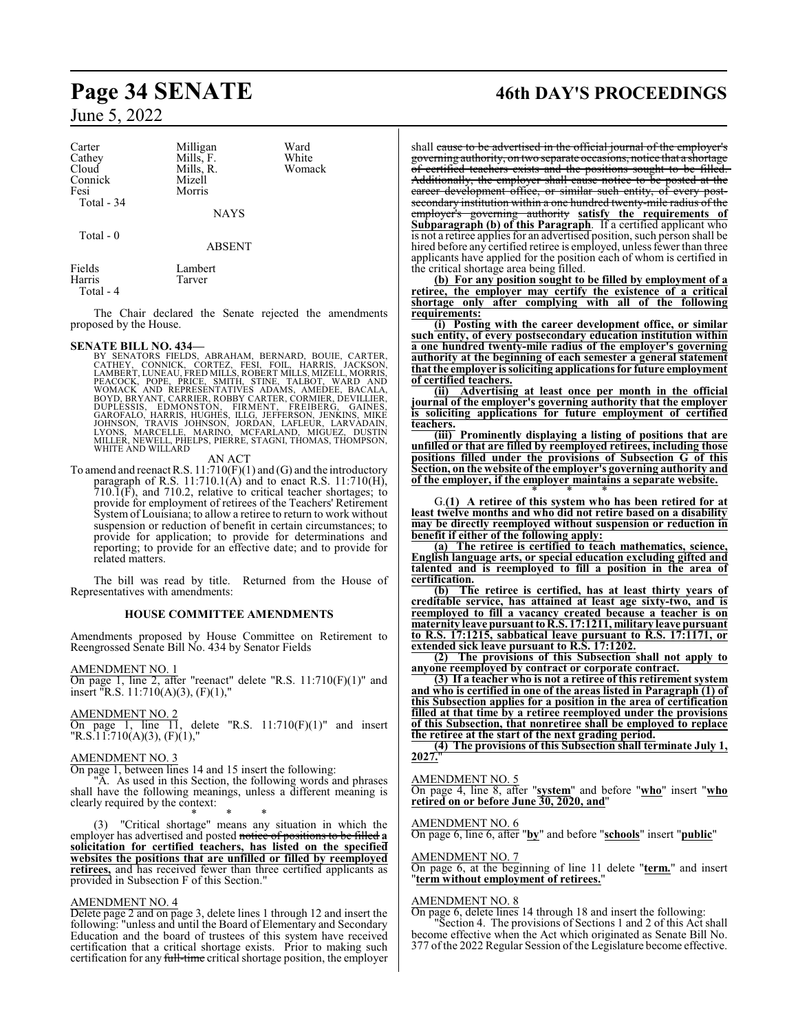| Carter     | Milligan    | Ward   |
|------------|-------------|--------|
| Cathey     | Mills, F.   | White  |
| Cloud      | Mills, R.   | Womack |
| Connick    | Mizell      |        |
| Fesi       | Morris      |        |
| Total - 34 |             |        |
|            | <b>NAYS</b> |        |

Total - 0

ABSENT

| Fields    | Lambert |
|-----------|---------|
| Harris    | Tarver  |
| Total - 4 |         |

The Chair declared the Senate rejected the amendments proposed by the House.

**SENATE BILL NO. 434—**<br>BY SENATORS FIELDS, ABRAHAM, BERNARD, BOUIE, CARTER,<br>CATHEY, CONNICK, CORTEZ, FESI, FOIL, HARRIS, JACKSON,<br>LAMBERT, LUNEAU, FRED MILLS, ROBERT MILLS, MIZELL, MORRIS,<br>FEACOCK, POPE, PRICE, SMITH, STIN

### AN ACT

To amend and reenact R.S.  $11:710(F)(1)$  and (G) and the introductory paragraph of R.S.  $11:710.1(A)$  and to enact R.S.  $11:710(H)$ ,  $710.\overline{1}$ (F), and 710.2, relative to critical teacher shortages; to provide for employment of retirees of the Teachers' Retirement System of Louisiana; to allow a retiree to return to work without suspension or reduction of benefit in certain circumstances; to provide for application; to provide for determinations and reporting; to provide for an effective date; and to provide for related matters.

The bill was read by title. Returned from the House of Representatives with amendments:

### **HOUSE COMMITTEE AMENDMENTS**

Amendments proposed by House Committee on Retirement to Reengrossed Senate Bill No. 434 by Senator Fields

AMENDMENT NO. 1

On page 1, line 2, after "reenact" delete "R.S. 11:710(F)(1)" and insert "R.S. 11:710(A)(3), (F)(1),"

AMENDMENT NO. 2

On page 1, line  $\overline{11}$ , delete "R.S.  $11:710(F)(1)$ " and insert "R.S.11:710(A)(3), (F)(1),"

### AMENDMENT NO. 3

On page 1, between lines 14 and 15 insert the following:

"A. As used in this Section, the following words and phrases shall have the following meanings, unless a different meaning is clearly required by the context:

\* \* \* (3) "Critical shortage" means any situation in which the employer has advertised and posted notice of positions to be filled **a solicitation for certified teachers, has listed on the specified websites the positions that are unfilled or filled by reemployed retirees,** and has received fewer than three certified applicants as provided in Subsection F of this Section."

### AMENDMENT NO. 4

Delete page 2 and on page 3, delete lines 1 through 12 and insert the following: "unless and until the Board of Elementary and Secondary Education and the board of trustees of this system have received certification that a critical shortage exists. Prior to making such certification for any full-time critical shortage position, the employer

## **Page 34 SENATE 46th DAY'S PROCEEDINGS**

shall cause to be advertised in the official journal of the employer's governing authority, on two separate occasions, notice that a shortage of certified teachers exists and the positions sought to be filled. Additionally, the employer shall cause notice to be posted at the career development office, or similar such entity, of every postsecondary institution within a one hundred twenty-mile radius of the employer's governing authority **satisfy the requirements of Subparagraph (b) of this Paragraph**. If a certified applicant who is not a retiree applies for an advertised position, such person shall be hired before any certified retiree is employed, unless fewer than three applicants have applied for the position each of whom is certified in the critical shortage area being filled.

**(b) For any position sought to be filled by employment of a retiree, the employer may certify the existence of a critical shortage only after complying with all of the following requirements:**

**(i) Posting with the career development office, or similar such entity, of every postsecondary education institution within a one hundred twenty-mile radius of the employer's governing authority at the beginning of each semester a general statement that the employer is soliciting applicationsfor future employment of certified teachers.**<br>(ii) **Advertisin** 

**(ii) Advertising at least once per month in the official journal of the employer's governing authority that the employer is soliciting applications for future employment of certified teachers.**

**(iii) Prominently displaying a listing of positions that are unfilled or that are filled by reemployed retirees, including those positions filled under the provisions of Subsection G of this Section, on the website of the employer's governing authority and of the employer, if the employer maintains a separate website.**

\* \* \* G.**(1) A retiree of this system who has been retired for at least twelve months and who did not retire based on a disability may be directly reemployed without suspension or reduction in benefit if either of the following apply:**

**(a) The retiree is certified to teach mathematics, science, English language arts, or special education excluding gifted and talented and is reemployed to fill a position in the area of certification.**

**(b) The retiree is certified, has at least thirty years of creditable service, has attained at least age sixty-two, and is reemployed to fill a vacancy created because a teacher is on maternity** leave pursuant to R.S. 17:1211, military leave pursuant **to R.S. 17:1215, sabbatical leave pursuant to R.S. 17:1171, or extended sick leave pursuant to R.S. 17:1202.**

**(2) The provisions of this Subsection shall not apply to anyone reemployed by contract or corporate contract.**

**(3) If a teacher who is not a retiree of this retirement system and who is certified in one of the areas listed in Paragraph (1) of this Subsection applies for a position in the area of certification filled at that time by a retiree reemployed under the provisions of this Subsection, that nonretiree shall be employed to replace the retiree at the start of the next grading period.**

**(4) The provisions of this Subsection shall terminate July 1, 2027.**"

### AMENDMENT NO. 5

On page 4, line 8, after "**system**" and before "**who**" insert "**who retired on or before June 30, 2020, and**"

### AMENDMENT NO. 6

On page 6, line 6, after "**by**" and before "**schools**" insert "**public**"

### AMENDMENT NO. 7

On page 6, at the beginning of line 11 delete "**term.**" and insert "**term without employment of retirees.**"

### AMENDMENT NO. 8

On page 6, delete lines 14 through 18 and insert the following:

"Section 4. The provisions of Sections 1 and 2 of this Act shall become effective when the Act which originated as Senate Bill No. 377 of the 2022 Regular Session of the Legislature become effective.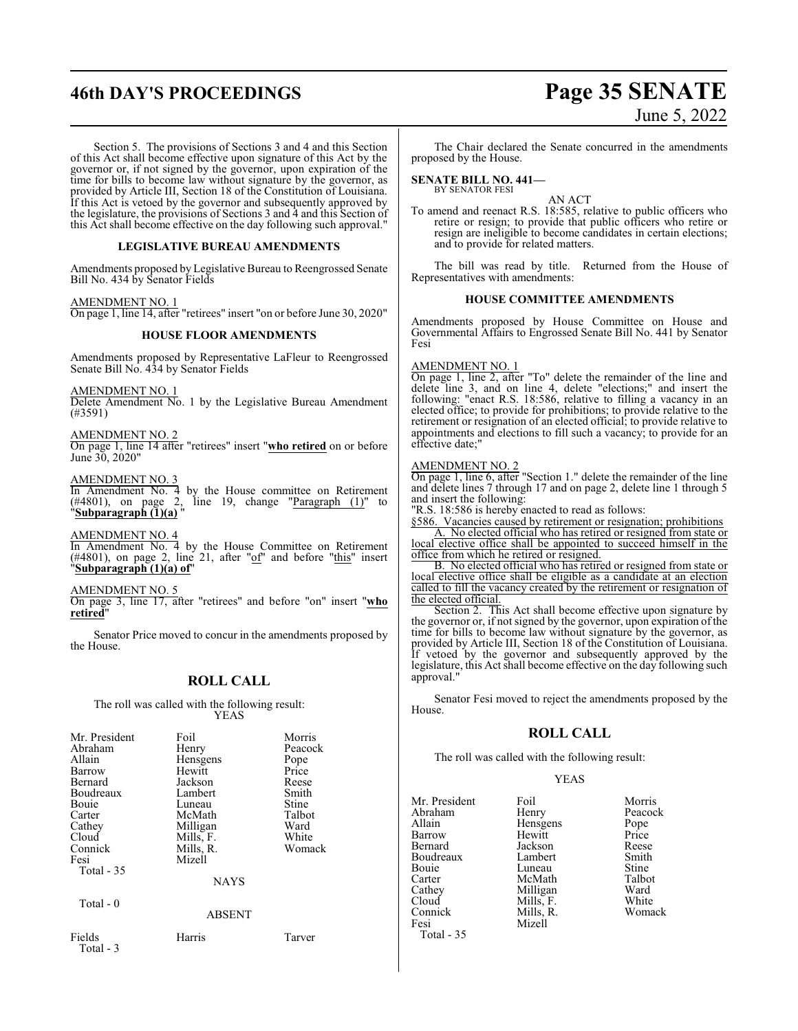## **46th DAY'S PROCEEDINGS Page 35 SENATE** June 5, 2022

Section 5. The provisions of Sections 3 and 4 and this Section of this Act shall become effective upon signature of this Act by the governor or, if not signed by the governor, upon expiration of the time for bills to become law without signature by the governor, as provided by Article III, Section 18 of the Constitution of Louisiana. If this Act is vetoed by the governor and subsequently approved by the legislature, the provisions of Sections 3 and 4 and this Section of this Act shall become effective on the day following such approval."

### **LEGISLATIVE BUREAU AMENDMENTS**

Amendments proposed by Legislative Bureau to Reengrossed Senate Bill No. 434 by Senator Fields

### AMENDMENT NO. 1

On page 1, line 14, after "retirees" insert "on or before June 30, 2020"

### **HOUSE FLOOR AMENDMENTS**

Amendments proposed by Representative LaFleur to Reengrossed Senate Bill No. 434 by Senator Fields

AMENDMENT NO. 1

Delete Amendment No. 1 by the Legislative Bureau Amendment (#3591)

### AMENDMENT NO. 2

On page 1, line 14 after "retirees" insert "**who retired** on or before June 30, 2020"

### AMENDMENT NO. 3

In Amendment No. 4 by the House committee on Retirement  $(\#4801)$ , on page 2, line 19, change "Paragraph  $(1)$ " to "**Subparagraph (1)(a)** "

AMENDMENT NO. 4

In Amendment No. 4 by the House Committee on Retirement  $(\#4801)$ , on page 2, line 21, after " $\underline{of}$ " and before "this" insert "**Subparagraph (1)(a) of**"

#### AMENDMENT NO. 5

On page 3, line 17, after "retirees" and before "on" insert "**who retired**"

Senator Price moved to concur in the amendments proposed by the House.

### **ROLL CALL**

The roll was called with the following result: YEAS

| Mr. President<br>Abraham<br>Allain<br>Barrow<br>Bernard<br>Boudreaux<br>Bouie<br>Carter<br>Cathey<br>Cloud<br>Connick<br>Fesi<br>Total - 35 | Foil<br>Henry<br>Hensgens<br>Hewitt<br>Jackson<br>Lambert<br>Luneau<br>McMath<br>Milligan<br>Mills, F.<br>Mills, R.<br>Mizell<br><b>NAYS</b> | Morris<br>Peacock<br>Pope<br>Price<br>Reese<br>Smith<br>Stine<br>Talbot<br>Ward<br>White<br>Womack |
|---------------------------------------------------------------------------------------------------------------------------------------------|----------------------------------------------------------------------------------------------------------------------------------------------|----------------------------------------------------------------------------------------------------|
| Total $-0$                                                                                                                                  | <b>ABSENT</b>                                                                                                                                |                                                                                                    |
| Fields<br>Total - 3                                                                                                                         | Harris                                                                                                                                       | Tarver                                                                                             |

The Chair declared the Senate concurred in the amendments proposed by the House.

### **SENATE BILL NO. 441—** BY SENATOR FESI

AN ACT

To amend and reenact R.S. 18:585, relative to public officers who retire or resign; to provide that public officers who retire or resign are ineligible to become candidates in certain elections; and to provide for related matters.

The bill was read by title. Returned from the House of Representatives with amendments:

### **HOUSE COMMITTEE AMENDMENTS**

Amendments proposed by House Committee on House and Governmental Affairs to Engrossed Senate Bill No. 441 by Senator Fesi

### AMENDMENT NO. 1

On page 1, line 2, after "To" delete the remainder of the line and delete line 3, and on line 4, delete "elections;" and insert the following: "enact R.S. 18:586, relative to filling a vacancy in an elected office; to provide for prohibitions; to provide relative to the retirement or resignation of an elected official; to provide relative to appointments and elections to fill such a vacancy; to provide for an effective date;"

### AMENDMENT NO. 2

On page 1, line 6, after "Section 1." delete the remainder of the line and delete lines 7 through 17 and on page 2, delete line 1 through 5 and insert the following:

"R.S. 18:586 is hereby enacted to read as follows:

§586. Vacancies caused by retirement or resignation; prohibitions A. No elected official who has retired or resigned from state or local elective office shall be appointed to succeed himself in the

office from which he retired or resigned. B. No elected official who has retired or resigned from state or

local elective office shall be eligible as a candidate at an election called to fill the vacancy created by the retirement or resignation of the elected official.

Section 2. This Act shall become effective upon signature by the governor or, if not signed by the governor, upon expiration of the time for bills to become law without signature by the governor, as provided by Article III, Section 18 of the Constitution of Louisiana. If vetoed by the governor and subsequently approved by the legislature, this Act shall become effective on the day following such approval."

Senator Fesi moved to reject the amendments proposed by the House.

### **ROLL CALL**

The roll was called with the following result:

Mizell

### YEAS

Mr. President Foil Morris<br>Abraham Henry Peacoc Abraham Henry Peacock<br>Allain Hensgens Pope Allain **Hensgens** Pope<br>
Hewitt Price Barrow Hewitt Price<br>Bernard Jackson Reese Boudreaux Lambert Smith<br>Bouie Luneau Stine Bouie Luneau Stine<br>Carter McMath Talbot Carter McMath Talbot<br>Cathey Milligan Ward Cathey Milligan Ward<br>Cloud Mills F. White Cloud<br>
Connick Mills, F.<br>
Mills, R. Connick Mills, R. Womack Total - 35

Jackson Reese<br>Lambert Smith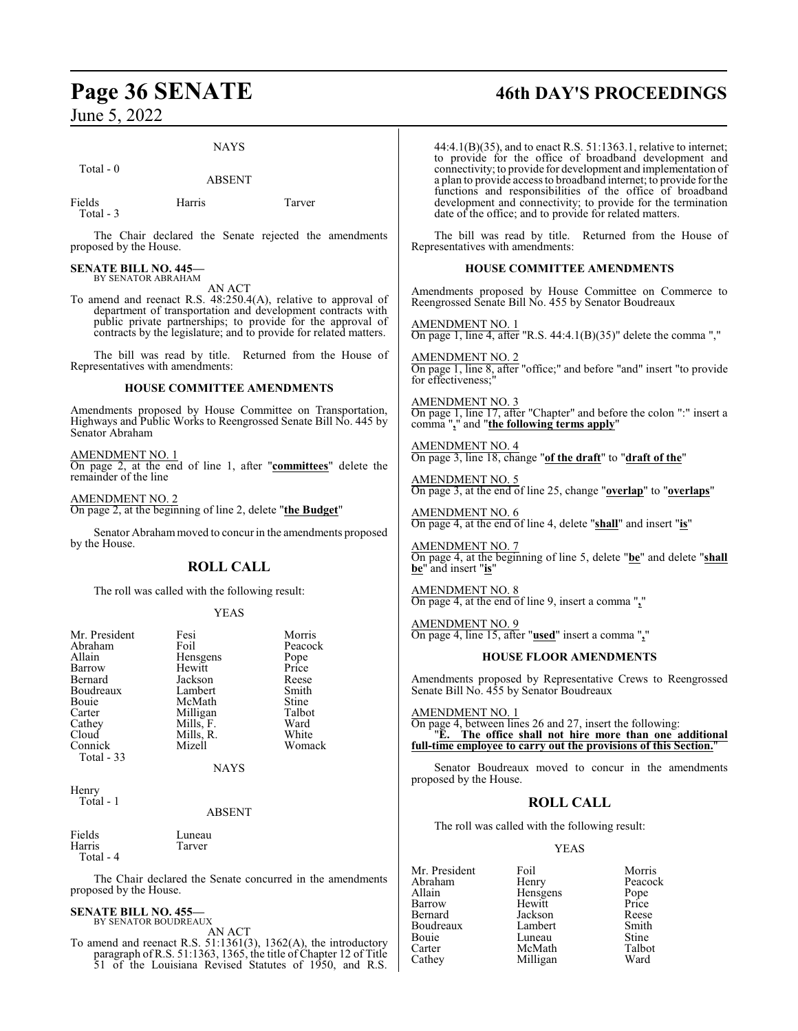### NAYS

Total - 0

ABSENT

Fields Harris Tarver Total - 3

The Chair declared the Senate rejected the amendments proposed by the House.

## **SENATE BILL NO. 445—** BY SENATOR ABRAHAM

AN ACT

To amend and reenact R.S. 48:250.4(A), relative to approval of department of transportation and development contracts with public private partnerships; to provide for the approval of contracts by the legislature; and to provide for related matters.

The bill was read by title. Returned from the House of Representatives with amendments:

### **HOUSE COMMITTEE AMENDMENTS**

Amendments proposed by House Committee on Transportation, Highways and Public Works to Reengrossed Senate Bill No. 445 by Senator Abraham

### AMENDMENT NO. 1

On page 2, at the end of line 1, after "**committees**" delete the remainder of the line

AMENDMENT NO. 2

On page 2, at the beginning of line 2, delete "**the Budget**"

Senator Abrahammoved to concur in the amendments proposed by the House.

### **ROLL CALL**

The roll was called with the following result:

### YEAS

| Mr. President | Fesi      | Morris        |
|---------------|-----------|---------------|
| Abraham       | Foil      | Peacock       |
| Allain        | Hensgens  |               |
| Barrow        | Hewitt    | Pope<br>Price |
| Bernard       | Jackson   | Reese         |
| Boudreaux     | Lambert   | Smith         |
| Bouie         | McMath    | Stine         |
| Carter        | Milligan  | Talbot        |
| Cathey        | Mills, F. | Ward          |
| Cloud         | Mills, R. | White         |
| Connick       | Mizell    | Womack        |
| Total - 33    |           |               |
|               | NAYS      |               |

Henry Total - 1

### ABSENT

| Fields    | Luneau |
|-----------|--------|
| Harris    | Tarver |
| Total - 4 |        |

The Chair declared the Senate concurred in the amendments proposed by the House.

### **SENATE BILL NO. 455—**

BY SENATOR BOUDREAUX AN ACT

To amend and reenact R.S. 51:1361(3), 1362(A), the introductory paragraph of R.S. 51:1363, 1365, the title of Chapter 12 of Title 51 of the Louisiana Revised Statutes of 1950, and R.S.

## **Page 36 SENATE 46th DAY'S PROCEEDINGS**

44:4.1(B)(35), and to enact R.S. 51:1363.1, relative to internet; to provide for the office of broadband development and connectivity; to provide for development and implementation of a plan to provide access to broadband internet; to provide for the functions and responsibilities of the office of broadband development and connectivity; to provide for the termination date of the office; and to provide for related matters.

The bill was read by title. Returned from the House of Representatives with amendments:

### **HOUSE COMMITTEE AMENDMENTS**

Amendments proposed by House Committee on Commerce to Reengrossed Senate Bill No. 455 by Senator Boudreaux

AMENDMENT NO. 1 On page 1, line 4, after "R.S.  $44:4.1(B)(35)$ " delete the comma ","

AMENDMENT NO. 2 On page 1, line 8, after "office;" and before "and" insert "to provide for effectiveness;

AMENDMENT NO. 3 On page 1, line 17, after "Chapter" and before the colon ":" insert a comma "**,**" and "**the following terms apply**"

AMENDMENT NO. 4 On page 3, line 18, change "**of the draft**" to "**draft of the**"

AMENDMENT NO. 5 On page 3, at the end of line 25, change "**overlap**" to "**overlaps**"

AMENDMENT NO. 6 On page 4, at the end of line 4, delete "**shall**" and insert "**is**"

AMENDMENT NO. 7 On page 4, at the beginning of line 5, delete "**be**" and delete "**shall be**" and insert "**is**"

AMENDMENT NO. 8 On page 4, at the end of line 9, insert a comma "**,**"

AMENDMENT NO. 9 On page 4, line 15, after "**used**" insert a comma "**,**"

### **HOUSE FLOOR AMENDMENTS**

Amendments proposed by Representative Crews to Reengrossed Senate Bill No. 455 by Senator Boudreaux

AMENDMENT NO. 1

On page 4, between lines 26 and 27, insert the following: "**E. The office shall not hire more than one additional full-time employee to carry out the provisions of this Section.**"

Senator Boudreaux moved to concur in the amendments proposed by the House.

### **ROLL CALL**

The roll was called with the following result:

### YEAS

Mr. President Foil Morris<br>Abraham Henry Peacoc Abraham Henry Peacock<br>Allain Hensgens Pope Allain **Hensgens** Pope<br>
Barrow Hewitt Price Barrow Hewitt Price Jackson<br>Lambert Boudreaux Lambert Smith<br>Bouie Luneau Stine Bouie Luneau Stine<br>Carter McMath Talbot Carter McMath Talbot Milligan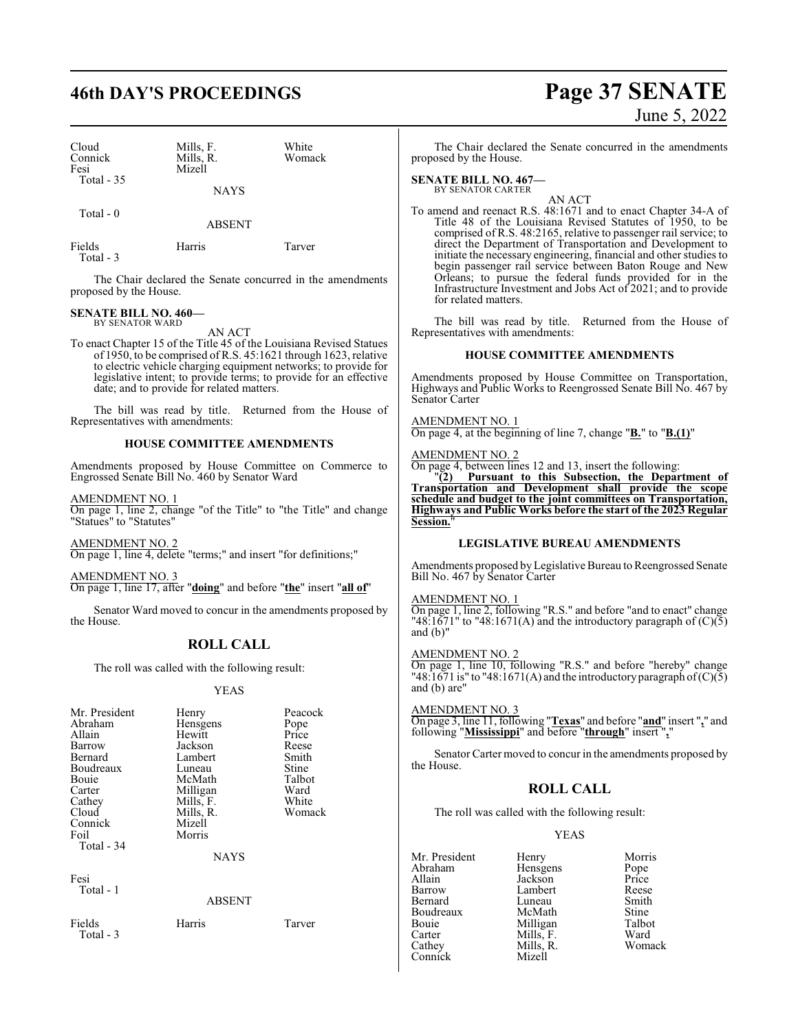## **46th DAY'S PROCEEDINGS Page 37 SENATE**

| Cloud<br>Connick<br>Fesi<br>Total - 35 | Mills, F.<br>Mills, R.<br>Mizell | White<br>Womack |
|----------------------------------------|----------------------------------|-----------------|
|                                        | <b>NAYS</b>                      |                 |
| Total - 0                              | <b>ABSENT</b>                    |                 |

Fields Harris Tarver

Total - 3

The Chair declared the Senate concurred in the amendments proposed by the House.

## **SENATE BILL NO. 460—** BY SENATOR WARD

AN ACT

To enact Chapter 15 of the Title 45 of the Louisiana Revised Statues of 1950, to be comprised of R.S. 45:1621 through 1623, relative to electric vehicle charging equipment networks; to provide for legislative intent; to provide terms; to provide for an effective date; and to provide for related matters.

The bill was read by title. Returned from the House of Representatives with amendments:

### **HOUSE COMMITTEE AMENDMENTS**

Amendments proposed by House Committee on Commerce to Engrossed Senate Bill No. 460 by Senator Ward

AMENDMENT NO. 1

On page 1, line 2, change "of the Title" to "the Title" and change "Statues" to "Statutes"

AMENDMENT NO. 2 On page 1, line 4, delete "terms;" and insert "for definitions;"

AMENDMENT NO. 3 On page 1, line 17, after "**doing**" and before "**the**" insert "**all of**"

Senator Ward moved to concur in the amendments proposed by the House.

### **ROLL CALL**

The roll was called with the following result:

### YEAS

| Mr. President<br>Abraham<br>Allain<br>Barrow<br>Bernard<br>Boudreaux<br>Bouie<br>Carter<br>Cathey<br>Cloud<br>Connick<br>Foil<br>Total - 34 | Henry<br>Hensgens<br>Hewitt<br>Jackson<br>Lambert<br>Luneau<br>McMath<br>Milligan<br>Mills, F.<br>Mills, R.<br>Mizell<br>Morris<br><b>NAYS</b> | Peacock<br>Pope<br>Price<br>Reese<br>Smith<br>Stine<br>Talbot<br>Ward<br>White<br>Womack |
|---------------------------------------------------------------------------------------------------------------------------------------------|------------------------------------------------------------------------------------------------------------------------------------------------|------------------------------------------------------------------------------------------|
| Fesi<br>Total - 1                                                                                                                           | <b>ABSENT</b>                                                                                                                                  |                                                                                          |
| Fields                                                                                                                                      | Harris                                                                                                                                         | Tarver                                                                                   |

Total - 3

# June 5, 2022

The Chair declared the Senate concurred in the amendments proposed by the House.

**SENATE BILL NO. 467—** BY SENATOR CARTER

AN ACT

To amend and reenact R.S. 48:1671 and to enact Chapter 34-A of Title 48 of the Louisiana Revised Statutes of 1950, to be comprised of R.S. 48:2165, relative to passenger rail service; to direct the Department of Transportation and Development to initiate the necessary engineering, financial and other studies to begin passenger rail service between Baton Rouge and New Orleans; to pursue the federal funds provided for in the Infrastructure Investment and Jobs Act of 2021; and to provide for related matters.

The bill was read by title. Returned from the House of Representatives with amendments:

### **HOUSE COMMITTEE AMENDMENTS**

Amendments proposed by House Committee on Transportation, Highways and Public Works to Reengrossed Senate Bill No. 467 by Senator Carter

AMENDMENT NO. 1

On page 4, at the beginning of line 7, change "**B.**" to "**B.(1)**"

### AMENDMENT NO. 2

On page 4, between lines 12 and 13, insert the following:

"**(2) Pursuant to this Subsection, the Department of Transportation and Development shall provide the scope schedule and budget to the joint committees on Transportation, Highways and Public Works before the start of the 2023 Regular Session.**"

### **LEGISLATIVE BUREAU AMENDMENTS**

Amendments proposed by Legislative Bureau to Reengrossed Senate Bill No. 467 by Senator Carter

AMENDMENT NO. 1

On page 1, line 2, following "R.S." and before "and to enact" change "48:1671" to "48:1671(A) and the introductory paragraph of  $(C)(\tilde{5})$ and (b)"

### AMENDMENT NO. 2

On page 1, line 10, following "R.S." and before "hereby" change "48:1671 is" to "48:1671(A) and the introductory paragraph of  $(C)(\overline{5})$ and (b) are"

### AMENDMENT NO. 3

On page 3, line 11, following "**Texas**" and before "**and**" insert "**,**" and following "**Mississippi**" and before "**through**" insert "**,**"

Senator Carter moved to concur in the amendments proposed by the House.

### **ROLL CALL**

The roll was called with the following result:

### YEAS

Mr. President Henry Morris<br>Abraham Hensgens Pope Abraham Hensgens Pope<br>Allain Jackson Price Allain Jackson Price Barrow Lambert Reese Luneau Boudreaux McMath Stine<br>
Bouie Milligan Talbot Bouie Milligan Talbo<br>
Carter Mills, F. Ward Carter Mills, F.<br>Cathey Mills, R. Connick

Mills, R. Womack<br>Mizell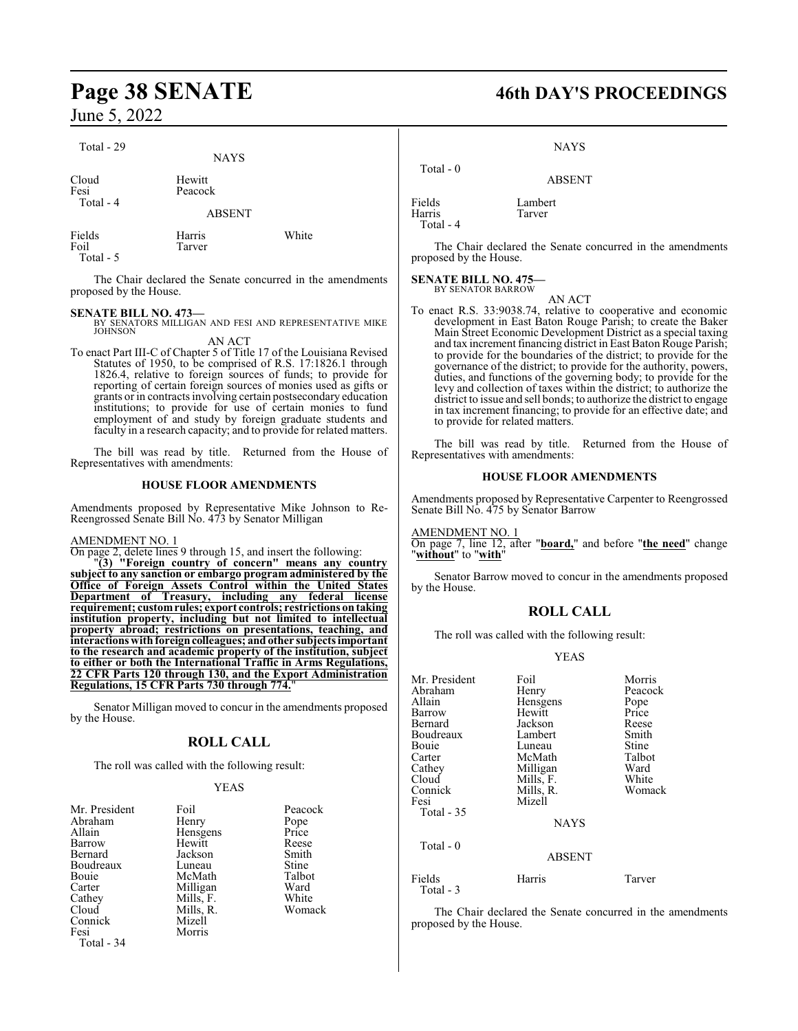| Total - 29                  | <b>NAYS</b>       |       |
|-----------------------------|-------------------|-------|
| Cloud<br>Fesi<br>Total - 4  | Hewitt<br>Peacock |       |
|                             | <b>ABSENT</b>     |       |
| Fields<br>Foil<br>Total - 5 | Harris<br>Tarver  | White |

The Chair declared the Senate concurred in the amendments proposed by the House.

**SENATE BILL NO. 473—**<br>BY SENATORS MILLIGAN AND FESI AND REPRESENTATIVE MIKE<br>JOHNSON AN ACT

To enact Part III-C of Chapter 5 of Title 17 of the Louisiana Revised Statutes of 1950, to be comprised of R.S. 17:1826.1 through 1826.4, relative to foreign sources of funds; to provide for reporting of certain foreign sources of monies used as gifts or grants or in contracts involving certain postsecondary education institutions; to provide for use of certain monies to fund employment of and study by foreign graduate students and faculty in a research capacity; and to provide for related matters.

The bill was read by title. Returned from the House of Representatives with amendments:

### **HOUSE FLOOR AMENDMENTS**

Amendments proposed by Representative Mike Johnson to Re-Reengrossed Senate Bill No. 473 by Senator Milligan

### AMENDMENT NO. 1

On page 2, delete lines 9 through 15, and insert the following:

"**(3) "Foreign country of concern" means any country subject to any sanction or embargo program administered by the Office of Foreign Assets Control within the United States Department of Treasury, including any federal license requirement; customrules; export controls; restrictions ontaking institution property, including but not limited to intellectual property abroad; restrictions on presentations, teaching, and interactions with foreigncolleagues; andother subjects important to the research and academic property of the institution, subject to either or both the International Traffic in Arms Regulations, 22 CFR Parts 120 through 130, and the Export Administration Regulations, 15 CFR Parts 730 through 774.**"

Senator Milligan moved to concur in the amendments proposed by the House.

### **ROLL CALL**

The roll was called with the following result:

### YEAS

| Mr. President | Foil      | Peacock |
|---------------|-----------|---------|
| Abraham       | Henry     | Pope    |
| Allain        | Hensgens  | Price   |
| Barrow        | Hewitt    | Reese   |
| Bernard       | Jackson   | Smith   |
| Boudreaux     | Luneau    | Stine   |
| Bouie         | McMath    | Talbot  |
| Carter        | Milligan  | Ward    |
| Cathey        | Mills, F. | White   |
| Cloud         | Mills, R. | Womack  |
| Connick       | Mizell    |         |
| Fesi          | Morris    |         |
| Total - 34    |           |         |

## **Page 38 SENATE 46th DAY'S PROCEEDINGS**

NAYS

ABSENT

| Total $-0$                    |                   |
|-------------------------------|-------------------|
| Fields<br>Harris<br>Total - 4 | Lambert<br>Tarver |

The Chair declared the Senate concurred in the amendments proposed by the House.

#### **SENATE BILL NO. 475—** BY SENATOR BARROW

AN ACT

To enact R.S. 33:9038.74, relative to cooperative and economic development in East Baton Rouge Parish; to create the Baker Main Street Economic Development District as a special taxing and tax increment financing district in East Baton Rouge Parish; to provide for the boundaries of the district; to provide for the governance of the district; to provide for the authority, powers, duties, and functions of the governing body; to provide for the levy and collection of taxes within the district; to authorize the district to issue and sell bonds; to authorize the district to engage in tax increment financing; to provide for an effective date; and to provide for related matters.

The bill was read by title. Returned from the House of Representatives with amendments:

### **HOUSE FLOOR AMENDMENTS**

Amendments proposed by Representative Carpenter to Reengrossed Senate Bill No. 475 by Senator Barrow

AMENDMENT NO. 1 On page 7, line 12, after "**board,**" and before "**the need**" change "**without**" to "**with**"

Senator Barrow moved to concur in the amendments proposed by the House.

### **ROLL CALL**

The roll was called with the following result:

### YEAS

| Mr. President       | Foil          | Morris  |
|---------------------|---------------|---------|
| Abraham             | Henry         | Peacock |
| Allain              | Hensgens      | Pope    |
| Barrow              | Hewitt        | Price   |
| Bernard             | Jackson       | Reese   |
| Boudreaux           | Lambert       | Smith   |
| Bouie               | Luneau        | Stine   |
| Carter              | McMath        | Talbot  |
| Cathey              | Milligan      | Ward    |
| Cloud               | Mills, F.     | White   |
| Connick             | Mills, R.     | Womack  |
| Fesi                | Mizell        |         |
| Total - 35          |               |         |
|                     | <b>NAYS</b>   |         |
| Total $-0$          |               |         |
|                     | <b>ABSENT</b> |         |
| Fields<br>Total - 3 | Harris        | Tarver  |

The Chair declared the Senate concurred in the amendments proposed by the House.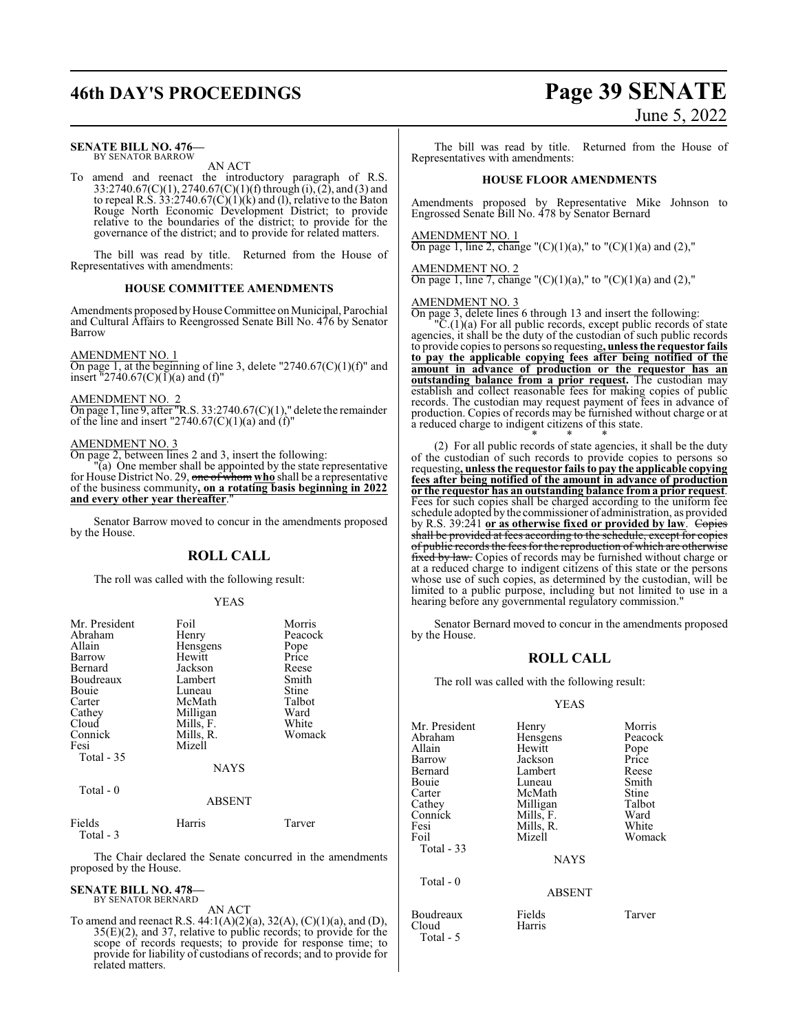### **SENATE BILL NO. 476—** BY SENATOR BARROW

AN ACT

To amend and reenact the introductory paragraph of R.S. 33:2740.67(C)(1), 2740.67(C)(1)(f) through (i), (2), and (3) and to repeal R.S.  $33:2740.67(C)(1)(k)$  and (1), relative to the Baton Rouge North Economic Development District; to provide relative to the boundaries of the district; to provide for the governance of the district; and to provide for related matters.

The bill was read by title. Returned from the House of Representatives with amendments:

### **HOUSE COMMITTEE AMENDMENTS**

Amendments proposed by House Committee on Municipal, Parochial and Cultural Affairs to Reengrossed Senate Bill No. 476 by Senator Barrow

### AMENDMENT NO. 1

On page 1, at the beginning of line 3, delete "2740.67 $(C)(1)(f)$ " and insert  $"2740.67(C)(1)(a)$  and (f)"

AMENDMENT NO. 2

On page 1, line 9, after "R.S. 33:2740.67(C)(1)," delete the remainder of the line and insert "2740.67 $(C)(1)(a)$  and  $(f)$ "

### AMENDMENT NO. 3

On page 2, between lines 2 and 3, insert the following:

"(a) One member shall be appointed by the state representative for House District No. 29, one of whom **who** shall be a representative of the business community**, on a rotating basis beginning in 2022** and every other year thereafter.

Senator Barrow moved to concur in the amendments proposed by the House.

### **ROLL CALL**

The roll was called with the following result:

### YEAS

| Mr. President | Foil          | Morris       |
|---------------|---------------|--------------|
| Abraham       | Henry         | Peacock      |
| Allain        | Hensgens      | Pope         |
| Barrow        | Hewitt        | Price        |
| Bernard       | Jackson       | Reese        |
| Boudreaux     | Lambert       | Smith        |
| Bouie         | Luneau        | Stine        |
| Carter        | McMath        | Talbot       |
| Cathey        | Milligan      | Ward         |
| Cloud         | Mills, F.     | White        |
| Connick       | Mills, R.     | Womack       |
| Fesi          | Mizell        |              |
| Total - 35    |               |              |
|               | <b>NAYS</b>   |              |
| Total - 0     |               |              |
|               | <b>ABSENT</b> |              |
| EL 14-        | $TT -$        | $\mathbf{T}$ |

Fields Harris Tarver Total - 3

The Chair declared the Senate concurred in the amendments proposed by the House.

#### **SENATE BILL NO. 478—** BY SENATOR BERNARD

AN ACT

To amend and reenact R.S. 44:1(A)(2)(a), 32(A), (C)(1)(a), and (D), 35(E)(2), and 37, relative to public records; to provide for the scope of records requests; to provide for response time; to provide for liability of custodians of records; and to provide for related matters.

## **46th DAY'S PROCEEDINGS Page 39 SENATE** June 5, 2022

The bill was read by title. Returned from the House of Representatives with amendments:

### **HOUSE FLOOR AMENDMENTS**

Amendments proposed by Representative Mike Johnson to Engrossed Senate Bill No. 478 by Senator Bernard

### AMENDMENT NO. 1

On page 1, line 2, change " $(C)(1)(a)$ ," to " $(C)(1)(a)$  and  $(2)$ ,"

### AMENDMENT NO. 2

On page 1, line 7, change "(C)(1)(a)," to "(C)(1)(a) and (2),"

### AMENDMENT NO. 3

On page 3, delete lines 6 through 13 and insert the following:

"C.(1)(a) For all public records, except public records of state agencies, it shall be the duty of the custodian of such public records to provide copies to persons so requesting**, unless the requestor fails to pay the applicable copying fees after being notified of the amount in advance of production or the requestor has an outstanding balance from a prior request.** The custodian may establish and collect reasonable fees for making copies of public records. The custodian may request payment of fees in advance of production. Copies of records may be furnished without charge or at a reduced charge to indigent citizens of this state.

\* \* \* (2) For all public records of state agencies, it shall be the duty of the custodian of such records to provide copies to persons so requesting**, unless the requestor fails to pay the applicable copying fees after being notified of the amount in advance of production or the requestor has an outstanding balance from a prior request**. Fees for such copies shall be charged according to the uniform fee schedule adopted by the commissioner of administration, as provided by R.S. 39:241 or as otherwise fixed or provided by law. Copies shall be provided at fees according to the schedule, except for copies of public records the fees for the reproduction of which are otherwise fixed by law. Copies of records may be furnished without charge or at a reduced charge to indigent citizens of this state or the persons whose use of such copies, as determined by the custodian, will be limited to a public purpose, including but not limited to use in a hearing before any governmental regulatory commission."

Senator Bernard moved to concur in the amendments proposed by the House.

### **ROLL CALL**

The roll was called with the following result:

### YEAS

| Mr. President<br>Abraham<br>Allain<br>Barrow<br>Bernard<br>Bouie<br>Carter<br>Cathey<br>Connick<br>Fesi<br>Foil<br>Total $-33$ | Henry<br>Hensgens<br>Hewitt<br>Jackson<br>Lambert<br>Luneau<br>McMath<br>Milligan<br>Mills, F.<br>Mills, R.<br>Mizell | Morris<br>Peacock<br>Pope<br>Price<br>Reese<br>Smith<br>Stine<br>Talbot<br>Ward<br>White<br>Womack |
|--------------------------------------------------------------------------------------------------------------------------------|-----------------------------------------------------------------------------------------------------------------------|----------------------------------------------------------------------------------------------------|
|                                                                                                                                | <b>NAYS</b>                                                                                                           |                                                                                                    |
| Total - 0                                                                                                                      | <b>ABSENT</b>                                                                                                         |                                                                                                    |
| Boudreaux<br>Cloud                                                                                                             | Fields<br>Harris                                                                                                      | Tarver                                                                                             |

Total - 5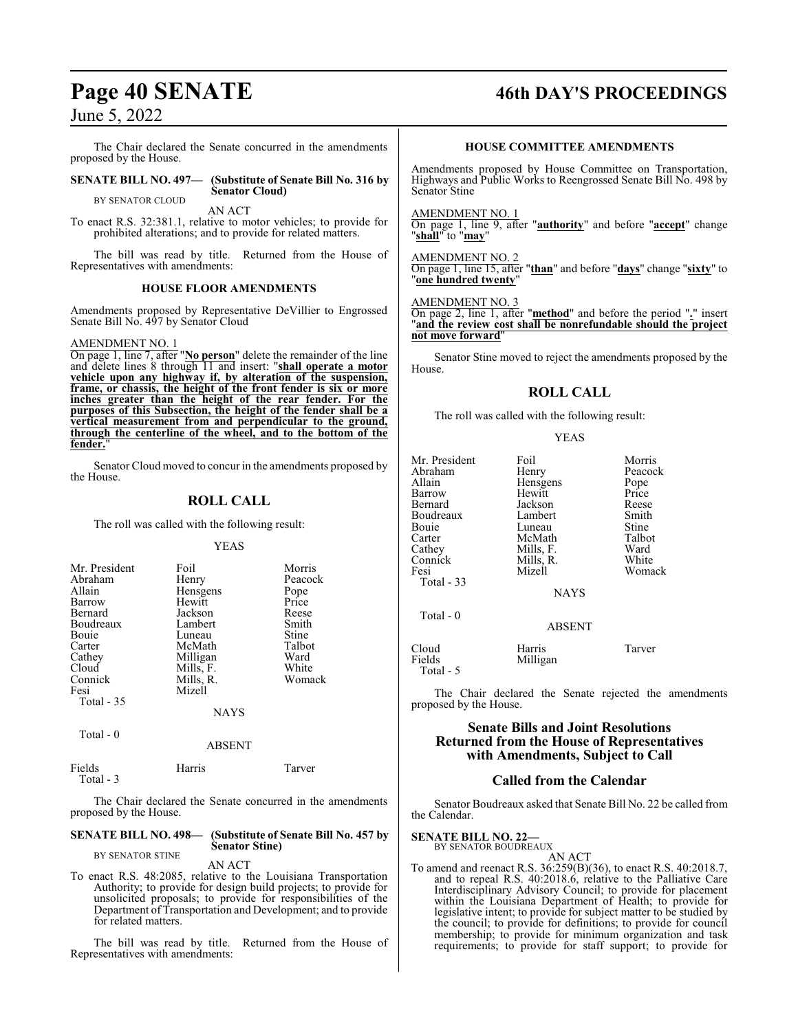The Chair declared the Senate concurred in the amendments proposed by the House.

### **SENATE BILL NO. 497— (Substitute of Senate Bill No. 316 by Senator Cloud)**

BY SENATOR CLOUD

AN ACT To enact R.S. 32:381.1, relative to motor vehicles; to provide for prohibited alterations; and to provide for related matters.

The bill was read by title. Returned from the House of Representatives with amendments:

### **HOUSE FLOOR AMENDMENTS**

Amendments proposed by Representative DeVillier to Engrossed Senate Bill No. 497 by Senator Cloud

### AMENDMENT NO. 1

On page 1, line 7, after "**No person**" delete the remainder of the line and delete lines 8 through 11 and insert: "**shall operate a motor vehicle upon any highway if, by alteration of the suspension, frame, or chassis, the height of the front fender is six or more inches greater than the height of the rear fender. For the purposes of this Subsection, the height of the fender shall be a vertical measurement from and perpendicular to the ground, through the centerline of the wheel, and to the bottom of the** fender.

Senator Cloud moved to concur in the amendments proposed by the House.

### **ROLL CALL**

The roll was called with the following result:

### YEAS

| Mr. President<br>Abraham<br>Allain<br>Barrow<br>Bernard<br>Boudreaux<br>Bouie<br>Carter<br>Cathey<br>Cloud | Foil<br>Henry<br>Hensgens<br>Hewitt<br>Jackson<br>Lambert<br>Luneau<br>McMath<br>Milligan | Morris<br>Peacock<br>Pope<br>Price<br>Reese<br>Smith<br>Stine<br>Talbot<br>Ward<br>White |
|------------------------------------------------------------------------------------------------------------|-------------------------------------------------------------------------------------------|------------------------------------------------------------------------------------------|
| Connick<br>Fesi<br>Total - 35<br>Total - 0                                                                 | Mills, F.<br>Mills, R.<br>Mizell<br><b>NAYS</b>                                           | Womack                                                                                   |

|        | <b>ABSENT</b> |        |
|--------|---------------|--------|
| Fields | Harris        | Tarver |

Total - 3

The Chair declared the Senate concurred in the amendments

proposed by the House.

### **SENATE BILL NO. 498— (Substitute of Senate Bill No. 457 by Senator Stine)** BY SENATOR STINE

AN ACT

To enact R.S. 48:2085, relative to the Louisiana Transportation Authority; to provide for design build projects; to provide for unsolicited proposals; to provide for responsibilities of the Department of Transportation and Development; and to provide for related matters.

The bill was read by title. Returned from the House of Representatives with amendments:

## **Page 40 SENATE 46th DAY'S PROCEEDINGS**

### **HOUSE COMMITTEE AMENDMENTS**

Amendments proposed by House Committee on Transportation, Highways and Public Works to Reengrossed Senate Bill No. 498 by Senator Stine

AMENDMENT NO. 1

On page 1, line 9, after "**authority**" and before "**accept**" change "**shall**" to "**may**"

### On page 1, line 15, after "**than**" and before "**days**" change "**sixty**" to "**one hundred twenty**"

### AMENDMENT NO. 3

AMENDMENT NO. 2

On page 2, line 1, after "**method**" and before the period "**.**" insert "**and the review cost shall be nonrefundable should the project not move forward**"

Senator Stine moved to reject the amendments proposed by the House.

### **ROLL CALL**

The roll was called with the following result:

### YEAS

| Mr. President<br>Abraham<br>Allain<br>Barrow<br>Bernard<br>Boudreaux<br>Bouie<br>Carter<br>Cathey<br>Connick<br>Fesi<br>Total - 33 | Foil<br>Henry<br>Hensgens<br>Hewitt<br>Jackson<br>Lambert<br>Luneau<br>McMath<br>Mills, F.<br>Mills, R.<br>Mizell<br><b>NAYS</b> | Morris<br>Peacock<br>Pope<br>Price<br>Reese<br>Smith<br>Stine<br>Talbot<br>Ward<br>White<br>Womack |
|------------------------------------------------------------------------------------------------------------------------------------|----------------------------------------------------------------------------------------------------------------------------------|----------------------------------------------------------------------------------------------------|
| Total - 0                                                                                                                          | <b>ABSENT</b>                                                                                                                    |                                                                                                    |
| Cloud<br>Fields<br>Total - 5                                                                                                       | Harris<br>Milligan                                                                                                               | Tarver                                                                                             |

The Chair declared the Senate rejected the amendments proposed by the House.

### **Senate Bills and Joint Resolutions Returned from the House of Representatives with Amendments, Subject to Call**

### **Called from the Calendar**

Senator Boudreaux asked that Senate Bill No. 22 be called from the Calendar.

**SENATE BILL NO. 22—**<br>BY SENATOR BOUDREAUX<br>AN ACT

To amend and reenact R.S. 36:259(B)(36), to enact R.S. 40:2018.7, and to repeal R.S. 40:2018.6, relative to the Palliative Care Interdisciplinary Advisory Council; to provide for placement within the Louisiana Department of Health; to provide for legislative intent; to provide for subject matter to be studied by the council; to provide for definitions; to provide for council membership; to provide for minimum organization and task requirements; to provide for staff support; to provide for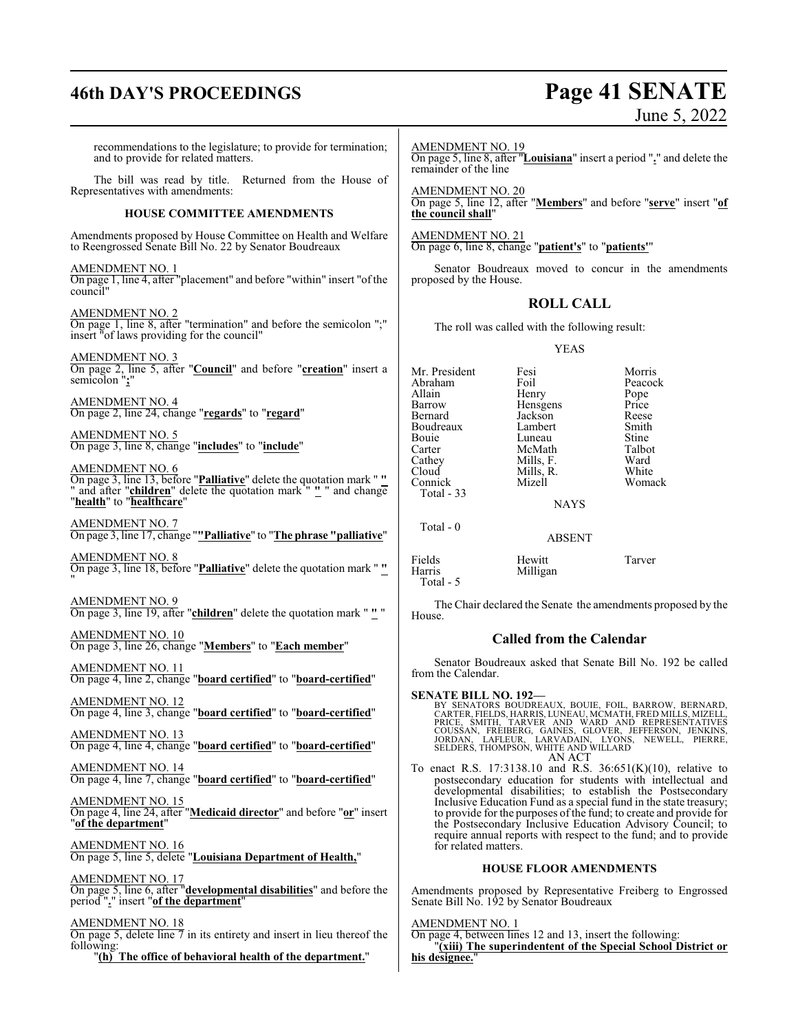## **46th DAY'S PROCEEDINGS Page 41 SENATE** June 5, 2022

| recommendations to the legislature; to provide for termination;<br>and to provide for related matters.                 | <b>AMENDMENT NO. 19</b><br>remainder of the line |                                                      | On page 5, line 8, after "Louisiana" insert a period "." and delete the                                                                                                                             |
|------------------------------------------------------------------------------------------------------------------------|--------------------------------------------------|------------------------------------------------------|-----------------------------------------------------------------------------------------------------------------------------------------------------------------------------------------------------|
| The bill was read by title. Returned from the House of<br>Representatives with amendments:                             | <b>AMENDMENT NO. 20</b>                          |                                                      | On page 5, line 12, after "Members" and before "serve" insert "of                                                                                                                                   |
| <b>HOUSE COMMITTEE AMENDMENTS</b>                                                                                      | the council shall"                               |                                                      |                                                                                                                                                                                                     |
| Amendments proposed by House Committee on Health and Welfare<br>to Reengrossed Senate Bill No. 22 by Senator Boudreaux | <b>AMENDMENT NO. 21</b>                          | On page 6, line 8, change "patient's" to "patients'" |                                                                                                                                                                                                     |
| AMENDMENT NO. 1<br>On page 1, line 4, after "placement" and before "within" insert "of the<br>council"                 | proposed by the House.                           |                                                      | Senator Boudreaux moved to concur in the amendments                                                                                                                                                 |
| AMENDMENT NO. 2                                                                                                        |                                                  | <b>ROLL CALL</b>                                     |                                                                                                                                                                                                     |
| On page 1, line 8, after "termination" and before the semicolon ";"<br>insert "of laws providing for the council"      |                                                  | The roll was called with the following result:       |                                                                                                                                                                                                     |
| <b>AMENDMENT NO. 3</b><br>On page 2, line 5, after "Council" and before "creation" insert a                            |                                                  | <b>YEAS</b>                                          |                                                                                                                                                                                                     |
| semicolon ";"                                                                                                          | Mr. President<br>Abraham                         | Fesi<br>Foil                                         | Morris<br>Peacock                                                                                                                                                                                   |
| <u>AMENDMENT NO. 4</u><br>On page 2, line 24, change " <mark>regards</mark> " to " <mark>regard</mark> "               | Allain<br>Barrow                                 | Henry<br>Hensgens                                    | Pope<br>Price                                                                                                                                                                                       |
|                                                                                                                        | Bernard<br>Boudreaux                             | Jackson<br>Lambert                                   | Reese<br>Smith                                                                                                                                                                                      |
| AMENDMENT NO. 5<br>On page 3, line 8, change "includes" to "include"                                                   | Bouie                                            | Luneau                                               | Stine                                                                                                                                                                                               |
|                                                                                                                        | Carter<br>Cathey                                 | McMath<br>Mills, F.                                  | Talbot<br>Ward                                                                                                                                                                                      |
| <u>AMENDMENT NO. 6</u><br>On page 3, line 13, before " <mark>Palliative</mark> " delete the quotation mark " <u>"</u>  | Cloud                                            | Mills, R.                                            | White                                                                                                                                                                                               |
| " and after " <b>children</b> " delete the quotation mark " " " and change                                             | Connick<br>Total - 33                            | Mizell                                               | Womack                                                                                                                                                                                              |
| "health" to "healthcare"                                                                                               |                                                  | <b>NAYS</b>                                          |                                                                                                                                                                                                     |
| <u>AMENDMENT NO. 7</u><br>On page 3, line 17, change " <u>"Palliative</u> " to " <mark>The phrase "palliative</mark> " | Total - 0                                        | <b>ABSENT</b>                                        |                                                                                                                                                                                                     |
| <u>AMENDMENT NO. 8</u>                                                                                                 | Fields                                           | Hewitt                                               | Tarver                                                                                                                                                                                              |
| On page 3, line 18, before "Palliative" delete the quotation mark ""                                                   | Harris<br>Total - 5                              | Milligan                                             |                                                                                                                                                                                                     |
| AMENDMENT NO. 9<br>On page 3, line 19, after "children" delete the quotation mark " <u>"</u> "                         | House.                                           |                                                      | The Chair declared the Senate the amendments proposed by the                                                                                                                                        |
| AMENDMENT NO. 10<br>On page 3, line 26, change "Members" to "Each member"                                              |                                                  | <b>Called from the Calendar</b>                      |                                                                                                                                                                                                     |
| <b>AMENDMENT NO. 11</b><br>On page 4, line 2, change "board certified" to "board-certified"                            | from the Calendar.                               |                                                      | Senator Boudreaux asked that Senate Bill No. 192 be called                                                                                                                                          |
| AMENDMENT NO. 12                                                                                                       | <b>SENATE BILL NO. 192—</b>                      |                                                      | BY SENATORS BOUDREAUX, BOUIE, FOIL, BARROW, BERNARD,                                                                                                                                                |
| On page 4, line 3, change "board certified" to "board-certified"                                                       |                                                  |                                                      | CARTER. FIELDS. HARRIS. LUNEAU. MCMATH. FRED MILLS. MIZELL<br>PRICE, SMITH, TARVER AND WARD AND REPRESENTATIVES<br>COUSSAN, FREIBERG, GAINES, GLOVER, JEFFERSON, JENKINS,                           |
| AMENDMENT NO. 13<br>On page 4, line 4, change "board certified" to "board-certified"                                   |                                                  | AN ACT                                               | JORDAN, LAFLEUR, LARVADAIN, LYONS, NEWELL, PIERRE,<br>SELDERS, THOMPSON, WHITE AND WILLARD                                                                                                          |
| <u>AMENDMENT NO. 14</u><br>On page 4, line 7, change " <u>board certified</u> " to " <u>board-certified</u> "          |                                                  |                                                      | To enact R.S. 17:3138.10 and R.S. $36:651(K)(10)$ , relative to<br>postsecondary education for students with intellectual and                                                                       |
| AMENDMENT NO. 15                                                                                                       |                                                  |                                                      | developmental disabilities; to establish the Postsecondary<br>Inclusive Education Fund as a special fund in the state treasury;                                                                     |
| On page 4, line 24, after "Medicaid director" and before "or" insert<br>"of the department"                            |                                                  |                                                      | to provide for the purposes of the fund; to create and provide for<br>the Postsecondary Inclusive Education Advisory Council; to<br>require annual reports with respect to the fund; and to provide |
| <b>AMENDMENT NO. 16</b><br>On page 5, line 5, delete "Louisiana Department of Health,"                                 | for related matters.                             |                                                      |                                                                                                                                                                                                     |
| AMENDMENT NO. 17                                                                                                       |                                                  | <b>HOUSE FLOOR AMENDMENTS</b>                        |                                                                                                                                                                                                     |
| On page 5, line 6, after " <b>developmental disabilities</b> " and before the<br>period "." insert "of the department" |                                                  | Senate Bill No. 192 by Senator Boudreaux             | Amendments proposed by Representative Freiberg to Engrossed                                                                                                                                         |
| AMENDMENT NO. 18                                                                                                       | <b>AMENDMENT NO. 1</b>                           |                                                      |                                                                                                                                                                                                     |

On page 4, between lines 12 and 13, insert the following:

**his designee.**"

"**(xiii) The superindentent of the Special School District or**

On page 5, delete line 7 in its entirety and insert in lieu thereof the following:

"**(h) The office of behavioral health of the department.**"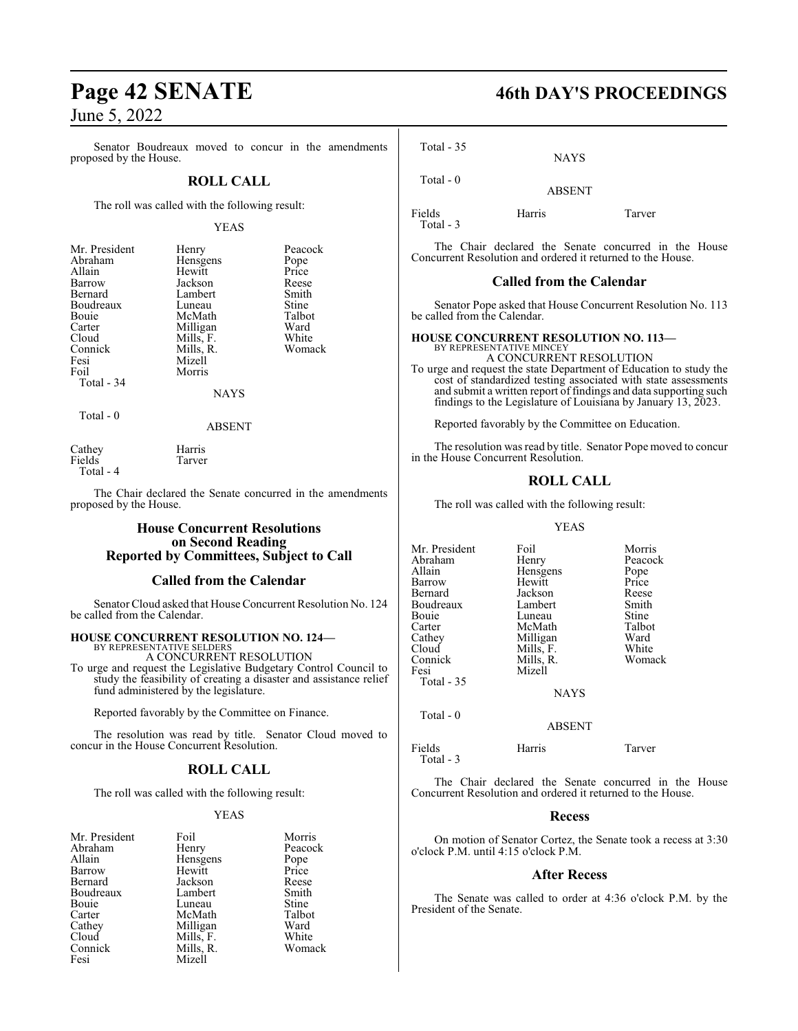Senator Boudreaux moved to concur in the amendments proposed by the House.

### **ROLL CALL**

The roll was called with the following result:

### YEAS

| Mr. President | Henry     | Peacock       |
|---------------|-----------|---------------|
| Abraham       | Hensgens  | Pope<br>Price |
| Allain        | Hewitt    |               |
| Barrow        | Jackson   | Reese         |
| Bernard       | Lambert   | Smith         |
| Boudreaux     | Luneau    | Stine         |
| Bouie         | McMath    | Talbot        |
| Carter        | Milligan  | Ward          |
| Cloud         | Mills, F. | White         |
| Connick       | Mills, R. | Womack        |
| Fesi          | Mizell    |               |
| Foil          | Morris    |               |
| Total - 34    |           |               |
|               | NAYS      |               |

Total - 0

ABSENT

| Cathey    | Harris |
|-----------|--------|
| Fields    | Tarver |
| Total - 4 |        |

The Chair declared the Senate concurred in the amendments proposed by the House.

### **House Concurrent Resolutions on Second Reading Reported by Committees, Subject to Call**

### **Called from the Calendar**

Senator Cloud asked that House Concurrent Resolution No. 124 be called from the Calendar.

#### **HOUSE CONCURRENT RESOLUTION NO. 124—** BY REPRESENTATIVE SELDERS

A CONCURRENT RESOLUTION

To urge and request the Legislative Budgetary Control Council to study the feasibility of creating a disaster and assistance relief fund administered by the legislature.

Reported favorably by the Committee on Finance.

The resolution was read by title. Senator Cloud moved to concur in the House Concurrent Resolution.

### **ROLL CALL**

The roll was called with the following result:

### YEAS

| Mr. President | Foil      | Morris  |
|---------------|-----------|---------|
| Abraham       | Henry     | Peacock |
| Allain        | Hensgens  | Pope    |
| Barrow        | Hewitt    | Price   |
| Bernard       | Jackson   | Reese   |
| Boudreaux     | Lambert   | Smith   |
| Bouie         | Luneau    | Stine   |
| Carter        | McMath    | Talbot  |
| Cathey        | Milligan  | Ward    |
| Cloud         | Mills, F. | White   |
| Connick       | Mills, R. | Womack  |
| Fesi          | Mizell    |         |

**Page 42 SENATE 46th DAY'S PROCEEDINGS**

Total - 35

ABSENT

Fields Harris Tarver Total - 3

Total - 0

The Chair declared the Senate concurred in the House Concurrent Resolution and ordered it returned to the House.

NAYS

### **Called from the Calendar**

Senator Pope asked that House Concurrent Resolution No. 113 be called from the Calendar.

### **HOUSE CONCURRENT RESOLUTION NO. 113—** BY REPRESENTATIVE MINCEY A CONCURRENT RESOLUTION

To urge and request the state Department of Education to study the

cost of standardized testing associated with state assessments and submit a written report of findings and data supporting such findings to the Legislature of Louisiana by January 13, 2023.

Reported favorably by the Committee on Education.

The resolution was read by title. Senator Pope moved to concur in the House Concurrent Resolution.

### **ROLL CALL**

The roll was called with the following result:

### YEAS

| Mr. President | Foil          | Morris  |
|---------------|---------------|---------|
| Abraham       | Henry         | Peacock |
| Allain        | Hensgens      | Pope    |
| Barrow        | Hewitt        | Price   |
| Bernard       | Jackson       | Reese   |
| Boudreaux     | Lambert       | Smith   |
| Bouie         | Luneau        | Stine   |
| Carter        | McMath        | Talbot  |
| Cathey        | Milligan      | Ward    |
| Cloud         | Mills, F.     | White   |
| Connick       | Mills, R.     | Womack  |
| Fesi          | Mizell        |         |
| Total - 35    |               |         |
|               | <b>NAYS</b>   |         |
| Total $-0$    |               |         |
|               | <b>ABSENT</b> |         |

Fields Harris Tarver Total - 3

The Chair declared the Senate concurred in the House Concurrent Resolution and ordered it returned to the House.

### **Recess**

On motion of Senator Cortez, the Senate took a recess at 3:30 o'clock P.M. until 4:15 o'clock P.M.

### **After Recess**

The Senate was called to order at 4:36 o'clock P.M. by the President of the Senate.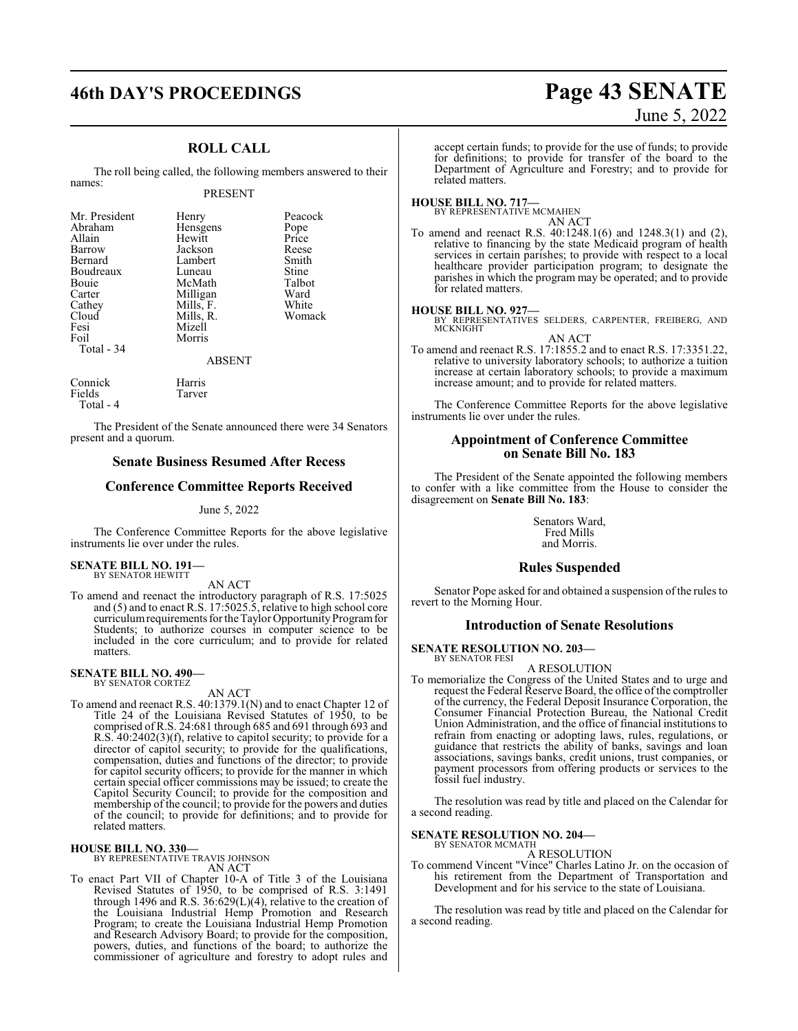## **46th DAY'S PROCEEDINGS Page 43 SENATE**

### **ROLL CALL**

The roll being called, the following members answered to their names:

### PRESENT

| Mr. President | Henry     | Peacock       |
|---------------|-----------|---------------|
| Abraham       | Hensgens  |               |
| Allain        | Hewitt    | Pope<br>Price |
| Barrow        | Jackson   | Reese         |
| Bernard       | Lambert   | Smith         |
| Boudreaux     | Luneau    | Stine         |
| Bouie         | McMath    | Talbot        |
| Carter        | Milligan  | Ward          |
| Cathey        | Mills, F. | White         |
| Cloud         | Mills, R. | Womack        |
| Fesi          | Mizell    |               |
| Foil          | Morris    |               |
| Total - 34    |           |               |
|               | ABSENT    |               |

Connick Harris Tarver Total - 4

The President of the Senate announced there were 34 Senators present and a quorum.

### **Senate Business Resumed After Recess**

### **Conference Committee Reports Received**

June 5, 2022

The Conference Committee Reports for the above legislative instruments lie over under the rules.

## **SENATE BILL NO. 191—** BY SENATOR HEWITT

AN ACT

To amend and reenact the introductory paragraph of R.S. 17:5025 and (5) and to enact R.S. 17:5025.5, relative to high school core curriculum requirements for the Taylor Opportunity Program for Students; to authorize courses in computer science to be included in the core curriculum; and to provide for related matters.

#### **SENATE BILL NO. 490—** BY SENATOR CORTEZ

AN ACT

To amend and reenact R.S. 40:1379.1(N) and to enact Chapter 12 of Title 24 of the Louisiana Revised Statutes of 1950, to be comprised of R.S. 24:681 through 685 and 691 through 693 and R.S. 40:2402(3)(f), relative to capitol security; to provide for a director of capitol security; to provide for the qualifications, compensation, duties and functions of the director; to provide for capitol security officers; to provide for the manner in which certain special officer commissions may be issued; to create the Capitol Security Council; to provide for the composition and membership of the council; to provide for the powers and duties of the council; to provide for definitions; and to provide for related matters.

## **HOUSE BILL NO. 330—** BY REPRESENTATIVE TRAVIS JOHNSON

- AN ACT
- To enact Part VII of Chapter 10-A of Title 3 of the Louisiana Revised Statutes of 1950, to be comprised of R.S. 3:1491 through 1496 and R.S. 36:629(L)(4), relative to the creation of the Louisiana Industrial Hemp Promotion and Research Program; to create the Louisiana Industrial Hemp Promotion and Research Advisory Board; to provide for the composition, powers, duties, and functions of the board; to authorize the commissioner of agriculture and forestry to adopt rules and

# June 5, 2022

accept certain funds; to provide for the use of funds; to provide for definitions; to provide for transfer of the board to the Department of Agriculture and Forestry; and to provide for related matters.

#### **HOUSE BILL NO. 717—** BY REPRESENTATIVE MCMAHEN

AN ACT

To amend and reenact R.S. 40:1248.1(6) and 1248.3(1) and (2), relative to financing by the state Medicaid program of health services in certain parishes; to provide with respect to a local healthcare provider participation program; to designate the parishes in which the program may be operated; and to provide for related matters.

**HOUSE BILL NO. 927—** BY REPRESENTATIVES SELDERS, CARPENTER, FREIBERG, AND **MCKNIGHT** AN ACT

To amend and reenact R.S. 17:1855.2 and to enact R.S. 17:3351.22, relative to university laboratory schools; to authorize a tuition increase at certain laboratory schools; to provide a maximum increase amount; and to provide for related matters.

The Conference Committee Reports for the above legislative instruments lie over under the rules.

### **Appointment of Conference Committee on Senate Bill No. 183**

The President of the Senate appointed the following members to confer with a like committee from the House to consider the disagreement on **Senate Bill No. 183**:

> Senators Ward, Fred Mills and Morris.

### **Rules Suspended**

Senator Pope asked for and obtained a suspension of the rules to revert to the Morning Hour.

### **Introduction of Senate Resolutions**

**SENATE RESOLUTION NO. 203—**

BY SENATOR FESI A RESOLUTION

To memorialize the Congress of the United States and to urge and request the Federal Reserve Board, the office of the comptroller of the currency, the Federal Deposit Insurance Corporation, the Consumer Financial Protection Bureau, the National Credit Union Administration, and the office of financial institutions to refrain from enacting or adopting laws, rules, regulations, or guidance that restricts the ability of banks, savings and loan associations, savings banks, credit unions, trust companies, or payment processors from offering products or services to the fossil fuel industry.

The resolution was read by title and placed on the Calendar for a second reading.

### **SENATE RESOLUTION NO. 204—**

BY SENATOR MCMATH A RESOLUTION

To commend Vincent "Vince" Charles Latino Jr. on the occasion of his retirement from the Department of Transportation and Development and for his service to the state of Louisiana.

The resolution was read by title and placed on the Calendar for a second reading.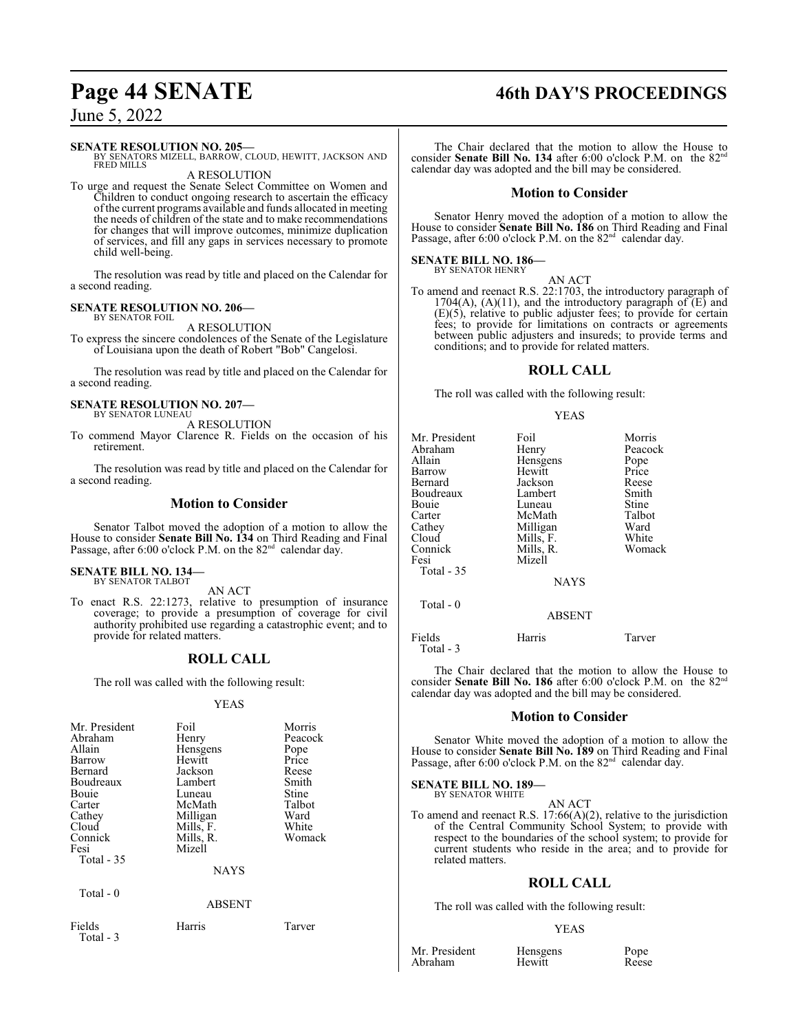## **Page 44 SENATE 46th DAY'S PROCEEDINGS**

### June 5, 2022

### **SENATE RESOLUTION NO. 205—**

BY SENATORS MIZELL, BARROW, CLOUD, HEWITT, JACKSON AND FRED MILLS A RESOLUTION

To urge and request the Senate Select Committee on Women and Children to conduct ongoing research to ascertain the efficacy ofthe current programs available and funds allocated in meeting the needs of children of the state and to make recommendations for changes that will improve outcomes, minimize duplication of services, and fill any gaps in services necessary to promote child well-being.

The resolution was read by title and placed on the Calendar for a second reading.

#### **SENATE RESOLUTION NO. 206—** BY SENATOR FOIL

A RESOLUTION

To express the sincere condolences of the Senate of the Legislature of Louisiana upon the death of Robert "Bob" Cangelosi.

The resolution was read by title and placed on the Calendar for a second reading.

#### **SENATE RESOLUTION NO. 207—** BY SENATOR LUNEAU

A RESOLUTION

To commend Mayor Clarence R. Fields on the occasion of his retirement.

The resolution was read by title and placed on the Calendar for a second reading.

### **Motion to Consider**

Senator Talbot moved the adoption of a motion to allow the House to consider **Senate Bill No. 134** on Third Reading and Final Passage, after 6:00 o'clock P.M. on the 82<sup>nd</sup> calendar day.

#### **SENATE BILL NO. 134—** BY SENATOR TALBOT

AN ACT

To enact R.S. 22:1273, relative to presumption of insurance coverage; to provide a presumption of coverage for civil authority prohibited use regarding a catastrophic event; and to provide for related matters.

### **ROLL CALL**

The roll was called with the following result:

### YEAS

| Mr. President<br>Abraham<br>Allain<br>Barrow<br>Bernard<br>Boudreaux<br>Bouie<br>Carter<br>Cathey<br>Cloud<br>Connick<br>Fesi<br>Total $-35$ | Foil<br>Henry<br>Hensgens<br>Hewitt<br>Jackson<br>Lambert<br>Luneau<br>McMath<br>Milligan<br>Mills, F.<br>Mills, R.<br>Mizell<br><b>NAYS</b> | Morris<br>Peacock<br>Pope<br>Price<br>Reese<br>Smith<br>Stine<br>Talbot<br>Ward<br>White<br>Womack |
|----------------------------------------------------------------------------------------------------------------------------------------------|----------------------------------------------------------------------------------------------------------------------------------------------|----------------------------------------------------------------------------------------------------|
| Total $-0$                                                                                                                                   | ABSENT                                                                                                                                       |                                                                                                    |
| Fields                                                                                                                                       | Harris                                                                                                                                       | Tarver                                                                                             |

### Total - 3

The Chair declared that the motion to allow the House to consider **Senate Bill No. 134** after 6:00 o'clock P.M. on the 82<sup>nd</sup> calendar day was adopted and the bill may be considered.

### **Motion to Consider**

Senator Henry moved the adoption of a motion to allow the House to consider **Senate Bill No. 186** on Third Reading and Final Passage, after 6:00 o'clock P.M. on the 82<sup>nd</sup> calendar day.

#### **SENATE BILL NO. 186—** BY SENATOR HENRY

AN ACT To amend and reenact R.S. 22:1703, the introductory paragraph of  $1704(A)$ ,  $(A)(11)$ , and the introductory paragraph of  $(E)$  and (E)(5), relative to public adjuster fees; to provide for certain fees; to provide for limitations on contracts or agreements between public adjusters and insureds; to provide terms and conditions; and to provide for related matters.

### **ROLL CALL**

The roll was called with the following result:

### YEAS

| Mr. President<br>Abraham<br>Allain<br>Barrow<br>Bernard<br>Boudreaux<br>Bouie<br>Carter | Foil<br>Henry<br>Hensgens<br>Hewitt<br>Jackson<br>Lambert<br>Luneau<br>McMath | Morris<br>Peacock<br>Pope<br>Price<br>Reese<br>Smith<br>Stine<br>Talbot |
|-----------------------------------------------------------------------------------------|-------------------------------------------------------------------------------|-------------------------------------------------------------------------|
|                                                                                         |                                                                               |                                                                         |
|                                                                                         |                                                                               |                                                                         |
|                                                                                         |                                                                               |                                                                         |
|                                                                                         |                                                                               |                                                                         |
| Cathey                                                                                  | Milligan                                                                      | Ward                                                                    |
| Cloud                                                                                   | Mills, F.                                                                     | White                                                                   |
| Connick                                                                                 | Mills, R.                                                                     | Womack                                                                  |
| Fesi                                                                                    | Mizell                                                                        |                                                                         |
| Total - 35                                                                              |                                                                               |                                                                         |
|                                                                                         | <b>NAYS</b>                                                                   |                                                                         |
| Total - 0                                                                               |                                                                               |                                                                         |
|                                                                                         | <b>ABSENT</b>                                                                 |                                                                         |
| Fields                                                                                  | Harris                                                                        | Tarver                                                                  |

The Chair declared that the motion to allow the House to consider **Senate Bill No. 186** after 6:00 o'clock P.M. on the 82<sup>nd</sup> calendar day was adopted and the bill may be considered.

### **Motion to Consider**

Senator White moved the adoption of a motion to allow the House to consider **Senate Bill No. 189** on Third Reading and Final Passage, after 6:00 o'clock P.M. on the 82<sup>nd</sup> calendar day.

### **SENATE BILL NO. 189—** BY SENATOR WHITE

AN ACT To amend and reenact R.S. 17:66(A)(2), relative to the jurisdiction of the Central Community School System; to provide with respect to the boundaries of the school system; to provide for current students who reside in the area; and to provide for related matters.

### **ROLL CALL**

The roll was called with the following result:

### YEAS

Abraham

Total - 3

Mr. President Hensgens Pope<br>Abraham Hewitt Reese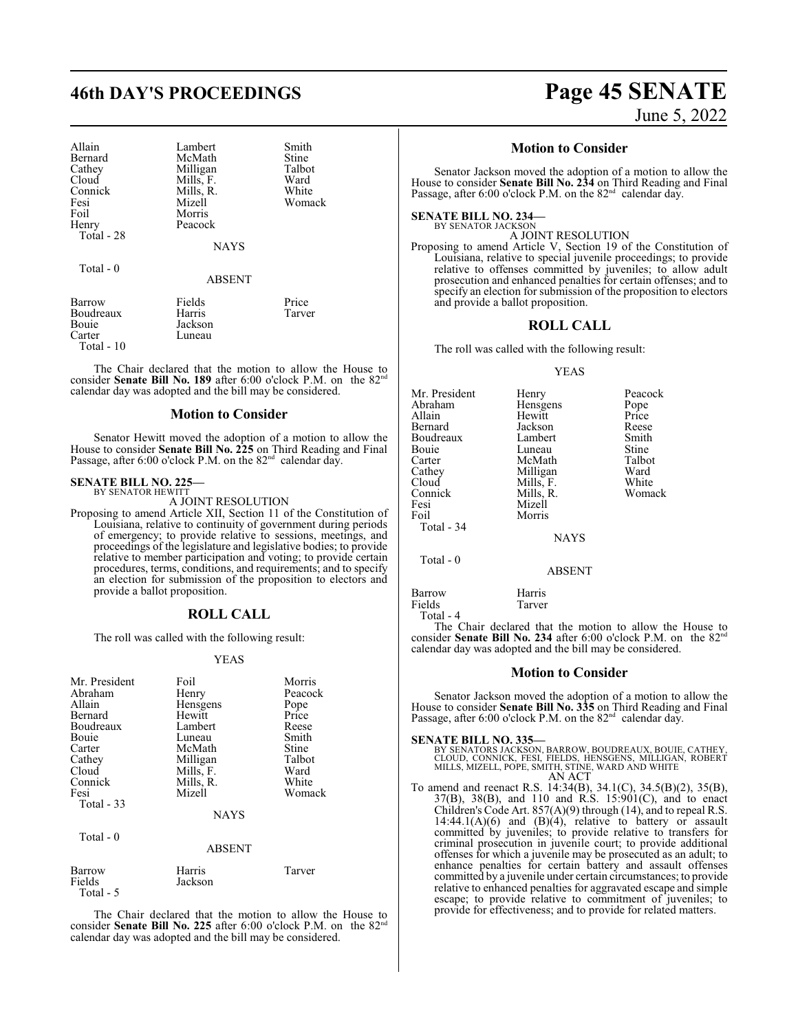## **46th DAY'S PROCEEDINGS Page 45 SENATE**

| Allain     | Lambert     | Smith  |
|------------|-------------|--------|
| Bernard    | McMath      | Stine  |
| Cathey     | Milligan    | Talbot |
| Cloud      | Mills, F.   | Ward   |
| Connick    | Mills, R.   | White  |
| Fesi       | Mizell      | Woma   |
| Foil       | Morris      |        |
| Henry      | Peacock     |        |
| Total - 28 |             |        |
|            | <b>NAVS</b> |        |

NAYS

White Womack

Total - 0

ABSENT

| Barrow      | Fields  | Price  |
|-------------|---------|--------|
| Boudreaux   | Harris  | Tarver |
| Bouie       | Jackson |        |
| Carter      | Luneau  |        |
| Total $-10$ |         |        |

The Chair declared that the motion to allow the House to consider **Senate Bill No. 189** after 6:00 o'clock P.M. on the 82<sup>nd</sup> calendar day was adopted and the bill may be considered.

### **Motion to Consider**

Senator Hewitt moved the adoption of a motion to allow the House to consider **Senate Bill No. 225** on Third Reading and Final Passage, after 6:00 o'clock P.M. on the 82<sup>nd</sup> calendar day.

### **SENATE BILL NO. 225—** BY SENATOR HEWITT

A JOINT RESOLUTION

Proposing to amend Article XII, Section 11 of the Constitution of Louisiana, relative to continuity of government during periods of emergency; to provide relative to sessions, meetings, and proceedings of the legislature and legislative bodies; to provide relative to member participation and voting; to provide certain procedures, terms, conditions, and requirements; and to specify an election for submission of the proposition to electors and provide a ballot proposition.

### **ROLL CALL**

The roll was called with the following result:

### YEAS

| Mr. President     | Foil          | Morris  |
|-------------------|---------------|---------|
| Abraham           | Henry         | Peacock |
| Allain            | Hensgens      | Pope    |
| Bernard           | Hewitt        | Price   |
| Boudreaux         | Lambert       | Reese   |
| Bouie             | Luneau        | Smith   |
| Carter            | McMath        | Stine   |
| Cathey            | Milligan      | Talbot  |
| Cloud             | Mills, F.     | Ward    |
| Connick           | Mills, R.     | White   |
| Fesi              | Mizell        | Womack  |
| <b>Total - 33</b> |               |         |
|                   | <b>NAYS</b>   |         |
| Total $-0$        |               |         |
|                   | <b>ABSENT</b> |         |
| Barrow            | Harris        | Tarver  |
| Fields            | Jackson       |         |
| Total - 5         |               |         |

The Chair declared that the motion to allow the House to consider **Senate Bill No. 225** after 6:00 o'clock P.M. on the 82<sup>nd</sup> calendar day was adopted and the bill may be considered.

June 5, 2022

### **Motion to Consider**

Senator Jackson moved the adoption of a motion to allow the House to consider **Senate Bill No. 234** on Third Reading and Final Passage, after 6:00 o'clock P.M. on the 82<sup>nd</sup> calendar day.

**SENATE BILL NO. 234—**

BY SENATOR JACKSON A JOINT RESOLUTION

Proposing to amend Article V, Section 19 of the Constitution of Louisiana, relative to special juvenile proceedings; to provide relative to offenses committed by juveniles; to allow adult prosecution and enhanced penalties for certain offenses; and to specify an election for submission of the proposition to electors and provide a ballot proposition.

### **ROLL CALL**

The roll was called with the following result:

### YEAS

| Mr. President | Henry       | Peacock      |
|---------------|-------------|--------------|
| Abraham       | Hensgens    | Pope         |
| Allain        | Hewitt      | Price        |
| Bernard       | Jackson     | Reese        |
| Boudreaux     | Lambert     | Smith        |
| Bouie         | Luneau      | <b>Stine</b> |
| Carter        | McMath      | Talbot       |
| Cathey        | Milligan    | Ward         |
| Cloud         | Mills, F.   | White        |
| Connick       | Mills, R.   | Womack       |
| Fesi          | Mizell      |              |
| Foil          | Morris      |              |
| Total - 34    |             |              |
|               | <b>NAYS</b> |              |
| Total - 0     |             |              |
|               | 1.00131     |              |

#### ABSENT

Barrow Harris<br>Fields Tarver Total - 4

Fields

The Chair declared that the motion to allow the House to  $\frac{1}{24}$  and  $\frac{1}{24}$  after 6:00 o'clock PM, on the 8.2nd consider **Senate Bill No. 234** after 6:00 o'clock P.M. on the 82 calendar day was adopted and the bill may be considered.

### **Motion to Consider**

Senator Jackson moved the adoption of a motion to allow the House to consider **Senate Bill No. 335** on Third Reading and Final Passage, after 6:00 o'clock P.M. on the 82<sup>nd</sup> calendar day.

**SENATE BILL NO. 335—**<br>BY SENATORS JACKSON, BARROW, BOUDREAUX, BOUIE, CATHEY,<br>CLOUD, CONNICK, FESI, FIELDS, HENSGENS, MILLIGAN, ROBERT<br>MILLS, MIZELL, POPE, SMITH, STINE, WARD AND WHITE AN ACT

To amend and reenact R.S. 14:34(B), 34.1(C), 34.5(B)(2), 35(B), 37(B), 38(B), and 110 and R.S. 15:901(C), and to enact Children's Code Art. 857(A)(9) through (14), and to repeal R.S.  $14:44.1(A)(6)$  and  $(B)(4)$ , relative to battery or assault committed by juveniles; to provide relative to transfers for criminal prosecution in juvenile court; to provide additional offenses for which a juvenile may be prosecuted as an adult; to enhance penalties for certain battery and assault offenses committed by a juvenile under certain circumstances; to provide relative to enhanced penalties for aggravated escape and simple escape; to provide relative to commitment of juveniles; to provide for effectiveness; and to provide for related matters.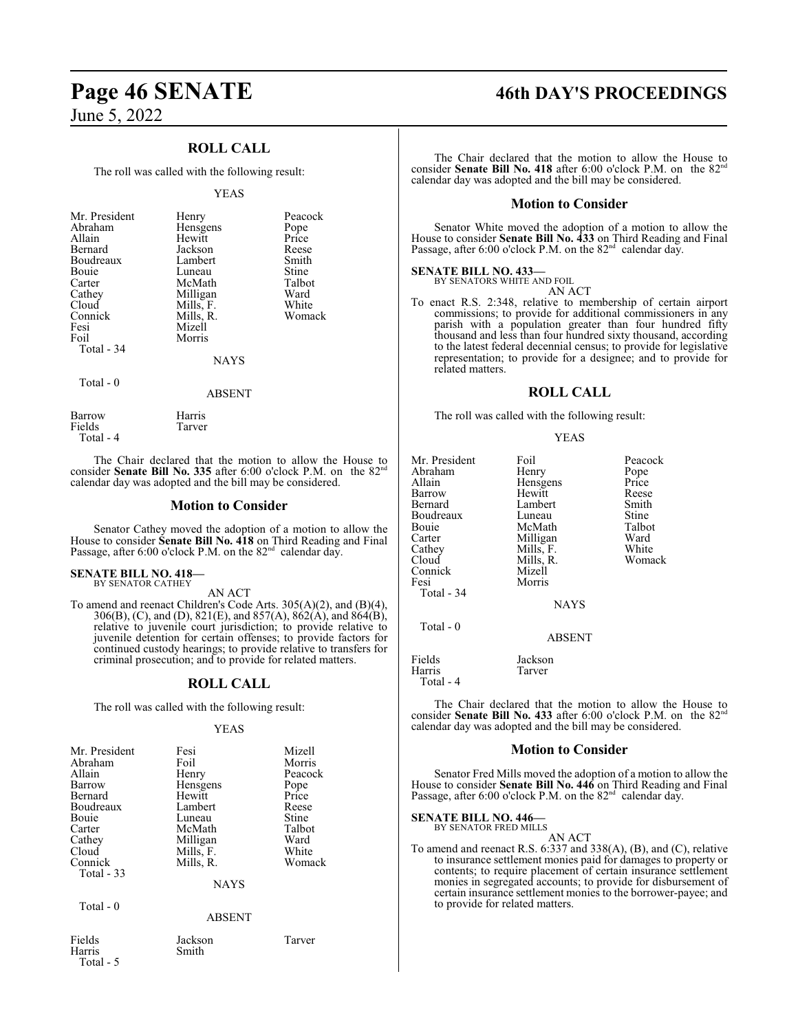## **Page 46 SENATE 46th DAY'S PROCEEDINGS**

June 5, 2022

### **ROLL CALL**

The roll was called with the following result:

### YEAS

| Mr. President<br>Abraham<br>Allain<br>Bernard<br>Boudreaux | Henry<br>Hensgens<br>Hewitt<br>Jackson<br>Lambert | Peacock<br>Pope<br>Price<br>Reese<br>Smith |
|------------------------------------------------------------|---------------------------------------------------|--------------------------------------------|
| Bouie                                                      | Luneau                                            | Stine                                      |
| Carter                                                     | McMath                                            | Talbot                                     |
| Cathey                                                     | Milligan                                          | Ward                                       |
| Cloud                                                      | Mills, F.                                         | White                                      |
| Connick                                                    | Mills, R.                                         | Womack                                     |
| Fesi                                                       | Mizell                                            |                                            |
| Foil                                                       | Morris                                            |                                            |
| Total - 34                                                 |                                                   |                                            |
|                                                            | <b>NAYS</b>                                       |                                            |
| Total - 0                                                  | ABSENT                                            |                                            |

Barrow Harris<br>Fields Tarver Fields

Total - 4

Total - 5

The Chair declared that the motion to allow the House to consider **Senate Bill No. 335** after 6:00 o'clock P.M. on the 82<sup>nd</sup> calendar day was adopted and the bill may be considered.

### **Motion to Consider**

Senator Cathey moved the adoption of a motion to allow the House to consider **Senate Bill No. 418** on Third Reading and Final Passage, after 6:00 o'clock P.M. on the 82<sup>nd</sup> calendar day.

#### **SENATE BILL NO. 418—** BY SENATOR CATHEY

AN ACT

To amend and reenact Children's Code Arts. 305(A)(2), and (B)(4), 306(B), (C), and (D), 821(E), and 857(A), 862(A), and 864(B), relative to juvenile court jurisdiction; to provide relative to juvenile detention for certain offenses; to provide factors for continued custody hearings; to provide relative to transfers for criminal prosecution; and to provide for related matters.

### **ROLL CALL**

The roll was called with the following result:

### YEAS

| Mr. President<br>Abraham<br>Allain<br>Barrow<br>Bernard<br>Boudreaux<br>Bouie<br>Carter<br>Cathey | Fesi<br>Foil<br>Henry<br>Hensgens<br>Hewitt<br>Lambert<br>Luneau<br>McMath<br>Milligan | Mizell<br>Morris<br>Peacock<br>Pope<br>Price<br>Reese<br>Stine<br>Talbot<br>Ward |
|---------------------------------------------------------------------------------------------------|----------------------------------------------------------------------------------------|----------------------------------------------------------------------------------|
| Cloud<br>Connick<br>Total $-33$                                                                   | Mills, F.<br>Mills, R.<br><b>NAYS</b>                                                  | White<br>Womack                                                                  |
| Total $-0$                                                                                        | <b>ABSENT</b>                                                                          |                                                                                  |
| Fields<br>Harris                                                                                  | Jackson<br>Smith                                                                       | Tarver                                                                           |

The Chair declared that the motion to allow the House to consider **Senate Bill No. 418** after 6:00 o'clock P.M. on the 82<sup>nd</sup> calendar day was adopted and the bill may be considered.

### **Motion to Consider**

Senator White moved the adoption of a motion to allow the House to consider **Senate Bill No. 433** on Third Reading and Final Passage, after 6:00 o'clock P.M. on the 82<sup>nd</sup> calendar day.

### **SENATE BILL NO. 433—**

BY SENATORS WHITE AND FOIL AN ACT

To enact R.S. 2:348, relative to membership of certain airport commissions; to provide for additional commissioners in any parish with a population greater than four hundred fifty thousand and less than four hundred sixty thousand, according to the latest federal decennial census; to provide for legislative representation; to provide for a designee; and to provide for related matters.

### **ROLL CALL**

The roll was called with the following result:

|--|--|

| Mr. President | Foil          | Peacock |
|---------------|---------------|---------|
| Abraham       | Henry         | Pope    |
| Allain        | Hensgens      | Price   |
| Barrow        | Hewitt        | Reese   |
| Bernard       | Lambert       | Smith   |
| Boudreaux     | Luneau        | Stine   |
| Bouie         | McMath        | Talbot  |
| Carter        | Milligan      | Ward    |
| Cathey        | Mills, F.     | White   |
|               |               |         |
| Cloud         | Mills, R.     | Womack  |
| Connick       | Mizell        |         |
| Fesi          | Morris        |         |
| Total - 34    |               |         |
|               | <b>NAYS</b>   |         |
| $Total - 0$   |               |         |
|               | <b>ABSENT</b> |         |
| Fields        | Jackson       |         |
| Harris        | Tarver        |         |

Total - 4

The Chair declared that the motion to allow the House to consider **Senate Bill No. 433** after 6:00 o'clock P.M. on the 82<sup>nd</sup> calendar day was adopted and the bill may be considered.

### **Motion to Consider**

Senator Fred Mills moved the adoption of a motion to allow the House to consider **Senate Bill No. 446** on Third Reading and Final Passage, after 6:00 o'clock P.M. on the 82<sup>nd</sup> calendar day.

**SENATE BILL NO. 446—**

BY SENATOR FRED MILLS AN ACT

To amend and reenact R.S. 6:337 and 338(A), (B), and (C), relative to insurance settlement monies paid for damages to property or contents; to require placement of certain insurance settlement monies in segregated accounts; to provide for disbursement of certain insurance settlement monies to the borrower-payee; and to provide for related matters.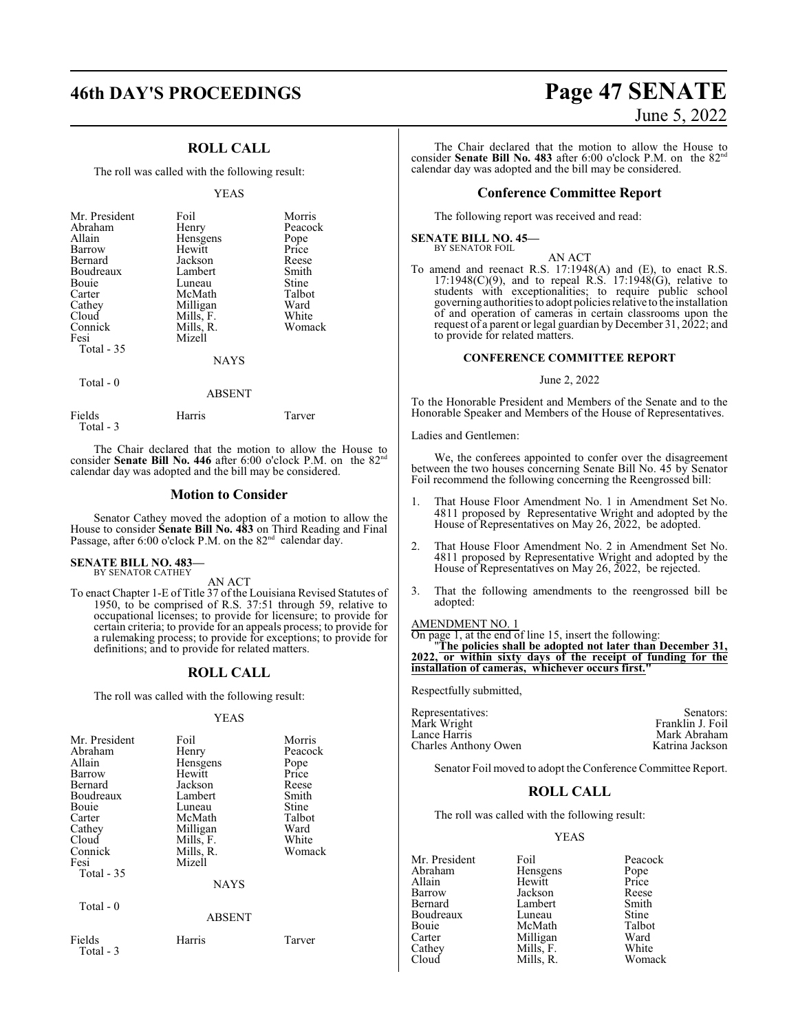### **ROLL CALL**

The roll was called with the following result:

### YEAS

| Abraham<br>Henry<br>Allain<br>Hensgens<br>Hewitt<br>Barrow<br>Bernard<br>Jackson<br>Boudreaux<br>Lambert<br>Bouie<br>Luneau<br>McMath<br>Carter<br>Milligan<br>Cathey<br>Mills, F.<br>Cloud<br>Connick<br>Mills, R.<br>Mizell<br>Fesi | Pope<br>Price<br>Reese<br>Smith<br>Stine<br>Talbot<br>Ward<br>White<br>Womack |
|---------------------------------------------------------------------------------------------------------------------------------------------------------------------------------------------------------------------------------------|-------------------------------------------------------------------------------|
| Total $-35$<br><b>NAYS</b>                                                                                                                                                                                                            |                                                                               |

Total - 0

### ABSENT

| Fields    | <b>Harris</b> | Tarver |
|-----------|---------------|--------|
| Total - 3 |               |        |

The Chair declared that the motion to allow the House to consider **Senate Bill No. 446** after 6:00 o'clock P.M. on the 82<sup>nd</sup> calendar day was adopted and the bill may be considered.

### **Motion to Consider**

Senator Cathey moved the adoption of a motion to allow the House to consider **Senate Bill No. 483** on Third Reading and Final Passage, after 6:00 o'clock P.M. on the 82<sup>nd</sup> calendar day.

#### **SENATE BILL NO. 483—** BY SENATOR CATHEY

AN ACT

To enact Chapter 1-E of Title 37 of the Louisiana Revised Statutes of 1950, to be comprised of R.S. 37:51 through 59, relative to occupational licenses; to provide for licensure; to provide for certain criteria; to provide for an appeals process; to provide for a rulemaking process; to provide for exceptions; to provide for definitions; and to provide for related matters.

### **ROLL CALL**

The roll was called with the following result:

### YEAS

| Mr. President<br>Abraham<br>Allain<br>Barrow<br>Bernard<br>Boudreaux<br>Bouie<br>Carter<br>Cathey<br>Cloud<br>Connick<br>Fesi<br>Total - 35<br>Total - 0 | Foil<br>Henry<br>Hensgens<br>Hewitt<br>Jackson<br>Lambert<br>Luneau<br>McMath<br>Milligan<br>Mills, F.<br>Mills, R.<br>Mizell<br><b>NAYS</b> | Morris<br>Peacock<br>Pope<br>Price<br>Reese<br>Smith<br>Stine<br>Talbot<br>Ward<br>White<br>Womack |
|----------------------------------------------------------------------------------------------------------------------------------------------------------|----------------------------------------------------------------------------------------------------------------------------------------------|----------------------------------------------------------------------------------------------------|
|                                                                                                                                                          | <b>ABSENT</b>                                                                                                                                |                                                                                                    |
| Fields<br>Total - 3                                                                                                                                      | Harris                                                                                                                                       | Tarver                                                                                             |

## **46th DAY'S PROCEEDINGS Page 47 SENATE** June 5, 2022

The Chair declared that the motion to allow the House to consider **Senate Bill No. 483** after 6:00 o'clock P.M. on the 82<sup>nd</sup> calendar day was adopted and the bill may be considered.

### **Conference Committee Report**

The following report was received and read:

**SENATE BILL NO. 45—**<br>BY SENATOR FOIL

AN ACT

To amend and reenact R.S. 17:1948(A) and (E), to enact R.S.  $17:1948(C)(9)$ , and to repeal R.S.  $17:1948(G)$ , relative to students with exceptionalities; to require public school governing authorities to adopt policies relative to the installation of and operation of cameras in certain classrooms upon the request of a parent or legal guardian by December 31, 2022; and to provide for related matters.

### **CONFERENCE COMMITTEE REPORT**

### June 2, 2022

To the Honorable President and Members of the Senate and to the Honorable Speaker and Members of the House of Representatives.

Ladies and Gentlemen:

We, the conferees appointed to confer over the disagreement between the two houses concerning Senate Bill No. 45 by Senator Foil recommend the following concerning the Reengrossed bill:

- 1. That House Floor Amendment No. 1 in Amendment Set No. 4811 proposed by Representative Wright and adopted by the House of Representatives on May 26, 2022, be adopted.
- 2. That House Floor Amendment No. 2 in Amendment Set No. 4811 proposed by Representative Wright and adopted by the House of Representatives on May 26, 2022, be rejected.
- 3. That the following amendments to the reengrossed bill be adopted:

### AMENDMENT NO. 1

On page 1, at the end of line 15, insert the following:

"**The policies shall be adopted not later than December 31, 2022, or within sixty days of the receipt of funding for the installation of cameras, whichever occurs first."**

Respectfully submitted,

| Representatives:     | Senators:        |
|----------------------|------------------|
| Mark Wright          | Franklin J. Foil |
| Lance Harris         | Mark Abraham     |
| Charles Anthony Owen | Katrina Jackson  |
|                      |                  |

Senator Foil moved to adopt the Conference Committee Report.

### **ROLL CALL**

The roll was called with the following result:

### YEAS

| Mr. President | Foil      | Peacock      |
|---------------|-----------|--------------|
| Abraham       | Hensgens  | Pope         |
| Allain        | Hewitt    | Price        |
| Barrow        | Jackson   | Reese        |
| Bernard       | Lambert   | Smith        |
| Boudreaux     | Luneau    | <b>Stine</b> |
| Bouie         | McMath    | Talbot       |
| Carter        | Milligan  | Ward         |
| Cathey        | Mills, F. | White        |
| Cloud         | Mills. R. | Womack       |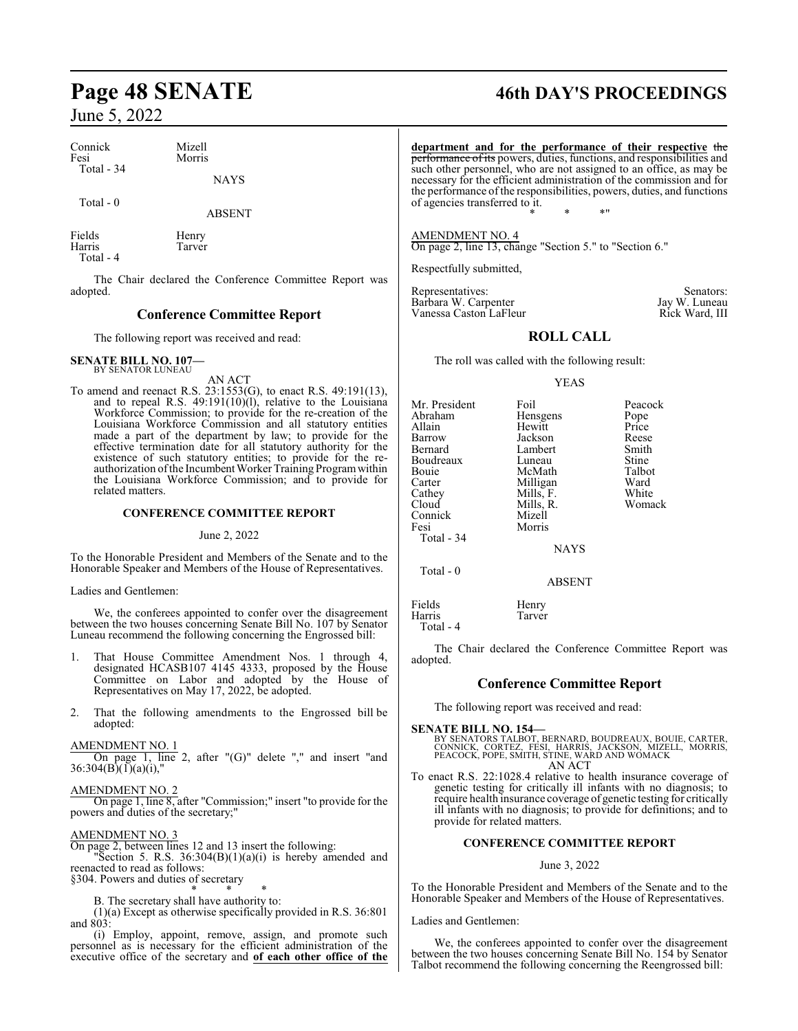| Connick    | Mizell      |
|------------|-------------|
| Fesi       | Morris      |
| Total - 34 | <b>NAVS</b> |

### Total - 0

ABSENT

Fields<br>
Henry<br>
Harris Tarver Tarver Total - 4

The Chair declared the Conference Committee Report was adopted.

### **Conference Committee Report**

The following report was received and read:

### **SENATE BILL NO. 107—** BY SENATOR LUNEAU

AN ACT

To amend and reenact R.S. 23:1553(G), to enact R.S. 49:191(13), and to repeal R.S.  $49:191(10)(1)$ , relative to the Louisiana Workforce Commission; to provide for the re-creation of the Louisiana Workforce Commission and all statutory entities made a part of the department by law; to provide for the effective termination date for all statutory authority for the existence of such statutory entities; to provide for the reauthorization of the Incumbent Worker Training Program within the Louisiana Workforce Commission; and to provide for related matters.

### **CONFERENCE COMMITTEE REPORT**

### June 2, 2022

To the Honorable President and Members of the Senate and to the Honorable Speaker and Members of the House of Representatives.

### Ladies and Gentlemen:

We, the conferees appointed to confer over the disagreement between the two houses concerning Senate Bill No. 107 by Senator Luneau recommend the following concerning the Engrossed bill:

- 1. That House Committee Amendment Nos. 1 through 4, designated HCASB107 4145 4333, proposed by the House Committee on Labor and adopted by the House of Representatives on May 17, 2022, be adopted.
- 2. That the following amendments to the Engrossed bill be adopted:

### AMENDMENT NO. 1

On page 1, line 2, after "(G)" delete "," and insert "and  $36:304(B)(1)(a)(i)$ ,"

### AMENDMENT NO. 2

On page 1, line 8, after "Commission;" insert "to provide for the powers and duties of the secretary;"

### AMENDMENT NO. 3

On page 2, between lines 12 and 13 insert the following:

"Section 5. R.S.  $36:304(B)(1)(a)(i)$  is hereby amended and reenacted to read as follows:

§304. Powers and duties of secretary

\* \* \* B. The secretary shall have authority to:

(1)(a) Except as otherwise specifically provided in R.S. 36:801 and 803:

(i) Employ, appoint, remove, assign, and promote such personnel as is necessary for the efficient administration of the executive office of the secretary and **of each other office of the**

## **Page 48 SENATE 46th DAY'S PROCEEDINGS**

**department and for the performance of their respective** the performance of its powers, duties, functions, and responsibilities and such other personnel, who are not assigned to an office, as may be necessary for the efficient administration of the commission and for the performance ofthe responsibilities, powers, duties, and functions of agencies transferred to it. \* \* \*"

AMENDMENT NO. 4 On page 2, line 13, change "Section 5." to "Section 6."

Respectfully submitted,

Representatives: Senators: Senators: Senators: Senators: Senators: Senators: Senators: Senators: Senators: Senators: Senators: Senators: Senators: Senators: Senators: Senators: Senators: Senators: Senators: Senators: Senat Barbara W. Carpenter Jay W. Luneau Vanessa Caston LaFleur

### **ROLL CALL**

The roll was called with the following result:

YEAS

| Mr. President | Foil      | Peacock      |
|---------------|-----------|--------------|
| Abraham       | Hensgens  | Pope         |
| Allain        | Hewitt    | Price        |
| Barrow        | Jackson   | Reese        |
| Bernard       | Lambert   | Smith        |
| Boudreaux     | Luneau    | <b>Stine</b> |
| Bouie         | McMath    | Talbot       |
| Carter        | Milligan  | Ward         |
| Cathey        | Mills, F. | White        |
| Cloud         | Mills, R. | Womack       |
| Connick       | Mizell    |              |
| Fesi          | Morris    |              |
| Total - 34    |           |              |
|               | NAYS      |              |

Fields Henry<br>Harris Tarver Tarver Total - 4

Total - 0

The Chair declared the Conference Committee Report was adopted.

### **Conference Committee Report**

ABSENT

The following report was received and read:

### **SENATE BILL NO. 154—**

BY SENATORS TALBOT, BERNARD, BOUDREAUX, BOUIE, CARTER, CONNICK, CORTEZ, FESI, HARRIS, JACKSON, MIZELL, MORRIS, PEACOCK, POPE, SMITH, STINE, WARD AND WOMACK AN ACT

To enact R.S. 22:1028.4 relative to health insurance coverage of genetic testing for critically ill infants with no diagnosis; to require health insurance coverage of genetic testing for critically ill infants with no diagnosis; to provide for definitions; and to provide for related matters.

### **CONFERENCE COMMITTEE REPORT**

### June 3, 2022

To the Honorable President and Members of the Senate and to the Honorable Speaker and Members of the House of Representatives.

Ladies and Gentlemen:

We, the conferees appointed to confer over the disagreement between the two houses concerning Senate Bill No. 154 by Senator Talbot recommend the following concerning the Reengrossed bill: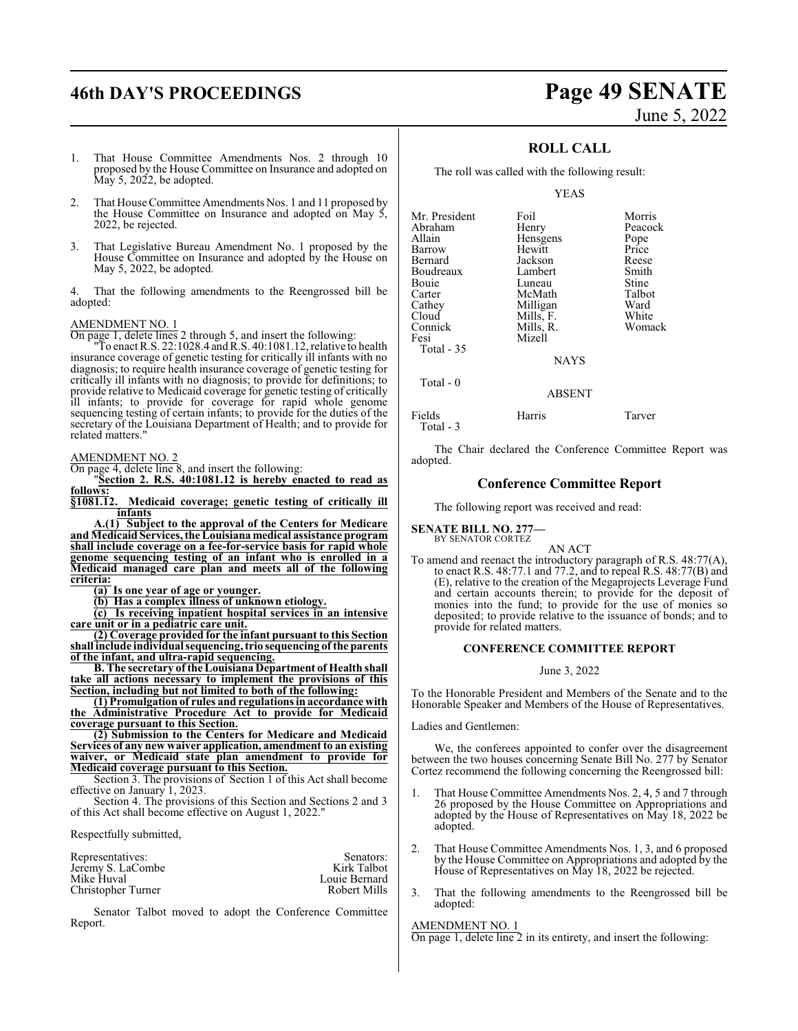## **46th DAY'S PROCEEDINGS Page 49 SENATE**

# June 5, 2022

- 1. That House Committee Amendments Nos. 2 through 10 proposed by the House Committee on Insurance and adopted on May 5, 2022, be adopted.
- That House Committee Amendments Nos. 1 and 11 proposed by the House Committee on Insurance and adopted on May 5, 2022, be rejected.
- 3. That Legislative Bureau Amendment No. 1 proposed by the House Committee on Insurance and adopted by the House on May 5, 2022, be adopted.

That the following amendments to the Reengrossed bill be adopted:

### AMENDMENT NO. 1

On page 1, delete lines 2 through 5, and insert the following:

"To enact R.S. 22:1028.4 andR.S. 40:1081.12, relative to health insurance coverage of genetic testing for critically ill infants with no diagnosis; to require health insurance coverage of genetic testing for critically ill infants with no diagnosis; to provide for definitions; to provide relative to Medicaid coverage for genetic testing of critically ill infants; to provide for coverage for rapid whole genome sequencing testing of certain infants; to provide for the duties of the secretary of the Louisiana Department of Health; and to provide for related matters."

AMENDMENT NO. 2

On page 4, delete line 8, and insert the following:

"**Section 2. R.S. 40:1081.12 is hereby enacted to read as**

**<u>follows:</u>**<br><u>**§1081</u>.12.**</u> **§1081.12. Medicaid coverage; genetic testing of critically ill infants**

**A.(1) Subject to the approval of the Centers for Medicare andMedicaid Services, the Louisiana medical assistance program shall include coverage on a fee-for-service basis for rapid whole genome sequencing testing of an infant who is enrolled in a Medicaid managed care plan and meets all of the following criteria:**

**(a) Is one year of age or younger.**

**(b) Has a complex illness of unknown etiology.**

**(c) Is receiving inpatient hospital services in an intensive care unit or in a pediatric care unit.**

**(2) Coverage provided for the infant pursuant to this Section shall include individual sequencing, trio sequencing of the parents of the infant, and ultra-rapid sequencing.**

**B. The secretary of theLouisiana Department of Health shall take all actions necessary to implement the provisions of this Section, including but not limited to both of the following:**

**(1) Promulgation of rules and regulations in accordance with the Administrative Procedure Act to provide for Medicaid coverage pursuant to this Section.**

**(2) Submission to the Centers for Medicare and Medicaid Services of any new waiver application, amendment to an existing waiver, or Medicaid state plan amendment to provide for Medicaid coverage pursuant to this Section.**

Section 3. The provisions of Section 1 of this Act shall become effective on January 1, 2023.

Section 4. The provisions of this Section and Sections 2 and 3 of this Act shall become effective on August 1, 2022."

Respectfully submitted,

| Representatives:   | Senators:     |
|--------------------|---------------|
| Jeremy S. LaCombe  | Kirk Talbot   |
| Mike Huval         | Louie Bernard |
| Christopher Turner | Robert Mills  |

Senator Talbot moved to adopt the Conference Committee Report.

### **ROLL CALL**

The roll was called with the following result:

YEAS

| Mr. President | Foil        | Morris  |
|---------------|-------------|---------|
| Abraham       | Henry       | Peacock |
| Allain        | Hensgens    | Pope    |
| Barrow        | Hewitt      | Price   |
| Bernard       | Jackson     | Reese   |
| Boudreaux     | Lambert     | Smith   |
| Bouie         | Luneau      | Stine   |
| Carter        | McMath      | Talbot  |
| Cathey        | Milligan    | Ward    |
| Cloud         | Mills, F.   | White   |
| Connick       | Mills, R.   | Womack  |
| Fesi          | Mizell      |         |
| Total - 35    |             |         |
|               | <b>NAYS</b> |         |
|               |             |         |

ABSENT

Fields Harris Tarver Total - 3

The Chair declared the Conference Committee Report was adopted.

### **Conference Committee Report**

The following report was received and read:

**SENATE BILL NO. 277** BY SENATOR CORTEZ

Total - 0

AN ACT

To amend and reenact the introductory paragraph of R.S. 48:77(A), to enact R.S. 48:77.1 and 77.2, and to repeal R.S. 48:77(B) and (E), relative to the creation of the Megaprojects Leverage Fund and certain accounts therein; to provide for the deposit of monies into the fund; to provide for the use of monies so deposited; to provide relative to the issuance of bonds; and to provide for related matters.

### **CONFERENCE COMMITTEE REPORT**

June 3, 2022

To the Honorable President and Members of the Senate and to the Honorable Speaker and Members of the House of Representatives.

Ladies and Gentlemen:

We, the conferees appointed to confer over the disagreement between the two houses concerning Senate Bill No. 277 by Senator Cortez recommend the following concerning the Reengrossed bill:

- That House Committee Amendments Nos. 2, 4, 5 and 7 through 26 proposed by the House Committee on Appropriations and adopted by the House of Representatives on May 18, 2022 be adopted.
- 2. That House Committee Amendments Nos. 1, 3, and 6 proposed by the House Committee on Appropriations and adopted by the House of Representatives on May 18, 2022 be rejected.
- 3. That the following amendments to the Reengrossed bill be adopted:

AMENDMENT NO. 1

On page 1, delete line 2 in its entirety, and insert the following: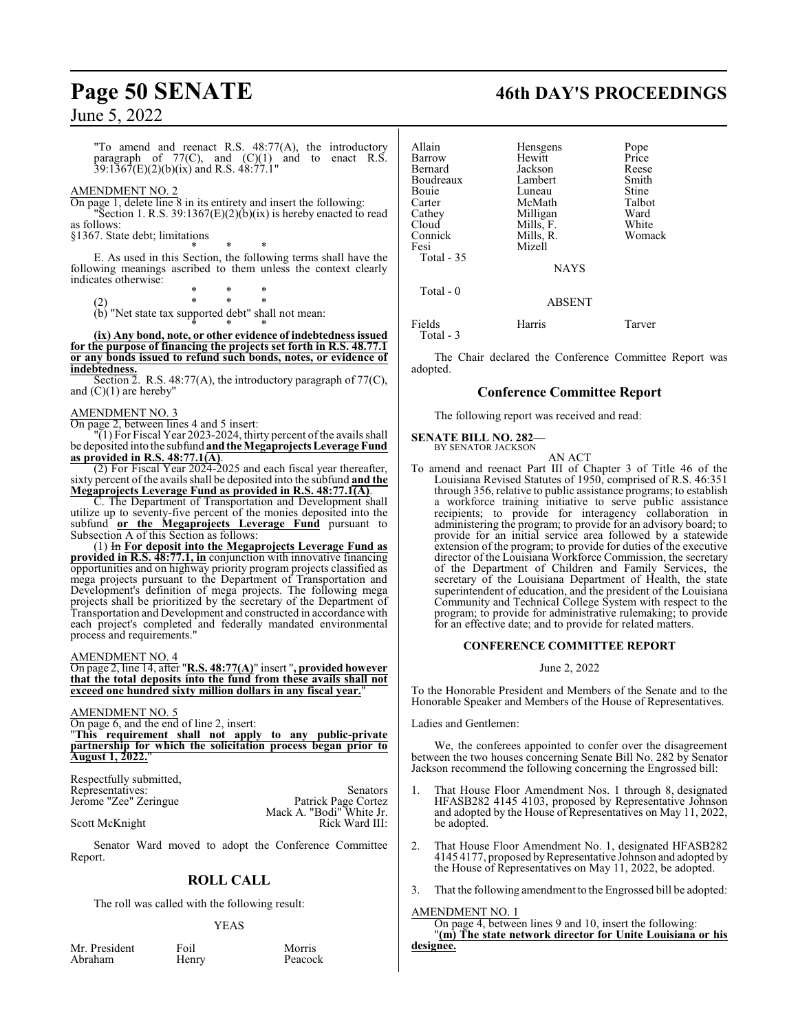"To amend and reenact R.S. 48:77(A), the introductory paragraph of  $77(C)$ , and  $(C)(1)$  and to enact R.S. 39:1367(E)(2)(b)(ix) and R.S. 48:77.1"

### AMENDMENT NO. 2

On page 1, delete line 8 in its entirety and insert the following:

Section 1. R.S. 39:1367 $(E)(2)(b)(ix)$  is hereby enacted to read as follows:

§1367. State debt; limitations

\* \* \* E. As used in this Section, the following terms shall have the following meanings ascribed to them unless the context clearly indicates otherwise:

\* \* \* (2) \* \* \*

(b) "Net state tax supported debt" shall not mean:

\* \* \* **(ix) Any bond, note, or other evidence of indebtedness issued for the purpose of financing the projects set forth in R.S. 48.77.1 or any bonds issued to refund such bonds, notes, or evidence of indebtedness.**

Section  $\overline{2}$ . R.S. 48:77(A), the introductory paragraph of 77(C), and  $(C)(1)$  are hereby"

### AMENDMENT NO. 3

On page 2, between lines 4 and 5 insert:

"(1) For Fiscal Year 2023-2024, thirty percent ofthe avails shall be deposited into the subfund **and the Megaprojects Leverage Fund as provided in R.S. 48:77.1(A)**.

(2) For Fiscal Year 2024-2025 and each fiscal year thereafter, sixty percent of the avails shall be deposited into the subfund **and the Megaprojects Leverage Fund as provided in R.S. 48:77.1(A)**.

C. The Department of Transportation and Development shall utilize up to seventy-five percent of the monies deposited into the subfund **or the Megaprojects Leverage Fund** pursuant to Subsection A of this Section as follows:

(1) In **For deposit into the Megaprojects Leverage Fund as provided in R.S. 48:77.1, in** conjunction with innovative financing opportunities and on highway priority program projects classified as mega projects pursuant to the Department of Transportation and Development's definition of mega projects. The following mega projects shall be prioritized by the secretary of the Department of Transportation and Development and constructed in accordance with each project's completed and federally mandated environmental process and requirements."

### AMENDMENT NO. 4

On page 2, line 14, after "**R.S. 48:77(A)**" insert "**, provided however that the total deposits into the fund from these avails shall not exceed one hundred sixty million dollars in any fiscal year.**"

### AMENDMENT NO. 5

On page 6, and the end of line 2, insert:

"**This requirement shall not apply to any public-private partnership for which the solicitation process began prior to August 1, 2022.**"

Respectfully submitted, Representatives: Senators<br>
Jerome "Zee" Zeringue Patrick Page Cortez

Jerome "Zee" Zeringue Patrick Page Cortez Mack A. "Bodi" White Jr. Scott McKnight Rick Ward III:

Senator Ward moved to adopt the Conference Committee Report.

### **ROLL CALL**

The roll was called with the following result:

### YEAS

Mr. President Foil Foil Morris<br>Abraham Henry Peacock

Henry

## **Page 50 SENATE 46th DAY'S PROCEEDINGS**

| Allain<br>Barrow<br>Bernard<br>Boudreaux<br>Bouie<br>Carter<br>Cathey<br>Cloud<br>Connick<br>Fesi<br>Total $-35$ | Hensgens<br>Hewitt<br>Jackson<br>Lambert<br>Luneau<br>McMath<br>Milligan<br>Mills, F.<br>Mills, R.<br>Mizell<br><b>NAYS</b> | Pope<br>Price<br>Reese<br>Smith<br>Stine<br>Talbot<br>Ward<br>White<br>Womack |
|------------------------------------------------------------------------------------------------------------------|-----------------------------------------------------------------------------------------------------------------------------|-------------------------------------------------------------------------------|
| Total $-0$                                                                                                       | <b>ABSENT</b>                                                                                                               |                                                                               |
| Fields                                                                                                           | Harris                                                                                                                      | Tarver                                                                        |

Total - 3

The Chair declared the Conference Committee Report was adopted.

### **Conference Committee Report**

The following report was received and read:

### **SENATE BILL NO. 282—** BY SENATOR JACKSON

AN ACT To amend and reenact Part III of Chapter 3 of Title 46 of the Louisiana Revised Statutes of 1950, comprised of R.S. 46:351 through 356, relative to public assistance programs; to establish a workforce training initiative to serve public assistance recipients; to provide for interagency collaboration in administering the program; to provide for an advisory board; to provide for an initial service area followed by a statewide extension of the program; to provide for duties of the executive director of the Louisiana Workforce Commission, the secretary of the Department of Children and Family Services, the secretary of the Louisiana Department of Health, the state superintendent of education, and the president of the Louisiana Community and Technical College System with respect to the program; to provide for administrative rulemaking; to provide for an effective date; and to provide for related matters.

### **CONFERENCE COMMITTEE REPORT**

June 2, 2022

To the Honorable President and Members of the Senate and to the Honorable Speaker and Members of the House of Representatives.

Ladies and Gentlemen:

We, the conferees appointed to confer over the disagreement between the two houses concerning Senate Bill No. 282 by Senator Jackson recommend the following concerning the Engrossed bill:

- 1. That House Floor Amendment Nos. 1 through 8, designated HFASB282 4145 4103, proposed by Representative Johnson and adopted by the House of Representatives on May 11, 2022, be adopted.
- 2. That House Floor Amendment No. 1, designated HFASB282 4145 4177, proposed byRepresentative Johnson and adopted by the House of Representatives on May 11, 2022, be adopted.
- 3. That the following amendment to the Engrossed bill be adopted:

### AMENDMENT NO. 1

On page 4, between lines 9 and 10, insert the following: "**(m) The state network director for Unite Louisiana or his designee.**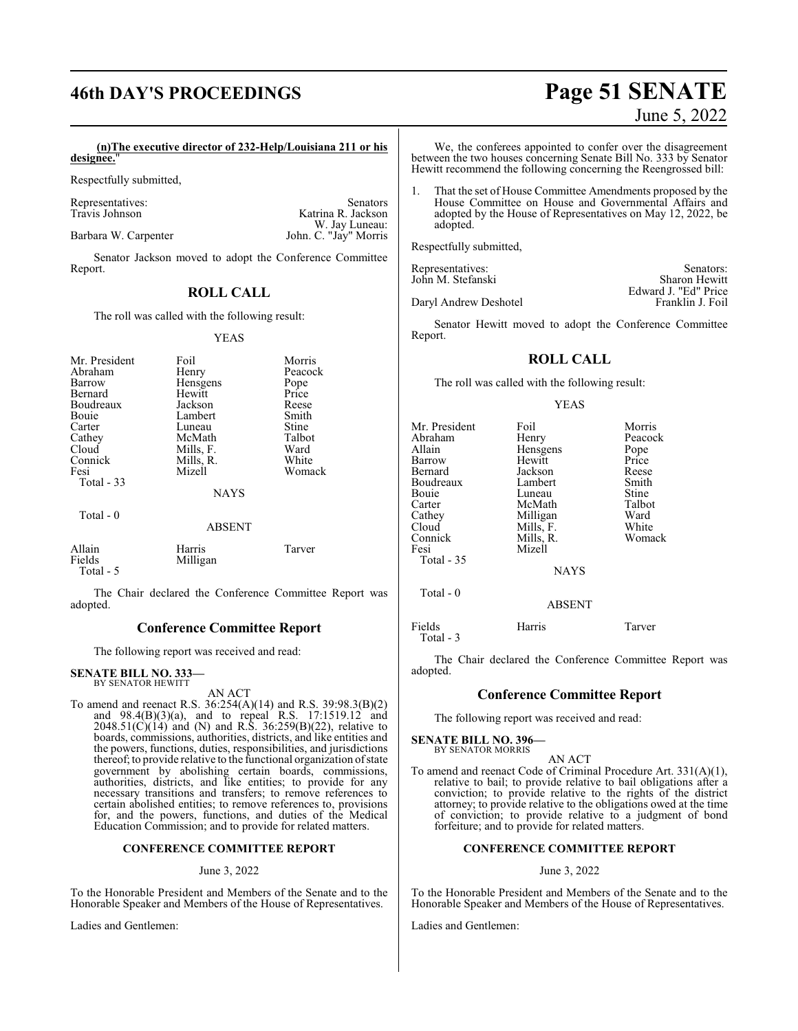## **46th DAY'S PROCEEDINGS Page 51 SENATE** June 5, 2022

 **(n)The executive director of 232-Help/Louisiana 211 or his designee.**"

Respectfully submitted,

Representatives: Senators Katrina R. Jackson W. Jay Luneau: Barbara W. Carpenter **Iohn. C. "Jay" Morris** 

Senator Jackson moved to adopt the Conference Committee Report.

### **ROLL CALL**

The roll was called with the following result:

YEAS

| Mr. President<br>Abraham<br>Barrow<br>Bernard<br>Boudreaux<br>Bouie | Foil<br>Henry<br>Hensgens<br>Hewitt<br>Jackson<br>Lambert | Morris<br>Peacock<br>Pope<br>Price<br>Reese<br>Smith<br>Stine |
|---------------------------------------------------------------------|-----------------------------------------------------------|---------------------------------------------------------------|
| Carter                                                              | Luneau                                                    |                                                               |
| Cathey                                                              | McMath                                                    | Talbot                                                        |
| Cloud                                                               | Mills, F.                                                 | Ward                                                          |
| Connick                                                             | Mills, R.                                                 | White                                                         |
| Fesi                                                                | Mizell                                                    | Womack                                                        |
| Total $-33$                                                         |                                                           |                                                               |
|                                                                     | <b>NAYS</b>                                               |                                                               |
| Total $-0$                                                          | <b>ABSENT</b>                                             |                                                               |
|                                                                     |                                                           |                                                               |
| Allain<br>Fields<br>Total - 5                                       | Harris<br>Milligan                                        | Tarver                                                        |

The Chair declared the Conference Committee Report was adopted.

### **Conference Committee Report**

The following report was received and read:

#### **SENATE BILL NO. 333—** BY SENATOR HEWITT

AN ACT

To amend and reenact R.S. 36:254(A)(14) and R.S. 39:98.3(B)(2) and 98.4(B)(3)(a), and to repeal R.S. 17:1519.12 and  $2048.51(C)(14)$  and (N) and R.S. 36:259(B)(22), relative to boards, commissions, authorities, districts, and like entities and the powers, functions, duties, responsibilities, and jurisdictions thereof; to provide relative to the functional organization ofstate government by abolishing certain boards, commissions, authorities, districts, and like entities; to provide for any necessary transitions and transfers; to remove references to certain abolished entities; to remove references to, provisions for, and the powers, functions, and duties of the Medical Education Commission; and to provide for related matters.

### **CONFERENCE COMMITTEE REPORT**

### June 3, 2022

To the Honorable President and Members of the Senate and to the Honorable Speaker and Members of the House of Representatives.

Ladies and Gentlemen:

We, the conferees appointed to confer over the disagreement between the two houses concerning Senate Bill No. 333 by Senator Hewitt recommend the following concerning the Reengrossed bill:

That the set of House Committee Amendments proposed by the House Committee on House and Governmental Affairs and adopted by the House of Representatives on May 12, 2022, be adopted.

Respectfully submitted,

| Representatives:      | Senators:            |
|-----------------------|----------------------|
| John M. Stefanski     | Sharon Hewitt        |
|                       | Edward J. "Ed" Price |
| Daryl Andrew Deshotel | Franklin J. Foil     |

Senator Hewitt moved to adopt the Conference Committee Report.

### **ROLL CALL**

The roll was called with the following result:

#### YEAS

| Mr. President<br>Abraham<br>Allain<br>Barrow<br>Bernard<br>Boudreaux | Foil<br>Henry<br>Hensgens<br>Hewitt<br>Jackson<br>Lambert                       | Morris<br>Peacock<br>Pope<br>Price<br>Reese<br>Smith<br>Stine |
|----------------------------------------------------------------------|---------------------------------------------------------------------------------|---------------------------------------------------------------|
| Bouie<br>Carter<br>Cathey<br>Cloud<br>Connick<br>Fesi<br>Total - 35  | Luneau<br>McMath<br>Milligan<br>Mills, F.<br>Mills, R.<br>Mizell<br><b>NAYS</b> | Talbot<br>Ward<br>White<br>Womack                             |
| Total - 0                                                            | <b>ABSENT</b>                                                                   |                                                               |
| Fields<br>Total - 3                                                  | Harris                                                                          | Tarver                                                        |

The Chair declared the Conference Committee Report was adopted.

### **Conference Committee Report**

The following report was received and read:

#### **SENATE BILL NO. 396—** BY SENATOR MORRIS

AN ACT

To amend and reenact Code of Criminal Procedure Art. 331(A)(1), relative to bail; to provide relative to bail obligations after a conviction; to provide relative to the rights of the district attorney; to provide relative to the obligations owed at the time of conviction; to provide relative to a judgment of bond forfeiture; and to provide for related matters.

### **CONFERENCE COMMITTEE REPORT**

### June 3, 2022

To the Honorable President and Members of the Senate and to the Honorable Speaker and Members of the House of Representatives.

Ladies and Gentlemen: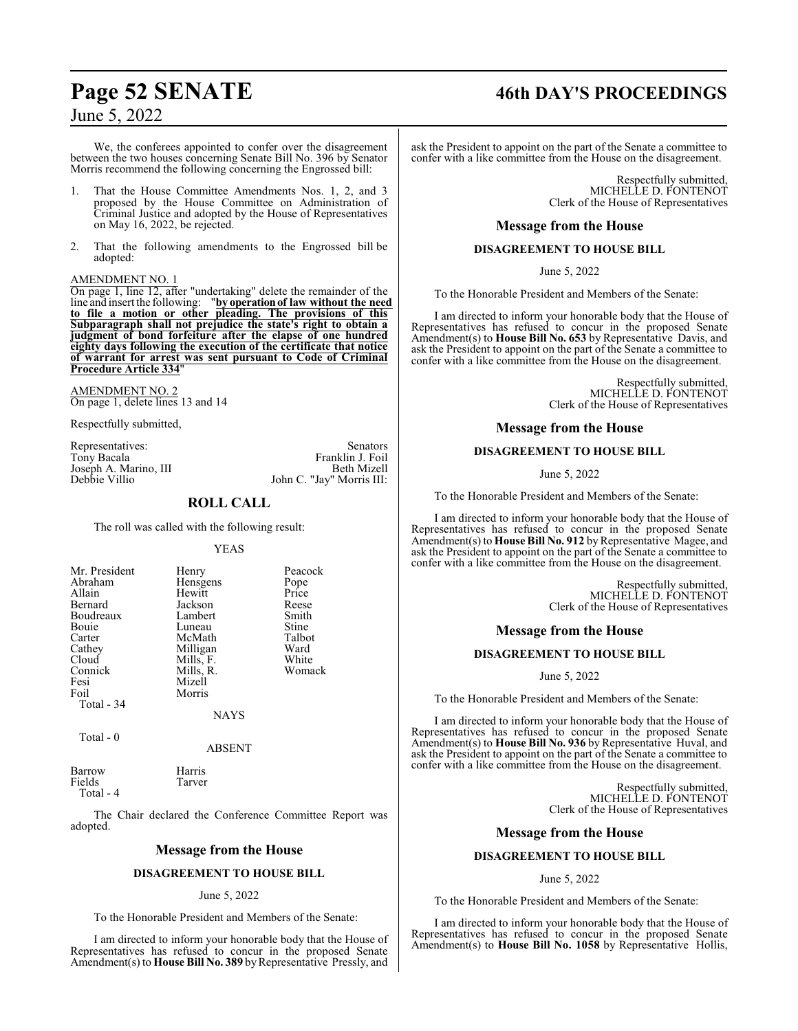We, the conferees appointed to confer over the disagreement between the two houses concerning Senate Bill No. 396 by Senator Morris recommend the following concerning the Engrossed bill:

- That the House Committee Amendments Nos. 1, 2, and 3 proposed by the House Committee on Administration of Criminal Justice and adopted by the House of Representatives on May 16, 2022, be rejected.
- 2. That the following amendments to the Engrossed bill be adopted:

### AMENDMENT NO. 1

On page 1, line 12, after "undertaking" delete the remainder of the line and insert the following: "**by operationof law without the need to file a motion or other pleading. The provisions of this Subparagraph shall not prejudice the state's right to obtain a judgment of bond forfeiture after the elapse of one hundred eighty days following the execution of the certificate that notice of warrant for arrest was sent pursuant to Code of Criminal Procedure Article 334**"

AMENDMENT NO. 2 On page 1, delete lines 13 and 14

Respectfully submitted,

Representatives: Senators<br>
Tony Bacala<br>
Senators
Tony Bacala Joseph A. Marino, III<br>Debbie Villio

### John C. "Jay" Morris III: **ROLL CALL**

Franklin J. Foil<br>Beth Mizell

The roll was called with the following result:

### YEAS

| Mr. President | Henry       | Peacock |
|---------------|-------------|---------|
| Abraham       | Hensgens    | Pope    |
| Allain        | Hewitt      | Price   |
| Bernard       | Jackson     | Reese   |
| Boudreaux     | Lambert     | Smith   |
| Bouie         | Luneau      | Stine   |
| Carter        | McMath      | Talbot  |
| Cathey        | Milligan    | Ward    |
| Cloud         | Mills, F.   | White   |
| Connick       | Mills, R.   | Womack  |
| Fesi          | Mizell      |         |
| Foil          | Morris      |         |
| Total - 34    |             |         |
|               | <b>NAYS</b> |         |

Total - 0

ABSENT

| Barrow    | Harris |
|-----------|--------|
| Fields    | Tarver |
| Total - 4 |        |

The Chair declared the Conference Committee Report was adopted.

### **Message from the House**

### **DISAGREEMENT TO HOUSE BILL**

### June 5, 2022

To the Honorable President and Members of the Senate:

I am directed to inform your honorable body that the House of Representatives has refused to concur in the proposed Senate Amendment(s) to **House Bill No. 389** by Representative Pressly, and

## **Page 52 SENATE 46th DAY'S PROCEEDINGS**

ask the President to appoint on the part of the Senate a committee to confer with a like committee from the House on the disagreement.

> Respectfully submitted, MICHELLE D. FONTENOT Clerk of the House of Representatives

### **Message from the House**

### **DISAGREEMENT TO HOUSE BILL**

June 5, 2022

To the Honorable President and Members of the Senate:

I am directed to inform your honorable body that the House of Representatives has refused to concur in the proposed Senate Amendment(s) to **House Bill No. 653** by Representative Davis, and ask the President to appoint on the part of the Senate a committee to confer with a like committee from the House on the disagreement.

> Respectfully submitted, MICHELLE D. FONTENOT Clerk of the House of Representatives

### **Message from the House**

### **DISAGREEMENT TO HOUSE BILL**

June 5, 2022

To the Honorable President and Members of the Senate:

I am directed to inform your honorable body that the House of Representatives has refused to concur in the proposed Senate Amendment(s) to **House Bill No. 912** by Representative Magee, and ask the President to appoint on the part of the Senate a committee to confer with a like committee from the House on the disagreement.

> Respectfully submitted, MICHELLE D. FONTENOT Clerk of the House of Representatives

### **Message from the House**

### **DISAGREEMENT TO HOUSE BILL**

June 5, 2022

To the Honorable President and Members of the Senate:

I am directed to inform your honorable body that the House of Representatives has refused to concur in the proposed Senate Amendment(s) to **House Bill No. 936** by Representative Huval, and ask the President to appoint on the part of the Senate a committee to confer with a like committee from the House on the disagreement.

> Respectfully submitted, MICHELLE D. FONTENOT Clerk of the House of Representatives

### **Message from the House**

### **DISAGREEMENT TO HOUSE BILL**

June 5, 2022

To the Honorable President and Members of the Senate:

I am directed to inform your honorable body that the House of Representatives has refused to concur in the proposed Senate Amendment(s) to **House Bill No. 1058** by Representative Hollis,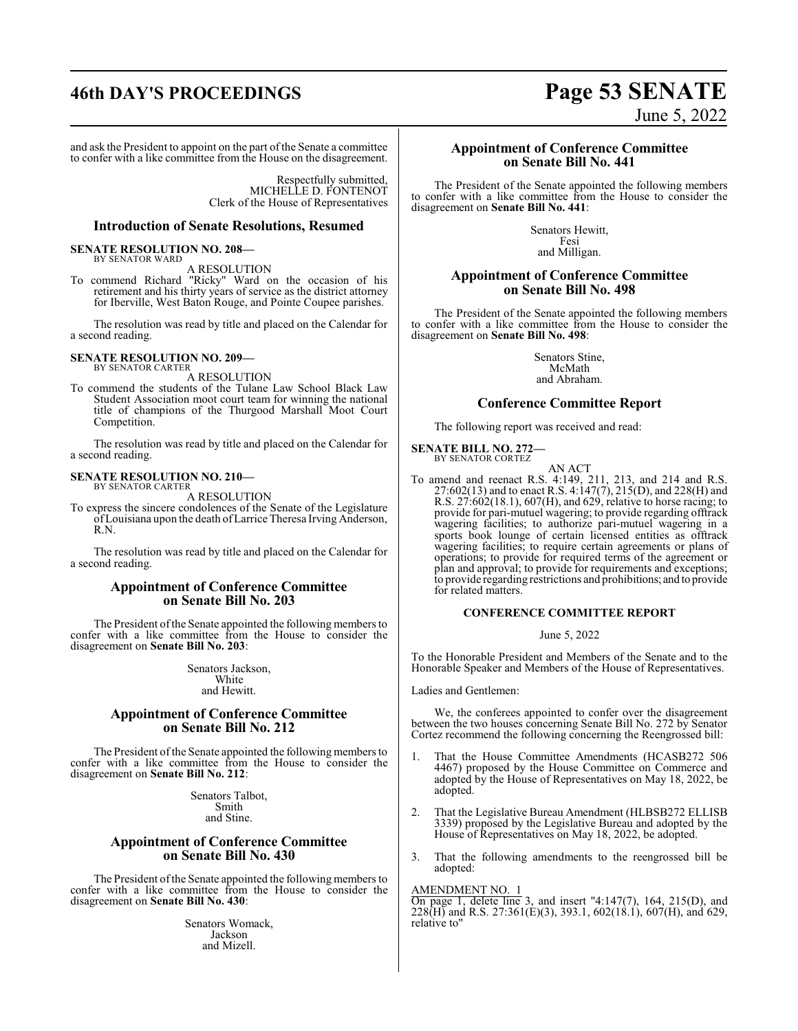## **46th DAY'S PROCEEDINGS Page 53 SENATE**

June 5, 2022

and ask the President to appoint on the part of the Senate a committee to confer with a like committee from the House on the disagreement.

> Respectfully submitted, MICHELLE D. FONTENOT Clerk of the House of Representatives

### **Introduction of Senate Resolutions, Resumed**

#### **SENATE RESOLUTION NO. 208—** BY SENATOR WARD

A RESOLUTION

To commend Richard "Ricky" Ward on the occasion of his retirement and his thirty years of service as the district attorney for Iberville, West Baton Rouge, and Pointe Coupee parishes.

The resolution was read by title and placed on the Calendar for a second reading.

### **SENATE RESOLUTION NO. 209—** BY SENATOR CARTER

A RESOLUTION

To commend the students of the Tulane Law School Black Law Student Association moot court team for winning the national title of champions of the Thurgood Marshall Moot Court Competition.

The resolution was read by title and placed on the Calendar for a second reading.

### **SENATE RESOLUTION NO. 210—** BY SENATOR CARTER

A RESOLUTION

To express the sincere condolences of the Senate of the Legislature ofLouisiana upon the death ofLarrice Theresa Irving Anderson, R.N.

The resolution was read by title and placed on the Calendar for a second reading.

### **Appointment of Conference Committee on Senate Bill No. 203**

The President of the Senate appointed the following members to confer with a like committee from the House to consider the disagreement on **Senate Bill No. 203**:

> Senators Jackson, White and Hewitt.

### **Appointment of Conference Committee on Senate Bill No. 212**

The President of the Senate appointed the following members to confer with a like committee from the House to consider the disagreement on **Senate Bill No. 212**:

> Senators Talbot, Smith and Stine.

### **Appointment of Conference Committee on Senate Bill No. 430**

The President of the Senate appointed the following members to confer with a like committee from the House to consider the disagreement on **Senate Bill No. 430**:

> Senators Womack, Jackson and Mizell.

### **Appointment of Conference Committee on Senate Bill No. 441**

The President of the Senate appointed the following members to confer with a like committee from the House to consider the disagreement on **Senate Bill No. 441**:

> Senators Hewitt, Fesi and Milligan.

### **Appointment of Conference Committee on Senate Bill No. 498**

The President of the Senate appointed the following members to confer with a like committee from the House to consider the disagreement on **Senate Bill No. 498**:

> Senators Stine, McMath and Abraham.

### **Conference Committee Report**

The following report was received and read:

**SENATE BILL NO. 272—** BY SENATOR CORTEZ

AN ACT To amend and reenact R.S. 4:149, 211, 213, and 214 and R.S. 27:602(13) and to enact R.S. 4:147(7), 215(D), and 228(H) and R.S. 27:602(18.1), 607(H), and 629, relative to horse racing; to provide for pari-mutuel wagering; to provide regarding offtrack wagering facilities; to authorize pari-mutuel wagering in a sports book lounge of certain licensed entities as offtrack wagering facilities; to require certain agreements or plans of operations; to provide for required terms of the agreement or plan and approval; to provide for requirements and exceptions; to provide regarding restrictions and prohibitions; and to provide for related matters.

### **CONFERENCE COMMITTEE REPORT**

### June 5, 2022

To the Honorable President and Members of the Senate and to the Honorable Speaker and Members of the House of Representatives.

Ladies and Gentlemen:

We, the conferees appointed to confer over the disagreement between the two houses concerning Senate Bill No. 272 by Senator Cortez recommend the following concerning the Reengrossed bill:

- 1. That the House Committee Amendments (HCASB272 506 4467) proposed by the House Committee on Commerce and adopted by the House of Representatives on May 18, 2022, be adopted.
- 2. That the Legislative Bureau Amendment (HLBSB272 ELLISB 3339) proposed by the Legislative Bureau and adopted by the House of Representatives on May 18, 2022, be adopted.
- 3. That the following amendments to the reengrossed bill be adopted:

### AMENDMENT NO. 1

On page 1, delete line 3, and insert "4:147(7), 164, 215(D), and 228(H) and R.S. 27:361(E)(3), 393.1, 602(18.1), 607(H), and 629, relative to"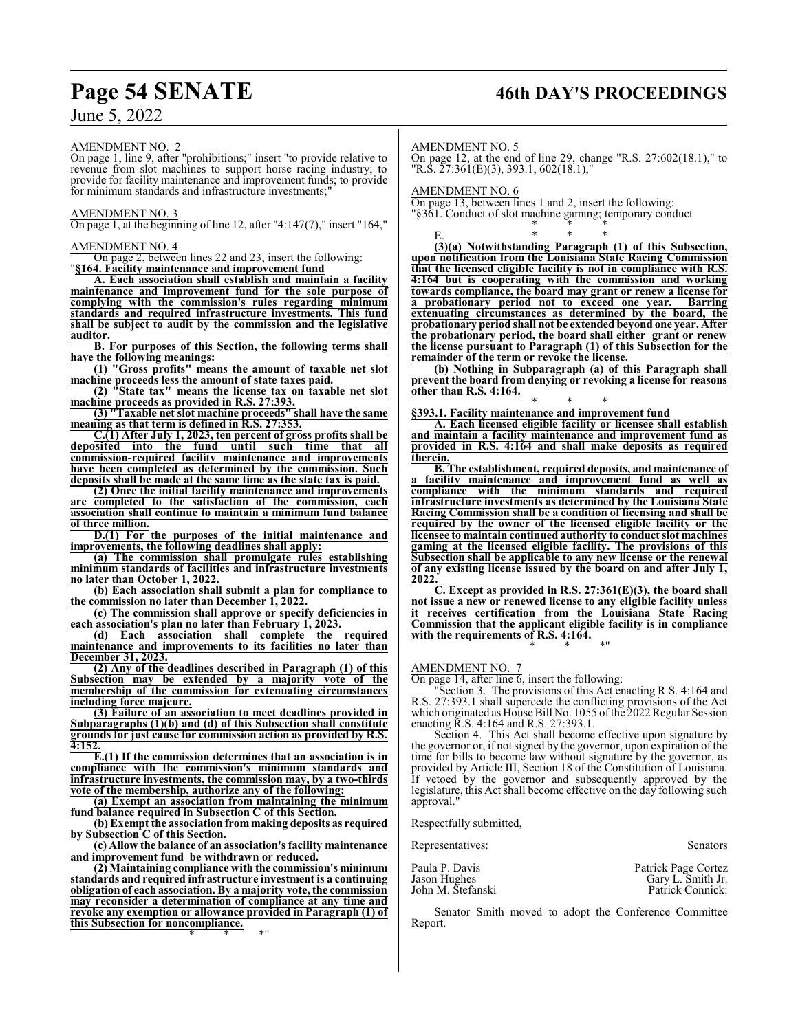## **Page 54 SENATE 46th DAY'S PROCEEDINGS**

AMENDMENT NO. 2 On page 1, line 9, after "prohibitions;" insert "to provide relative to revenue from slot machines to support horse racing industry; to provide for facility maintenance and improvement funds; to provide for minimum standards and infrastructure investments;

### AMENDMENT NO. 3

On page 1, at the beginning of line 12, after "4:147(7)," insert "164,"

### AMENDMENT NO. 4

On page 2, between lines 22 and 23, insert the following: "**§164. Facility maintenance and improvement fund**

**A. Each association shall establish and maintain a facility maintenance and improvement fund for the sole purpose of complying with the commission's rules regarding minimum standards and required infrastructure investments. This fund shall be subject to audit by the commission and the legislative auditor.**

**B. For purposes of this Section, the following terms shall have the following meanings:**

**(1) "Gross profits" means the amount of taxable net slot machine proceeds less the amount of state taxes paid.**

**(2) "State tax" means the license tax on taxable net slot machine proceeds as provided in R.S. 27:393.**

**(3) "Taxable net slot machine proceeds" shall have the same meaning as that term is defined in R.S. 27:353.**

**C.(1) After July 1, 2023, ten percent of gross profits shall be deposited into the fund until such time that all commission-required facility maintenance and improvements have been completed as determined by the commission. Such deposits shall be made at the same time as the state tax is paid.**

**(2) Once the initial facility maintenance and improvements are completed to the satisfaction of the commission, each association shall continue to maintain a minimum fund balance of three million.**

**D.(1) For the purposes of the initial maintenance and improvements, the following deadlines shall apply:**

**(a) The commission shall promulgate rules establishing minimum standards of facilities and infrastructure investments no later than October 1, 2022.**

**(b) Each association shall submit a plan for compliance to the commission no later than December 1, 2022.**

**(c) The commission shall approve or specify deficiencies in each association's plan no later than February 1, 2023.**

**(d) Each association shall complete the required maintenance and improvements to its facilities no later than December 31, 2023.**

**(2) Any of the deadlines described in Paragraph (1) of this Subsection may be extended by a majority vote of the membership of the commission for extenuating circumstances including force majeure.**

**(3) Failure of an association to meet deadlines provided in Subparagraphs (1)(b) and (d) of this Subsection shall constitute grounds for just cause for commission action as provided by R.S. 4:152.**

**E.(1) If the commission determines that an association is in compliance with the commission's minimum standards and infrastructure investments, the commission may, by a two-thirds vote of the membership, authorize any of the following:**

**(a) Exempt an association from maintaining the minimum fund balance required in Subsection C of this Section.**

**(b) Exempt the association from making deposits as required by Subsection C of this Section.**

**(c) Allow the balance of an association's facility maintenance and improvement fund be withdrawn or reduced.**

**(2) Maintaining compliance with the commission's minimum standards and required infrastructure investment is a continuing obligation of each association. By a majority vote, the commission may reconsider a determination of compliance at any time and revoke any exemption or allowance provided in Paragraph (1) of this Subsection for noncompliance.** \* \* \*"

AMENDMENT NO. 5

On page 12, at the end of line 29, change "R.S. 27:602(18.1)," to "R.S. 27:361(E)(3), 393.1, 602(18.1),"

\* \* \*

AMENDMENT NO. 6

On page 13, between lines 1 and 2, insert the following: "§361. Conduct of slot machine gaming; temporary conduct

E. \* \* \* **(3)(a) Notwithstanding Paragraph (1) of this Subsection, upon notification from the Louisiana State Racing Commission that the licensed eligible facility is not in compliance with R.S. 4:164 but is cooperating with the commission and working towards compliance, the board may grant or renew a license for a probationary period not to exceed one year. Barring extenuating circumstances as determined by the board, the probationary period shall not be extended beyond one year. After the probationary period, the board shall either grant or renew the license pursuant to Paragraph (1) of this Subsection for the remainder of the term or revoke the license.**

**(b) Nothing in Subparagraph (a) of this Paragraph shall prevent the board from denying or revoking a license for reasons other than R.S. 4:164.**

\* \* \* **§393.1. Facility maintenance and improvement fund**

**A. Each licensed eligible facility or licensee shall establish and maintain a facility maintenance and improvement fund as provided in R.S. 4:164 and shall make deposits as required therein.**

**B. The establishment, required deposits, and maintenance of a facility maintenance and improvement fund as well as compliance with the minimum standards and required infrastructure investments as determined by the Louisiana State Racing Commission shall be a condition of licensing and shall be required by the owner of the licensed eligible facility or the licensee to maintain continued authority to conduct slot machines gaming at the licensed eligible facility. The provisions of this Subsection shall be applicable to any new license or the renewal of any existing license issued by the board on and after July 1, 2022.**

**C. Except as provided in R.S. 27:361(E)(3), the board shall not issue a new or renewed license to any eligible facility unless it receives certification from the Louisiana State Racing Commission that the applicant eligible facility is in compliance with the requirements of R.S. 4:164.** \* \* \*"

AMENDMENT NO. 7

On page 14, after line 6, insert the following:

"Section 3. The provisions of this Act enacting R.S. 4:164 and R.S. 27:393.1 shall supercede the conflicting provisions of the Act which originated as House Bill No. 1055 of the 2022 Regular Session enacting R.S. 4:164 and R.S. 27:393.1.

Section 4. This Act shall become effective upon signature by the governor or, if not signed by the governor, upon expiration of the time for bills to become law without signature by the governor, as provided by Article III, Section 18 of the Constitution of Louisiana. If vetoed by the governor and subsequently approved by the legislature, this Act shall become effective on the day following such approval."

Respectfully submitted,

Representatives: Senators

| Paula P. Davis    | Patrick Page Cortez |
|-------------------|---------------------|
| Jason Hughes      | Gary L. Smith Jr.   |
| John M. Stefanski | Patrick Connick:    |

Senator Smith moved to adopt the Conference Committee Report.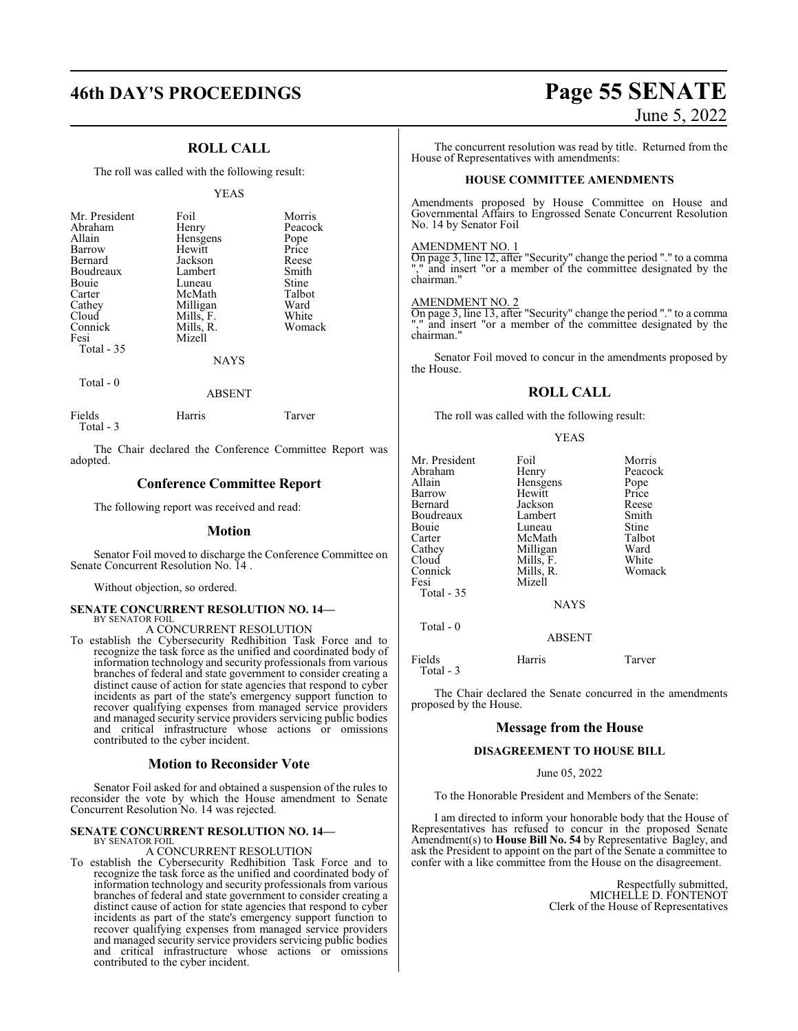## **46th DAY'S PROCEEDINGS Page 55 SENATE**

### **ROLL CALL**

The roll was called with the following result:

### YEAS

| Mr. President<br>Abraham<br>Allain<br>Barrow<br>Bernard<br>Boudreaux<br>Bouie<br>Carter<br>Cathey | Foil<br>Henry<br>Hensgens<br>Hewitt<br>Jackson<br>Lambert<br>Luneau<br>McMath<br>Milligan | Morris<br>Peacock<br>Pope<br>Price<br>Reese<br>Smith<br>Stine<br>Talbot<br>Ward |
|---------------------------------------------------------------------------------------------------|-------------------------------------------------------------------------------------------|---------------------------------------------------------------------------------|
| Cloud                                                                                             | Mills, F.                                                                                 | White                                                                           |
| Connick<br>Fesi                                                                                   | Mills, R.<br>Mizell                                                                       | Womack                                                                          |
| Total $-35$                                                                                       | NAYS                                                                                      |                                                                                 |

Total - 0

### ABSENT

| Fields    | Harris | Tarver |
|-----------|--------|--------|
| Total - 3 |        |        |

The Chair declared the Conference Committee Report was adopted.

### **Conference Committee Report**

The following report was received and read:

### **Motion**

Senator Foil moved to discharge the Conference Committee on Senate Concurrent Resolution No. 14 .

Without objection, so ordered.

### **SENATE CONCURRENT RESOLUTION NO. 14—** BY SENATOR FOIL

A CONCURRENT RESOLUTION

To establish the Cybersecurity Redhibition Task Force and to recognize the task force as the unified and coordinated body of information technology and security professionals from various branches of federal and state government to consider creating a distinct cause of action for state agencies that respond to cyber incidents as part of the state's emergency support function to recover qualifying expenses from managed service providers and managed security service providers servicing public bodies and critical infrastructure whose actions or omissions contributed to the cyber incident.

### **Motion to Reconsider Vote**

Senator Foil asked for and obtained a suspension of the rules to reconsider the vote by which the House amendment to Senate Concurrent Resolution No. 14 was rejected.

### **SENATE CONCURRENT RESOLUTION NO. 14—** BY SENATOR FOIL

### A CONCURRENT RESOLUTION

To establish the Cybersecurity Redhibition Task Force and to recognize the task force as the unified and coordinated body of information technology and security professionals from various branches of federal and state government to consider creating a distinct cause of action for state agencies that respond to cyber incidents as part of the state's emergency support function to recover qualifying expenses from managed service providers and managed security service providers servicing public bodies and critical infrastructure whose actions or omissions contributed to the cyber incident.

# June 5, 2022

The concurrent resolution was read by title. Returned from the House of Representatives with amendments:

### **HOUSE COMMITTEE AMENDMENTS**

Amendments proposed by House Committee on House and Governmental Affairs to Engrossed Senate Concurrent Resolution No. 14 by Senator Foil

### AMENDMENT NO. 1

On page 3, line 12, after "Security" change the period "." to a comma "," and insert "or a member of the committee designated by the chairman."

### AMENDMENT NO. 2

On page 3, line 13, after "Security" change the period "." to a comma "," and insert "or a member of the committee designated by the chairman."

Senator Foil moved to concur in the amendments proposed by the House.

### **ROLL CALL**

The roll was called with the following result:

### YEAS

| Mr. President | Foil          | Morris  |
|---------------|---------------|---------|
| Abraham       | Henry         | Peacock |
| Allain        | Hensgens      | Pope    |
| Barrow        | Hewitt        | Price   |
| Bernard       | Jackson       | Reese   |
| Boudreaux     | Lambert       | Smith   |
| Bouie         | Luneau        | Stine   |
| Carter        | McMath        | Talbot  |
| Cathey        | Milligan      | Ward    |
| Cloud         | Mills, F.     | White   |
| Connick       | Mills, R.     | Womack  |
| Fesi          | Mizell        |         |
| Total - 35    |               |         |
|               | <b>NAYS</b>   |         |
| Total $-0$    |               |         |
|               | <b>ABSENT</b> |         |
|               |               |         |

Fields Harris Tarver Total - 3

The Chair declared the Senate concurred in the amendments proposed by the House.

### **Message from the House**

### **DISAGREEMENT TO HOUSE BILL**

June 05, 2022

To the Honorable President and Members of the Senate:

I am directed to inform your honorable body that the House of Representatives has refused to concur in the proposed Senate Amendment(s) to **House Bill No. 54** by Representative Bagley, and ask the President to appoint on the part of the Senate a committee to confer with a like committee from the House on the disagreement.

> Respectfully submitted, MICHELLE D. FONTENOT Clerk of the House of Representatives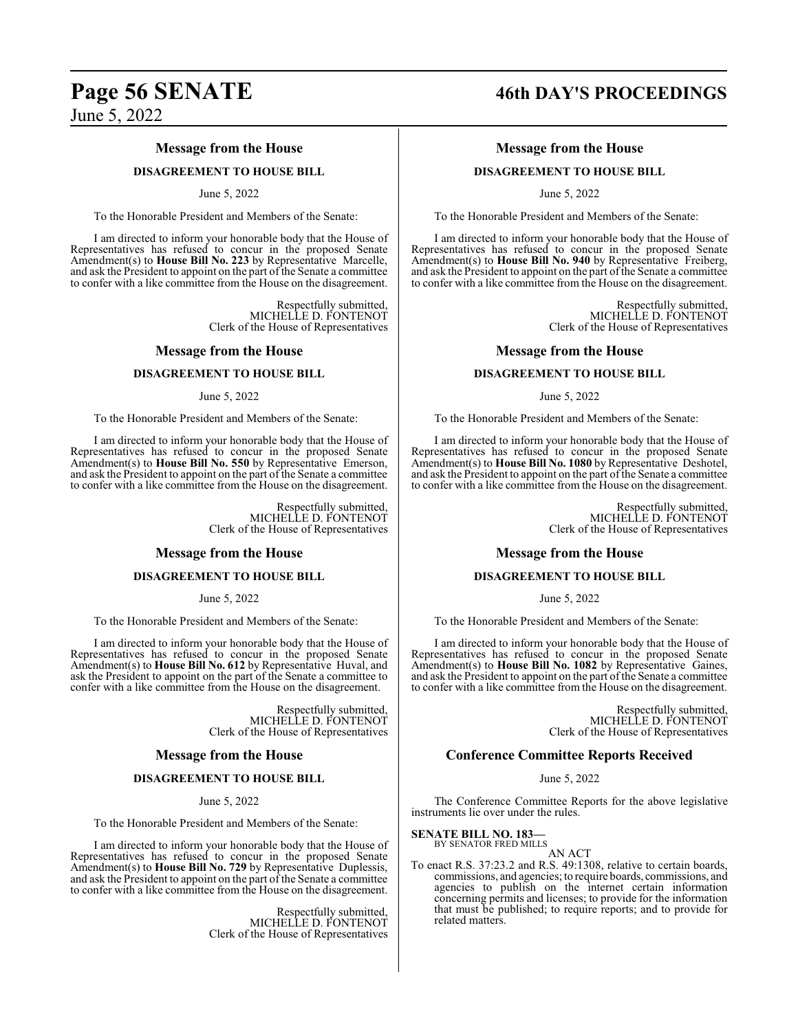## **Page 56 SENATE 46th DAY'S PROCEEDINGS**

June 5, 2022

### **Message from the House**

### **DISAGREEMENT TO HOUSE BILL**

### June 5, 2022

To the Honorable President and Members of the Senate:

I am directed to inform your honorable body that the House of Representatives has refused to concur in the proposed Senate Amendment(s) to **House Bill No. 223** by Representative Marcelle, and ask the President to appoint on the part of the Senate a committee to confer with a like committee from the House on the disagreement.

> Respectfully submitted, MICHELLE D. FONTENOT Clerk of the House of Representatives

### **Message from the House**

### **DISAGREEMENT TO HOUSE BILL**

### June 5, 2022

To the Honorable President and Members of the Senate:

I am directed to inform your honorable body that the House of Representatives has refused to concur in the proposed Senate Amendment(s) to **House Bill No. 550** by Representative Emerson, and ask the President to appoint on the part of the Senate a committee to confer with a like committee from the House on the disagreement.

> Respectfully submitted, MICHELLE D. FONTENOT Clerk of the House of Representatives

### **Message from the House**

### **DISAGREEMENT TO HOUSE BILL**

June 5, 2022

To the Honorable President and Members of the Senate:

I am directed to inform your honorable body that the House of Representatives has refused to concur in the proposed Senate Amendment(s) to **House Bill No. 612** by Representative Huval, and ask the President to appoint on the part of the Senate a committee to confer with a like committee from the House on the disagreement.

> Respectfully submitted, MICHELLE D. FONTENOT Clerk of the House of Representatives

### **Message from the House**

### **DISAGREEMENT TO HOUSE BILL**

June 5, 2022

To the Honorable President and Members of the Senate:

I am directed to inform your honorable body that the House of Representatives has refused to concur in the proposed Senate Amendment(s) to **House Bill No. 729** by Representative Duplessis, and ask the President to appoint on the part of the Senate a committee to confer with a like committee from the House on the disagreement.

> Respectfully submitted, MICHELLE D. FONTENOT Clerk of the House of Representatives

### **Message from the House**

### **DISAGREEMENT TO HOUSE BILL**

June 5, 2022

To the Honorable President and Members of the Senate:

I am directed to inform your honorable body that the House of Representatives has refused to concur in the proposed Senate Amendment(s) to **House Bill No. 940** by Representative Freiberg, and ask the President to appoint on the part of the Senate a committee to confer with a like committee from the House on the disagreement.

> Respectfully submitted, MICHELLE D. FONTENOT Clerk of the House of Representatives

### **Message from the House**

### **DISAGREEMENT TO HOUSE BILL**

June 5, 2022

To the Honorable President and Members of the Senate:

I am directed to inform your honorable body that the House of Representatives has refused to concur in the proposed Senate Amendment(s) to **House Bill No. 1080** by Representative Deshotel, and ask the President to appoint on the part of the Senate a committee to confer with a like committee from the House on the disagreement.

> Respectfully submitted, MICHELLE D. FONTENOT Clerk of the House of Representatives

### **Message from the House**

### **DISAGREEMENT TO HOUSE BILL**

June 5, 2022

To the Honorable President and Members of the Senate:

I am directed to inform your honorable body that the House of Representatives has refused to concur in the proposed Senate Amendment(s) to **House Bill No. 1082** by Representative Gaines, and ask the President to appoint on the part ofthe Senate a committee to confer with a like committee from the House on the disagreement.

> Respectfully submitted, MICHELLE D. FONTENOT Clerk of the House of Representatives

### **Conference Committee Reports Received**

June 5, 2022

The Conference Committee Reports for the above legislative instruments lie over under the rules.

### **SENATE BILL NO. 183—**

BY SENATOR FRED MILLS AN ACT

To enact R.S. 37:23.2 and R.S. 49:1308, relative to certain boards, commissions, and agencies; to require boards, commissions, and agencies to publish on the internet certain information concerning permits and licenses; to provide for the information that must be published; to require reports; and to provide for related matters.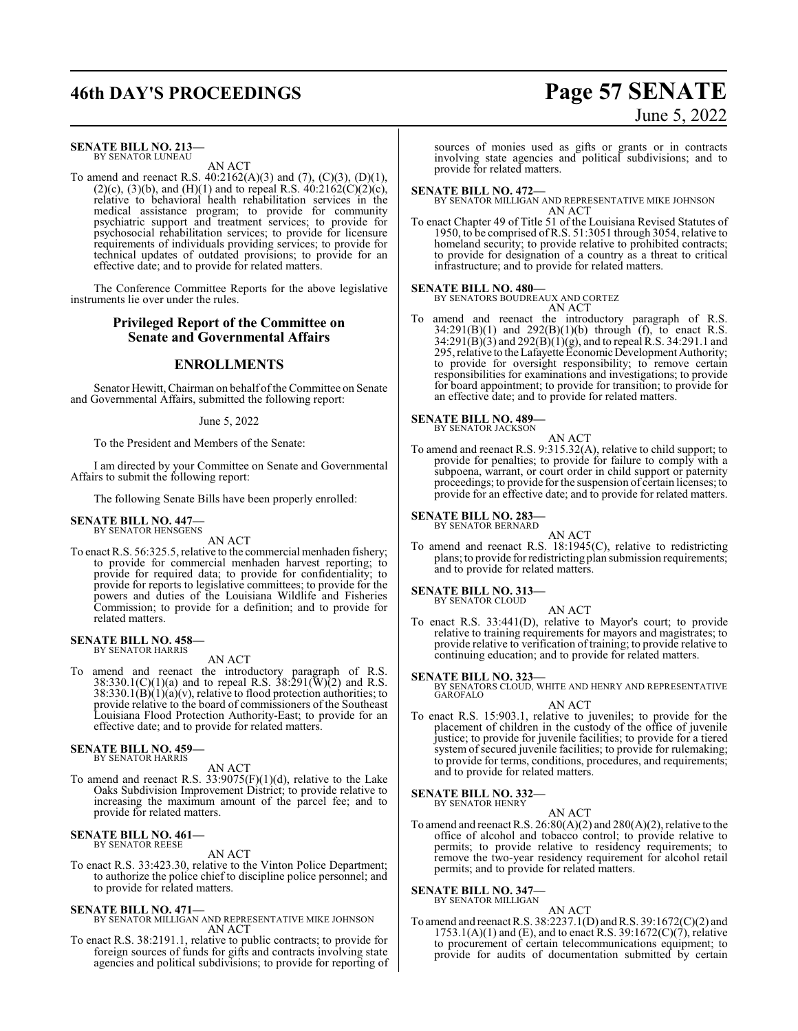## **46th DAY'S PROCEEDINGS Page 57 SENATE**

### **SENATE BILL NO. 213—** BY SENATOR LUNEAU

AN ACT

To amend and reenact R.S. 40:2162(A)(3) and (7), (C)(3), (D)(1), (2)(c), (3)(b), and (H)(1) and to repeal R.S.  $40:2162(C)(2)(c)$ , relative to behavioral health rehabilitation services in the medical assistance program; to provide for community psychiatric support and treatment services; to provide for psychosocial rehabilitation services; to provide for licensure requirements of individuals providing services; to provide for technical updates of outdated provisions; to provide for an effective date; and to provide for related matters.

The Conference Committee Reports for the above legislative instruments lie over under the rules.

### **Privileged Report of the Committee on Senate and Governmental Affairs**

### **ENROLLMENTS**

Senator Hewitt, Chairman on behalf of the Committee on Senate and Governmental Affairs, submitted the following report:

### June 5, 2022

To the President and Members of the Senate:

I am directed by your Committee on Senate and Governmental Affairs to submit the following report:

The following Senate Bills have been properly enrolled:

#### **SENATE BILL NO. 447—** BY SENATOR HENSGENS

AN ACT

To enact R.S. 56:325.5, relative to the commercial menhaden fishery; to provide for commercial menhaden harvest reporting; to provide for required data; to provide for confidentiality; to provide for reports to legislative committees; to provide for the powers and duties of the Louisiana Wildlife and Fisheries Commission; to provide for a definition; and to provide for related matters.

## **SENATE BILL NO. 458—** BY SENATOR HARRIS

AN ACT

To amend and reenact the introductory paragraph of R.S.  $38:330.1(C)(1)(a)$  and to repeal R.S.  $38:291(\overline{W})(2)$  and R.S.  $38:330.1(B)(1)(a)(v)$ , relative to flood protection authorities; to provide relative to the board of commissioners of the Southeast Louisiana Flood Protection Authority-East; to provide for an effective date; and to provide for related matters.

#### **SENATE BILL NO. 459—** BY SENATOR HARRIS

AN ACT

To amend and reenact R.S. 33:9075(F)(1)(d), relative to the Lake Oaks Subdivision Improvement District; to provide relative to increasing the maximum amount of the parcel fee; and to provide for related matters.

#### **SENATE BILL NO. 461—** BY SENATOR REESE

AN ACT

To enact R.S. 33:423.30, relative to the Vinton Police Department; to authorize the police chief to discipline police personnel; and to provide for related matters.

### **SENATE BILL NO. 471—**

BY SENATOR MILLIGAN AND REPRESENTATIVE MIKE JOHNSON AN ACT

To enact R.S. 38:2191.1, relative to public contracts; to provide for foreign sources of funds for gifts and contracts involving state agencies and political subdivisions; to provide for reporting of

sources of monies used as gifts or grants or in contracts involving state agencies and political subdivisions; and to provide for related matters.

### **SENATE BILL NO. 472—**

BY SENATOR MILLIGAN AND REPRESENTATIVE MIKE JOHNSON AN ACT

To enact Chapter 49 of Title 51 of the Louisiana Revised Statutes of 1950, to be comprised ofR.S. 51:3051 through 3054, relative to homeland security; to provide relative to prohibited contracts; to provide for designation of a country as a threat to critical infrastructure; and to provide for related matters.

### **SENATE BILL NO. 480—**

BY SENATORS BOUDREAUX AND CORTEZ

AN ACT To amend and reenact the introductory paragraph of R.S.  $34:291(B)(1)$  and  $292(B)(1)(b)$  through (f), to enact R.S. 34:291(B)(3) and 292(B)(1)(g), and to repeal R.S. 34:291.1 and 295, relative to the Lafayette EconomicDevelopment Authority; to provide for oversight responsibility; to remove certain responsibilities for examinations and investigations; to provide for board appointment; to provide for transition; to provide for an effective date; and to provide for related matters.

#### **SENATE BILL NO. 489—** BY SENATOR JACKSON

- AN ACT To amend and reenact R.S. 9:315.32(A), relative to child support; to provide for penalties; to provide for failure to comply with a subpoena, warrant, or court order in child support or paternity
	- proceedings; to provide for the suspension of certain licenses; to provide for an effective date; and to provide for related matters.

#### **SENATE BILL NO. 283—** BY SENATOR BERNARD

AN ACT

To amend and reenact R.S. 18:1945(C), relative to redistricting plans; to provide for redistricting plan submission requirements; and to provide for related matters.

#### **SENATE BILL NO. 313—** BY SENATOR CLOUD

AN ACT

To enact R.S. 33:441(D), relative to Mayor's court; to provide relative to training requirements for mayors and magistrates; to provide relative to verification of training; to provide relative to continuing education; and to provide for related matters.

### **SENATE BILL NO. 323—**

BY SENATORS CLOUD, WHITE AND HENRY AND REPRESENTATIVE GAROFALO

### AN ACT

To enact R.S. 15:903.1, relative to juveniles; to provide for the placement of children in the custody of the office of juvenile justice; to provide for juvenile facilities; to provide for a tiered system of secured juvenile facilities; to provide for rulemaking; to provide for terms, conditions, procedures, and requirements; and to provide for related matters.

### **SENATE BILL NO. 332—**

BY SENATOR HENRY AN ACT

To amend and reenact R.S.  $26:80(A)(2)$  and  $280(A)(2)$ , relative to the office of alcohol and tobacco control; to provide relative to permits; to provide relative to residency requirements; to remove the two-year residency requirement for alcohol retail permits; and to provide for related matters.

#### **SENATE BILL NO. 347—** BY SENATOR MILLIGAN

- AN ACT
- To amend and reenact R.S. 38:2237.1(D) andR.S. 39:1672(C)(2) and  $1753.1(A)(1)$  and (E), and to enact R.S. 39:1672(C)(7), relative to procurement of certain telecommunications equipment; to provide for audits of documentation submitted by certain

# June 5, 2022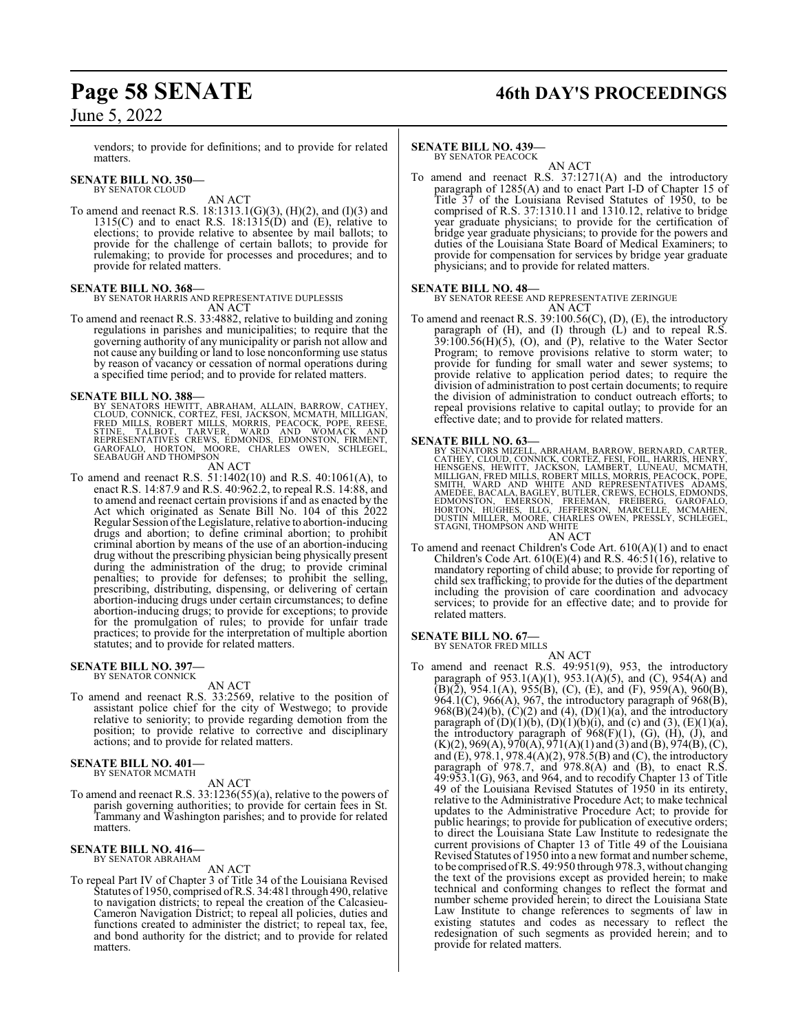vendors; to provide for definitions; and to provide for related matters.

#### **SENATE BILL NO. 350—** BY SENATOR CLOUD

AN ACT

To amend and reenact R.S. 18:1313.1(G)(3), (H)(2), and (I)(3) and  $1315(C)$  and to enact R.S.  $18:1315(D)$  and  $(E)$ , relative to elections; to provide relative to absentee by mail ballots; to provide for the challenge of certain ballots; to provide for rulemaking; to provide for processes and procedures; and to provide for related matters.

### **SENATE BILL NO. 368—**

BY SENATOR HARRIS AND REPRESENTATIVE DUPLESSIS AN ACT

To amend and reenact R.S. 33:4882, relative to building and zoning regulations in parishes and municipalities; to require that the governing authority of any municipality or parish not allow and not cause any building or land to lose nonconforming use status by reason of vacancy or cessation of normal operations during a specified time period; and to provide for related matters.

**SENATE BILL NO. 388—**<br>BY SENATORS HEWITT, ABRAHAM, ALLAIN, BARROW, CATHEY,<br>CLOUD, CONNICK, CORTEZ, FESI, JACKSON, MCMATH, MILLIGAN,<br>FRED MILLS, ROBERT MILLS, MORRIS, PEACOCK, POPE, REESE,<br>STINE, TALBOT, TARVER, WARD AND W

### AN ACT

To amend and reenact R.S. 51:1402(10) and R.S. 40:1061(A), to enact R.S. 14:87.9 and R.S. 40:962.2, to repeal R.S. 14:88, and to amend and reenact certain provisions if and as enacted by the Act which originated as Senate Bill No. 104 of this 2022 Regular Session ofthe Legislature, relative to abortion-inducing drugs and abortion; to define criminal abortion; to prohibit criminal abortion by means of the use of an abortion-inducing drug without the prescribing physician being physically present during the administration of the drug; to provide criminal penalties; to provide for defenses; to prohibit the selling, prescribing, distributing, dispensing, or delivering of certain abortion-inducing drugs under certain circumstances; to define abortion-inducing drugs; to provide for exceptions; to provide for the promulgation of rules; to provide for unfair trade practices; to provide for the interpretation of multiple abortion statutes; and to provide for related matters.

#### **SENATE BILL NO. 397—** BY SENATOR CONNICK

### AN ACT

To amend and reenact R.S. 33:2569, relative to the position of assistant police chief for the city of Westwego; to provide relative to seniority; to provide regarding demotion from the position; to provide relative to corrective and disciplinary actions; and to provide for related matters.

### **SENATE BILL NO. 401—** BY SENATOR MCMATH

### AN ACT

To amend and reenact R.S. 33:1236(55)(a), relative to the powers of parish governing authorities; to provide for certain fees in St. Tammany and Washington parishes; and to provide for related matters.

#### **SENATE BILL NO. 416—** BY SENATOR ABRAHAM

### AN ACT

To repeal Part IV of Chapter 3 of Title 34 of the Louisiana Revised Statutes of 1950, comprised ofR.S. 34:481 through 490, relative to navigation districts; to repeal the creation of the Calcasieu-Cameron Navigation District; to repeal all policies, duties and functions created to administer the district; to repeal tax, fee, and bond authority for the district; and to provide for related matters.

## **Page 58 SENATE 46th DAY'S PROCEEDINGS**

### **SENATE BILL NO. 439—**

BY SENATOR PEACOCK AN ACT

To amend and reenact R.S. 37:1271(A) and the introductory paragraph of 1285(A) and to enact Part I-D of Chapter 15 of Title 37 of the Louisiana Revised Statutes of 1950, to be comprised of R.S. 37:1310.11 and 1310.12, relative to bridge year graduate physicians; to provide for the certification of bridge year graduate physicians; to provide for the powers and duties of the Louisiana State Board of Medical Examiners; to provide for compensation for services by bridge year graduate physicians; and to provide for related matters.

### **SENATE BILL NO. 48—**

BY SENATOR REESE AND REPRESENTATIVE ZERINGUE AN ACT

To amend and reenact R.S. 39:100.56(C), (D), (E), the introductory paragraph of (H), and (I) through (L) and to repeal R.S.  $39:100.56(H)(5)$ , (O), and (P), relative to the Water Sector Program; to remove provisions relative to storm water; to provide for funding for small water and sewer systems; to provide relative to application period dates; to require the division of administration to post certain documents; to require the division of administration to conduct outreach efforts; to repeal provisions relative to capital outlay; to provide for an effective date; and to provide for related matters.

**SENATE BILL NO. 63—**<br>BY SENATORS MIZELL, ABRAHAM, BARROW, BERNARD, CARTER,<br>CATHEY, CLOUD, CONNICK, CORTEZ, FESI, FOIL, HARRIS, HENRY,<br>HENSGENS, HEWITT, JACKSON, LAMBERT, LUNEAU, MCMATH,<br>MILLIGAN, FRED MILLS, ROBERT MILLS,

To amend and reenact Children's Code Art. 610(A)(1) and to enact Children's Code Art.  $610(E)(4)$  and R.S.  $46:51(16)$ , relative to mandatory reporting of child abuse; to provide for reporting of child sex trafficking; to provide for the duties of the department including the provision of care coordination and advocacy services; to provide for an effective date; and to provide for related matters.

### **SENATE BILL NO. 67—**<br>BY SENATOR FRED MILLS

AN ACT

To amend and reenact R.S. 49:951(9), 953, the introductory paragraph of  $953.1(A)(1)$ ,  $953.1(A)(5)$ , and (C),  $954(A)$  and  $(B)(\tilde{2})$ , 954.1(A), 955(B), (C), (E), and (F), 959(A), 960(B),  $964.1(C)$ ,  $966(A)$ ,  $967$ , the introductory paragraph of  $968(B)$ , 968(B)(24)(b),  $(C)(2)$  and (4),  $(D)(1)(a)$ , and the introductory paragraph of  $(D)(1)(b)$ ,  $(D)(1)(b)(i)$ , and  $(c)$  and  $(3)$ ,  $(E)(1)(a)$ , the introductory paragraph of  $968(F)(1)$ , (G),  $(H)$ ,  $(J)$ , and  $(K)(2)$ , 969 $(A)$ , 970 $(A)$ , 971 $(A)(1)$  and  $(B)$ , 974 $(B)$ ,  $(C)$ , and (E), 978.1, 978.4(A)(2), 978.5(B) and (C), the introductory paragraph of 978.7, and 978.8(A) and (B), to enact R.S. 49:953.1(G), 963, and 964, and to recodify Chapter 13 of Title 49 of the Louisiana Revised Statutes of 1950 in its entirety, relative to the Administrative Procedure Act; to make technical updates to the Administrative Procedure Act; to provide for public hearings; to provide for publication of executive orders; to direct the Louisiana State Law Institute to redesignate the current provisions of Chapter 13 of Title 49 of the Louisiana Revised Statutes of 1950 into a new format and number scheme, to be comprised ofR.S. 49:950 through 978.3, without changing the text of the provisions except as provided herein; to make technical and conforming changes to reflect the format and number scheme provided herein; to direct the Louisiana State Law Institute to change references to segments of law in existing statutes and codes as necessary to reflect the redesignation of such segments as provided herein; and to provide for related matters.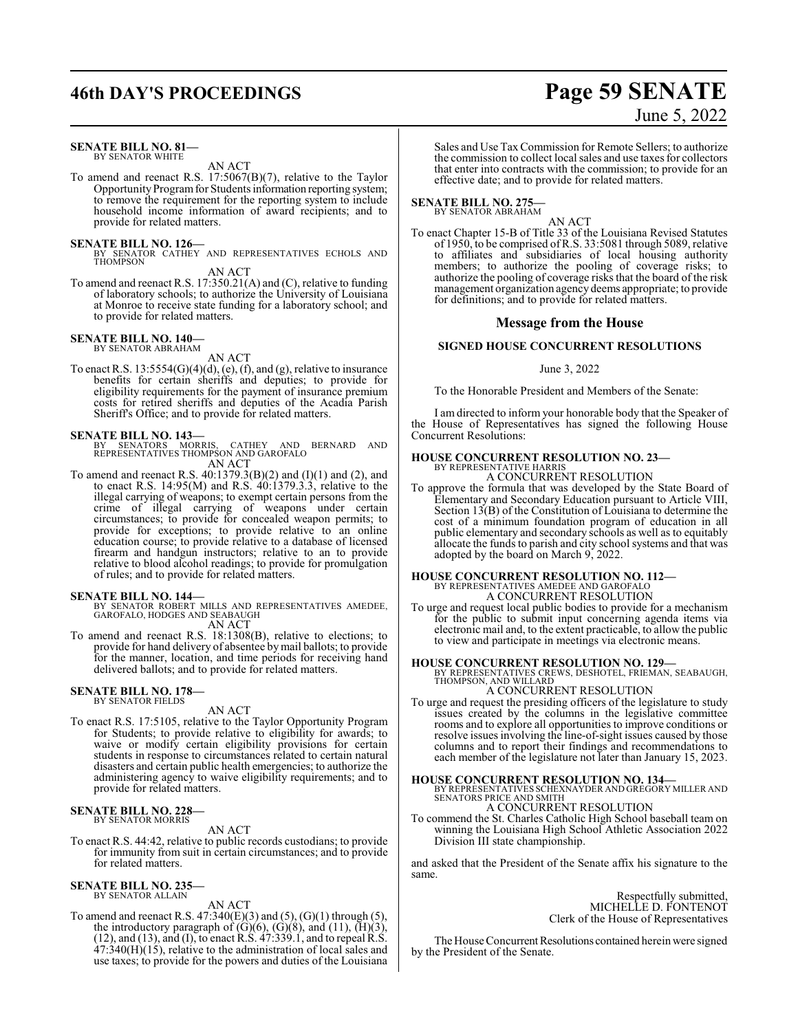## **46th DAY'S PROCEEDINGS Page 59 SENATE**

### **SENATE BILL NO. 81—** BY SENATOR WHITE

AN ACT

To amend and reenact R.S. 17:5067(B)(7), relative to the Taylor Opportunity Program for Students information reporting system; to remove the requirement for the reporting system to include household income information of award recipients; and to provide for related matters.

### **SENATE BILL NO. 126—**

BY SENATOR CATHEY AND REPRESENTATIVES ECHOLS AND THOMPSON

AN ACT

To amend and reenact R.S. 17:350.21(A) and (C), relative to funding of laboratory schools; to authorize the University of Louisiana at Monroe to receive state funding for a laboratory school; and to provide for related matters.

### **SENATE BILL NO. 140—** BY SENATOR ABRAHAM

AN ACT

To enact R.S.  $13:5554(G)(4)(d)$ , (e), (f), and (g), relative to insurance benefits for certain sheriffs and deputies; to provide for eligibility requirements for the payment of insurance premium costs for retired sheriffs and deputies of the Acadia Parish Sheriff's Office; and to provide for related matters.

### **SENATE BILL NO. 143—**

BY SENATORS MORRIS, CATHEY AND BERNARD AND REPRESENTATIVES THOMPSON AND GAROFALO AN ACT

To amend and reenact R.S. 40:1379.3(B)(2) and (I)(1) and (2), and to enact R.S. 14:95(M) and R.S. 40:1379.3.3, relative to the illegal carrying of weapons; to exempt certain persons from the crime of illegal carrying of weapons under certain circumstances; to provide for concealed weapon permits; to provide for exceptions; to provide relative to an online education course; to provide relative to a database of licensed firearm and handgun instructors; relative to an to provide relative to blood alcohol readings; to provide for promulgation of rules; and to provide for related matters.

**SENATE BILL NO. 144—** BY SENATOR ROBERT MILLS AND REPRESENTATIVES AMEDEE, GAROFALO, HODGES AND SEABAUGH AN ACT

To amend and reenact R.S. 18:1308(B), relative to elections; to provide for hand delivery of absentee bymail ballots; to provide for the manner, location, and time periods for receiving hand delivered ballots; and to provide for related matters.

#### **SENATE BILL NO. 178—** BY SENATOR FIELDS

AN ACT

To enact R.S. 17:5105, relative to the Taylor Opportunity Program for Students; to provide relative to eligibility for awards; to waive or modify certain eligibility provisions for certain students in response to circumstances related to certain natural disasters and certain public health emergencies; to authorize the administering agency to waive eligibility requirements; and to provide for related matters.

#### **SENATE BILL NO. 228—** BY SENATOR MORRIS

AN ACT

To enact R.S. 44:42, relative to public records custodians; to provide for immunity from suit in certain circumstances; and to provide for related matters.

#### **SENATE BILL NO. 235—** BY SENATOR ALLAIN

### AN ACT

To amend and reenact R.S. 47:340(E)(3) and (5), (G)(1) through (5), the introductory paragraph of  $(G)(6)$ ,  $(G)(8)$ , and  $(11)$ ,  $(H)(3)$ , (12), and (13), and (I), to enact R.S. 47:339.1, and to repeal R.S. 47:340(H)(15), relative to the administration of local sales and use taxes; to provide for the powers and duties of the Louisiana

### Sales and Use TaxCommission for Remote Sellers; to authorize the commission to collect local sales and use taxes for collectors that enter into contracts with the commission; to provide for an effective date; and to provide for related matters.

**SENATE BILL NO. 275—** BY SENATOR ABRAHAM

AN ACT

To enact Chapter 15-B of Title 33 of the Louisiana Revised Statutes of 1950, to be comprised ofR.S. 33:5081 through 5089, relative to affiliates and subsidiaries of local housing authority members; to authorize the pooling of coverage risks; to authorize the pooling of coverage risks that the board of the risk management organization agency deems appropriate; to provide for definitions; and to provide for related matters.

### **Message from the House**

### **SIGNED HOUSE CONCURRENT RESOLUTIONS**

### June 3, 2022

To the Honorable President and Members of the Senate:

I am directed to inform your honorable body that the Speaker of the House of Representatives has signed the following House Concurrent Resolutions:

### **HOUSE CONCURRENT RESOLUTION NO. 23—** BY REPRESENTATIVE HARRIS

A CONCURRENT RESOLUTION

To approve the formula that was developed by the State Board of Elementary and Secondary Education pursuant to Article VIII, Section 13(B) of the Constitution of Louisiana to determine the cost of a minimum foundation program of education in all public elementary and secondary schools as well as to equitably allocate the funds to parish and city school systems and that was adopted by the board on March 9, 2022.

### **HOUSE CONCURRENT RESOLUTION NO. 112—** BY REPRESENTATIVES AMEDEE AND GAROFALO

A CONCURRENT RESOLUTION

To urge and request local public bodies to provide for a mechanism for the public to submit input concerning agenda items via electronic mail and, to the extent practicable, to allow the public to view and participate in meetings via electronic means.

**HOUSE CONCURRENT RESOLUTION NO. 129—** BY REPRESENTATIVES CREWS, DESHOTEL, FRIEMAN, SEABAUGH, THOMPSON, AND WILLARD

### A CONCURRENT RESOLUTION

To urge and request the presiding officers of the legislature to study issues created by the columns in the legislative committee rooms and to explore all opportunities to improve conditions or resolve issues involving the line-of-sight issues caused by those columns and to report their findings and recommendations to each member of the legislature not later than January 15, 2023.

**HOUSE CONCURRENT RESOLUTION NO. 134—** BY REPRESENTATIVES SCHEXNAYDER AND GREGORY MILLER AND SENATORS PRICE AND SMITH A CONCURRENT RESOLUTION

To commend the St. Charles Catholic High School baseball team on winning the Louisiana High School Athletic Association 2022 Division III state championship.

and asked that the President of the Senate affix his signature to the same.

> Respectfully submitted, MICHELLE D. FONTENOT Clerk of the House of Representatives

The House Concurrent Resolutions contained herein were signed by the President of the Senate.

# June 5, 2022